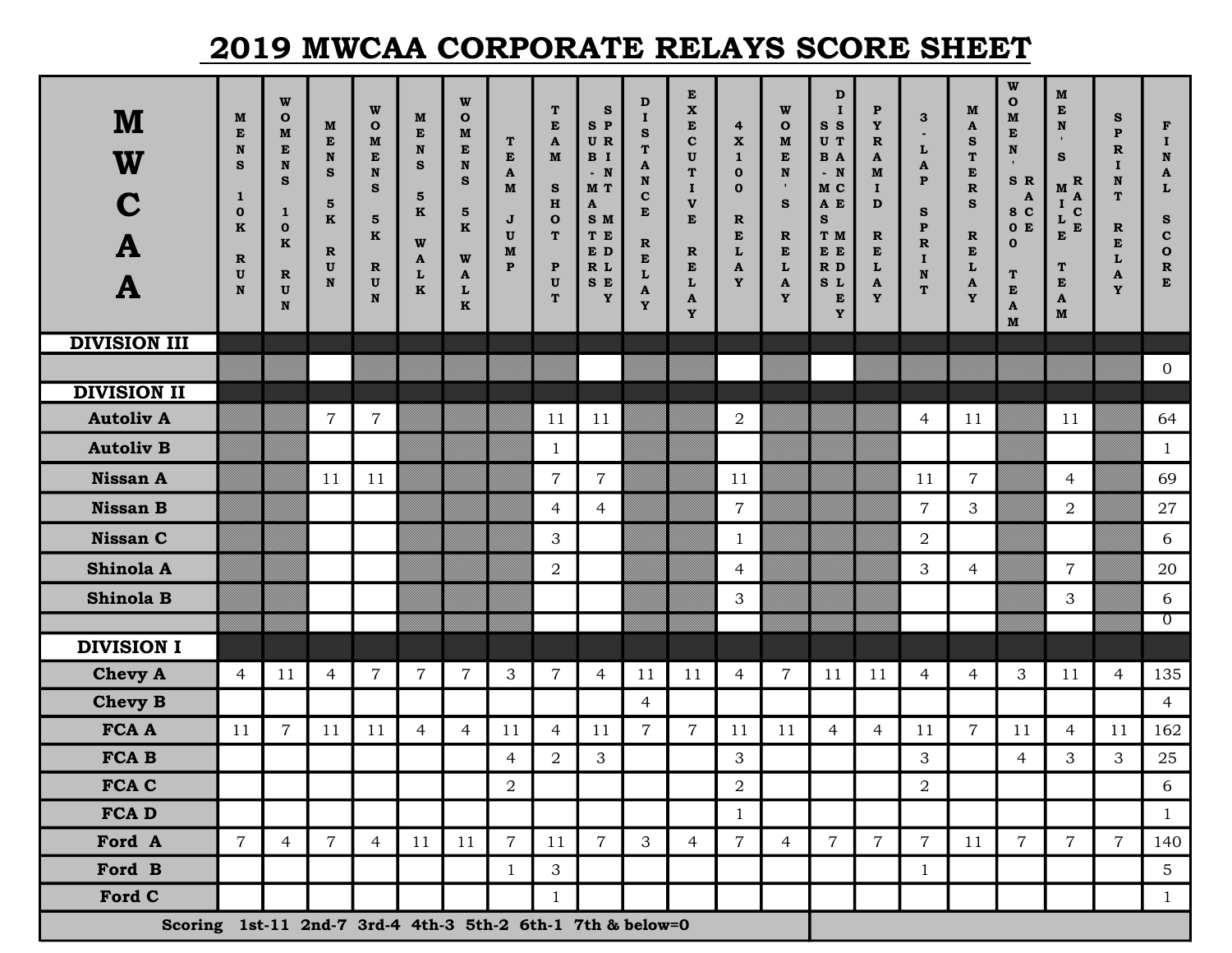# 2019 MWCAA CORPORATE RELAYS SCORE SHEET

| M<br>W<br>$\mathbf C$<br>$\mathbf{A}$<br>${\bf A}$         | M<br>E<br>N<br>S<br>1<br>$\mathbf 0$<br>$\bf K$<br>R<br>$\mathbf U$<br>N | $\mathbf{W}$<br>$\mathbf{o}$<br>$\mathbf M$<br>${\bf E}$<br>$\mathbf N$<br>$\mathbf{s}$<br>1<br>$\mathbf 0$<br>$\bf K$<br>$\mathbf R$<br>$\mathbf{U}$<br>$\mathbf N$ | M<br>E<br>$\mathbf N$<br>S<br>5<br>$\mathbf K$<br>$\mathbf R$<br>U<br>N | W<br>$\mathbf{o}$<br>M<br>E<br>N<br>S<br>$5\phantom{1}$<br>K<br>$\mathbf R$<br>U<br>N | M<br>${\bf E}$<br>N<br>S<br>$5\phantom{1}$<br>$\mathbf K$<br>W<br>$\mathbf{A}$<br>L<br>K | W<br>$\mathbf{o}$<br>M<br>E<br>N<br>S<br>5<br>$\bf K$<br>W<br>$\mathbf{A}$<br>L<br>K | T<br>E<br>$\mathbf{A}$<br>M<br>J<br>$\mathbf{U}$<br>$\mathbf M$<br>$\mathbf{P}$ | $\mathbf T$<br>${\bf E}$<br>$\mathbf{A}$<br>M<br><b>S</b><br>H<br>$\mathbf{o}$<br>T<br>$\mathbf{P}$<br>$\mathbf{U}$<br>T | S<br>$S$ $P$<br>UR<br>B I<br>- $N$<br>M T<br>A<br>S M<br>T E<br>E D<br>R L<br>S E<br>Y | D<br>1<br>S<br>T<br>A<br>N<br>$\mathbf{C}$<br>E<br>$\mathbf R$<br>E<br>L<br>A<br>Y | E<br>$\boldsymbol{\mathrm{x}}$<br>E<br>$\mathbf{C}$<br>U<br>T<br>$\bf{I}$<br>$\mathbf{V}$<br>E<br>$\mathbf{R}$<br>E<br>L<br>A<br>Y | 4<br>$\boldsymbol{\mathrm{X}}$<br>$\mathbf{1}$<br>$\bf{0}$<br>$\mathbf 0$<br>$\mathbf R$<br>E<br>L<br>$\mathbf{A}$<br>Y | $\mathbf{W}$<br>$\mathbf{o}$<br>M<br>E<br>$\mathbf N$<br>$\pmb{\cdot}$<br>S<br>$\mathbf R$<br>E<br>L<br>$\mathbf{A}$<br>Y | D<br>$\bf{I}$<br>s s<br>U T<br>B A<br>- $N$<br>M <sub>C</sub><br>A E<br>S<br>T M<br>E E<br>$R$ D<br>S L<br>${\bf E}$<br>Y | $\mathbf P$<br>$\mathbf Y$<br>$\mathbf R$<br>A<br>M<br>$\bf{I}$<br>D<br>$\mathbf R$<br>E<br>L<br>A<br>Y | 3<br>L<br>$\mathbf A$<br>$\mathbf{P}$<br>$\mathbf{s}$<br>$\mathbf{P}$<br>$\mathbf R$<br>1<br>N<br>T | M<br>$\mathbf{A}$<br>S<br>T<br>E<br>$\overline{\mathbf{R}}$<br>S<br>$\mathbf R$<br>E<br>L<br>$\boldsymbol{\mathsf{A}}$<br>Y | W<br>$\mathbf{o}$<br>M<br>${\bf E}$<br>$\mathbf N$<br>SR<br>A<br>8 C<br>0 E<br>$\mathbf 0$<br>T<br>E<br>$\mathbf{A}$<br>M | M<br>${\bf E}$<br>${\bf N}$<br>S<br>$\mathbf R$<br>$\mathbf{M}$<br>$\boldsymbol{\mathsf{A}}$<br>$\mathbf I$<br>$\mathbf{C}$<br>$\mathbf L$<br>${\bf E}$<br>$\mathbf{E}$<br>T<br>${\bf E}$<br>$\mathbf{A}$<br>$\mathbf M$ | $\mathbf s$<br>$\mathbf P$<br>${\bf R}$<br>$\bf{I}$<br>$\mathbf N$<br>T<br>${\bf R}$<br>E<br>L<br>$\mathbf{A}$<br>Y | F<br>I<br>N<br>A<br>L<br>S<br>$\mathbf{C}$<br>$\mathbf{o}$<br>$\mathbf R$<br>E |
|------------------------------------------------------------|--------------------------------------------------------------------------|----------------------------------------------------------------------------------------------------------------------------------------------------------------------|-------------------------------------------------------------------------|---------------------------------------------------------------------------------------|------------------------------------------------------------------------------------------|--------------------------------------------------------------------------------------|---------------------------------------------------------------------------------|--------------------------------------------------------------------------------------------------------------------------|----------------------------------------------------------------------------------------|------------------------------------------------------------------------------------|------------------------------------------------------------------------------------------------------------------------------------|-------------------------------------------------------------------------------------------------------------------------|---------------------------------------------------------------------------------------------------------------------------|---------------------------------------------------------------------------------------------------------------------------|---------------------------------------------------------------------------------------------------------|-----------------------------------------------------------------------------------------------------|-----------------------------------------------------------------------------------------------------------------------------|---------------------------------------------------------------------------------------------------------------------------|--------------------------------------------------------------------------------------------------------------------------------------------------------------------------------------------------------------------------|---------------------------------------------------------------------------------------------------------------------|--------------------------------------------------------------------------------|
| <b>DIVISION III</b>                                        |                                                                          |                                                                                                                                                                      |                                                                         |                                                                                       |                                                                                          |                                                                                      |                                                                                 |                                                                                                                          |                                                                                        |                                                                                    |                                                                                                                                    |                                                                                                                         |                                                                                                                           |                                                                                                                           |                                                                                                         |                                                                                                     |                                                                                                                             |                                                                                                                           |                                                                                                                                                                                                                          |                                                                                                                     |                                                                                |
| <b>DIVISION II</b>                                         |                                                                          |                                                                                                                                                                      |                                                                         |                                                                                       |                                                                                          |                                                                                      |                                                                                 |                                                                                                                          |                                                                                        |                                                                                    |                                                                                                                                    |                                                                                                                         |                                                                                                                           |                                                                                                                           |                                                                                                         |                                                                                                     |                                                                                                                             |                                                                                                                           |                                                                                                                                                                                                                          |                                                                                                                     | $\overline{0}$                                                                 |
| <b>Autoliv A</b>                                           |                                                                          |                                                                                                                                                                      | $\overline{7}$                                                          | $\overline{7}$                                                                        |                                                                                          |                                                                                      |                                                                                 | 11                                                                                                                       | 11                                                                                     |                                                                                    |                                                                                                                                    | $\boldsymbol{2}$                                                                                                        |                                                                                                                           |                                                                                                                           |                                                                                                         | $\overline{4}$                                                                                      | 11                                                                                                                          |                                                                                                                           | 11                                                                                                                                                                                                                       |                                                                                                                     | 64                                                                             |
| <b>Autoliv B</b>                                           |                                                                          |                                                                                                                                                                      |                                                                         |                                                                                       |                                                                                          |                                                                                      |                                                                                 | $\mathbf{1}$                                                                                                             |                                                                                        |                                                                                    |                                                                                                                                    |                                                                                                                         |                                                                                                                           |                                                                                                                           |                                                                                                         |                                                                                                     |                                                                                                                             |                                                                                                                           |                                                                                                                                                                                                                          |                                                                                                                     | $\mathbf{1}$                                                                   |
| <b>Nissan A</b>                                            |                                                                          |                                                                                                                                                                      | 11                                                                      | 11                                                                                    |                                                                                          |                                                                                      |                                                                                 | $\overline{7}$                                                                                                           | $\overline{7}$                                                                         |                                                                                    |                                                                                                                                    | 11                                                                                                                      |                                                                                                                           |                                                                                                                           |                                                                                                         | 11                                                                                                  | $\overline{7}$                                                                                                              |                                                                                                                           | $\overline{4}$                                                                                                                                                                                                           |                                                                                                                     | 69                                                                             |
| <b>Nissan B</b>                                            |                                                                          |                                                                                                                                                                      |                                                                         |                                                                                       |                                                                                          |                                                                                      |                                                                                 | 4                                                                                                                        | $\overline{4}$                                                                         |                                                                                    |                                                                                                                                    | $\overline{7}$                                                                                                          |                                                                                                                           |                                                                                                                           |                                                                                                         | $\overline{7}$                                                                                      | 3                                                                                                                           |                                                                                                                           | $\overline{2}$                                                                                                                                                                                                           |                                                                                                                     | 27                                                                             |
| <b>Nissan C</b>                                            |                                                                          |                                                                                                                                                                      |                                                                         |                                                                                       |                                                                                          |                                                                                      |                                                                                 | 3                                                                                                                        |                                                                                        |                                                                                    |                                                                                                                                    | $\mathbf{1}$                                                                                                            |                                                                                                                           |                                                                                                                           |                                                                                                         | $\overline{a}$                                                                                      |                                                                                                                             |                                                                                                                           |                                                                                                                                                                                                                          |                                                                                                                     | 6                                                                              |
| Shinola A                                                  |                                                                          |                                                                                                                                                                      |                                                                         |                                                                                       |                                                                                          |                                                                                      |                                                                                 | $\overline{a}$                                                                                                           |                                                                                        |                                                                                    |                                                                                                                                    | 4                                                                                                                       |                                                                                                                           |                                                                                                                           |                                                                                                         | 3                                                                                                   | $\overline{4}$                                                                                                              |                                                                                                                           | $\overline{7}$                                                                                                                                                                                                           |                                                                                                                     | 20                                                                             |
| Shinola B                                                  |                                                                          |                                                                                                                                                                      |                                                                         |                                                                                       |                                                                                          |                                                                                      |                                                                                 |                                                                                                                          |                                                                                        |                                                                                    |                                                                                                                                    | 3                                                                                                                       |                                                                                                                           |                                                                                                                           |                                                                                                         |                                                                                                     |                                                                                                                             |                                                                                                                           | 3                                                                                                                                                                                                                        |                                                                                                                     | 6                                                                              |
|                                                            |                                                                          |                                                                                                                                                                      |                                                                         |                                                                                       |                                                                                          |                                                                                      |                                                                                 |                                                                                                                          |                                                                                        |                                                                                    |                                                                                                                                    |                                                                                                                         |                                                                                                                           |                                                                                                                           |                                                                                                         |                                                                                                     |                                                                                                                             |                                                                                                                           |                                                                                                                                                                                                                          |                                                                                                                     | $\overline{0}$                                                                 |
| <b>DIVISION I</b>                                          |                                                                          |                                                                                                                                                                      |                                                                         |                                                                                       |                                                                                          |                                                                                      |                                                                                 |                                                                                                                          |                                                                                        |                                                                                    |                                                                                                                                    |                                                                                                                         |                                                                                                                           |                                                                                                                           |                                                                                                         |                                                                                                     |                                                                                                                             |                                                                                                                           |                                                                                                                                                                                                                          |                                                                                                                     |                                                                                |
| <b>Chevy A</b>                                             | $\overline{4}$                                                           | 11                                                                                                                                                                   | $\overline{4}$                                                          | $\overline{7}$                                                                        | $\overline{7}$                                                                           | $\overline{7}$                                                                       | 3                                                                               | $\overline{7}$                                                                                                           | $\overline{4}$                                                                         | 11                                                                                 | 11                                                                                                                                 | $\overline{4}$                                                                                                          | $\overline{7}$                                                                                                            | 11                                                                                                                        | 11                                                                                                      | $\overline{4}$                                                                                      | $\overline{4}$                                                                                                              | 3                                                                                                                         | 11                                                                                                                                                                                                                       | $\overline{4}$                                                                                                      | 135                                                                            |
| Chevy B                                                    |                                                                          |                                                                                                                                                                      |                                                                         |                                                                                       |                                                                                          |                                                                                      |                                                                                 |                                                                                                                          |                                                                                        | $\overline{4}$                                                                     |                                                                                                                                    |                                                                                                                         |                                                                                                                           |                                                                                                                           |                                                                                                         |                                                                                                     |                                                                                                                             |                                                                                                                           |                                                                                                                                                                                                                          |                                                                                                                     | $\overline{4}$                                                                 |
| FCA A                                                      | 11                                                                       | $\overline{7}$                                                                                                                                                       | 11                                                                      | 11                                                                                    | $\overline{4}$                                                                           | $\overline{4}$                                                                       | 11                                                                              | $\overline{4}$                                                                                                           | 11                                                                                     | $\overline{7}$                                                                     | $\overline{7}$                                                                                                                     | 11                                                                                                                      | 11                                                                                                                        | $\overline{4}$                                                                                                            | $\overline{4}$                                                                                          | 11                                                                                                  | $\overline{7}$                                                                                                              | 11                                                                                                                        | $\overline{4}$                                                                                                                                                                                                           | 11                                                                                                                  | 162                                                                            |
| <b>FCA B</b>                                               |                                                                          |                                                                                                                                                                      |                                                                         |                                                                                       |                                                                                          |                                                                                      | 4                                                                               | $\overline{2}$                                                                                                           | 3                                                                                      |                                                                                    |                                                                                                                                    | 3                                                                                                                       |                                                                                                                           |                                                                                                                           |                                                                                                         | 3                                                                                                   |                                                                                                                             | $\overline{4}$                                                                                                            | 3                                                                                                                                                                                                                        | 3                                                                                                                   | 25                                                                             |
| FCA C                                                      |                                                                          |                                                                                                                                                                      |                                                                         |                                                                                       |                                                                                          |                                                                                      | $\boldsymbol{2}$                                                                |                                                                                                                          |                                                                                        |                                                                                    |                                                                                                                                    | $\overline{2}$                                                                                                          |                                                                                                                           |                                                                                                                           |                                                                                                         | $\overline{2}$                                                                                      |                                                                                                                             |                                                                                                                           |                                                                                                                                                                                                                          |                                                                                                                     | 6                                                                              |
| FCA D                                                      |                                                                          |                                                                                                                                                                      |                                                                         |                                                                                       |                                                                                          |                                                                                      |                                                                                 |                                                                                                                          |                                                                                        |                                                                                    |                                                                                                                                    | $\mathbf{1}$                                                                                                            |                                                                                                                           |                                                                                                                           |                                                                                                         |                                                                                                     |                                                                                                                             |                                                                                                                           |                                                                                                                                                                                                                          |                                                                                                                     | $\mathbf{1}$                                                                   |
| Ford A                                                     | $\overline{7}$                                                           | $\overline{4}$                                                                                                                                                       | $\overline{7}$                                                          | $\overline{4}$                                                                        | 11                                                                                       | 11                                                                                   | $\overline{7}$                                                                  | 11                                                                                                                       | $\sqrt{7}$                                                                             | 3                                                                                  | 4                                                                                                                                  | $\boldsymbol{7}$                                                                                                        | $\overline{4}$                                                                                                            | $\overline{7}$                                                                                                            | $\overline{7}$                                                                                          | $\overline{7}$                                                                                      | 11                                                                                                                          | $\overline{7}$                                                                                                            | $\overline{7}$                                                                                                                                                                                                           | $\overline{7}$                                                                                                      | 140                                                                            |
| Ford B                                                     |                                                                          |                                                                                                                                                                      |                                                                         |                                                                                       |                                                                                          |                                                                                      | $\mathbf{1}$                                                                    | 3                                                                                                                        |                                                                                        |                                                                                    |                                                                                                                                    |                                                                                                                         |                                                                                                                           |                                                                                                                           |                                                                                                         | $\mathbf{1}$                                                                                        |                                                                                                                             |                                                                                                                           |                                                                                                                                                                                                                          |                                                                                                                     | $5\phantom{.}$                                                                 |
| Ford C                                                     |                                                                          |                                                                                                                                                                      |                                                                         |                                                                                       |                                                                                          |                                                                                      |                                                                                 | $\mathbf{1}$                                                                                                             |                                                                                        |                                                                                    |                                                                                                                                    |                                                                                                                         |                                                                                                                           |                                                                                                                           |                                                                                                         |                                                                                                     |                                                                                                                             |                                                                                                                           |                                                                                                                                                                                                                          |                                                                                                                     | $\mathbf{1}$                                                                   |
| Scoring 1st-11 2nd-7 3rd-4 4th-3 5th-2 6th-1 7th & below=0 |                                                                          |                                                                                                                                                                      |                                                                         |                                                                                       |                                                                                          |                                                                                      |                                                                                 |                                                                                                                          |                                                                                        |                                                                                    |                                                                                                                                    |                                                                                                                         |                                                                                                                           |                                                                                                                           |                                                                                                         |                                                                                                     |                                                                                                                             |                                                                                                                           |                                                                                                                                                                                                                          |                                                                                                                     |                                                                                |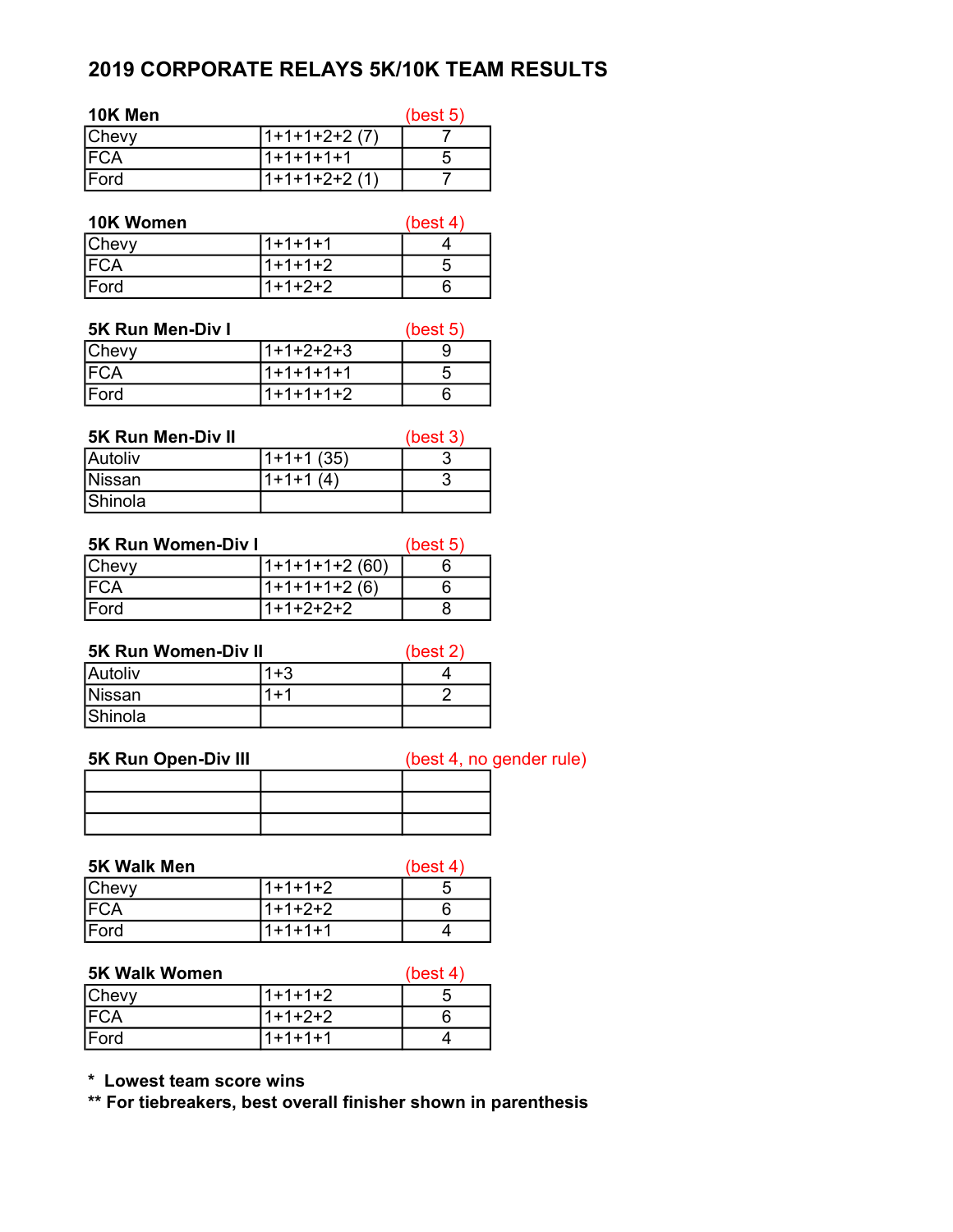### 2019 CORPORATE RELAYS 5K/10K TEAM RESULTS

| 10K Men    |               | (best 5) |
|------------|---------------|----------|
| Chevy      | 1+1+1+2+2 (7) |          |
| <b>FCA</b> | $11+1+1+1+1$  | :C       |
| Ford       | 1+1+1+2+2(1)  |          |

| 10K Women   |                 | (best 4) |
|-------------|-----------------|----------|
| Chevy       | $1 + 1 + 1 + 1$ |          |
| IFCA        | $1+1+1+2$       |          |
| <b>Ford</b> | $1+1+2+2$       |          |

### **5K Run Men-Div I** (best 5) Chevy 1+1+2+2+3 9<br>FCA 1+1+1+1+1 5  $1+1+1+1+1$  5 Ford 1+1+1+1+2 6

| <b>5K Run Men-Div II</b> |             | (best 3) |
|--------------------------|-------------|----------|
| Autoliv                  | 1+1+1 (35)  |          |
| Nissan                   | $11+1+1(4)$ |          |
| Shinola                  |             |          |

| 5K Run Women-Div I | (best 5)        |  |
|--------------------|-----------------|--|
| Chevy              | $1+1+1+1+2(60)$ |  |
| IFCA               | 1+1+1+1+2 (6)   |  |
| lFord              | $1+1+2+2+2$     |  |

| 5K Run Women-Div II | (best 2) |  |
|---------------------|----------|--|
| Autoliv             | $1 + 3$  |  |
| Nissan              | $1 + 1$  |  |
| Shinola             |          |  |

| 5K Run Open-Div III |  | (best 4, no gender rule) |
|---------------------|--|--------------------------|
|                     |  |                          |
|                     |  |                          |
|                     |  |                          |

| 5K Walk Men |           | (best 4) |
|-------------|-----------|----------|
| Chevy       | 1+1+1+2   |          |
| <b>FCA</b>  | $1+1+2+2$ |          |
| Ford        | $1+1+1+1$ |          |

#### 5K Walk Women (best 4)

| .          |                 | $\sim$ $\sim$ $\sim$ $\sim$ |
|------------|-----------------|-----------------------------|
| Chevy      | $1+1+1+2$       |                             |
| <b>FCA</b> | $1+1+2+2$       |                             |
| Ford       | $1 + 1 + 1 + 1$ |                             |
|            |                 |                             |

\* Lowest team score wins

\*\* For tiebreakers, best overall finisher shown in parenthesis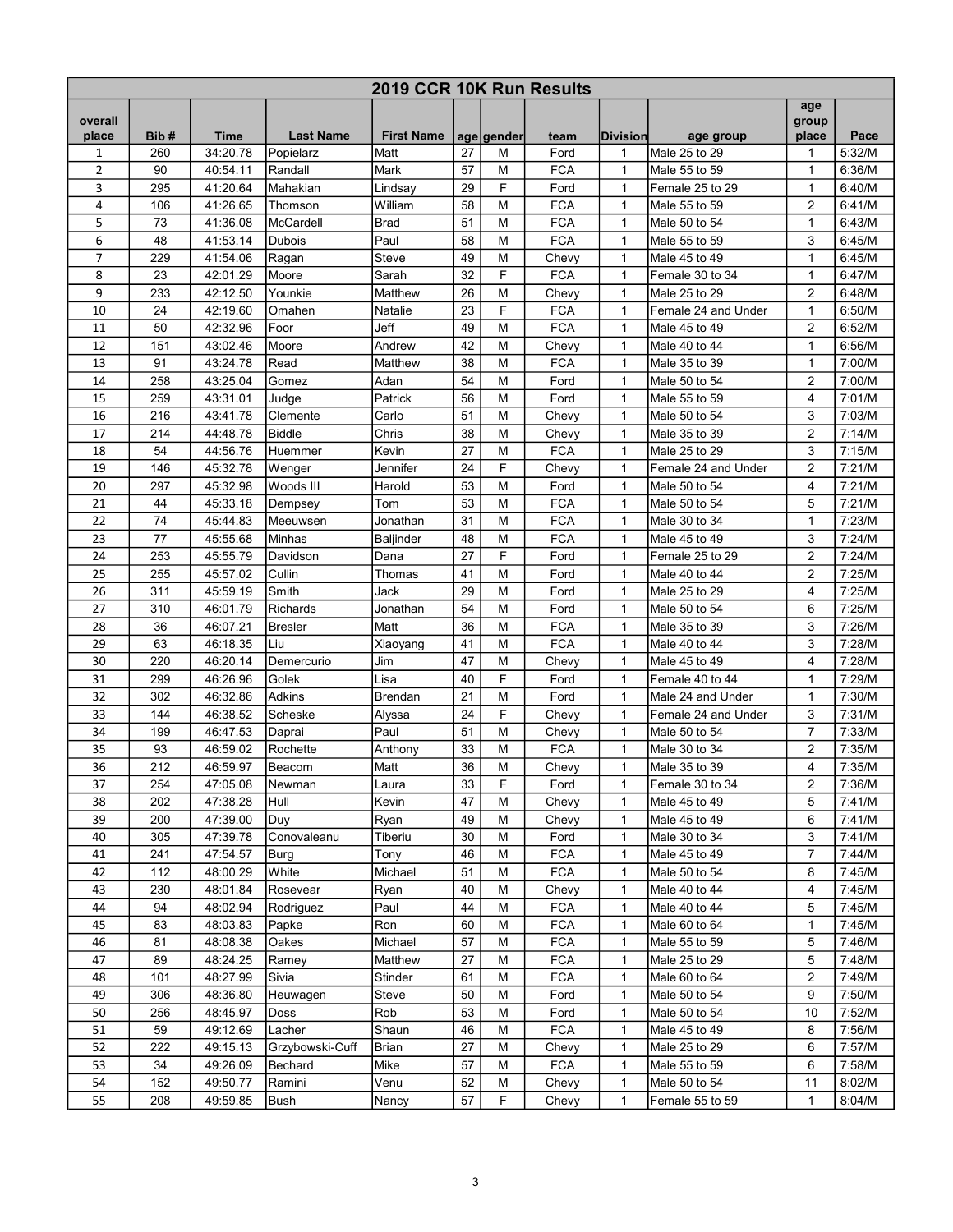| 2019 CCR 10K Run Results |            |                      |                       |                   |          |             |                     |                   |                                      |                         |                  |
|--------------------------|------------|----------------------|-----------------------|-------------------|----------|-------------|---------------------|-------------------|--------------------------------------|-------------------------|------------------|
| overall<br>place         | Bib#       | <b>Time</b>          | <b>Last Name</b>      | <b>First Name</b> |          | ∣age∣gender | team                | Division          | age group                            | age<br>group<br>place   | Pace             |
| 1                        | 260        | 34:20.78             | Popielarz             | Matt              | 27       | м           | Ford                | 1                 | Male 25 to 29                        | 1                       | 5:32/M           |
| $\overline{2}$           | 90         | 40:54.11             | Randall               | Mark              | 57       | M           | <b>FCA</b>          | 1                 | Male 55 to 59                        | 1                       | 6:36/M           |
| 3                        | 295        | 41:20.64             | Mahakian              | Lindsay           | 29       | F           | Ford                | $\mathbf{1}$      | Female 25 to 29                      | 1                       | 6:40/M           |
| 4                        | 106        | 41:26.65             | Thomson               | William           | 58       | M           | <b>FCA</b>          | $\mathbf{1}$      | Male 55 to 59                        | $\overline{2}$          | 6:41/M           |
| 5                        | 73         | 41:36.08             | McCardell             | Brad              | 51       | M           | <b>FCA</b>          | 1                 | Male 50 to 54                        | 1                       | 6:43/M           |
| 6                        | 48         | 41:53.14             | Dubois                | Paul              | 58       | M           | <b>FCA</b>          | $\mathbf{1}$      | Male 55 to 59                        | 3                       | 6:45/M           |
| $\overline{7}$           | 229        | 41:54.06             | Ragan                 | Steve             | 49       | M           | Chevy               | $\mathbf{1}$      | Male 45 to 49                        | 1                       | 6:45/M           |
| 8                        | 23         | 42:01.29             | Moore                 | Sarah             | 32       | F           | <b>FCA</b>          | $\mathbf{1}$      | Female 30 to 34                      | 1                       | 6:47/M           |
| 9                        | 233        | 42:12.50             | Younkie               | Matthew           | 26       | M           | Chevy               | $\mathbf{1}$      | Male 25 to 29                        | 2                       | 6:48/M           |
| 10                       | 24         | 42:19.60             | Omahen                | Natalie           | 23       | F           | <b>FCA</b>          | $\mathbf{1}$      | Female 24 and Under                  | 1                       | 6:50/M           |
| 11                       | 50         | 42:32.96             | Foor                  | Jeff              | 49       | М           | <b>FCA</b>          | $\mathbf{1}$      | Male 45 to 49                        | 2                       | 6:52/M           |
| 12                       | 151        | 43:02.46             | Moore                 | Andrew            | 42       | M           | Chevy               | $\mathbf{1}$      | Male 40 to 44                        | 1                       | 6:56/M           |
| 13                       | 91         | 43:24.78             | Read                  | Matthew           | 38       | M           | <b>FCA</b>          | $\mathbf{1}$      | Male 35 to 39                        | $\mathbf{1}$            | 7:00/M           |
| 14                       | 258        | 43:25.04             | Gomez                 | Adan              | 54       | М           | Ford                | $\mathbf{1}$      | Male 50 to 54                        | 2                       | 7:00/M           |
| 15                       | 259        | 43:31.01             | Judge                 | Patrick           | 56       | М           | Ford                | $\mathbf{1}$      | Male 55 to 59                        | 4                       | 7:01/M           |
| 16                       | 216        | 43:41.78             | Clemente              | Carlo             | 51       | М           | Chevy               | $\mathbf{1}$      | Male 50 to 54                        | 3                       | 7:03/M           |
| 17                       | 214        | 44:48.78             | <b>Biddle</b>         | Chris             | 38       | M           | Chevy               | $\mathbf{1}$      | Male 35 to 39                        | $\overline{2}$          | 7:14/M           |
| 18                       | 54         | 44:56.76             | Huemmer               | Kevin             | 27       | M           | <b>FCA</b>          | 1                 | Male 25 to 29                        | 3                       | 7:15/M           |
| 19                       | 146        | 45:32.78             | Wenger                | Jennifer          | 24       | F           | Chevy               | $\mathbf{1}$      | Female 24 and Under                  | 2                       | 7:21/M           |
| 20                       | 297        | 45:32.98             | Woods III             | Harold            | 53       | M           | Ford                | 1                 | Male 50 to 54                        | 4                       | 7:21/M           |
| 21                       | 44         | 45:33.18             | Dempsey               | Tom               | 53       | M           | <b>FCA</b>          | $\mathbf{1}$      | Male 50 to 54                        | 5                       | 7:21/M           |
| 22                       | 74         | 45:44.83             | Meeuwsen              | Jonathan          | 31       | М           | <b>FCA</b>          | 1                 | Male 30 to 34                        | 1                       | 7:23/M           |
| 23                       | 77         | 45:55.68             | Minhas                | <b>Baljinder</b>  | 48       | М           | <b>FCA</b>          | $\mathbf{1}$      | Male 45 to 49                        | 3                       | 7:24/M           |
| 24                       | 253        | 45:55.79             | Davidson              | Dana              | 27       | F           | Ford                | 1                 | Female 25 to 29                      | $\overline{2}$          | 7:24/M           |
| 25                       | 255        | 45:57.02             | Cullin                | Thomas            | 41       | M           | Ford                | $\mathbf{1}$      | Male 40 to 44                        | $\overline{2}$          | 7:25/M           |
| 26                       | 311        | 45:59.19             | Smith                 | Jack              | 29       | М           | Ford                | 1                 | Male 25 to 29                        | 4                       | 7:25/M           |
| 27                       | 310        | 46:01.79             | <b>Richards</b>       | Jonathan          | 54       | м           | Ford                | $\mathbf{1}$      | Male 50 to 54                        | 6                       | 7:25/M           |
| 28                       | 36         | 46:07.21             |                       |                   | 36       | М           | <b>FCA</b>          | 1                 |                                      | 3                       | 7:26/M           |
| 29                       | 63         | 46:18.35             | <b>Bresler</b><br>Liu | Matt              | 41       | M           | <b>FCA</b>          | $\mathbf{1}$      | Male 35 to 39<br>Male 40 to 44       | 3                       | 7:28/M           |
| 30                       | 220        |                      |                       | Xiaoyang          |          | M           |                     |                   |                                      | 4                       |                  |
| 31                       |            | 46:20.14<br>46:26.96 | Demercurio<br>Golek   | Jim<br>Lisa       | 47<br>40 | F           | Chevy<br>Ford       | 1<br>$\mathbf{1}$ | Male 45 to 49<br>Female 40 to 44     | $\mathbf{1}$            | 7:28/M           |
|                          | 299        |                      |                       |                   | 21       | M           |                     |                   |                                      | 1                       | 7:29/M           |
| 32                       | 302        | 46:32.86<br>46:38.52 | Adkins                | Brendan           | 24       | F           | Ford<br>Chevy       | $\mathbf{1}$      | Male 24 and Under                    | 3                       | 7:30/M<br>7:31/M |
| 33                       | 144        |                      | Scheske               | Alyssa<br>Paul    | 51       | M           |                     | $\mathbf{1}$      | Female 24 and Under<br>Male 50 to 54 | 7                       | 7:33/M           |
| 34                       | 199        | 46:47.53             | Daprai<br>Rochette    |                   | 33       | M           | Chevy<br><b>FCA</b> | $\mathbf{1}$      |                                      | 2                       | 7:35/M           |
| 35<br>36                 | 93         | 46:59.02             |                       | Anthony           | 36       | M           |                     | 1<br>$\mathbf{1}$ | Male 30 to 34                        | $\overline{\mathbf{4}}$ |                  |
|                          | 212        | 46:59.97             | Beacom                | Matt              |          | F.          | Chevy               |                   | Male 35 to 39                        |                         | 7:35/M           |
| 37<br>38                 | 254<br>202 | 47:05.08<br>47:38.28 | Newman<br>Hull        | Laura<br>Kevin    | 33<br>47 | M           | Ford<br>Chevy       | $\mathbf{1}$<br>1 | Female 30 to 34<br>Male 45 to 49     | 2<br>5                  | 7:36/M<br>7:41/M |
| 39                       |            | 47:39.00             |                       |                   | 49       |             |                     |                   | Male 45 to 49                        | 6                       | 7:41/M           |
|                          | 200        |                      | Duy                   | Ryan              |          | M           | Chevy               | $\mathbf{1}$      |                                      |                         |                  |
| 40                       | 305        | 47:39.78             | Conovaleanu           | Tiberiu           | 30       | M           | Ford                | 1                 | Male 30 to 34                        | 3                       | 7:41/M           |
| 41                       | 241        | 47:54.57             | Burg                  | Tony              | 46       | M           | <b>FCA</b>          | $\mathbf{1}$      | Male 45 to 49                        | 7                       | 7:44/M           |
| 42                       | 112        | 48:00.29             | White                 | Michael           | 51       | M           | <b>FCA</b>          | 1                 | Male 50 to 54                        | 8                       | 7:45/M           |
| 43                       | 230        | 48:01.84             | Rosevear              | Ryan              | 40       | M           | Chevy               | 1                 | Male 40 to 44                        | 4                       | 7:45/M           |
| 44                       | 94         | 48:02.94             | Rodriguez             | Paul              | 44       | M           | <b>FCA</b>          | 1                 | Male 40 to 44                        | 5                       | 7:45/M           |
| 45                       | 83         | 48:03.83             | Papke                 | Ron               | 60       | M           | <b>FCA</b>          | 1                 | Male 60 to 64                        | 1                       | 7:45/M           |
| 46                       | 81         | 48:08.38             | Oakes                 | Michael           | 57       | M           | <b>FCA</b>          | 1                 | Male 55 to 59                        | 5                       | 7:46/M           |
| 47                       | 89         | 48:24.25             | Ramey                 | Matthew           | 27       | М           | <b>FCA</b>          | 1                 | Male 25 to 29                        | 5                       | 7:48/M           |
| 48                       | 101        | 48:27.99             | Sivia                 | Stinder           | 61       | M           | <b>FCA</b>          | 1                 | Male 60 to 64                        | 2                       | 7:49/M           |
| 49                       | 306        | 48:36.80             | Heuwagen              | Steve             | 50       | M           | Ford                | $\mathbf{1}$      | Male 50 to 54                        | 9                       | 7:50/M           |
| 50                       | 256        | 48:45.97             | Doss                  | Rob               | 53       | M           | Ford                | $\mathbf{1}$      | Male 50 to 54                        | 10                      | 7:52/M           |
| 51                       | 59         | 49:12.69             | Lacher                | Shaun             | 46       | M           | <b>FCA</b>          | 1                 | Male 45 to 49                        | 8                       | 7:56/M           |
| 52                       | 222        | 49:15.13             | Grzybowski-Cuff       | Brian             | 27       | M           | Chevy               | $\mathbf{1}$      | Male 25 to 29                        | 6                       | 7:57/M           |
| 53                       | 34         | 49:26.09             | Bechard               | Mike              | 57       | M           | <b>FCA</b>          | 1                 | Male 55 to 59                        | 6                       | 7:58/M           |
| 54                       | 152        | 49:50.77             | Ramini                | Venu              | 52       | M           | Chevy               | $\mathbf{1}$      | Male 50 to 54                        | 11                      | 8:02/M           |
| 55                       | 208        | 49:59.85             | Bush                  | Nancy             | 57       | F           | Chevy               | 1                 | Female 55 to 59                      | 1                       | 8:04/M           |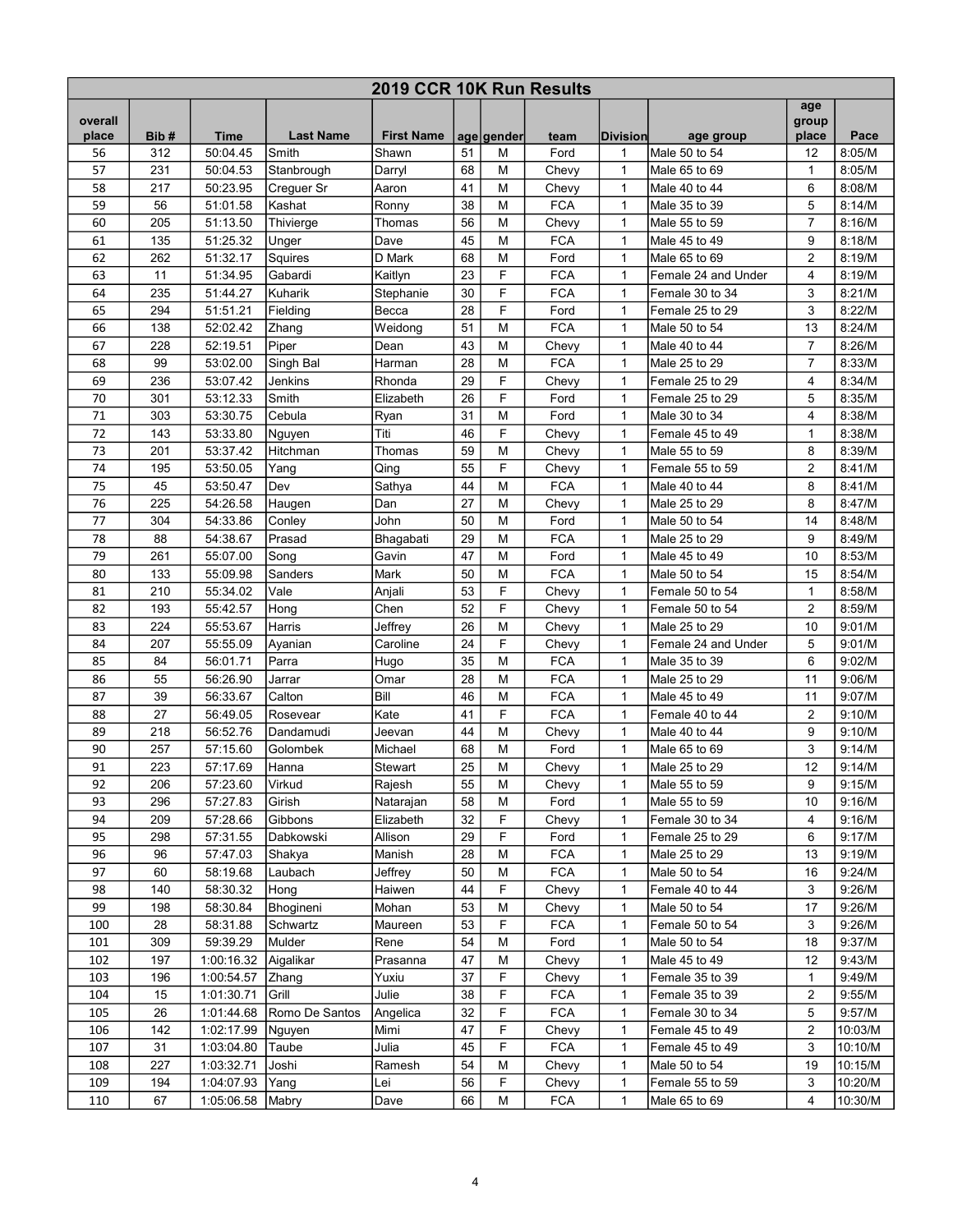| 2019 CCR 10K Run Results |      |             |                  |                   |    |            |            |              |                     |                       |                  |
|--------------------------|------|-------------|------------------|-------------------|----|------------|------------|--------------|---------------------|-----------------------|------------------|
| overall<br>place         | Bib# | <b>Time</b> | <b>Last Name</b> | <b>First Name</b> |    | age gender | team       | Division     | age group           | age<br>group<br>place | Pace             |
| 56                       | 312  | 50:04.45    | Smith            | Shawn             | 51 | м          | Ford       | 1            | Male 50 to 54       | 12                    | 8:05/M           |
| 57                       | 231  | 50:04.53    | Stanbrough       | Darryl            | 68 | М          | Chevy      | $\mathbf{1}$ | Male 65 to 69       | 1                     | 8:05/M           |
| 58                       | 217  | 50:23.95    | Creguer Sr       | Aaron             | 41 | M          | Chevy      | 1            | Male 40 to 44       | 6                     | 8:08/M           |
| 59                       | 56   | 51:01.58    | Kashat           | Ronny             | 38 | M          | <b>FCA</b> | $\mathbf{1}$ | Male 35 to 39       | 5                     | 8:14/M           |
| 60                       | 205  | 51:13.50    | Thivierge        | Thomas            | 56 | M          | Chevy      | 1            | Male 55 to 59       | $\overline{7}$        | 8:16/M           |
| 61                       | 135  | 51:25.32    | Unger            | Dave              | 45 | M          | <b>FCA</b> | $\mathbf{1}$ | Male 45 to 49       | 9                     | 8:18/M           |
| 62                       | 262  | 51:32.17    | Squires          | D Mark            | 68 | M          | Ford       | 1            | Male 65 to 69       | $\overline{2}$        | 8:19/M           |
| 63                       | 11   | 51:34.95    | Gabardi          | Kaitlyn           | 23 | F          | <b>FCA</b> | $\mathbf{1}$ | Female 24 and Under | 4                     | 8:19/M           |
| 64                       | 235  | 51:44.27    | Kuharik          | Stephanie         | 30 | F          | <b>FCA</b> | $\mathbf{1}$ | Female 30 to 34     | 3                     | 8:21/M           |
| 65                       | 294  | 51:51.21    | Fielding         | Becca             | 28 | F          | Ford       | 1            | Female 25 to 29     | 3                     | 8:22/M           |
| 66                       | 138  | 52:02.42    | Zhang            | Weidong           | 51 | M          | <b>FCA</b> | 1            | Male 50 to 54       | 13                    | 8:24/M           |
| 67                       | 228  | 52:19.51    | Piper            | Dean              | 43 | M          | Chevy      | $\mathbf{1}$ | Male 40 to 44       | $\overline{7}$        | 8:26/M           |
| 68                       | 99   | 53:02.00    | Singh Bal        | Harman            | 28 | M          | <b>FCA</b> | $\mathbf{1}$ | Male 25 to 29       | $\overline{7}$        | 8:33/M           |
| 69                       | 236  | 53:07.42    | Jenkins          | Rhonda            | 29 | F          | Chevy      | $\mathbf{1}$ | Female 25 to 29     | 4                     | 8:34/M           |
| 70                       | 301  | 53:12.33    | Smith            | Elizabeth         | 26 | F          | Ford       | 1            | Female 25 to 29     | 5                     | 8:35/M           |
| 71                       | 303  | 53:30.75    | Cebula           | Ryan              | 31 | M          | Ford       | 1            | Male 30 to 34       | 4                     | 8:38/M           |
| 72                       | 143  | 53:33.80    | Nguyen           | Titi              | 46 | F          | Chevy      | 1            | Female 45 to 49     | 1                     | 8:38/M           |
| 73                       | 201  | 53:37.42    | Hitchman         | Thomas            | 59 | M          | Chevy      | 1            | Male 55 to 59       | 8                     | 8:39/M           |
| 74                       | 195  | 53:50.05    | Yang             | Qing              | 55 | F          | Chevy      | 1            | Female 55 to 59     | 2                     | 8:41/M           |
| 75                       | 45   | 53:50.47    | Dev              | Sathya            | 44 | M          | <b>FCA</b> | 1            | Male 40 to 44       | 8                     | 8:41/M           |
| 76                       | 225  | 54:26.58    |                  |                   | 27 | M          | Chevy      | $\mathbf{1}$ | Male 25 to 29       | 8                     | 8:47/M           |
|                          |      |             | Haugen           | Dan               |    |            | Ford       |              |                     |                       |                  |
| 77<br>78                 | 304  | 54:33.86    | Conley           | John              | 50 | М          | <b>FCA</b> | 1            | Male 50 to 54       | 14                    | 8:48/M<br>8:49/M |
|                          | 88   | 54:38.67    | Prasad           | Bhagabati         | 29 | M          |            | $\mathbf{1}$ | Male 25 to 29       | 9                     |                  |
| 79                       | 261  | 55:07.00    | Song             | Gavin             | 47 | M          | Ford       | 1            | Male 45 to 49       | 10                    | 8:53/M           |
| 80                       | 133  | 55:09.98    | Sanders          | Mark              | 50 | M          | <b>FCA</b> | $\mathbf{1}$ | Male 50 to 54       | 15                    | 8:54/M           |
| 81                       | 210  | 55:34.02    | Vale             | Anjali            | 53 | F          | Chevy      | 1            | Female 50 to 54     | 1                     | 8:58/M           |
| 82                       | 193  | 55:42.57    | Hong             | Chen              | 52 | F          | Chevy      | $\mathbf{1}$ | Female 50 to 54     | $\overline{2}$        | 8:59/M           |
| 83                       | 224  | 55:53.67    | Harris           | Jeffrey           | 26 | M          | Chevy      | $\mathbf{1}$ | Male 25 to 29       | 10                    | 9:01/M           |
| 84                       | 207  | 55:55.09    | Ayanian          | Caroline          | 24 | F          | Chevy      | $\mathbf{1}$ | Female 24 and Under | 5                     | 9:01/M           |
| 85                       | 84   | 56:01.71    | Parra            | Hugo              | 35 | M          | <b>FCA</b> | $\mathbf{1}$ | Male 35 to 39       | 6                     | 9:02/M           |
| 86                       | 55   | 56:26.90    | Jarrar           | Omar              | 28 | M          | <b>FCA</b> | $\mathbf{1}$ | Male 25 to 29       | 11                    | 9:06/M           |
| 87                       | 39   | 56:33.67    | Calton           | Bill              | 46 | М          | <b>FCA</b> | $\mathbf{1}$ | Male 45 to 49       | 11                    | 9:07/M           |
| 88                       | 27   | 56:49.05    | Rosevear         | Kate              | 41 | F          | <b>FCA</b> | $\mathbf{1}$ | Female 40 to 44     | $\overline{2}$        | 9:10/M           |
| 89                       | 218  | 56:52.76    | Dandamudi        | Jeevan            | 44 | M          | Chevy      | $\mathbf{1}$ | Male 40 to 44       | 9                     | 9:10/M           |
| 90                       | 257  | 57:15.60    | Golombek         | Michael           | 68 | M          | Ford       | $\mathbf{1}$ | Male 65 to 69       | 3                     | 9:14/M           |
| 91                       | 223  | 57:17.69    | Hanna            | <b>Stewart</b>    | 25 | M          | Chevy      | $\mathbf{1}$ | Male 25 to 29       | 12                    | 9:14/M           |
| 92                       | 206  | 57:23.60    | Virkud           | Rajesh            | 55 | M          | Chevy      | $\mathbf{1}$ | Male 55 to 59       | 9                     | 9:15/M           |
| 93                       | 296  | 57:27.83    | Girish           | Natarajan         | 58 | M          | Ford       | 1            | Male 55 to 59       | 10                    | 9:16/M           |
| 94                       | 209  | 57:28.66    | Gibbons          | Elizabeth         | 32 | F          | Chevy      | $\mathbf{1}$ | Female 30 to 34     | 4                     | 9:16/M           |
| 95                       | 298  | 57:31.55    | Dabkowski        | Allison           | 29 | F          | Ford       | 1            | Female 25 to 29     | 6                     | 9:17/M           |
| 96                       | 96   | 57:47.03    | Shakya           | Manish            | 28 | M          | <b>FCA</b> | $\mathbf{1}$ | Male 25 to 29       | 13                    | 9:19/M           |
| 97                       | 60   | 58:19.68    | Laubach          | Jeffrey           | 50 | M          | <b>FCA</b> | $\mathbf{1}$ | Male 50 to 54       | 16                    | 9:24/M           |
| 98                       | 140  | 58:30.32    | Hong             | Haiwen            | 44 | F.         | Chevy      | 1            | Female 40 to 44     | 3                     | 9:26/M           |
| 99                       | 198  | 58:30.84    | Bhogineni        | Mohan             | 53 | M          | Chevy      | 1            | Male 50 to 54       | 17                    | 9:26/M           |
| 100                      | 28   | 58:31.88    | Schwartz         | Maureen           | 53 | F          | <b>FCA</b> | 1            | Female 50 to 54     | 3                     | 9:26/M           |
| 101                      | 309  | 59:39.29    | Mulder           | Rene              | 54 | M          | Ford       | 1            | Male 50 to 54       | 18                    | 9:37/M           |
| 102                      | 197  | 1:00:16.32  | Aigalikar        | Prasanna          | 47 | M          | Chevy      | 1            | Male 45 to 49       | 12                    | 9:43/M           |
| 103                      | 196  | 1:00:54.57  | Zhang            | Yuxiu             | 37 | F          | Chevy      | 1            | Female 35 to 39     | 1                     | 9:49/M           |
| 104                      | 15   | 1:01:30.71  | Grill            | Julie             | 38 | F          | <b>FCA</b> | $\mathbf{1}$ | Female 35 to 39     | 2                     | 9:55/M           |
| 105                      | 26   | 1:01:44.68  | Romo De Santos   | Angelica          | 32 | F          | <b>FCA</b> | $\mathbf{1}$ | Female 30 to 34     | 5                     | 9:57/M           |
| 106                      | 142  | 1:02:17.99  | Nguyen           | Mimi              | 47 | F          | Chevy      | 1            | Female 45 to 49     | 2                     | 10:03/M          |
| 107                      | 31   | 1:03:04.80  | Taube            | Julia             | 45 | F          | <b>FCA</b> | $\mathbf{1}$ | Female 45 to 49     | 3                     | 10:10/M          |
| 108                      | 227  | 1:03:32.71  | Joshi            | Ramesh            | 54 | M          | Chevy      | $\mathbf{1}$ | Male 50 to 54       | 19                    | 10:15/M          |
| 109                      | 194  | 1:04:07.93  | Yang             | Lei               | 56 | F          | Chevy      | $\mathbf{1}$ | Female 55 to 59     | 3                     | 10:20/M          |
| 110                      | 67   | 1:05:06.58  | Mabry            | Dave              | 66 | M          | <b>FCA</b> | 1            | Male 65 to 69       | 4                     | 10:30/M          |
|                          |      |             |                  |                   |    |            |            |              |                     |                       |                  |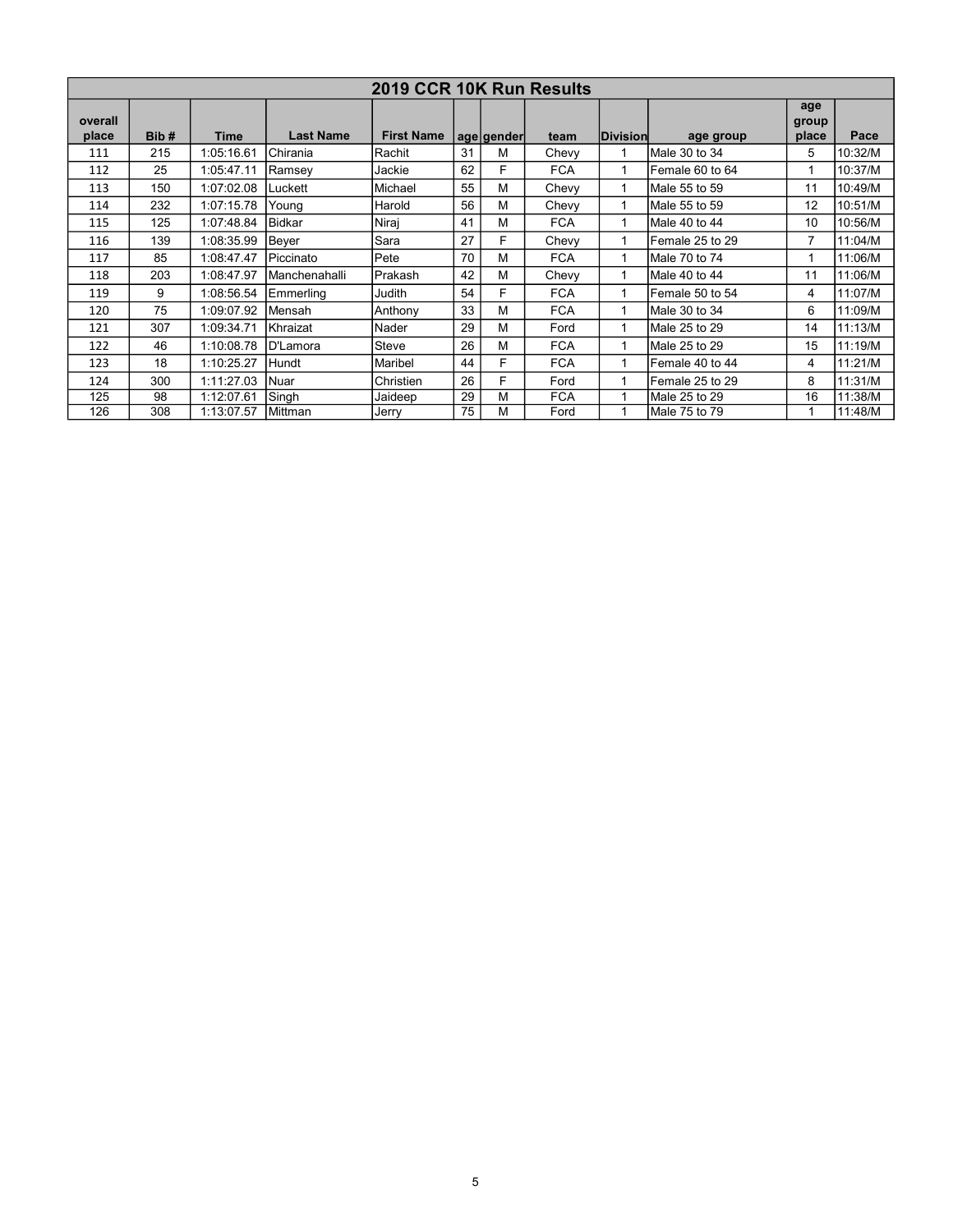|                  | 2019 CCR 10K Run Results |            |                  |                   |    |             |            |                   |                 |                       |         |  |  |
|------------------|--------------------------|------------|------------------|-------------------|----|-------------|------------|-------------------|-----------------|-----------------------|---------|--|--|
| overall<br>place | Bib#                     | Time       | <b>Last Name</b> | <b>First Name</b> |    | ∣age∣gender | team       | <b>IDivisionl</b> | age group       | age<br>group<br>place | Pace    |  |  |
| 111              | 215                      | 1:05:16.61 | Chirania         | Rachit            | 31 | M           | Chevy      | 1                 | Male 30 to 34   | 5                     | 10:32/M |  |  |
| 112              | 25                       | 1:05:47.11 | Ramsey           | Jackie            | 62 | E           | <b>FCA</b> | 1                 | Female 60 to 64 | 1                     | 10:37/M |  |  |
| 113              | 150                      | 1:07:02.08 | Luckett          | Michael           | 55 | М           | Chevy      | 1                 | Male 55 to 59   | 11                    | 10:49/M |  |  |
| 114              | 232                      | 1:07:15.78 | Young            | Harold            | 56 | M           | Chevy      | 1                 | Male 55 to 59   | 12                    | 10:51/M |  |  |
| 115              | 125                      | 1:07:48.84 | Bidkar           | Niraj             | 41 | М           | <b>FCA</b> | 1                 | Male 40 to 44   | 10                    | 10:56/M |  |  |
| 116              | 139                      | 1:08:35.99 | Beyer            | Sara              | 27 | F           | Chevy      | 1                 | Female 25 to 29 | $\overline{7}$        | 11:04/M |  |  |
| 117              | 85                       | 1:08:47.47 | Piccinato        | Pete              | 70 | M           | <b>FCA</b> | 1                 | Male 70 to 74   |                       | 11:06/M |  |  |
| 118              | 203                      | 1:08:47.97 | Manchenahalli    | Prakash           | 42 | M           | Chevy      | 1                 | Male 40 to 44   | 11                    | 11:06/M |  |  |
| 119              | 9                        | 1:08:56.54 | <b>Emmerling</b> | Judith            | 54 | F           | <b>FCA</b> | 1                 | Female 50 to 54 | 4                     | 11:07/M |  |  |
| 120              | 75                       | 1:09:07.92 | Mensah           | Anthony           | 33 | М           | <b>FCA</b> | 1                 | Male 30 to 34   | 6                     | 11:09/M |  |  |
| 121              | 307                      | 1:09:34.71 | Khraizat         | Nader             | 29 | M           | Ford       | 1                 | Male 25 to 29   | 14                    | 11:13/M |  |  |
| 122              | 46                       | 1:10:08.78 | D'Lamora         | Steve             | 26 | М           | <b>FCA</b> | 1                 | Male 25 to 29   | 15                    | 11:19/M |  |  |
| 123              | 18                       | 1:10:25.27 | Hundt            | Maribel           | 44 | E           | <b>FCA</b> | 1                 | Female 40 to 44 | 4                     | 11:21/M |  |  |
| 124              | 300                      | 1:11:27.03 | Nuar             | Christien         | 26 | F           | Ford       | 1                 | Female 25 to 29 | 8                     | 11:31/M |  |  |
| 125              | 98                       | 1:12:07.61 | Singh            | Jaideep           | 29 | M           | <b>FCA</b> | 1                 | Male 25 to 29   | 16                    | 11:38/M |  |  |
| 126              | 308                      | 1:13:07.57 | Mittman          | Jerry             | 75 | M           | Ford       | 1                 | Male 75 to 79   |                       | 11:48/M |  |  |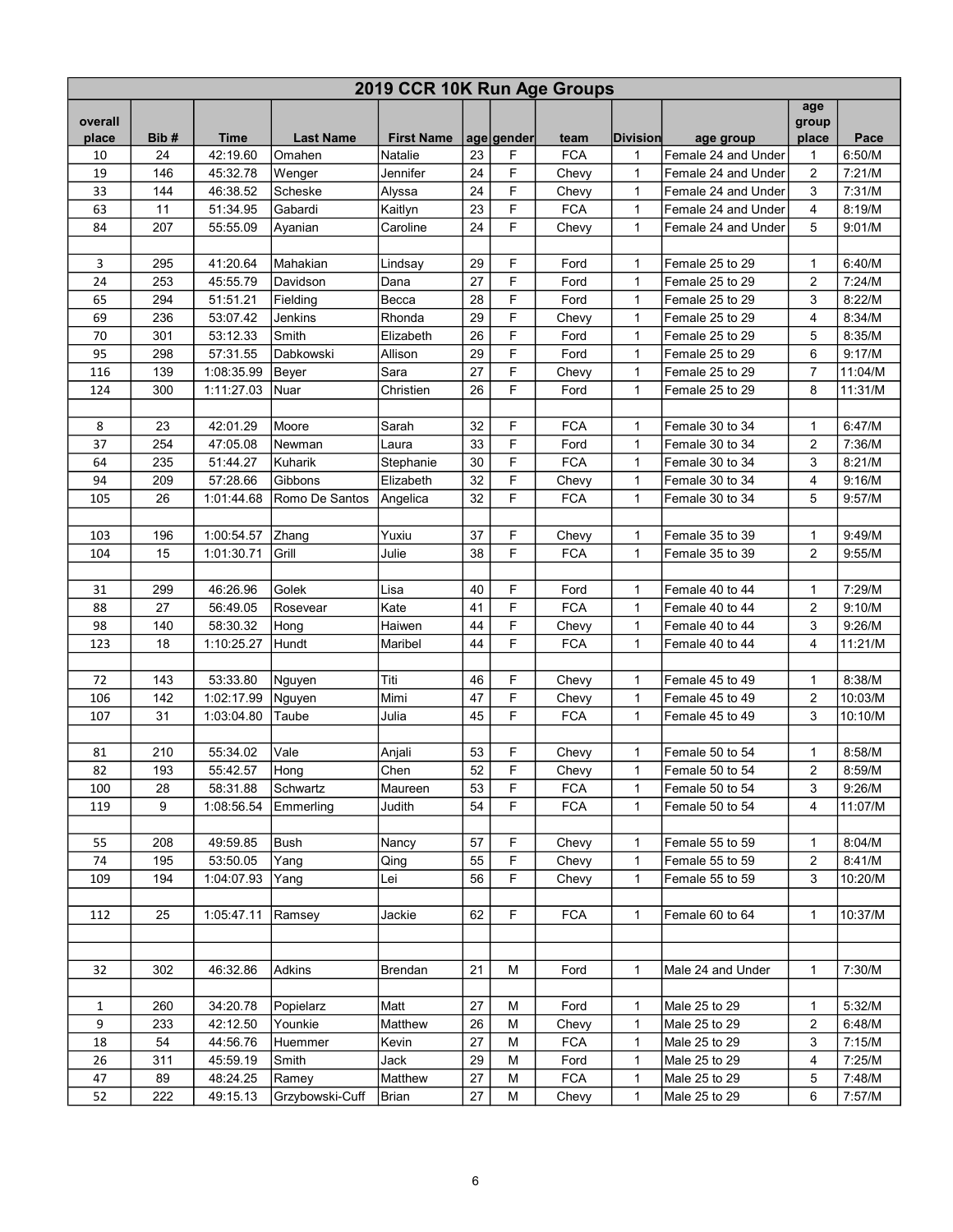|              |            |                         |                            |                              |    | 2019 CCR 10K Run Age Groups |                     |                      |                                  |                |                |
|--------------|------------|-------------------------|----------------------------|------------------------------|----|-----------------------------|---------------------|----------------------|----------------------------------|----------------|----------------|
| overall      |            |                         |                            |                              |    |                             |                     |                      |                                  | age<br>group   |                |
| place<br>10  | Bib#<br>24 | <b>Time</b><br>42:19.60 | <b>Last Name</b><br>Omahen | <b>First Name</b><br>Natalie | 23 | age gender<br>F             | team<br><b>FCA</b>  | <b>Division</b><br>1 | age group<br>Female 24 and Under | place<br>1     | Pace<br>6:50/M |
| 19           | 146        | 45:32.78                | Wenger                     | Jennifer                     | 24 | F                           | Chevy               | $\mathbf{1}$         | Female 24 and Under              | 2              | 7:21/M         |
| 33           | 144        | 46:38.52                | Scheske                    |                              | 24 | F                           |                     | 1                    | Female 24 and Under              | 3              | 7:31/M         |
| 63           | 11         |                         |                            | Alyssa                       | 23 | F                           | Chevy<br><b>FCA</b> | 1                    | Female 24 and Under              | 4              |                |
|              |            | 51:34.95                | Gabardi                    | Kaitlyn                      |    | F                           |                     |                      |                                  |                | 8:19/M         |
| 84           | 207        | 55:55.09                | Ayanian                    | Caroline                     | 24 |                             | Chevy               | 1                    | Female 24 and Under              | 5              | 9:01/M         |
|              |            |                         | Mahakian                   |                              |    |                             |                     |                      |                                  |                |                |
| 3            | 295        | 41:20.64                |                            | Lindsay                      | 29 | F<br>F                      | Ford                | 1                    | Female 25 to 29                  | 1              | 6:40/M         |
| 24           | 253        | 45:55.79                | Davidson                   | Dana                         | 27 |                             | Ford                | $\mathbf{1}$         | Female 25 to 29                  | 2              | 7:24/M         |
| 65           | 294        | 51:51.21                | Fielding                   | Becca                        | 28 | F                           | Ford                | 1                    | Female 25 to 29                  | 3              | 8:22/M         |
| 69           | 236        | 53:07.42                | Jenkins                    | Rhonda                       | 29 | F                           | Chevy               | 1                    | Female 25 to 29                  | 4              | 8:34/M         |
| 70           | 301        | 53:12.33                | Smith                      | Elizabeth                    | 26 | F                           | Ford                | 1                    | Female 25 to 29                  | 5              | 8:35/M         |
| 95           | 298        | 57:31.55                | Dabkowski                  | Allison                      | 29 | F                           | Ford                | 1                    | Female 25 to 29                  | 6              | 9:17/M         |
| 116          | 139        | 1:08:35.99              | Beyer                      | Sara                         | 27 | F                           | Chevy               | 1                    | Female 25 to 29                  | $\overline{7}$ | 11:04/M        |
| 124          | 300        | 1:11:27.03              | Nuar                       | Christien                    | 26 | F                           | Ford                | $\mathbf{1}$         | Female 25 to 29                  | 8              | 11:31/M        |
|              |            |                         |                            |                              |    |                             |                     |                      |                                  |                |                |
| 8            | 23         | 42:01.29                | Moore                      | Sarah                        | 32 | F                           | <b>FCA</b>          | 1                    | Female 30 to 34                  | 1              | 6:47/M         |
| 37           | 254        | 47:05.08                | Newman                     | Laura                        | 33 | F                           | Ford                | 1                    | Female 30 to 34                  | 2              | 7:36/M         |
| 64           | 235        | 51:44.27                | Kuharik                    | Stephanie                    | 30 | F                           | <b>FCA</b>          | 1                    | Female 30 to 34                  | 3              | 8:21/M         |
| 94           | 209        | 57:28.66                | Gibbons                    | Elizabeth                    | 32 | F                           | Chevy               | 1                    | Female 30 to 34                  | 4              | 9:16/M         |
| 105          | 26         | 1:01:44.68              | Romo De Santos             | Angelica                     | 32 | F                           | <b>FCA</b>          | $\mathbf{1}$         | Female 30 to 34                  | 5              | 9:57/M         |
|              |            |                         |                            |                              |    |                             |                     |                      |                                  |                |                |
| 103          | 196        | 1:00:54.57              | Zhang                      | Yuxiu                        | 37 | F                           | Chevy               | 1                    | Female 35 to 39                  | 1              | 9:49/M         |
| 104          | 15         | 1:01:30.71              | Grill                      | Julie                        | 38 | F                           | <b>FCA</b>          | $\mathbf{1}$         | Female 35 to 39                  | $\overline{2}$ | 9:55/M         |
|              |            |                         |                            |                              |    |                             |                     |                      |                                  |                |                |
| 31           | 299        | 46:26.96                | Golek                      | Lisa                         | 40 | F                           | Ford                | 1                    | Female 40 to 44                  | 1              | 7:29/M         |
| 88           | 27         | 56:49.05                | Rosevear                   | Kate                         | 41 | F                           | <b>FCA</b>          | 1                    | Female 40 to 44                  | $\overline{c}$ | 9:10/M         |
| 98           | 140        | 58:30.32                | Hong                       | Haiwen                       | 44 | F                           | Chevy               | $\mathbf{1}$         | Female 40 to 44                  | 3              | 9:26/M         |
| 123          | 18         | 1:10:25.27              | Hundt                      | Maribel                      | 44 | F                           | <b>FCA</b>          | 1                    | Female 40 to 44                  | 4              | 11:21/M        |
|              |            |                         |                            |                              |    |                             |                     |                      |                                  |                |                |
| 72           | 143        | 53:33.80                | Nguyen                     | Titi                         | 46 | F                           | Chevy               | 1                    | Female 45 to 49                  | 1              | 8:38/M         |
| 106          | 142        | 1:02:17.99              | Nguyen                     | Mimi                         | 47 | F                           | Chevy               | $\mathbf{1}$         | Female 45 to 49                  | 2              | 10:03/M        |
| 107          | 31         | 1:03:04.80              | Taube                      | Julia                        | 45 | F                           | <b>FCA</b>          | $\mathbf{1}$         | Female 45 to 49                  | 3              | 10:10/M        |
|              |            |                         |                            |                              |    |                             |                     |                      |                                  |                |                |
| 81           | 210        | 55:34.02                | Vale                       | Anjali                       | 53 | F                           | Chevy               | 1                    | Female 50 to 54                  | 1              | 8:58/M         |
| 82           | 193        | 55:42.57                | Hong                       | Chen                         | 52 | F                           | Chevy               | 1                    | Female 50 to 54                  | 2              | 8:59/M         |
| 100          | 28         | 58:31.88                | Schwartz                   | Maureen                      | 53 | F                           | <b>FCA</b>          | 1                    | Female 50 to 54                  | 3              | 9:26/M         |
| 119          | 9          | 1:08:56.54              | Emmerling                  | Judith                       | 54 | F                           | <b>FCA</b>          | 1                    | Female 50 to 54                  | 4              | 11:07/M        |
|              |            |                         |                            |                              |    |                             |                     |                      |                                  |                |                |
| 55           | 208        | 49:59.85                | Bush                       | Nancy                        | 57 | F                           | Chevy               | 1                    | Female 55 to 59                  | 1              | 8:04/M         |
| 74           | 195        | 53:50.05                | Yang                       | Qing                         | 55 | F                           | Chevy               | 1                    | Female 55 to 59                  | 2              | 8:41/M         |
| 109          | 194        | 1:04:07.93              | Yang                       | Lei                          | 56 | F                           | Chevy               | $\mathbf{1}$         | Female 55 to 59                  | 3              | 10:20/M        |
|              |            |                         |                            |                              |    |                             |                     |                      |                                  |                |                |
| 112          | 25         | 1:05:47.11              | Ramsey                     | Jackie                       | 62 | F                           | <b>FCA</b>          | 1                    | Female 60 to 64                  | $\mathbf{1}$   | 10:37/M        |
|              |            |                         |                            |                              |    |                             |                     |                      |                                  |                |                |
|              |            |                         |                            |                              |    |                             |                     |                      |                                  |                |                |
|              |            |                         |                            |                              |    |                             |                     |                      |                                  |                |                |
| 32           | 302        | 46:32.86                | Adkins                     | Brendan                      | 21 | M                           | Ford                | $\mathbf{1}$         | Male 24 and Under                | 1              | 7:30/M         |
|              |            |                         |                            |                              |    |                             |                     |                      |                                  |                |                |
| $\mathbf{1}$ | 260        | 34:20.78                | Popielarz                  | Matt                         | 27 | M                           | Ford                | $\mathbf{1}$         | Male 25 to 29                    | 1              | 5:32/M         |
| 9            | 233        | 42:12.50                | Younkie                    | Matthew                      | 26 | M                           | Chevy               | 1                    | Male 25 to 29                    | 2              | 6:48/M         |
| 18           | 54         | 44:56.76                | Huemmer                    | Kevin                        | 27 | M                           | <b>FCA</b>          | 1                    | Male 25 to 29                    | 3              | 7:15/M         |
| 26           | 311        | 45:59.19                | Smith                      | Jack                         | 29 | M                           | Ford                | 1                    | Male 25 to 29                    | 4              | 7:25/M         |
| 47           | 89         | 48:24.25                | Ramey                      | Matthew                      | 27 | M                           | <b>FCA</b>          | 1                    | Male 25 to 29                    | 5              | 7:48/M         |
| 52           | 222        | 49:15.13                | Grzybowski-Cuff            | Brian                        | 27 | M                           | Chevy               | 1                    | Male 25 to 29                    | 6              | 7:57/M         |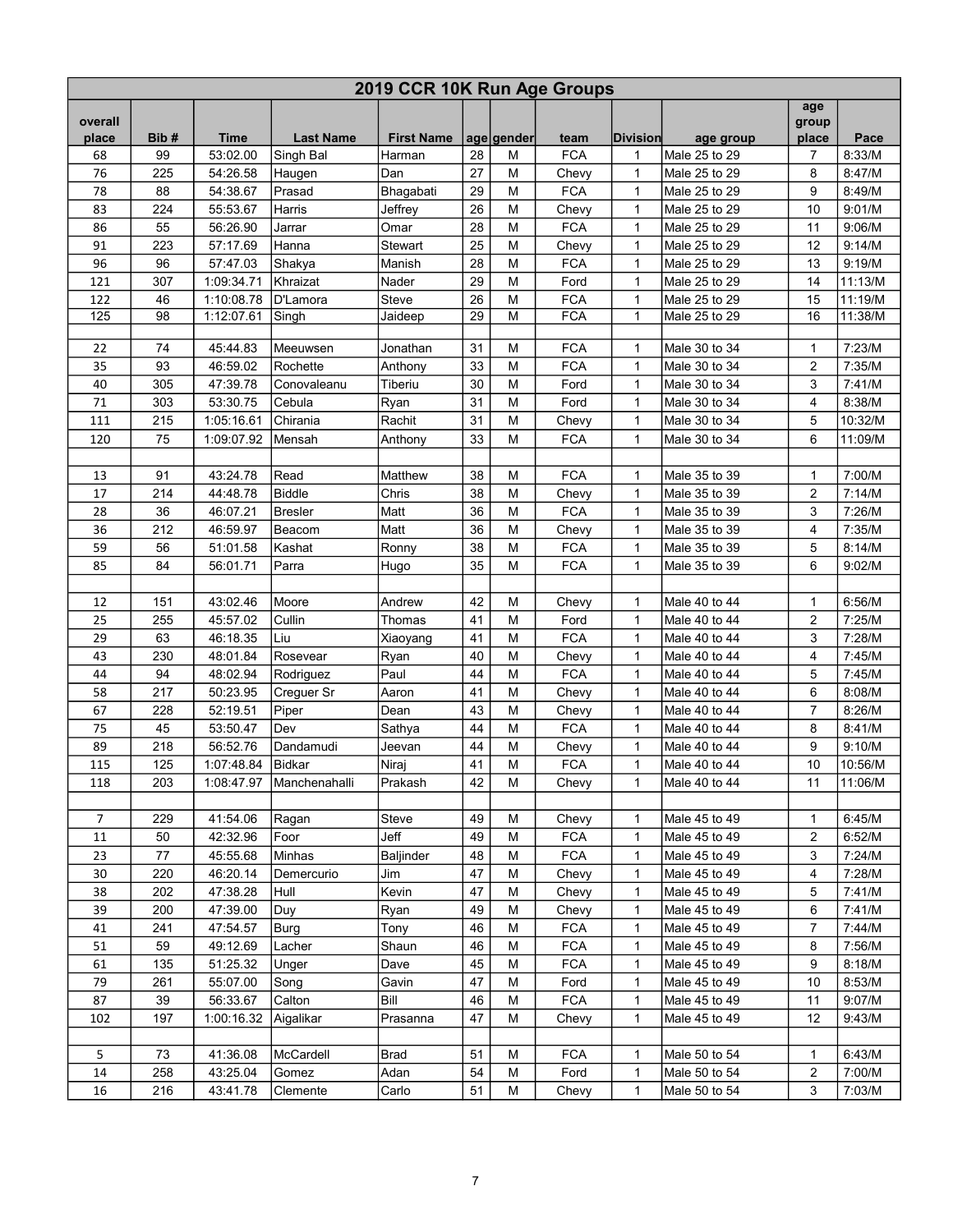| age<br>overall<br>group<br><b>Time</b><br><b>Last Name</b><br>Bib#<br><b>First Name</b><br>age gender<br><b>Division</b><br>Pace<br>place<br>team<br>age group<br>place<br>28<br><b>FCA</b><br>53:02.00<br>Singh Bal<br>Male 25 to 29<br>8:33/M<br>99<br>Harman<br>M<br>68<br>1<br>7<br>54:26.58<br>27<br>Male 25 to 29<br>8<br>76<br>225<br>Dan<br>M<br>Chevy<br>1<br>8:47/M<br>Haugen<br><b>FCA</b><br>9<br>78<br>54:38.67<br>Bhagabati<br>29<br>M<br>88<br>Prasad<br>$\mathbf{1}$<br>Male 25 to 29<br>8:49/M<br>26<br>10<br>83<br>224<br>55:53.67<br>M<br>Harris<br>Jeffrey<br>Chevy<br>1<br>Male 25 to 29<br>9:01/M<br>28<br><b>FCA</b><br>86<br>55<br>56:26.90<br>Omar<br>M<br>11<br>9:06/M<br>Jarrar<br>$\mathbf{1}$<br>Male 25 to 29<br>25<br>M<br>12<br>91<br>223<br>57:17.69<br>9:14/M<br>Hanna<br>Stewart<br>Chevy<br>$\mathbf{1}$<br>Male 25 to 29<br>28<br>M<br><b>FCA</b><br>96<br>96<br>57:47.03<br>Manish<br>13<br>9:19/M<br>Shakya<br>$\mathbf{1}$<br>Male 25 to 29<br>29<br>M<br>Ford<br>14<br>121<br>307<br>1:09:34.71<br>Nader<br>11:13/M<br>Khraizat<br>$\mathbf{1}$<br>Male 25 to 29<br>26<br><b>FCA</b><br>122<br>1:10:08.78<br>D'Lamora<br>M<br>46<br>Steve<br>Male 25 to 29<br>15<br>11:19/M<br>1<br>125<br>29<br><b>FCA</b><br>98<br>1:12:07.61<br>M<br>Male 25 to 29<br>16<br>11:38/M<br>Jaideep<br>$\mathbf{1}$<br>Singh<br>31<br><b>FCA</b><br>22<br>74<br>45:44.83<br>Male 30 to 34<br>7:23/M<br>Meeuwsen<br>Jonathan<br>M<br>1<br>1<br><b>FCA</b><br>33<br>M<br>$\overline{2}$<br>35<br>93<br>46:59.02<br>Rochette<br>7:35/M<br>Anthony<br>$\mathbf{1}$<br>Male 30 to 34<br>3<br>40<br>47:39.78<br>30<br>M<br>Ford<br>7:41/M<br>305<br>Tiberiu<br>Male 30 to 34<br>Conovaleanu<br>$\mathbf{1}$<br>$71\,$<br>53:30.75<br>31<br>Ford<br>8:38/M<br>303<br>Cebula<br>M<br>4<br>$\mathbf{1}$<br>Male 30 to 34<br>Ryan<br>31<br>1:05:16.61<br>Chirania<br>Rachit<br>M<br>5<br>10:32/M<br>111<br>215<br>Male 30 to 34<br>Chevy<br>1<br><b>FCA</b><br>120<br>75<br>33<br>M<br>$\mathbf{1}$<br>6<br>11:09/M<br>1:09:07.92<br>Mensah<br>Anthony<br>Male 30 to 34<br>43:24.78<br>38<br><b>FCA</b><br>7:00/M<br>13<br>91<br>Read<br>Matthew<br>$\mathbf{1}$<br>Male 35 to 39<br>$\mathbf{1}$<br>M<br><b>Biddle</b><br>38<br>7:14/M<br>17<br>214<br>44:48.78<br>Chris<br>M<br>$\mathbf{1}$<br>Male 35 to 39<br>2<br>Chevy<br><b>FCA</b><br>3<br>7:26/M<br>28<br>36<br>46:07.21<br><b>Bresler</b><br>Matt<br>36<br>M<br>$\mathbf{1}$<br>Male 35 to 39<br>7:35/M<br>36<br>212<br>46:59.97<br>Matt<br>36<br>M<br>Male 35 to 39<br>4<br>Beacom<br>Chevy<br>$\mathbf{1}$<br>59<br>38<br>M<br><b>FCA</b><br>5<br>8:14/M<br>56<br>51:01.58<br>Kashat<br>Male 35 to 39<br>Ronny<br>$\mathbf{1}$<br>35<br>85<br>84<br>56:01.71<br>Parra<br>M<br><b>FCA</b><br>Male 35 to 39<br>6<br>9:02/M<br>Hugo<br>1<br>43:02.46<br>Moore<br>Andrew<br>42<br>Male 40 to 44<br>6:56/M<br>12<br>151<br>M<br>Chevy<br>$\mathbf{1}$<br>1<br>25<br>255<br>45:57.02<br>41<br>M<br>Ford<br>$\overline{2}$<br>7:25/M<br>Cullin<br>Thomas<br>Male 40 to 44<br>1<br>41<br><b>FCA</b><br>29<br>63<br>46:18.35<br>M<br>3<br>7:28/M<br>Liu<br>Male 40 to 44<br>Xiaoyang<br>1<br>40<br>M<br>$\overline{4}$<br>43<br>230<br>Rosevear<br>7:45/M<br>48:01.84<br>Chevy<br>$\mathbf{1}$<br>Male 40 to 44<br>Ryan<br>44<br>M<br><b>FCA</b><br>44<br>94<br>48:02.94<br>Paul<br>5<br>7:45/M<br>Rodriguez<br>$\mathbf{1}$<br>Male 40 to 44<br>41<br>M<br>6<br>8:08/M<br>58<br>217<br>50:23.95<br>Crequer Sr<br>Chevy<br>$\mathbf{1}$<br>Male 40 to 44<br>Aaron<br>43<br>67<br>228<br>52:19.51<br>Piper<br>M<br>$\overline{7}$<br>8:26/M<br>Male 40 to 44<br>Dean<br>Chevy<br>1<br>44<br><b>FCA</b><br>75<br>45<br>53:50.47<br>Dev<br>M<br>$\mathbf{1}$<br>Male 40 to 44<br>8<br>8:41/M<br>Sathya<br>89<br>218<br>56:52.76<br>44<br>M<br>9<br>9:10/M<br>Dandamudi<br>Jeevan<br>Chevy<br>$\mathbf{1}$<br>Male 40 to 44<br>41<br><b>FCA</b><br>115<br>M<br>$\mathbf{1}$<br>10<br>10:56/M<br>125<br>1:07:48.84<br>Bidkar<br>Niraj<br>Male 40 to 44<br>42<br>11:06/M<br>203<br>1:08:47.97   Manchenahalli<br>Chevy<br>Male 40 to 44<br>118<br> Prakash<br>M<br>1<br>11<br>$\overline{7}$<br>49<br>Male 45 to 49<br>6:45/M<br>229<br>41:54.06<br>Ragan<br>Steve<br>M<br>Chevy<br>$\mathbf{1}$<br>$\mathbf{1}$<br>Jeff<br>49<br><b>FCA</b><br>$\overline{\mathbf{c}}$<br>6:52/M<br>50<br>42:32.96<br>Foor<br>M<br>Male 45 to 49<br>11<br>1<br>45:55.68<br>48<br><b>FCA</b><br>Male 45 to 49<br>7:24/M<br>77<br>Minhas<br>Baljinder<br>M<br>$\mathbf{1}$<br>3<br>23<br>30<br>46:20.14<br>47<br>Male 45 to 49<br>7:28/M<br>220<br>Demercurio<br>Jim<br>M<br>Chevy<br>4<br>1<br>47:38.28<br>47<br>5<br>38<br>202<br>Kevin<br>M<br>Chevy<br>1<br>Male 45 to 49<br>7:41/M<br>Hull<br>6<br>39<br>47:39.00<br>49<br>M<br>Male 45 to 49<br>7:41/M<br>200<br>Duy<br>Ryan<br>Chevy<br>1<br>Tony<br>46<br><b>FCA</b><br>$\overline{7}$<br>7:44/M<br>41<br>241<br>47:54.57<br>M<br>Male 45 to 49<br><b>Burg</b><br>1<br>46<br><b>FCA</b><br>8<br>51<br>59<br>49:12.69<br>Lacher<br>Shaun<br>M<br>Male 45 to 49<br>7:56/M<br>1<br><b>FCA</b><br>9<br>61<br>45<br>M<br>135<br>51:25.32<br>Dave<br>1<br>Male 45 to 49<br>8:18/M<br>Unger<br>79<br>47<br>M<br>Ford<br>10<br>8:53/M<br>261<br>55:07.00<br>Song<br>Male 45 to 49<br>Gavin<br>1<br>87<br><b>FCA</b><br>39<br>56:33.67<br>Bill<br>46<br>M<br>11<br>9:07/M<br>Calton<br>1<br>Male 45 to 49<br>47<br>102<br>12<br>9:43/M<br>197<br>1:00:16.32<br>Aigalikar<br>M<br>Male 45 to 49<br>Prasanna<br>Chevy<br>1<br>5<br>51<br><b>FCA</b><br>Male 50 to 54<br>73<br>41:36.08<br>McCardell<br><b>Brad</b><br>M<br>1<br>6:43/M<br>1<br>54<br>Ford<br>$\mathbf{1}$<br>Male 50 to 54<br>$\overline{2}$<br>7:00/M<br>14<br>258<br>43:25.04<br>Gomez<br>Adan<br>M<br>51<br>3<br>7:03/M<br>16<br>216<br>43:41.78<br>Carlo<br>M<br>1<br>Male 50 to 54<br>Clemente<br>Chevy |  |  | 2019 CCR 10K Run Age Groups |  |  |  |  |
|---------------------------------------------------------------------------------------------------------------------------------------------------------------------------------------------------------------------------------------------------------------------------------------------------------------------------------------------------------------------------------------------------------------------------------------------------------------------------------------------------------------------------------------------------------------------------------------------------------------------------------------------------------------------------------------------------------------------------------------------------------------------------------------------------------------------------------------------------------------------------------------------------------------------------------------------------------------------------------------------------------------------------------------------------------------------------------------------------------------------------------------------------------------------------------------------------------------------------------------------------------------------------------------------------------------------------------------------------------------------------------------------------------------------------------------------------------------------------------------------------------------------------------------------------------------------------------------------------------------------------------------------------------------------------------------------------------------------------------------------------------------------------------------------------------------------------------------------------------------------------------------------------------------------------------------------------------------------------------------------------------------------------------------------------------------------------------------------------------------------------------------------------------------------------------------------------------------------------------------------------------------------------------------------------------------------------------------------------------------------------------------------------------------------------------------------------------------------------------------------------------------------------------------------------------------------------------------------------------------------------------------------------------------------------------------------------------------------------------------------------------------------------------------------------------------------------------------------------------------------------------------------------------------------------------------------------------------------------------------------------------------------------------------------------------------------------------------------------------------------------------------------------------------------------------------------------------------------------------------------------------------------------------------------------------------------------------------------------------------------------------------------------------------------------------------------------------------------------------------------------------------------------------------------------------------------------------------------------------------------------------------------------------------------------------------------------------------------------------------------------------------------------------------------------------------------------------------------------------------------------------------------------------------------------------------------------------------------------------------------------------------------------------------------------------------------------------------------------------------------------------------------------------------------------------------------------------------------------------------------------------------------------------------------------------------------------------------------------------------------------------------------------------------------------------------------------------------------------------------------------------------------------------------------------------------------------------------------------------------------------------------------------------------------------------------------------------------------------------------------------------------------------------------------------------------------------------------------------------------------------------------------------------------------------------------------------------------------------------------------------------------------------------------------------------------------------------------------------------------------------------------------------------------------------------------------------------------------------------------------------------------------------------------------------------------------------------------------------------------------------------------------------------------------------------------------------------------------------------------------------------------------------------------------------------------------------------------------------------------------------------------------------------------------------------------------------------------------------------------------------------------------------------------------------------------------------------------------------------------------|--|--|-----------------------------|--|--|--|--|
|                                                                                                                                                                                                                                                                                                                                                                                                                                                                                                                                                                                                                                                                                                                                                                                                                                                                                                                                                                                                                                                                                                                                                                                                                                                                                                                                                                                                                                                                                                                                                                                                                                                                                                                                                                                                                                                                                                                                                                                                                                                                                                                                                                                                                                                                                                                                                                                                                                                                                                                                                                                                                                                                                                                                                                                                                                                                                                                                                                                                                                                                                                                                                                                                                                                                                                                                                                                                                                                                                                                                                                                                                                                                                                                                                                                                                                                                                                                                                                                                                                                                                                                                                                                                                                                                                                                                                                                                                                                                                                                                                                                                                                                                                                                                                                                                                                                                                                                                                                                                                                                                                                                                                                                                                                                                                                                                                                                                                                                                                                                                                                                                                                                                                                                                                                                                                                                                     |  |  |                             |  |  |  |  |
|                                                                                                                                                                                                                                                                                                                                                                                                                                                                                                                                                                                                                                                                                                                                                                                                                                                                                                                                                                                                                                                                                                                                                                                                                                                                                                                                                                                                                                                                                                                                                                                                                                                                                                                                                                                                                                                                                                                                                                                                                                                                                                                                                                                                                                                                                                                                                                                                                                                                                                                                                                                                                                                                                                                                                                                                                                                                                                                                                                                                                                                                                                                                                                                                                                                                                                                                                                                                                                                                                                                                                                                                                                                                                                                                                                                                                                                                                                                                                                                                                                                                                                                                                                                                                                                                                                                                                                                                                                                                                                                                                                                                                                                                                                                                                                                                                                                                                                                                                                                                                                                                                                                                                                                                                                                                                                                                                                                                                                                                                                                                                                                                                                                                                                                                                                                                                                                                     |  |  |                             |  |  |  |  |
|                                                                                                                                                                                                                                                                                                                                                                                                                                                                                                                                                                                                                                                                                                                                                                                                                                                                                                                                                                                                                                                                                                                                                                                                                                                                                                                                                                                                                                                                                                                                                                                                                                                                                                                                                                                                                                                                                                                                                                                                                                                                                                                                                                                                                                                                                                                                                                                                                                                                                                                                                                                                                                                                                                                                                                                                                                                                                                                                                                                                                                                                                                                                                                                                                                                                                                                                                                                                                                                                                                                                                                                                                                                                                                                                                                                                                                                                                                                                                                                                                                                                                                                                                                                                                                                                                                                                                                                                                                                                                                                                                                                                                                                                                                                                                                                                                                                                                                                                                                                                                                                                                                                                                                                                                                                                                                                                                                                                                                                                                                                                                                                                                                                                                                                                                                                                                                                                     |  |  |                             |  |  |  |  |
|                                                                                                                                                                                                                                                                                                                                                                                                                                                                                                                                                                                                                                                                                                                                                                                                                                                                                                                                                                                                                                                                                                                                                                                                                                                                                                                                                                                                                                                                                                                                                                                                                                                                                                                                                                                                                                                                                                                                                                                                                                                                                                                                                                                                                                                                                                                                                                                                                                                                                                                                                                                                                                                                                                                                                                                                                                                                                                                                                                                                                                                                                                                                                                                                                                                                                                                                                                                                                                                                                                                                                                                                                                                                                                                                                                                                                                                                                                                                                                                                                                                                                                                                                                                                                                                                                                                                                                                                                                                                                                                                                                                                                                                                                                                                                                                                                                                                                                                                                                                                                                                                                                                                                                                                                                                                                                                                                                                                                                                                                                                                                                                                                                                                                                                                                                                                                                                                     |  |  |                             |  |  |  |  |
|                                                                                                                                                                                                                                                                                                                                                                                                                                                                                                                                                                                                                                                                                                                                                                                                                                                                                                                                                                                                                                                                                                                                                                                                                                                                                                                                                                                                                                                                                                                                                                                                                                                                                                                                                                                                                                                                                                                                                                                                                                                                                                                                                                                                                                                                                                                                                                                                                                                                                                                                                                                                                                                                                                                                                                                                                                                                                                                                                                                                                                                                                                                                                                                                                                                                                                                                                                                                                                                                                                                                                                                                                                                                                                                                                                                                                                                                                                                                                                                                                                                                                                                                                                                                                                                                                                                                                                                                                                                                                                                                                                                                                                                                                                                                                                                                                                                                                                                                                                                                                                                                                                                                                                                                                                                                                                                                                                                                                                                                                                                                                                                                                                                                                                                                                                                                                                                                     |  |  |                             |  |  |  |  |
|                                                                                                                                                                                                                                                                                                                                                                                                                                                                                                                                                                                                                                                                                                                                                                                                                                                                                                                                                                                                                                                                                                                                                                                                                                                                                                                                                                                                                                                                                                                                                                                                                                                                                                                                                                                                                                                                                                                                                                                                                                                                                                                                                                                                                                                                                                                                                                                                                                                                                                                                                                                                                                                                                                                                                                                                                                                                                                                                                                                                                                                                                                                                                                                                                                                                                                                                                                                                                                                                                                                                                                                                                                                                                                                                                                                                                                                                                                                                                                                                                                                                                                                                                                                                                                                                                                                                                                                                                                                                                                                                                                                                                                                                                                                                                                                                                                                                                                                                                                                                                                                                                                                                                                                                                                                                                                                                                                                                                                                                                                                                                                                                                                                                                                                                                                                                                                                                     |  |  |                             |  |  |  |  |
|                                                                                                                                                                                                                                                                                                                                                                                                                                                                                                                                                                                                                                                                                                                                                                                                                                                                                                                                                                                                                                                                                                                                                                                                                                                                                                                                                                                                                                                                                                                                                                                                                                                                                                                                                                                                                                                                                                                                                                                                                                                                                                                                                                                                                                                                                                                                                                                                                                                                                                                                                                                                                                                                                                                                                                                                                                                                                                                                                                                                                                                                                                                                                                                                                                                                                                                                                                                                                                                                                                                                                                                                                                                                                                                                                                                                                                                                                                                                                                                                                                                                                                                                                                                                                                                                                                                                                                                                                                                                                                                                                                                                                                                                                                                                                                                                                                                                                                                                                                                                                                                                                                                                                                                                                                                                                                                                                                                                                                                                                                                                                                                                                                                                                                                                                                                                                                                                     |  |  |                             |  |  |  |  |
|                                                                                                                                                                                                                                                                                                                                                                                                                                                                                                                                                                                                                                                                                                                                                                                                                                                                                                                                                                                                                                                                                                                                                                                                                                                                                                                                                                                                                                                                                                                                                                                                                                                                                                                                                                                                                                                                                                                                                                                                                                                                                                                                                                                                                                                                                                                                                                                                                                                                                                                                                                                                                                                                                                                                                                                                                                                                                                                                                                                                                                                                                                                                                                                                                                                                                                                                                                                                                                                                                                                                                                                                                                                                                                                                                                                                                                                                                                                                                                                                                                                                                                                                                                                                                                                                                                                                                                                                                                                                                                                                                                                                                                                                                                                                                                                                                                                                                                                                                                                                                                                                                                                                                                                                                                                                                                                                                                                                                                                                                                                                                                                                                                                                                                                                                                                                                                                                     |  |  |                             |  |  |  |  |
|                                                                                                                                                                                                                                                                                                                                                                                                                                                                                                                                                                                                                                                                                                                                                                                                                                                                                                                                                                                                                                                                                                                                                                                                                                                                                                                                                                                                                                                                                                                                                                                                                                                                                                                                                                                                                                                                                                                                                                                                                                                                                                                                                                                                                                                                                                                                                                                                                                                                                                                                                                                                                                                                                                                                                                                                                                                                                                                                                                                                                                                                                                                                                                                                                                                                                                                                                                                                                                                                                                                                                                                                                                                                                                                                                                                                                                                                                                                                                                                                                                                                                                                                                                                                                                                                                                                                                                                                                                                                                                                                                                                                                                                                                                                                                                                                                                                                                                                                                                                                                                                                                                                                                                                                                                                                                                                                                                                                                                                                                                                                                                                                                                                                                                                                                                                                                                                                     |  |  |                             |  |  |  |  |
|                                                                                                                                                                                                                                                                                                                                                                                                                                                                                                                                                                                                                                                                                                                                                                                                                                                                                                                                                                                                                                                                                                                                                                                                                                                                                                                                                                                                                                                                                                                                                                                                                                                                                                                                                                                                                                                                                                                                                                                                                                                                                                                                                                                                                                                                                                                                                                                                                                                                                                                                                                                                                                                                                                                                                                                                                                                                                                                                                                                                                                                                                                                                                                                                                                                                                                                                                                                                                                                                                                                                                                                                                                                                                                                                                                                                                                                                                                                                                                                                                                                                                                                                                                                                                                                                                                                                                                                                                                                                                                                                                                                                                                                                                                                                                                                                                                                                                                                                                                                                                                                                                                                                                                                                                                                                                                                                                                                                                                                                                                                                                                                                                                                                                                                                                                                                                                                                     |  |  |                             |  |  |  |  |
|                                                                                                                                                                                                                                                                                                                                                                                                                                                                                                                                                                                                                                                                                                                                                                                                                                                                                                                                                                                                                                                                                                                                                                                                                                                                                                                                                                                                                                                                                                                                                                                                                                                                                                                                                                                                                                                                                                                                                                                                                                                                                                                                                                                                                                                                                                                                                                                                                                                                                                                                                                                                                                                                                                                                                                                                                                                                                                                                                                                                                                                                                                                                                                                                                                                                                                                                                                                                                                                                                                                                                                                                                                                                                                                                                                                                                                                                                                                                                                                                                                                                                                                                                                                                                                                                                                                                                                                                                                                                                                                                                                                                                                                                                                                                                                                                                                                                                                                                                                                                                                                                                                                                                                                                                                                                                                                                                                                                                                                                                                                                                                                                                                                                                                                                                                                                                                                                     |  |  |                             |  |  |  |  |
|                                                                                                                                                                                                                                                                                                                                                                                                                                                                                                                                                                                                                                                                                                                                                                                                                                                                                                                                                                                                                                                                                                                                                                                                                                                                                                                                                                                                                                                                                                                                                                                                                                                                                                                                                                                                                                                                                                                                                                                                                                                                                                                                                                                                                                                                                                                                                                                                                                                                                                                                                                                                                                                                                                                                                                                                                                                                                                                                                                                                                                                                                                                                                                                                                                                                                                                                                                                                                                                                                                                                                                                                                                                                                                                                                                                                                                                                                                                                                                                                                                                                                                                                                                                                                                                                                                                                                                                                                                                                                                                                                                                                                                                                                                                                                                                                                                                                                                                                                                                                                                                                                                                                                                                                                                                                                                                                                                                                                                                                                                                                                                                                                                                                                                                                                                                                                                                                     |  |  |                             |  |  |  |  |
|                                                                                                                                                                                                                                                                                                                                                                                                                                                                                                                                                                                                                                                                                                                                                                                                                                                                                                                                                                                                                                                                                                                                                                                                                                                                                                                                                                                                                                                                                                                                                                                                                                                                                                                                                                                                                                                                                                                                                                                                                                                                                                                                                                                                                                                                                                                                                                                                                                                                                                                                                                                                                                                                                                                                                                                                                                                                                                                                                                                                                                                                                                                                                                                                                                                                                                                                                                                                                                                                                                                                                                                                                                                                                                                                                                                                                                                                                                                                                                                                                                                                                                                                                                                                                                                                                                                                                                                                                                                                                                                                                                                                                                                                                                                                                                                                                                                                                                                                                                                                                                                                                                                                                                                                                                                                                                                                                                                                                                                                                                                                                                                                                                                                                                                                                                                                                                                                     |  |  |                             |  |  |  |  |
|                                                                                                                                                                                                                                                                                                                                                                                                                                                                                                                                                                                                                                                                                                                                                                                                                                                                                                                                                                                                                                                                                                                                                                                                                                                                                                                                                                                                                                                                                                                                                                                                                                                                                                                                                                                                                                                                                                                                                                                                                                                                                                                                                                                                                                                                                                                                                                                                                                                                                                                                                                                                                                                                                                                                                                                                                                                                                                                                                                                                                                                                                                                                                                                                                                                                                                                                                                                                                                                                                                                                                                                                                                                                                                                                                                                                                                                                                                                                                                                                                                                                                                                                                                                                                                                                                                                                                                                                                                                                                                                                                                                                                                                                                                                                                                                                                                                                                                                                                                                                                                                                                                                                                                                                                                                                                                                                                                                                                                                                                                                                                                                                                                                                                                                                                                                                                                                                     |  |  |                             |  |  |  |  |
|                                                                                                                                                                                                                                                                                                                                                                                                                                                                                                                                                                                                                                                                                                                                                                                                                                                                                                                                                                                                                                                                                                                                                                                                                                                                                                                                                                                                                                                                                                                                                                                                                                                                                                                                                                                                                                                                                                                                                                                                                                                                                                                                                                                                                                                                                                                                                                                                                                                                                                                                                                                                                                                                                                                                                                                                                                                                                                                                                                                                                                                                                                                                                                                                                                                                                                                                                                                                                                                                                                                                                                                                                                                                                                                                                                                                                                                                                                                                                                                                                                                                                                                                                                                                                                                                                                                                                                                                                                                                                                                                                                                                                                                                                                                                                                                                                                                                                                                                                                                                                                                                                                                                                                                                                                                                                                                                                                                                                                                                                                                                                                                                                                                                                                                                                                                                                                                                     |  |  |                             |  |  |  |  |
|                                                                                                                                                                                                                                                                                                                                                                                                                                                                                                                                                                                                                                                                                                                                                                                                                                                                                                                                                                                                                                                                                                                                                                                                                                                                                                                                                                                                                                                                                                                                                                                                                                                                                                                                                                                                                                                                                                                                                                                                                                                                                                                                                                                                                                                                                                                                                                                                                                                                                                                                                                                                                                                                                                                                                                                                                                                                                                                                                                                                                                                                                                                                                                                                                                                                                                                                                                                                                                                                                                                                                                                                                                                                                                                                                                                                                                                                                                                                                                                                                                                                                                                                                                                                                                                                                                                                                                                                                                                                                                                                                                                                                                                                                                                                                                                                                                                                                                                                                                                                                                                                                                                                                                                                                                                                                                                                                                                                                                                                                                                                                                                                                                                                                                                                                                                                                                                                     |  |  |                             |  |  |  |  |
|                                                                                                                                                                                                                                                                                                                                                                                                                                                                                                                                                                                                                                                                                                                                                                                                                                                                                                                                                                                                                                                                                                                                                                                                                                                                                                                                                                                                                                                                                                                                                                                                                                                                                                                                                                                                                                                                                                                                                                                                                                                                                                                                                                                                                                                                                                                                                                                                                                                                                                                                                                                                                                                                                                                                                                                                                                                                                                                                                                                                                                                                                                                                                                                                                                                                                                                                                                                                                                                                                                                                                                                                                                                                                                                                                                                                                                                                                                                                                                                                                                                                                                                                                                                                                                                                                                                                                                                                                                                                                                                                                                                                                                                                                                                                                                                                                                                                                                                                                                                                                                                                                                                                                                                                                                                                                                                                                                                                                                                                                                                                                                                                                                                                                                                                                                                                                                                                     |  |  |                             |  |  |  |  |
|                                                                                                                                                                                                                                                                                                                                                                                                                                                                                                                                                                                                                                                                                                                                                                                                                                                                                                                                                                                                                                                                                                                                                                                                                                                                                                                                                                                                                                                                                                                                                                                                                                                                                                                                                                                                                                                                                                                                                                                                                                                                                                                                                                                                                                                                                                                                                                                                                                                                                                                                                                                                                                                                                                                                                                                                                                                                                                                                                                                                                                                                                                                                                                                                                                                                                                                                                                                                                                                                                                                                                                                                                                                                                                                                                                                                                                                                                                                                                                                                                                                                                                                                                                                                                                                                                                                                                                                                                                                                                                                                                                                                                                                                                                                                                                                                                                                                                                                                                                                                                                                                                                                                                                                                                                                                                                                                                                                                                                                                                                                                                                                                                                                                                                                                                                                                                                                                     |  |  |                             |  |  |  |  |
|                                                                                                                                                                                                                                                                                                                                                                                                                                                                                                                                                                                                                                                                                                                                                                                                                                                                                                                                                                                                                                                                                                                                                                                                                                                                                                                                                                                                                                                                                                                                                                                                                                                                                                                                                                                                                                                                                                                                                                                                                                                                                                                                                                                                                                                                                                                                                                                                                                                                                                                                                                                                                                                                                                                                                                                                                                                                                                                                                                                                                                                                                                                                                                                                                                                                                                                                                                                                                                                                                                                                                                                                                                                                                                                                                                                                                                                                                                                                                                                                                                                                                                                                                                                                                                                                                                                                                                                                                                                                                                                                                                                                                                                                                                                                                                                                                                                                                                                                                                                                                                                                                                                                                                                                                                                                                                                                                                                                                                                                                                                                                                                                                                                                                                                                                                                                                                                                     |  |  |                             |  |  |  |  |
|                                                                                                                                                                                                                                                                                                                                                                                                                                                                                                                                                                                                                                                                                                                                                                                                                                                                                                                                                                                                                                                                                                                                                                                                                                                                                                                                                                                                                                                                                                                                                                                                                                                                                                                                                                                                                                                                                                                                                                                                                                                                                                                                                                                                                                                                                                                                                                                                                                                                                                                                                                                                                                                                                                                                                                                                                                                                                                                                                                                                                                                                                                                                                                                                                                                                                                                                                                                                                                                                                                                                                                                                                                                                                                                                                                                                                                                                                                                                                                                                                                                                                                                                                                                                                                                                                                                                                                                                                                                                                                                                                                                                                                                                                                                                                                                                                                                                                                                                                                                                                                                                                                                                                                                                                                                                                                                                                                                                                                                                                                                                                                                                                                                                                                                                                                                                                                                                     |  |  |                             |  |  |  |  |
|                                                                                                                                                                                                                                                                                                                                                                                                                                                                                                                                                                                                                                                                                                                                                                                                                                                                                                                                                                                                                                                                                                                                                                                                                                                                                                                                                                                                                                                                                                                                                                                                                                                                                                                                                                                                                                                                                                                                                                                                                                                                                                                                                                                                                                                                                                                                                                                                                                                                                                                                                                                                                                                                                                                                                                                                                                                                                                                                                                                                                                                                                                                                                                                                                                                                                                                                                                                                                                                                                                                                                                                                                                                                                                                                                                                                                                                                                                                                                                                                                                                                                                                                                                                                                                                                                                                                                                                                                                                                                                                                                                                                                                                                                                                                                                                                                                                                                                                                                                                                                                                                                                                                                                                                                                                                                                                                                                                                                                                                                                                                                                                                                                                                                                                                                                                                                                                                     |  |  |                             |  |  |  |  |
|                                                                                                                                                                                                                                                                                                                                                                                                                                                                                                                                                                                                                                                                                                                                                                                                                                                                                                                                                                                                                                                                                                                                                                                                                                                                                                                                                                                                                                                                                                                                                                                                                                                                                                                                                                                                                                                                                                                                                                                                                                                                                                                                                                                                                                                                                                                                                                                                                                                                                                                                                                                                                                                                                                                                                                                                                                                                                                                                                                                                                                                                                                                                                                                                                                                                                                                                                                                                                                                                                                                                                                                                                                                                                                                                                                                                                                                                                                                                                                                                                                                                                                                                                                                                                                                                                                                                                                                                                                                                                                                                                                                                                                                                                                                                                                                                                                                                                                                                                                                                                                                                                                                                                                                                                                                                                                                                                                                                                                                                                                                                                                                                                                                                                                                                                                                                                                                                     |  |  |                             |  |  |  |  |
|                                                                                                                                                                                                                                                                                                                                                                                                                                                                                                                                                                                                                                                                                                                                                                                                                                                                                                                                                                                                                                                                                                                                                                                                                                                                                                                                                                                                                                                                                                                                                                                                                                                                                                                                                                                                                                                                                                                                                                                                                                                                                                                                                                                                                                                                                                                                                                                                                                                                                                                                                                                                                                                                                                                                                                                                                                                                                                                                                                                                                                                                                                                                                                                                                                                                                                                                                                                                                                                                                                                                                                                                                                                                                                                                                                                                                                                                                                                                                                                                                                                                                                                                                                                                                                                                                                                                                                                                                                                                                                                                                                                                                                                                                                                                                                                                                                                                                                                                                                                                                                                                                                                                                                                                                                                                                                                                                                                                                                                                                                                                                                                                                                                                                                                                                                                                                                                                     |  |  |                             |  |  |  |  |
|                                                                                                                                                                                                                                                                                                                                                                                                                                                                                                                                                                                                                                                                                                                                                                                                                                                                                                                                                                                                                                                                                                                                                                                                                                                                                                                                                                                                                                                                                                                                                                                                                                                                                                                                                                                                                                                                                                                                                                                                                                                                                                                                                                                                                                                                                                                                                                                                                                                                                                                                                                                                                                                                                                                                                                                                                                                                                                                                                                                                                                                                                                                                                                                                                                                                                                                                                                                                                                                                                                                                                                                                                                                                                                                                                                                                                                                                                                                                                                                                                                                                                                                                                                                                                                                                                                                                                                                                                                                                                                                                                                                                                                                                                                                                                                                                                                                                                                                                                                                                                                                                                                                                                                                                                                                                                                                                                                                                                                                                                                                                                                                                                                                                                                                                                                                                                                                                     |  |  |                             |  |  |  |  |
|                                                                                                                                                                                                                                                                                                                                                                                                                                                                                                                                                                                                                                                                                                                                                                                                                                                                                                                                                                                                                                                                                                                                                                                                                                                                                                                                                                                                                                                                                                                                                                                                                                                                                                                                                                                                                                                                                                                                                                                                                                                                                                                                                                                                                                                                                                                                                                                                                                                                                                                                                                                                                                                                                                                                                                                                                                                                                                                                                                                                                                                                                                                                                                                                                                                                                                                                                                                                                                                                                                                                                                                                                                                                                                                                                                                                                                                                                                                                                                                                                                                                                                                                                                                                                                                                                                                                                                                                                                                                                                                                                                                                                                                                                                                                                                                                                                                                                                                                                                                                                                                                                                                                                                                                                                                                                                                                                                                                                                                                                                                                                                                                                                                                                                                                                                                                                                                                     |  |  |                             |  |  |  |  |
|                                                                                                                                                                                                                                                                                                                                                                                                                                                                                                                                                                                                                                                                                                                                                                                                                                                                                                                                                                                                                                                                                                                                                                                                                                                                                                                                                                                                                                                                                                                                                                                                                                                                                                                                                                                                                                                                                                                                                                                                                                                                                                                                                                                                                                                                                                                                                                                                                                                                                                                                                                                                                                                                                                                                                                                                                                                                                                                                                                                                                                                                                                                                                                                                                                                                                                                                                                                                                                                                                                                                                                                                                                                                                                                                                                                                                                                                                                                                                                                                                                                                                                                                                                                                                                                                                                                                                                                                                                                                                                                                                                                                                                                                                                                                                                                                                                                                                                                                                                                                                                                                                                                                                                                                                                                                                                                                                                                                                                                                                                                                                                                                                                                                                                                                                                                                                                                                     |  |  |                             |  |  |  |  |
|                                                                                                                                                                                                                                                                                                                                                                                                                                                                                                                                                                                                                                                                                                                                                                                                                                                                                                                                                                                                                                                                                                                                                                                                                                                                                                                                                                                                                                                                                                                                                                                                                                                                                                                                                                                                                                                                                                                                                                                                                                                                                                                                                                                                                                                                                                                                                                                                                                                                                                                                                                                                                                                                                                                                                                                                                                                                                                                                                                                                                                                                                                                                                                                                                                                                                                                                                                                                                                                                                                                                                                                                                                                                                                                                                                                                                                                                                                                                                                                                                                                                                                                                                                                                                                                                                                                                                                                                                                                                                                                                                                                                                                                                                                                                                                                                                                                                                                                                                                                                                                                                                                                                                                                                                                                                                                                                                                                                                                                                                                                                                                                                                                                                                                                                                                                                                                                                     |  |  |                             |  |  |  |  |
|                                                                                                                                                                                                                                                                                                                                                                                                                                                                                                                                                                                                                                                                                                                                                                                                                                                                                                                                                                                                                                                                                                                                                                                                                                                                                                                                                                                                                                                                                                                                                                                                                                                                                                                                                                                                                                                                                                                                                                                                                                                                                                                                                                                                                                                                                                                                                                                                                                                                                                                                                                                                                                                                                                                                                                                                                                                                                                                                                                                                                                                                                                                                                                                                                                                                                                                                                                                                                                                                                                                                                                                                                                                                                                                                                                                                                                                                                                                                                                                                                                                                                                                                                                                                                                                                                                                                                                                                                                                                                                                                                                                                                                                                                                                                                                                                                                                                                                                                                                                                                                                                                                                                                                                                                                                                                                                                                                                                                                                                                                                                                                                                                                                                                                                                                                                                                                                                     |  |  |                             |  |  |  |  |
|                                                                                                                                                                                                                                                                                                                                                                                                                                                                                                                                                                                                                                                                                                                                                                                                                                                                                                                                                                                                                                                                                                                                                                                                                                                                                                                                                                                                                                                                                                                                                                                                                                                                                                                                                                                                                                                                                                                                                                                                                                                                                                                                                                                                                                                                                                                                                                                                                                                                                                                                                                                                                                                                                                                                                                                                                                                                                                                                                                                                                                                                                                                                                                                                                                                                                                                                                                                                                                                                                                                                                                                                                                                                                                                                                                                                                                                                                                                                                                                                                                                                                                                                                                                                                                                                                                                                                                                                                                                                                                                                                                                                                                                                                                                                                                                                                                                                                                                                                                                                                                                                                                                                                                                                                                                                                                                                                                                                                                                                                                                                                                                                                                                                                                                                                                                                                                                                     |  |  |                             |  |  |  |  |
|                                                                                                                                                                                                                                                                                                                                                                                                                                                                                                                                                                                                                                                                                                                                                                                                                                                                                                                                                                                                                                                                                                                                                                                                                                                                                                                                                                                                                                                                                                                                                                                                                                                                                                                                                                                                                                                                                                                                                                                                                                                                                                                                                                                                                                                                                                                                                                                                                                                                                                                                                                                                                                                                                                                                                                                                                                                                                                                                                                                                                                                                                                                                                                                                                                                                                                                                                                                                                                                                                                                                                                                                                                                                                                                                                                                                                                                                                                                                                                                                                                                                                                                                                                                                                                                                                                                                                                                                                                                                                                                                                                                                                                                                                                                                                                                                                                                                                                                                                                                                                                                                                                                                                                                                                                                                                                                                                                                                                                                                                                                                                                                                                                                                                                                                                                                                                                                                     |  |  |                             |  |  |  |  |
|                                                                                                                                                                                                                                                                                                                                                                                                                                                                                                                                                                                                                                                                                                                                                                                                                                                                                                                                                                                                                                                                                                                                                                                                                                                                                                                                                                                                                                                                                                                                                                                                                                                                                                                                                                                                                                                                                                                                                                                                                                                                                                                                                                                                                                                                                                                                                                                                                                                                                                                                                                                                                                                                                                                                                                                                                                                                                                                                                                                                                                                                                                                                                                                                                                                                                                                                                                                                                                                                                                                                                                                                                                                                                                                                                                                                                                                                                                                                                                                                                                                                                                                                                                                                                                                                                                                                                                                                                                                                                                                                                                                                                                                                                                                                                                                                                                                                                                                                                                                                                                                                                                                                                                                                                                                                                                                                                                                                                                                                                                                                                                                                                                                                                                                                                                                                                                                                     |  |  |                             |  |  |  |  |
|                                                                                                                                                                                                                                                                                                                                                                                                                                                                                                                                                                                                                                                                                                                                                                                                                                                                                                                                                                                                                                                                                                                                                                                                                                                                                                                                                                                                                                                                                                                                                                                                                                                                                                                                                                                                                                                                                                                                                                                                                                                                                                                                                                                                                                                                                                                                                                                                                                                                                                                                                                                                                                                                                                                                                                                                                                                                                                                                                                                                                                                                                                                                                                                                                                                                                                                                                                                                                                                                                                                                                                                                                                                                                                                                                                                                                                                                                                                                                                                                                                                                                                                                                                                                                                                                                                                                                                                                                                                                                                                                                                                                                                                                                                                                                                                                                                                                                                                                                                                                                                                                                                                                                                                                                                                                                                                                                                                                                                                                                                                                                                                                                                                                                                                                                                                                                                                                     |  |  |                             |  |  |  |  |
|                                                                                                                                                                                                                                                                                                                                                                                                                                                                                                                                                                                                                                                                                                                                                                                                                                                                                                                                                                                                                                                                                                                                                                                                                                                                                                                                                                                                                                                                                                                                                                                                                                                                                                                                                                                                                                                                                                                                                                                                                                                                                                                                                                                                                                                                                                                                                                                                                                                                                                                                                                                                                                                                                                                                                                                                                                                                                                                                                                                                                                                                                                                                                                                                                                                                                                                                                                                                                                                                                                                                                                                                                                                                                                                                                                                                                                                                                                                                                                                                                                                                                                                                                                                                                                                                                                                                                                                                                                                                                                                                                                                                                                                                                                                                                                                                                                                                                                                                                                                                                                                                                                                                                                                                                                                                                                                                                                                                                                                                                                                                                                                                                                                                                                                                                                                                                                                                     |  |  |                             |  |  |  |  |
|                                                                                                                                                                                                                                                                                                                                                                                                                                                                                                                                                                                                                                                                                                                                                                                                                                                                                                                                                                                                                                                                                                                                                                                                                                                                                                                                                                                                                                                                                                                                                                                                                                                                                                                                                                                                                                                                                                                                                                                                                                                                                                                                                                                                                                                                                                                                                                                                                                                                                                                                                                                                                                                                                                                                                                                                                                                                                                                                                                                                                                                                                                                                                                                                                                                                                                                                                                                                                                                                                                                                                                                                                                                                                                                                                                                                                                                                                                                                                                                                                                                                                                                                                                                                                                                                                                                                                                                                                                                                                                                                                                                                                                                                                                                                                                                                                                                                                                                                                                                                                                                                                                                                                                                                                                                                                                                                                                                                                                                                                                                                                                                                                                                                                                                                                                                                                                                                     |  |  |                             |  |  |  |  |
|                                                                                                                                                                                                                                                                                                                                                                                                                                                                                                                                                                                                                                                                                                                                                                                                                                                                                                                                                                                                                                                                                                                                                                                                                                                                                                                                                                                                                                                                                                                                                                                                                                                                                                                                                                                                                                                                                                                                                                                                                                                                                                                                                                                                                                                                                                                                                                                                                                                                                                                                                                                                                                                                                                                                                                                                                                                                                                                                                                                                                                                                                                                                                                                                                                                                                                                                                                                                                                                                                                                                                                                                                                                                                                                                                                                                                                                                                                                                                                                                                                                                                                                                                                                                                                                                                                                                                                                                                                                                                                                                                                                                                                                                                                                                                                                                                                                                                                                                                                                                                                                                                                                                                                                                                                                                                                                                                                                                                                                                                                                                                                                                                                                                                                                                                                                                                                                                     |  |  |                             |  |  |  |  |
|                                                                                                                                                                                                                                                                                                                                                                                                                                                                                                                                                                                                                                                                                                                                                                                                                                                                                                                                                                                                                                                                                                                                                                                                                                                                                                                                                                                                                                                                                                                                                                                                                                                                                                                                                                                                                                                                                                                                                                                                                                                                                                                                                                                                                                                                                                                                                                                                                                                                                                                                                                                                                                                                                                                                                                                                                                                                                                                                                                                                                                                                                                                                                                                                                                                                                                                                                                                                                                                                                                                                                                                                                                                                                                                                                                                                                                                                                                                                                                                                                                                                                                                                                                                                                                                                                                                                                                                                                                                                                                                                                                                                                                                                                                                                                                                                                                                                                                                                                                                                                                                                                                                                                                                                                                                                                                                                                                                                                                                                                                                                                                                                                                                                                                                                                                                                                                                                     |  |  |                             |  |  |  |  |
|                                                                                                                                                                                                                                                                                                                                                                                                                                                                                                                                                                                                                                                                                                                                                                                                                                                                                                                                                                                                                                                                                                                                                                                                                                                                                                                                                                                                                                                                                                                                                                                                                                                                                                                                                                                                                                                                                                                                                                                                                                                                                                                                                                                                                                                                                                                                                                                                                                                                                                                                                                                                                                                                                                                                                                                                                                                                                                                                                                                                                                                                                                                                                                                                                                                                                                                                                                                                                                                                                                                                                                                                                                                                                                                                                                                                                                                                                                                                                                                                                                                                                                                                                                                                                                                                                                                                                                                                                                                                                                                                                                                                                                                                                                                                                                                                                                                                                                                                                                                                                                                                                                                                                                                                                                                                                                                                                                                                                                                                                                                                                                                                                                                                                                                                                                                                                                                                     |  |  |                             |  |  |  |  |
|                                                                                                                                                                                                                                                                                                                                                                                                                                                                                                                                                                                                                                                                                                                                                                                                                                                                                                                                                                                                                                                                                                                                                                                                                                                                                                                                                                                                                                                                                                                                                                                                                                                                                                                                                                                                                                                                                                                                                                                                                                                                                                                                                                                                                                                                                                                                                                                                                                                                                                                                                                                                                                                                                                                                                                                                                                                                                                                                                                                                                                                                                                                                                                                                                                                                                                                                                                                                                                                                                                                                                                                                                                                                                                                                                                                                                                                                                                                                                                                                                                                                                                                                                                                                                                                                                                                                                                                                                                                                                                                                                                                                                                                                                                                                                                                                                                                                                                                                                                                                                                                                                                                                                                                                                                                                                                                                                                                                                                                                                                                                                                                                                                                                                                                                                                                                                                                                     |  |  |                             |  |  |  |  |
|                                                                                                                                                                                                                                                                                                                                                                                                                                                                                                                                                                                                                                                                                                                                                                                                                                                                                                                                                                                                                                                                                                                                                                                                                                                                                                                                                                                                                                                                                                                                                                                                                                                                                                                                                                                                                                                                                                                                                                                                                                                                                                                                                                                                                                                                                                                                                                                                                                                                                                                                                                                                                                                                                                                                                                                                                                                                                                                                                                                                                                                                                                                                                                                                                                                                                                                                                                                                                                                                                                                                                                                                                                                                                                                                                                                                                                                                                                                                                                                                                                                                                                                                                                                                                                                                                                                                                                                                                                                                                                                                                                                                                                                                                                                                                                                                                                                                                                                                                                                                                                                                                                                                                                                                                                                                                                                                                                                                                                                                                                                                                                                                                                                                                                                                                                                                                                                                     |  |  |                             |  |  |  |  |
|                                                                                                                                                                                                                                                                                                                                                                                                                                                                                                                                                                                                                                                                                                                                                                                                                                                                                                                                                                                                                                                                                                                                                                                                                                                                                                                                                                                                                                                                                                                                                                                                                                                                                                                                                                                                                                                                                                                                                                                                                                                                                                                                                                                                                                                                                                                                                                                                                                                                                                                                                                                                                                                                                                                                                                                                                                                                                                                                                                                                                                                                                                                                                                                                                                                                                                                                                                                                                                                                                                                                                                                                                                                                                                                                                                                                                                                                                                                                                                                                                                                                                                                                                                                                                                                                                                                                                                                                                                                                                                                                                                                                                                                                                                                                                                                                                                                                                                                                                                                                                                                                                                                                                                                                                                                                                                                                                                                                                                                                                                                                                                                                                                                                                                                                                                                                                                                                     |  |  |                             |  |  |  |  |
|                                                                                                                                                                                                                                                                                                                                                                                                                                                                                                                                                                                                                                                                                                                                                                                                                                                                                                                                                                                                                                                                                                                                                                                                                                                                                                                                                                                                                                                                                                                                                                                                                                                                                                                                                                                                                                                                                                                                                                                                                                                                                                                                                                                                                                                                                                                                                                                                                                                                                                                                                                                                                                                                                                                                                                                                                                                                                                                                                                                                                                                                                                                                                                                                                                                                                                                                                                                                                                                                                                                                                                                                                                                                                                                                                                                                                                                                                                                                                                                                                                                                                                                                                                                                                                                                                                                                                                                                                                                                                                                                                                                                                                                                                                                                                                                                                                                                                                                                                                                                                                                                                                                                                                                                                                                                                                                                                                                                                                                                                                                                                                                                                                                                                                                                                                                                                                                                     |  |  |                             |  |  |  |  |
|                                                                                                                                                                                                                                                                                                                                                                                                                                                                                                                                                                                                                                                                                                                                                                                                                                                                                                                                                                                                                                                                                                                                                                                                                                                                                                                                                                                                                                                                                                                                                                                                                                                                                                                                                                                                                                                                                                                                                                                                                                                                                                                                                                                                                                                                                                                                                                                                                                                                                                                                                                                                                                                                                                                                                                                                                                                                                                                                                                                                                                                                                                                                                                                                                                                                                                                                                                                                                                                                                                                                                                                                                                                                                                                                                                                                                                                                                                                                                                                                                                                                                                                                                                                                                                                                                                                                                                                                                                                                                                                                                                                                                                                                                                                                                                                                                                                                                                                                                                                                                                                                                                                                                                                                                                                                                                                                                                                                                                                                                                                                                                                                                                                                                                                                                                                                                                                                     |  |  |                             |  |  |  |  |
|                                                                                                                                                                                                                                                                                                                                                                                                                                                                                                                                                                                                                                                                                                                                                                                                                                                                                                                                                                                                                                                                                                                                                                                                                                                                                                                                                                                                                                                                                                                                                                                                                                                                                                                                                                                                                                                                                                                                                                                                                                                                                                                                                                                                                                                                                                                                                                                                                                                                                                                                                                                                                                                                                                                                                                                                                                                                                                                                                                                                                                                                                                                                                                                                                                                                                                                                                                                                                                                                                                                                                                                                                                                                                                                                                                                                                                                                                                                                                                                                                                                                                                                                                                                                                                                                                                                                                                                                                                                                                                                                                                                                                                                                                                                                                                                                                                                                                                                                                                                                                                                                                                                                                                                                                                                                                                                                                                                                                                                                                                                                                                                                                                                                                                                                                                                                                                                                     |  |  |                             |  |  |  |  |
|                                                                                                                                                                                                                                                                                                                                                                                                                                                                                                                                                                                                                                                                                                                                                                                                                                                                                                                                                                                                                                                                                                                                                                                                                                                                                                                                                                                                                                                                                                                                                                                                                                                                                                                                                                                                                                                                                                                                                                                                                                                                                                                                                                                                                                                                                                                                                                                                                                                                                                                                                                                                                                                                                                                                                                                                                                                                                                                                                                                                                                                                                                                                                                                                                                                                                                                                                                                                                                                                                                                                                                                                                                                                                                                                                                                                                                                                                                                                                                                                                                                                                                                                                                                                                                                                                                                                                                                                                                                                                                                                                                                                                                                                                                                                                                                                                                                                                                                                                                                                                                                                                                                                                                                                                                                                                                                                                                                                                                                                                                                                                                                                                                                                                                                                                                                                                                                                     |  |  |                             |  |  |  |  |
|                                                                                                                                                                                                                                                                                                                                                                                                                                                                                                                                                                                                                                                                                                                                                                                                                                                                                                                                                                                                                                                                                                                                                                                                                                                                                                                                                                                                                                                                                                                                                                                                                                                                                                                                                                                                                                                                                                                                                                                                                                                                                                                                                                                                                                                                                                                                                                                                                                                                                                                                                                                                                                                                                                                                                                                                                                                                                                                                                                                                                                                                                                                                                                                                                                                                                                                                                                                                                                                                                                                                                                                                                                                                                                                                                                                                                                                                                                                                                                                                                                                                                                                                                                                                                                                                                                                                                                                                                                                                                                                                                                                                                                                                                                                                                                                                                                                                                                                                                                                                                                                                                                                                                                                                                                                                                                                                                                                                                                                                                                                                                                                                                                                                                                                                                                                                                                                                     |  |  |                             |  |  |  |  |
|                                                                                                                                                                                                                                                                                                                                                                                                                                                                                                                                                                                                                                                                                                                                                                                                                                                                                                                                                                                                                                                                                                                                                                                                                                                                                                                                                                                                                                                                                                                                                                                                                                                                                                                                                                                                                                                                                                                                                                                                                                                                                                                                                                                                                                                                                                                                                                                                                                                                                                                                                                                                                                                                                                                                                                                                                                                                                                                                                                                                                                                                                                                                                                                                                                                                                                                                                                                                                                                                                                                                                                                                                                                                                                                                                                                                                                                                                                                                                                                                                                                                                                                                                                                                                                                                                                                                                                                                                                                                                                                                                                                                                                                                                                                                                                                                                                                                                                                                                                                                                                                                                                                                                                                                                                                                                                                                                                                                                                                                                                                                                                                                                                                                                                                                                                                                                                                                     |  |  |                             |  |  |  |  |
|                                                                                                                                                                                                                                                                                                                                                                                                                                                                                                                                                                                                                                                                                                                                                                                                                                                                                                                                                                                                                                                                                                                                                                                                                                                                                                                                                                                                                                                                                                                                                                                                                                                                                                                                                                                                                                                                                                                                                                                                                                                                                                                                                                                                                                                                                                                                                                                                                                                                                                                                                                                                                                                                                                                                                                                                                                                                                                                                                                                                                                                                                                                                                                                                                                                                                                                                                                                                                                                                                                                                                                                                                                                                                                                                                                                                                                                                                                                                                                                                                                                                                                                                                                                                                                                                                                                                                                                                                                                                                                                                                                                                                                                                                                                                                                                                                                                                                                                                                                                                                                                                                                                                                                                                                                                                                                                                                                                                                                                                                                                                                                                                                                                                                                                                                                                                                                                                     |  |  |                             |  |  |  |  |
|                                                                                                                                                                                                                                                                                                                                                                                                                                                                                                                                                                                                                                                                                                                                                                                                                                                                                                                                                                                                                                                                                                                                                                                                                                                                                                                                                                                                                                                                                                                                                                                                                                                                                                                                                                                                                                                                                                                                                                                                                                                                                                                                                                                                                                                                                                                                                                                                                                                                                                                                                                                                                                                                                                                                                                                                                                                                                                                                                                                                                                                                                                                                                                                                                                                                                                                                                                                                                                                                                                                                                                                                                                                                                                                                                                                                                                                                                                                                                                                                                                                                                                                                                                                                                                                                                                                                                                                                                                                                                                                                                                                                                                                                                                                                                                                                                                                                                                                                                                                                                                                                                                                                                                                                                                                                                                                                                                                                                                                                                                                                                                                                                                                                                                                                                                                                                                                                     |  |  |                             |  |  |  |  |
|                                                                                                                                                                                                                                                                                                                                                                                                                                                                                                                                                                                                                                                                                                                                                                                                                                                                                                                                                                                                                                                                                                                                                                                                                                                                                                                                                                                                                                                                                                                                                                                                                                                                                                                                                                                                                                                                                                                                                                                                                                                                                                                                                                                                                                                                                                                                                                                                                                                                                                                                                                                                                                                                                                                                                                                                                                                                                                                                                                                                                                                                                                                                                                                                                                                                                                                                                                                                                                                                                                                                                                                                                                                                                                                                                                                                                                                                                                                                                                                                                                                                                                                                                                                                                                                                                                                                                                                                                                                                                                                                                                                                                                                                                                                                                                                                                                                                                                                                                                                                                                                                                                                                                                                                                                                                                                                                                                                                                                                                                                                                                                                                                                                                                                                                                                                                                                                                     |  |  |                             |  |  |  |  |
|                                                                                                                                                                                                                                                                                                                                                                                                                                                                                                                                                                                                                                                                                                                                                                                                                                                                                                                                                                                                                                                                                                                                                                                                                                                                                                                                                                                                                                                                                                                                                                                                                                                                                                                                                                                                                                                                                                                                                                                                                                                                                                                                                                                                                                                                                                                                                                                                                                                                                                                                                                                                                                                                                                                                                                                                                                                                                                                                                                                                                                                                                                                                                                                                                                                                                                                                                                                                                                                                                                                                                                                                                                                                                                                                                                                                                                                                                                                                                                                                                                                                                                                                                                                                                                                                                                                                                                                                                                                                                                                                                                                                                                                                                                                                                                                                                                                                                                                                                                                                                                                                                                                                                                                                                                                                                                                                                                                                                                                                                                                                                                                                                                                                                                                                                                                                                                                                     |  |  |                             |  |  |  |  |
|                                                                                                                                                                                                                                                                                                                                                                                                                                                                                                                                                                                                                                                                                                                                                                                                                                                                                                                                                                                                                                                                                                                                                                                                                                                                                                                                                                                                                                                                                                                                                                                                                                                                                                                                                                                                                                                                                                                                                                                                                                                                                                                                                                                                                                                                                                                                                                                                                                                                                                                                                                                                                                                                                                                                                                                                                                                                                                                                                                                                                                                                                                                                                                                                                                                                                                                                                                                                                                                                                                                                                                                                                                                                                                                                                                                                                                                                                                                                                                                                                                                                                                                                                                                                                                                                                                                                                                                                                                                                                                                                                                                                                                                                                                                                                                                                                                                                                                                                                                                                                                                                                                                                                                                                                                                                                                                                                                                                                                                                                                                                                                                                                                                                                                                                                                                                                                                                     |  |  |                             |  |  |  |  |
|                                                                                                                                                                                                                                                                                                                                                                                                                                                                                                                                                                                                                                                                                                                                                                                                                                                                                                                                                                                                                                                                                                                                                                                                                                                                                                                                                                                                                                                                                                                                                                                                                                                                                                                                                                                                                                                                                                                                                                                                                                                                                                                                                                                                                                                                                                                                                                                                                                                                                                                                                                                                                                                                                                                                                                                                                                                                                                                                                                                                                                                                                                                                                                                                                                                                                                                                                                                                                                                                                                                                                                                                                                                                                                                                                                                                                                                                                                                                                                                                                                                                                                                                                                                                                                                                                                                                                                                                                                                                                                                                                                                                                                                                                                                                                                                                                                                                                                                                                                                                                                                                                                                                                                                                                                                                                                                                                                                                                                                                                                                                                                                                                                                                                                                                                                                                                                                                     |  |  |                             |  |  |  |  |
|                                                                                                                                                                                                                                                                                                                                                                                                                                                                                                                                                                                                                                                                                                                                                                                                                                                                                                                                                                                                                                                                                                                                                                                                                                                                                                                                                                                                                                                                                                                                                                                                                                                                                                                                                                                                                                                                                                                                                                                                                                                                                                                                                                                                                                                                                                                                                                                                                                                                                                                                                                                                                                                                                                                                                                                                                                                                                                                                                                                                                                                                                                                                                                                                                                                                                                                                                                                                                                                                                                                                                                                                                                                                                                                                                                                                                                                                                                                                                                                                                                                                                                                                                                                                                                                                                                                                                                                                                                                                                                                                                                                                                                                                                                                                                                                                                                                                                                                                                                                                                                                                                                                                                                                                                                                                                                                                                                                                                                                                                                                                                                                                                                                                                                                                                                                                                                                                     |  |  |                             |  |  |  |  |
|                                                                                                                                                                                                                                                                                                                                                                                                                                                                                                                                                                                                                                                                                                                                                                                                                                                                                                                                                                                                                                                                                                                                                                                                                                                                                                                                                                                                                                                                                                                                                                                                                                                                                                                                                                                                                                                                                                                                                                                                                                                                                                                                                                                                                                                                                                                                                                                                                                                                                                                                                                                                                                                                                                                                                                                                                                                                                                                                                                                                                                                                                                                                                                                                                                                                                                                                                                                                                                                                                                                                                                                                                                                                                                                                                                                                                                                                                                                                                                                                                                                                                                                                                                                                                                                                                                                                                                                                                                                                                                                                                                                                                                                                                                                                                                                                                                                                                                                                                                                                                                                                                                                                                                                                                                                                                                                                                                                                                                                                                                                                                                                                                                                                                                                                                                                                                                                                     |  |  |                             |  |  |  |  |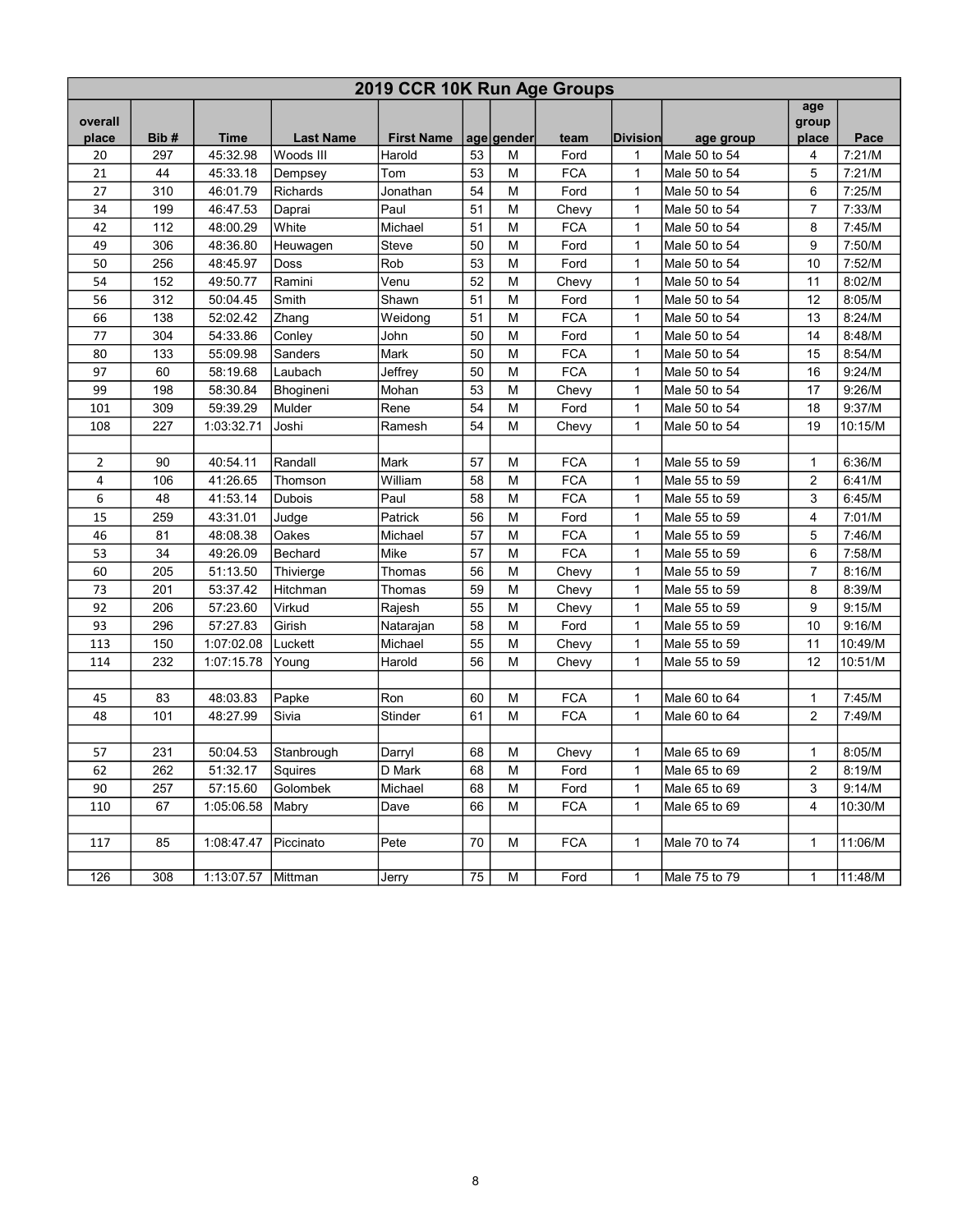| 2019 CCR 10K Run Age Groups |      |                    |                  |                   |    |            |            |                 |               |                       |         |
|-----------------------------|------|--------------------|------------------|-------------------|----|------------|------------|-----------------|---------------|-----------------------|---------|
| overall<br>place            | Bib# | <b>Time</b>        | <b>Last Name</b> | <b>First Name</b> |    | age gender | team       | <b>Division</b> | age group     | age<br>group<br>place | Pace    |
| 20                          | 297  | 45:32.98           | Woods III        | Harold            | 53 | M          | Ford       | 1               | Male 50 to 54 | 4                     | 7:21/M  |
| 21                          | 44   | 45:33.18           | Dempsey          | Tom               | 53 | M          | <b>FCA</b> | $\mathbf{1}$    | Male 50 to 54 | 5                     | 7:21/M  |
| 27                          | 310  | 46:01.79           | Richards         | Jonathan          | 54 | M          | Ford       | $\mathbf{1}$    | Male 50 to 54 | 6                     | 7:25/M  |
| 34                          | 199  | 46:47.53           | Daprai           | Paul              | 51 | M          | Chevy      | 1               | Male 50 to 54 | $\overline{7}$        | 7:33/M  |
| 42                          | 112  | 48:00.29           | White            | Michael           | 51 | M          | <b>FCA</b> | $\mathbf{1}$    | Male 50 to 54 | 8                     | 7:45/M  |
| 49                          | 306  | 48:36.80           | Heuwagen         | Steve             | 50 | M          | Ford       | $\mathbf{1}$    | Male 50 to 54 | 9                     | 7:50/M  |
| 50                          | 256  | 48:45.97           | Doss             | Rob               | 53 | M          | Ford       | $\mathbf{1}$    | Male 50 to 54 | 10                    | 7:52/M  |
| 54                          | 152  | 49:50.77           | Ramini           | Venu              | 52 | M          | Chevy      | $\mathbf{1}$    | Male 50 to 54 | 11                    | 8:02/M  |
| 56                          | 312  | 50:04.45           | Smith            | Shawn             | 51 | M          | Ford       | $\mathbf{1}$    | Male 50 to 54 | 12                    | 8:05/M  |
| 66                          | 138  | 52:02.42           | Zhang            | Weidong           | 51 | M          | <b>FCA</b> | $\mathbf{1}$    | Male 50 to 54 | 13                    | 8:24/M  |
| 77                          | 304  | 54:33.86           | Conley           | John              | 50 | M          | Ford       | $\mathbf{1}$    | Male 50 to 54 | 14                    | 8:48/M  |
| 80                          | 133  | 55:09.98           | Sanders          | Mark              | 50 | M          | <b>FCA</b> | $\mathbf{1}$    | Male 50 to 54 | 15                    | 8:54/M  |
| 97                          | 60   | 58:19.68           | Laubach          | Jeffrey           | 50 | M          | <b>FCA</b> | $\mathbf{1}$    | Male 50 to 54 | 16                    | 9:24/M  |
| 99                          | 198  | 58:30.84           | Bhogineni        | Mohan             | 53 | M          | Chevy      | $\mathbf{1}$    | Male 50 to 54 | 17                    | 9:26/M  |
| 101                         | 309  | 59:39.29           | Mulder           | Rene              | 54 | M          | Ford       | $\mathbf{1}$    | Male 50 to 54 | 18                    | 9:37/M  |
| 108                         | 227  | 1:03:32.71         | Joshi            | Ramesh            | 54 | M          | Chevy      | $\mathbf{1}$    | Male 50 to 54 | 19                    | 10:15/M |
|                             |      |                    |                  |                   |    |            |            |                 |               |                       |         |
| $\overline{2}$              | 90   | 40:54.11           | Randall          | Mark              | 57 | M          | <b>FCA</b> | $\mathbf{1}$    | Male 55 to 59 | $\mathbf{1}$          | 6:36/M  |
| 4                           | 106  | 41:26.65           | Thomson          | William           | 58 | M          | <b>FCA</b> | $\mathbf{1}$    | Male 55 to 59 | $\overline{c}$        | 6:41/M  |
| 6                           | 48   | 41:53.14           | Dubois           | Paul              | 58 | M          | <b>FCA</b> | $\mathbf{1}$    | Male 55 to 59 | 3                     | 6:45/M  |
| 15                          | 259  | 43:31.01           | Judge            | Patrick           | 56 | M          | Ford       | $\mathbf{1}$    | Male 55 to 59 | $\overline{4}$        | 7:01/M  |
| 46                          | 81   | 48:08.38           | Oakes            | Michael           | 57 | M          | <b>FCA</b> | $\mathbf{1}$    | Male 55 to 59 | 5                     | 7:46/M  |
| 53                          | 34   | 49:26.09           | Bechard          | Mike              | 57 | M          | <b>FCA</b> | $\mathbf{1}$    | Male 55 to 59 | 6                     | 7:58/M  |
| 60                          | 205  | 51:13.50           | Thivierge        | Thomas            | 56 | M          | Chevy      | $\mathbf{1}$    | Male 55 to 59 | $\overline{7}$        | 8:16/M  |
| 73                          | 201  | 53:37.42           | Hitchman         | Thomas            | 59 | M          | Chevy      | $\mathbf{1}$    | Male 55 to 59 | 8                     | 8:39/M  |
| 92                          | 206  | 57:23.60           | Virkud           | Rajesh            | 55 | M          | Chevy      | $\mathbf{1}$    | Male 55 to 59 | 9                     | 9:15/M  |
| 93                          | 296  | 57:27.83           | Girish           | Natarajan         | 58 | M          | Ford       | $\mathbf{1}$    | Male 55 to 59 | 10                    | 9:16/M  |
| 113                         | 150  | 1:07:02.08         | Luckett          | Michael           | 55 | M          | Chevy      | $\mathbf{1}$    | Male 55 to 59 | 11                    | 10:49/M |
| 114                         | 232  | 1:07:15.78         | Young            | Harold            | 56 | M          | Chevy      | $\mathbf{1}$    | Male 55 to 59 | 12                    | 10:51/M |
|                             |      |                    |                  |                   |    |            |            |                 |               |                       |         |
| 45                          | 83   | 48:03.83           | Papke            | Ron               | 60 | М          | <b>FCA</b> | $\mathbf{1}$    | Male 60 to 64 | $\mathbf{1}$          | 7:45/M  |
| 48                          | 101  | 48:27.99           | Sivia            | Stinder           | 61 | M          | <b>FCA</b> | $\mathbf{1}$    | Male 60 to 64 | $\overline{2}$        | 7:49/M  |
|                             |      |                    |                  |                   |    |            |            |                 |               |                       |         |
| 57                          | 231  | 50:04.53           | Stanbrough       | Darryl            | 68 | M          | Chevy      | 1               | Male 65 to 69 | $\mathbf{1}$          | 8:05/M  |
| 62                          | 262  | 51:32.17           | Squires          | D Mark            | 68 | M          | Ford       | $\mathbf{1}$    | Male 65 to 69 | $\overline{2}$        | 8:19/M  |
| 90                          | 257  | 57:15.60           | Golombek         | Michael           | 68 | M          | Ford       | $\mathbf{1}$    | Male 65 to 69 | 3                     | 9:14/M  |
| 110                         | 67   | 1:05:06.58         | Mabry            | Dave              | 66 | M          | <b>FCA</b> | $\mathbf{1}$    | Male 65 to 69 | 4                     | 10:30/M |
|                             |      |                    |                  |                   |    |            |            |                 |               |                       |         |
| 117                         | 85   | 1:08:47.47         | Piccinato        | Pete              | 70 | M          | <b>FCA</b> | $\mathbf{1}$    | Male 70 to 74 | $\mathbf{1}$          | 11:06/M |
|                             |      |                    |                  |                   |    |            |            |                 |               |                       |         |
| 126                         | 308  | 1:13:07.57 Mittman |                  | Jerry             | 75 | M          | Ford       | $\mathbf{1}$    | Male 75 to 79 | $\mathbf{1}$          | 11:48/M |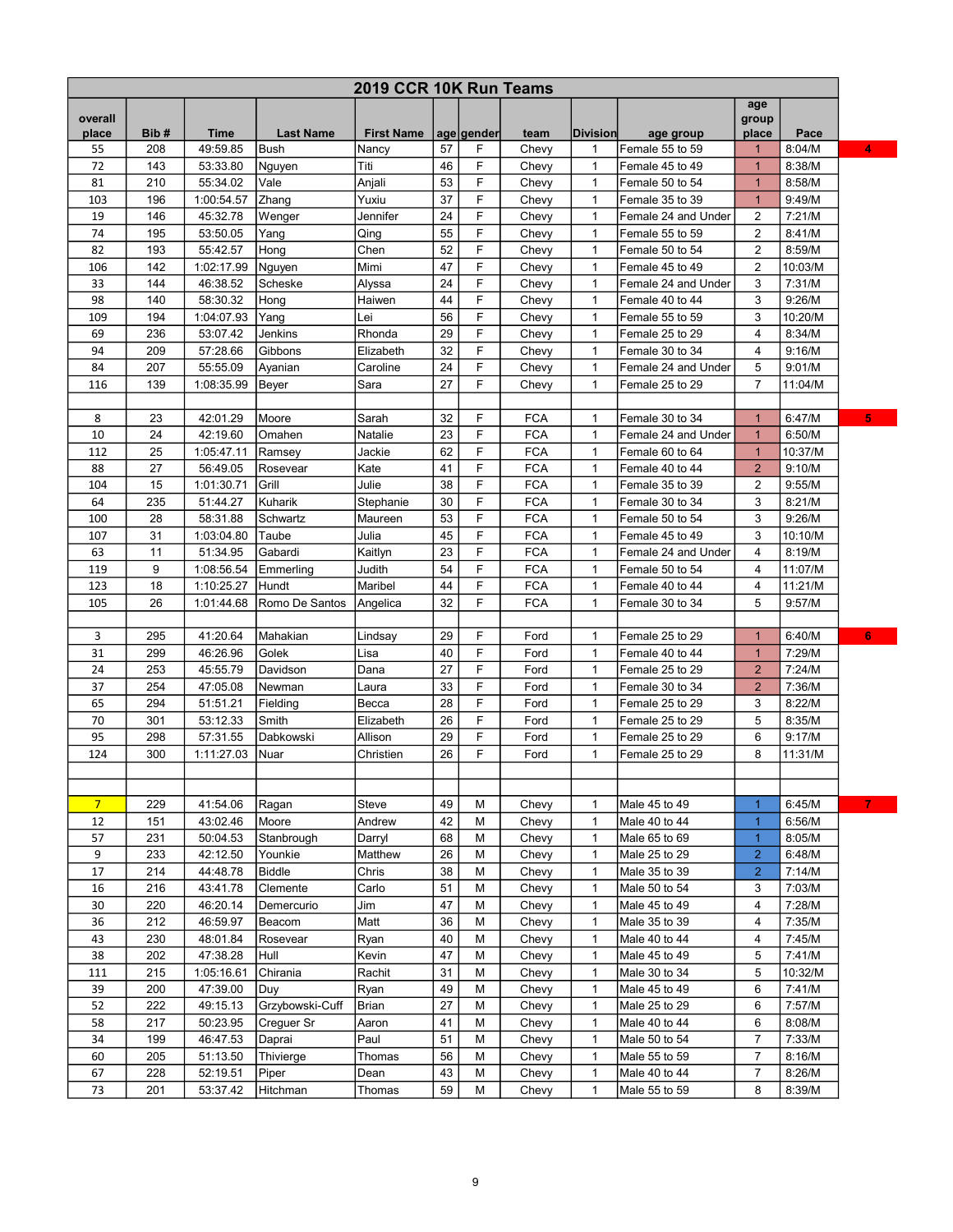|                  |      |             |                    | 2019 CCR 10K Run Teams |          |            |              |                   |                     |                       |                  |    |
|------------------|------|-------------|--------------------|------------------------|----------|------------|--------------|-------------------|---------------------|-----------------------|------------------|----|
| overall<br>place | Bib# | <b>Time</b> | <b>Last Name</b>   | <b>First Name</b>      |          | age gender | team         | <b>Division</b>   | age group           | age<br>group<br>place | Pace             |    |
| 55               | 208  | 49:59.85    | <b>Bush</b>        | Nancy                  | 57       | F          | Chevy        | 1                 | Female 55 to 59     | 1                     | 8:04/M           | 4  |
| 72               | 143  | 53:33.80    | Nguyen             | Titi                   | 46       | F          | Chevy        | $\mathbf{1}$      | Female 45 to 49     | $\mathbf{1}$          | 8:38/M           |    |
| 81               | 210  | 55:34.02    | Vale               | Anjali                 | 53       | F          | Chevy        | $\mathbf{1}$      | Female 50 to 54     | $\mathbf{1}$          | 8:58/M           |    |
| 103              | 196  | 1:00:54.57  | Zhang              | Yuxiu                  | 37       | F          | Chevy        | $\mathbf{1}$      | Female 35 to 39     | $\mathbf{1}$          | 9:49/M           |    |
| 19               | 146  | 45:32.78    | Wenger             | Jennifer               | 24       | F          | Chevy        | 1                 | Female 24 and Under | 2                     | 7:21/M           |    |
| 74               | 195  | 53:50.05    | Yang               | Qing                   | 55       | F          | Chevy        | $\mathbf{1}$      | Female 55 to 59     | $\overline{2}$        | 8:41/M           |    |
| 82               | 193  | 55:42.57    | Hong               | Chen                   | 52       | F          | Chevy        | $\mathbf{1}$      | Female 50 to 54     | $\overline{2}$        | 8:59/M           |    |
| 106              | 142  | 1:02:17.99  | Nguyen             | Mimi                   | 47       | F          | Chevy        | $\mathbf{1}$      | Female 45 to 49     | 2                     | 10:03/M          |    |
| 33               | 144  | 46:38.52    | Scheske            | Alyssa                 | 24       | F          | Chevy        | $\mathbf{1}$      | Female 24 and Under | 3                     | 7:31/M           |    |
| 98               | 140  | 58:30.32    | Hong               | Haiwen                 | 44       | F          | Chevy        | 1                 | Female 40 to 44     | 3                     | 9:26/M           |    |
| 109              | 194  | 1:04:07.93  | Yang               | Lei                    | 56       | F          | Chevy        | $\mathbf{1}$      | Female 55 to 59     | 3                     | 10:20/M          |    |
| 69               | 236  | 53:07.42    | Jenkins            | Rhonda                 | 29       | F          | Chevy        | $\mathbf{1}$      | Female 25 to 29     | $\overline{4}$        | 8:34/M           |    |
| 94               | 209  | 57:28.66    | Gibbons            | Elizabeth              | 32       | F          | Chevy        | $\mathbf{1}$      | Female 30 to 34     | 4                     | 9:16/M           |    |
| 84               | 207  | 55:55.09    | Ayanian            | Caroline               | 24       | F          | Chevy        | 1                 | Female 24 and Under | 5                     | 9:01/M           |    |
| 116              | 139  | 1:08:35.99  | Beyer              | Sara                   | 27       | F          | Chevy        | 1                 | Female 25 to 29     | 7                     | 11:04/M          |    |
|                  |      |             |                    |                        |          |            |              |                   |                     |                       |                  |    |
| 8                | 23   | 42:01.29    | Moore              | Sarah                  | 32       | F          | <b>FCA</b>   | $\mathbf{1}$      | Female 30 to 34     | $\mathbf{1}$          | 6:47/M           | 5  |
| 10               | 24   | 42:19.60    | Omahen             | Natalie                | 23       | F          | <b>FCA</b>   | $\mathbf{1}$      | Female 24 and Under | $\mathbf{1}$          | 6:50/M           |    |
| 112              | 25   | 1:05:47.11  | Ramsev             | Jackie                 | 62       | F          | <b>FCA</b>   | 1                 | Female 60 to 64     | $\mathbf{1}$          | 10:37/M          |    |
| 88               | 27   | 56:49.05    | Rosevear           | Kate                   | 41       | F          | <b>FCA</b>   | 1                 | Female 40 to 44     | $\overline{2}$        | 9:10/M           |    |
| 104              | 15   | 1:01:30.71  | Grill              | Julie                  | 38       | F          | <b>FCA</b>   | $\mathbf{1}$      | Female 35 to 39     | $\overline{2}$        | 9:55/M           |    |
| 64               | 235  | 51:44.27    | Kuharik            | Stephanie              | 30       | F          | <b>FCA</b>   | $\mathbf{1}$      | Female 30 to 34     | 3                     | 8:21/M           |    |
| 100              | 28   | 58:31.88    | Schwartz           | Maureen                | 53       | F          | <b>FCA</b>   | $\mathbf{1}$      | Female 50 to 54     | 3                     | 9:26/M           |    |
| 107              | 31   | 1:03:04.80  | Taube              | Julia                  | 45       | F          | <b>FCA</b>   | 1                 | Female 45 to 49     | 3                     | 10:10/M          |    |
| 63               | 11   | 51:34.95    | Gabardi            | Kaitlyn                | 23       | F          | <b>FCA</b>   | 1                 | Female 24 and Under | 4                     | 8:19/M           |    |
| 119              | 9    | 1:08:56.54  | Emmerling          | Judith                 | 54       | F          | <b>FCA</b>   | $\mathbf{1}$      | Female 50 to 54     | $\overline{4}$        | 11:07/M          |    |
| 123              | 18   | 1:10:25.27  | Hundt              | Maribel                | 44       | F          | <b>FCA</b>   | $\mathbf{1}$      | Female 40 to 44     | 4                     | 11:21/M          |    |
| 105              | 26   | 1:01:44.68  | Romo De Santos     | Angelica               | 32       | F          | <b>FCA</b>   | $\mathbf{1}$      | Female 30 to 34     | 5                     | 9:57/M           |    |
|                  |      |             |                    |                        |          |            |              |                   |                     |                       |                  |    |
| 3                | 295  | 41:20.64    | Mahakian           | Lindsay                | 29       | F          | Ford         | 1                 | Female 25 to 29     | $\mathbf{1}$          | 6:40/M           | 6  |
| 31               | 299  | 46:26.96    | Golek              | Lisa                   | 40       | F          | Ford         | $\mathbf{1}$      | Female 40 to 44     | $\mathbf{1}$          | 7:29/M           |    |
| 24               | 253  | 45:55.79    | Davidson           | Dana                   | 27       | F          | Ford         | $\mathbf{1}$      | Female 25 to 29     | $\overline{2}$        | 7:24/M           |    |
| 37               | 254  | 47:05.08    | Newman             | Laura                  | 33       | F<br>F     | Ford         | $\mathbf{1}$      | Female 30 to 34     | $\overline{2}$        | 7:36/M           |    |
| 65               | 294  | 51:51.21    | Fielding           | Becca                  | 28       | F          | Ford         | $\mathbf{1}$      | Female 25 to 29     | 3                     | 8:22/M           |    |
| 70<br>95         | 301  | 53:12.33    | Smith<br>Dabkowski | Elizabeth              | 26       | F          | Ford<br>Ford | 1<br>$\mathbf{1}$ | Female 25 to 29     | 5                     | 8:35/M<br>9:17/M |    |
|                  | 298  | 57:31.55    |                    | Allison                | 29<br>26 | F          |              | $\mathbf{1}$      | Female 25 to 29     | 6<br>8                |                  |    |
| 124              | 300  | 1:11:27.03  | Nuar               | Christien              |          |            | Ford         |                   | Female 25 to 29     |                       | 11:31/M          |    |
|                  |      |             |                    |                        |          |            |              |                   |                     |                       |                  |    |
| 7 <sup>2</sup>   | 229  | 41:54.06    | Ragan              | Steve                  | 49       | М          | Chevy        | 1                 | Male 45 to 49       | $\overline{1}$        | 6:45/M           | 7. |
| 12               | 151  | 43:02.46    | Moore              | Andrew                 | 42       | М          | Chevy        | $\mathbf{1}$      | Male 40 to 44       | $\mathbf{1}$          | 6:56/M           |    |
| 57               | 231  | 50:04.53    | Stanbrough         | Darryl                 | 68       | M          | Chevy        | $\mathbf{1}$      | Male 65 to 69       | $\mathbf{1}$          | 8:05/M           |    |
| 9                | 233  | 42:12.50    | Younkie            | Matthew                | 26       | М          | Chevy        | $\mathbf{1}$      | Male 25 to 29       | $\overline{2}$        | 6:48/M           |    |
| 17               | 214  | 44:48.78    | <b>Biddle</b>      | Chris                  | 38       | М          | Chevy        | $\mathbf{1}$      | Male 35 to 39       | $\overline{2}$        | 7:14/M           |    |
| 16               | 216  | 43:41.78    | Clemente           | Carlo                  | 51       | М          | Chevy        | $\mathbf{1}$      | Male 50 to 54       | 3                     | 7:03/M           |    |
| 30               | 220  | 46:20.14    | Demercurio         | Jim                    | 47       | М          | Chevy        | $\mathbf{1}$      | Male 45 to 49       | 4                     | 7:28/M           |    |
| 36               | 212  | 46:59.97    | Beacom             | Matt                   | 36       | M          | Chevy        | $\mathbf{1}$      | Male 35 to 39       | 4                     | 7:35/M           |    |
| 43               | 230  | 48:01.84    | Rosevear           | Ryan                   | 40       | М          | Chevy        | $\mathbf{1}$      | Male 40 to 44       | 4                     | 7:45/M           |    |
| 38               | 202  | 47:38.28    | Hull               | Kevin                  | 47       | М          | Chevy        | $\mathbf{1}$      | Male 45 to 49       | 5                     | 7:41/M           |    |
| 111              | 215  | 1:05:16.61  | Chirania           | Rachit                 | 31       | M          | Chevy        | 1                 | Male 30 to 34       | 5                     | 10:32/M          |    |
| 39               | 200  | 47:39.00    | Duy                | Ryan                   | 49       | М          | Chevy        | $\mathbf{1}$      | Male 45 to 49       | 6                     | 7:41/M           |    |
| 52               | 222  | 49:15.13    | Grzybowski-Cuff    | Brian                  | 27       | M          | Chevy        | $\mathbf{1}$      | Male 25 to 29       | 6                     | 7:57/M           |    |
| 58               | 217  | 50:23.95    | Crequer Sr         | Aaron                  | 41       | М          | Chevy        | $\mathbf{1}$      | Male 40 to 44       | 6                     | 8:08/M           |    |
| 34               | 199  | 46:47.53    | Daprai             | Paul                   | 51       | М          | Chevy        | $\mathbf{1}$      | Male 50 to 54       | 7                     | 7:33/M           |    |
| 60               | 205  | 51:13.50    | Thivierge          | Thomas                 | 56       | М          | Chevy        | $\mathbf{1}$      | Male 55 to 59       | $\overline{7}$        | 8:16/M           |    |
| 67               | 228  | 52:19.51    | Piper              | Dean                   | 43       | М          | Chevy        | $\mathbf{1}$      | Male 40 to 44       | $\overline{7}$        | 8:26/M           |    |
| 73               | 201  | 53:37.42    | Hitchman           | Thomas                 | 59       | М          | Chevy        | $\mathbf{1}$      | Male 55 to 59       | 8                     | 8:39/M           |    |
|                  |      |             |                    |                        |          |            |              |                   |                     |                       |                  |    |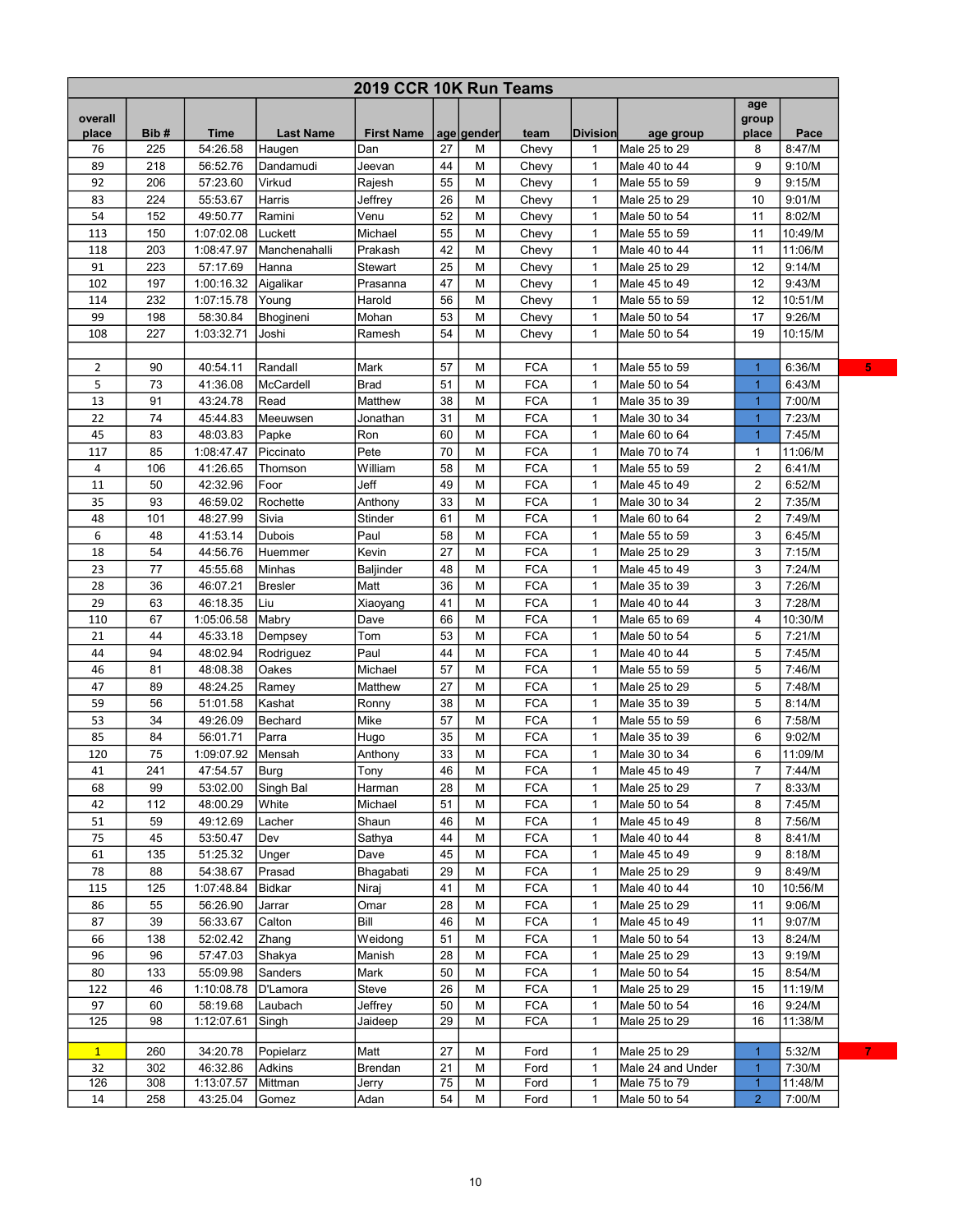|                  |      |             |                  | 2019 CCR 10K Run Teams |    |            |            |                 |                   |                       |         |
|------------------|------|-------------|------------------|------------------------|----|------------|------------|-----------------|-------------------|-----------------------|---------|
| overall<br>place | Bib# | <b>Time</b> | <b>Last Name</b> | <b>First Name</b>      |    | age gender | team       | <b>Division</b> | age group         | age<br>group<br>place | Pace    |
| 76               | 225  | 54:26.58    | Haugen           | Dan                    | 27 | М          | Chevy      | 1               | Male 25 to 29     | 8                     | 8:47/M  |
| 89               | 218  | 56:52.76    | Dandamudi        | Jeevan                 | 44 | М          | Chevy      | $\mathbf{1}$    | Male 40 to 44     | 9                     | 9:10/M  |
| 92               | 206  | 57:23.60    | Virkud           | Rajesh                 | 55 | M          | Chevy      | $\mathbf{1}$    | Male 55 to 59     | 9                     | 9:15/M  |
| 83               | 224  | 55:53.67    | Harris           | Jeffrey                | 26 | М          | Chevy      | $\mathbf{1}$    | Male 25 to 29     | 10                    | 9:01/M  |
| 54               | 152  | 49:50.77    | Ramini           | Venu                   | 52 | M          | Chevy      | 1               | Male 50 to 54     | 11                    | 8:02/M  |
| 113              | 150  | 1:07:02.08  | Luckett          | Michael                | 55 | М          | Chevy      | 1               | Male 55 to 59     | 11                    | 10:49/M |
| 118              | 203  | 1:08:47.97  | Manchenahalli    | Prakash                | 42 | M          | Chevy      | $\mathbf{1}$    | Male 40 to 44     | 11                    | 11:06/M |
| 91               | 223  | 57:17.69    | Hanna            | Stewart                | 25 | M          | Chevy      | $\mathbf{1}$    | Male 25 to 29     | 12                    | 9:14/M  |
| 102              | 197  | 1:00:16.32  | Aigalikar        | Prasanna               | 47 | M          | Chevy      | $\mathbf{1}$    | Male 45 to 49     | 12                    | 9:43/M  |
| 114              | 232  | 1:07:15.78  | Young            | Harold                 | 56 | M          | Chevy      | 1               | Male 55 to 59     | 12                    | 10:51/M |
| 99               | 198  | 58:30.84    | Bhogineni        | Mohan                  | 53 | M          | Chevy      | 1               | Male 50 to 54     | 17                    | 9:26/M  |
| 108              | 227  | 1:03:32.71  | Joshi            | Ramesh                 | 54 | M          | Chevy      | $\mathbf{1}$    | Male 50 to 54     | 19                    | 10:15/M |
|                  |      |             |                  |                        |    |            |            |                 |                   |                       |         |
| 2                | 90   | 40:54.11    | Randall          | Mark                   | 57 | М          | <b>FCA</b> | 1               | Male 55 to 59     | 1                     | 6:36/M  |
| 5                | 73   | 41:36.08    | McCardell        | <b>Brad</b>            | 51 | M          | <b>FCA</b> | 1               | Male 50 to 54     | $\mathbf{1}$          | 6:43/M  |
| 13               | 91   | 43:24.78    | Read             | Matthew                | 38 | M          | <b>FCA</b> | 1               | Male 35 to 39     | $\mathbf{1}$          | 7:00/M  |
| 22               | 74   | 45:44.83    | Meeuwsen         | Jonathan               | 31 | M          | <b>FCA</b> | $\mathbf{1}$    | Male 30 to 34     | $\mathbf{1}$          | 7:23/M  |
| 45               | 83   | 48:03.83    | Papke            | Ron                    | 60 | M          | <b>FCA</b> | $\mathbf{1}$    | Male 60 to 64     | $\mathbf{1}$          | 7:45/M  |
| 117              | 85   | 1:08:47.47  | Piccinato        | Pete                   | 70 | М          | <b>FCA</b> | 1               | Male 70 to 74     | $\mathbf{1}$          | 11:06/M |
| 4                | 106  | 41:26.65    | Thomson          | William                | 58 | М          | <b>FCA</b> | 1               | Male 55 to 59     | $\overline{2}$        | 6:41/M  |
| 11               | 50   | 42:32.96    | Foor             | Jeff                   | 49 | М          | <b>FCA</b> | 1               | Male 45 to 49     | $\overline{2}$        | 6:52/M  |
| 35               | 93   | 46:59.02    | Rochette         | Anthony                | 33 | М          | <b>FCA</b> | $\mathbf{1}$    | Male 30 to 34     | $\overline{2}$        | 7:35/M  |
| 48               | 101  | 48:27.99    | Sivia            | Stinder                | 61 | М          | <b>FCA</b> | $\mathbf{1}$    | Male 60 to 64     | $\overline{2}$        | 7:49/M  |
| 6                | 48   | 41:53.14    | Dubois           | Paul                   | 58 | М          | <b>FCA</b> | 1               | Male 55 to 59     | 3                     | 6:45/M  |
| 18               | 54   | 44:56.76    | Huemmer          | Kevin                  | 27 | М          | <b>FCA</b> | 1               | Male 25 to 29     | 3                     | 7:15/M  |
| 23               | 77   | 45:55.68    | Minhas           | Baljinder              | 48 | М          | <b>FCA</b> | 1               | Male 45 to 49     | 3                     | 7:24/M  |
| 28               | 36   | 46:07.21    | <b>Bresler</b>   | Matt                   | 36 | М          | <b>FCA</b> | $\mathbf{1}$    | Male 35 to 39     | 3                     | 7:26/M  |
| 29               | 63   | 46:18.35    | Liu              | Xiaoyang               | 41 | М          | <b>FCA</b> | $\mathbf{1}$    | Male 40 to 44     | 3                     | 7:28/M  |
| 110              | 67   | 1:05:06.58  | Mabry            | Dave                   | 66 | M          | <b>FCA</b> | 1               | Male 65 to 69     | 4                     | 10:30/M |
| 21               | 44   | 45:33.18    | Dempsey          | Tom                    | 53 | М          | <b>FCA</b> | 1               | Male 50 to 54     | 5                     | 7:21/M  |
| 44               | 94   | 48:02.94    | Rodriguez        | Paul                   | 44 | М          | <b>FCA</b> | 1               | Male 40 to 44     | 5                     | 7:45/M  |
| 46               | 81   | 48:08.38    | Oakes            | Michael                | 57 | М          | <b>FCA</b> | $\mathbf{1}$    | Male 55 to 59     | 5                     | 7:46/M  |
| 47               | 89   | 48:24.25    | Ramey            | Matthew                | 27 | M          | <b>FCA</b> | $\mathbf{1}$    | Male 25 to 29     | 5                     | 7:48/M  |
| 59               | 56   | 51:01.58    | Kashat           | Ronny                  | 38 | М          | <b>FCA</b> | 1               | Male 35 to 39     | 5                     | 8:14/M  |
| 53               | 34   | 49:26.09    | Bechard          | Mike                   | 57 | М          | <b>FCA</b> | 1               | Male 55 to 59     | 6                     | 7:58/M  |
| 85               | 84   | 56:01.71    | Parra            | Hugo                   | 35 | M          | <b>FCA</b> | 1               | Male 35 to 39     | 6                     | 9:02/M  |
| 120              | 75   | 1:09:07.92  | Mensah           | Anthony                | 33 | М          | <b>FCA</b> | $\mathbf{1}$    | Male 30 to 34     | 6                     | 11:09/M |
| 41               | 241  | 47:54.57    | Burg             | Tony                   | 46 | ${\sf M}$  | <b>FCA</b> | 1               | Male 45 to 49     | 7                     | 7:44/M  |
| 68               | 99   | 53:02.00    | Singh Bal        | Harman                 | 28 | м          | <b>FCA</b> | 1               | Male 25 to 29     | 7                     | 8:33/M  |
| 42               | 112  | 48:00.29    | White            | Michael                | 51 | M          | <b>FCA</b> | 1               | Male 50 to 54     | 8                     | 7:45/M  |
| 51               | 59   | 49:12.69    | Lacher           | Shaun                  | 46 | М          | <b>FCA</b> | 1               | Male 45 to 49     | 8                     | 7:56/M  |
| 75               | 45   | 53:50.47    | Dev              | Sathya                 | 44 | М          | <b>FCA</b> | $\mathbf{1}$    | Male 40 to 44     | 8                     | 8:41/M  |
| 61               | 135  | 51:25.32    | Unger            | Dave                   | 45 | М          | <b>FCA</b> | $\mathbf{1}$    | Male 45 to 49     | 9                     | 8:18/M  |
| 78               | 88   | 54:38.67    | Prasad           | Bhagabati              | 29 | м          | <b>FCA</b> | $\mathbf 1$     | Male 25 to 29     | 9                     | 8:49/M  |
| 115              | 125  | 1:07:48.84  | Bidkar           | Niraj                  | 41 | М          | <b>FCA</b> | 1               | Male 40 to 44     | 10                    | 10:56/M |
| 86               | 55   | 56:26.90    | Jarrar           | Omar                   | 28 | М          | <b>FCA</b> | 1               | Male 25 to 29     | 11                    | 9:06/M  |
| 87               | 39   | 56:33.67    | Calton           | Bill                   | 46 | М          | <b>FCA</b> | $\mathbf{1}$    | Male 45 to 49     | 11                    | 9:07/M  |
| 66               | 138  | 52:02.42    | Zhang            | Weidong                | 51 | М          | <b>FCA</b> | $\mathbf{1}$    | Male 50 to 54     | 13                    | 8:24/M  |
| 96               | 96   | 57:47.03    | Shakya           | Manish                 | 28 | м          | <b>FCA</b> | $\mathbf 1$     | Male 25 to 29     | 13                    | 9:19/M  |
| 80               | 133  | 55:09.98    | Sanders          | Mark                   | 50 | M          | <b>FCA</b> | 1               | Male 50 to 54     | 15                    | 8:54/M  |
| 122              | 46   | 1:10:08.78  | D'Lamora         | Steve                  | 26 | М          | <b>FCA</b> | 1               | Male 25 to 29     | 15                    | 11:19/M |
| 97               | 60   | 58:19.68    | Laubach          | Jeffrey                | 50 | M          | <b>FCA</b> | $\mathbf{1}$    | Male 50 to 54     | 16                    | 9:24/M  |
| 125              | 98   | 1:12:07.61  | Singh            | Jaideep                | 29 | М          | <b>FCA</b> | $\mathbf{1}$    | Male 25 to 29     | 16                    | 11:38/M |
|                  |      |             |                  |                        |    |            |            |                 |                   |                       |         |
| $\mathbf{1}$     | 260  | 34:20.78    | Popielarz        | Matt                   | 27 | М          | Ford       | $\mathbf{1}$    | Male 25 to 29     | $\mathbf{1}$          | 5:32/M  |
| 32               | 302  | 46:32.86    | Adkins           | Brendan                | 21 | М          | Ford       | $\mathbf{1}$    | Male 24 and Under | 1                     | 7:30/M  |
| 126              | 308  | 1:13:07.57  | Mittman          | Jerry                  | 75 | М          | Ford       | 1               | Male 75 to 79     | 1                     | 11:48/M |
| 14               | 258  | 43:25.04    | Gomez            | Adan                   | 54 | М          | Ford       | $\mathbf{1}$    | Male 50 to 54     | $\overline{2}$        | 7:00/M  |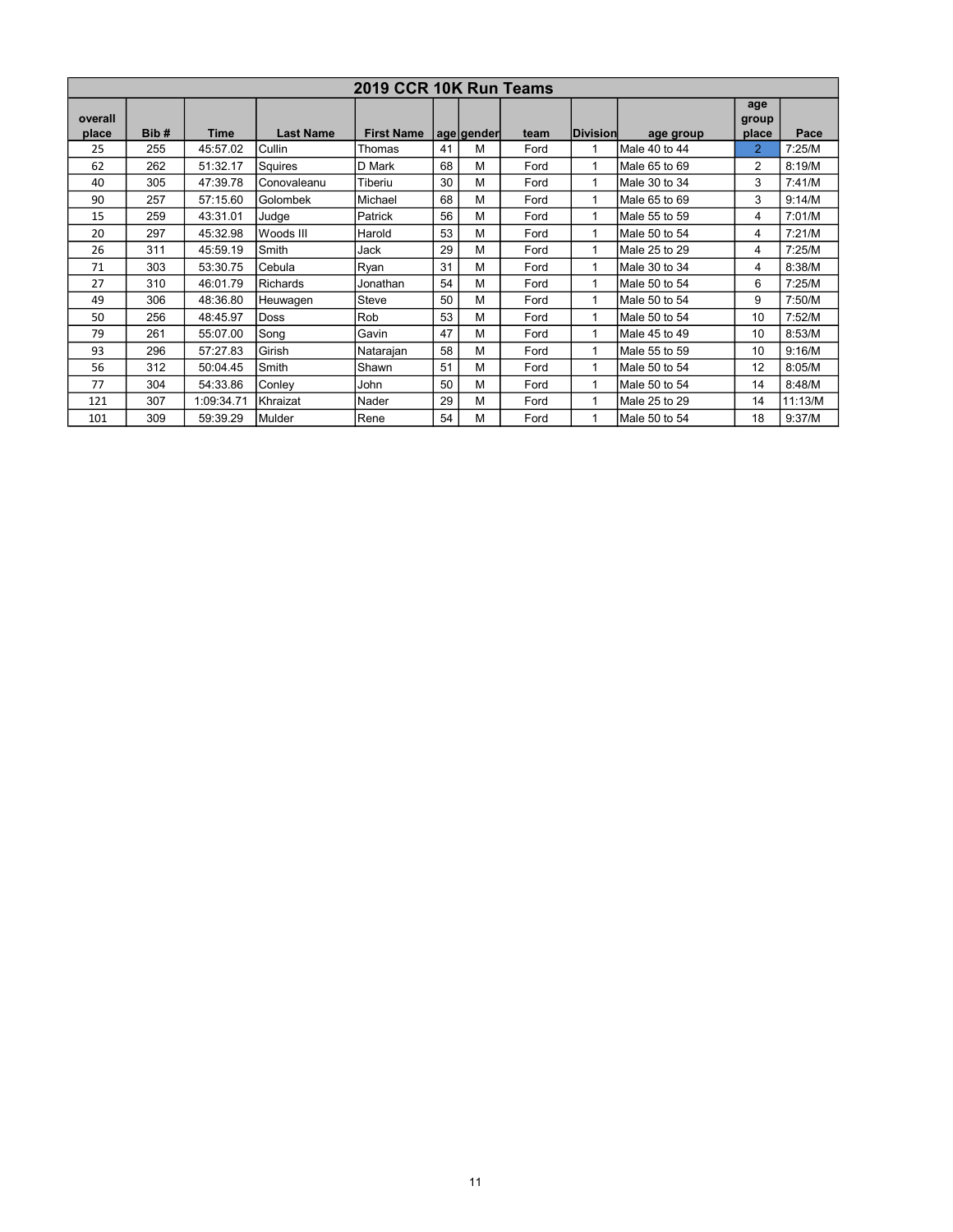|                  | 2019 CCR 10K Run Teams |             |                  |                   |    |            |      |                 |               |                       |         |  |  |  |
|------------------|------------------------|-------------|------------------|-------------------|----|------------|------|-----------------|---------------|-----------------------|---------|--|--|--|
| overall<br>place | Bib#                   | <b>Time</b> | <b>Last Name</b> | <b>First Name</b> |    | age gender | team | <b>Division</b> | age group     | age<br>group<br>place | Pace    |  |  |  |
| 25               | 255                    | 45:57.02    | Cullin           | Thomas            | 41 | M          | Ford | 1               | Male 40 to 44 | $\overline{2}$        | 7:25/M  |  |  |  |
| 62               | 262                    | 51:32.17    | <b>Squires</b>   | D Mark            | 68 | M          | Ford | 1               | Male 65 to 69 | 2                     | 8:19/M  |  |  |  |
| 40               | 305                    | 47:39.78    | Conovaleanu      | Tiberiu           | 30 | M          | Ford | 1               | Male 30 to 34 | 3                     | 7:41/M  |  |  |  |
| 90               | 257                    | 57:15.60    | Golombek         | Michael           | 68 | M          | Ford | 1               | Male 65 to 69 | 3                     | 9:14/M  |  |  |  |
| 15               | 259                    | 43:31.01    | Judge            | Patrick           | 56 | M          | Ford | $\mathbf{1}$    | Male 55 to 59 | 4                     | 7:01/M  |  |  |  |
| 20               | 297                    | 45:32.98    | Woods III        | Harold            | 53 | M          | Ford | 1               | Male 50 to 54 | 4                     | 7:21/M  |  |  |  |
| 26               | 311                    | 45:59.19    | Smith            | Jack              | 29 | M          | Ford | 1               | Male 25 to 29 | 4                     | 7:25/M  |  |  |  |
| 71               | 303                    | 53:30.75    | Cebula           | Ryan              | 31 | M          | Ford | 1               | Male 30 to 34 | 4                     | 8:38/M  |  |  |  |
| 27               | 310                    | 46:01.79    | Richards         | Jonathan          | 54 | M          | Ford | 1               | Male 50 to 54 | 6                     | 7:25/M  |  |  |  |
| 49               | 306                    | 48:36.80    | Heuwagen         | <b>Steve</b>      | 50 | M          | Ford | 1               | Male 50 to 54 | 9                     | 7:50/M  |  |  |  |
| 50               | 256                    | 48:45.97    | <b>Doss</b>      | Rob               | 53 | M          | Ford | $\mathbf{1}$    | Male 50 to 54 | 10                    | 7:52/M  |  |  |  |
| 79               | 261                    | 55:07.00    | Song             | Gavin             | 47 | M          | Ford | 1               | Male 45 to 49 | 10                    | 8:53/M  |  |  |  |
| 93               | 296                    | 57:27.83    | Girish           | Natarajan         | 58 | M          | Ford | 1               | Male 55 to 59 | 10                    | 9:16/M  |  |  |  |
| 56               | 312                    | 50:04.45    | Smith            | Shawn             | 51 | M          | Ford | 1               | Male 50 to 54 | 12                    | 8:05/M  |  |  |  |
| 77               | 304                    | 54:33.86    | Conley           | John              | 50 | M          | Ford | 1               | Male 50 to 54 | 14                    | 8:48/M  |  |  |  |
| 121              | 307                    | 1:09:34.71  | Khraizat         | Nader             | 29 | M          | Ford | 1               | Male 25 to 29 | 14                    | 11:13/M |  |  |  |
| 101              | 309                    | 59:39.29    | Mulder           | Rene              | 54 | M          | Ford | 1               | Male 50 to 54 | 18                    | 9:37/M  |  |  |  |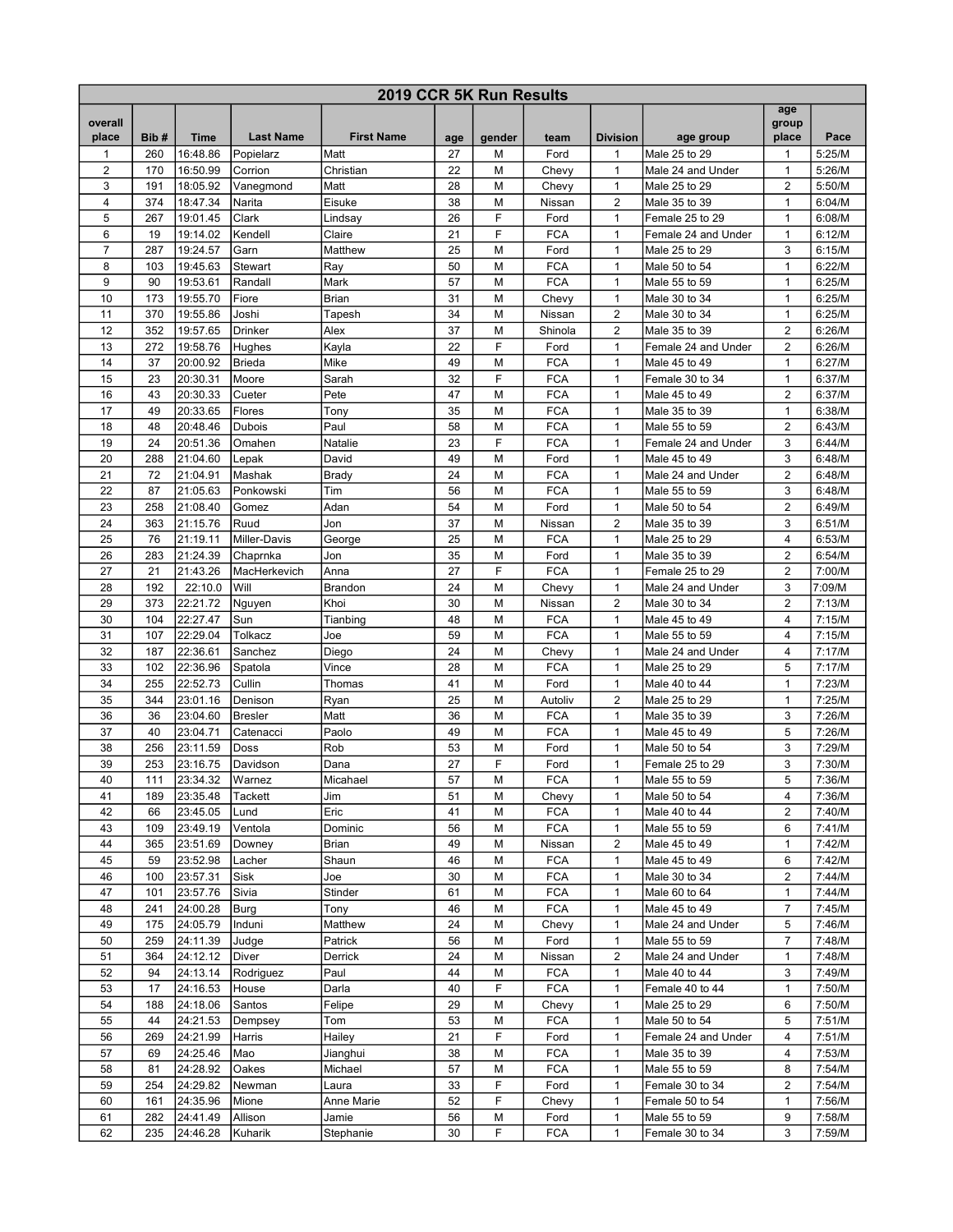|                     |            |                      |                    | 2019 CCR 5K Run Results |          |        |                          |                              |                                  |                         |                  |
|---------------------|------------|----------------------|--------------------|-------------------------|----------|--------|--------------------------|------------------------------|----------------------------------|-------------------------|------------------|
| overall             |            |                      |                    |                         |          |        |                          |                              |                                  | age<br>group            |                  |
| place               | Bib#       | <b>Time</b>          | <b>Last Name</b>   | <b>First Name</b>       | age      | gender | team                     | <b>Division</b>              | age group                        | place                   | Pace             |
| 1                   | 260        | 16:48.86             | Popielarz          | Matt                    | 27       | M      | Ford                     | $\mathbf{1}$                 | Male 25 to 29                    | 1                       | 5:25/M           |
| $\overline{2}$      | 170        | 16:50.99             | Corrion            | Christian               | 22       | м      | Chevy                    | $\mathbf{1}$                 | Male 24 and Under                | 1                       | 5:26/M           |
| 3                   | 191        | 18:05.92             | Vanegmond          | Matt                    | 28       | M      | Chevy                    | $\mathbf{1}$                 | Male 25 to 29                    | 2                       | 5:50/M           |
| $\overline{4}$      | 374        | 18:47.34             | Narita             | Eisuke                  | 38       | M      | Nissan                   | 2                            | Male 35 to 39                    | $\mathbf{1}$            | 6:04/M           |
| 5                   | 267        | 19:01.45             | Clark              | Lindsay                 | 26       | F      | Ford                     | $\mathbf{1}$                 | Female 25 to 29                  | 1                       | 6:08/M           |
| 6<br>$\overline{7}$ | 19         | 19:14.02             | Kendell            | Claire                  | 21       | F      | <b>FCA</b>               | $\mathbf{1}$                 | Female 24 and Under              | 1                       | 6:12/M           |
| 8                   | 287        | 19:24.57             | Garn               | Matthew                 | 25<br>50 | M      | Ford                     | $\mathbf{1}$<br>$\mathbf{1}$ | Male 25 to 29                    | 3                       | 6:15/M           |
| 9                   | 103<br>90  | 19:45.63<br>19:53.61 | Stewart<br>Randall | Ray<br>Mark             | 57       | M<br>М | <b>FCA</b><br><b>FCA</b> | $\mathbf{1}$                 | Male 50 to 54<br>Male 55 to 59   | $\mathbf{1}$<br>1       | 6:22/M<br>6:25/M |
| 10                  | 173        | 19:55.70             | Fiore              | Brian                   | 31       | M      | Chevy                    | $\mathbf{1}$                 | Male 30 to 34                    | $\mathbf{1}$            | 6:25/M           |
| 11                  | 370        | 19:55.86             | Joshi              | Tapesh                  | 34       | M      | Nissan                   | 2                            | Male 30 to 34                    | $\mathbf{1}$            | 6:25/M           |
| 12                  | 352        | 19:57.65             | <b>Drinker</b>     | Alex                    | 37       | M      | Shinola                  | $\overline{2}$               | Male 35 to 39                    | 2                       | 6:26/M           |
| 13                  | 272        | 19:58.76             | Hughes             | Kayla                   | 22       | F      | Ford                     | $\mathbf{1}$                 | Female 24 and Under              | 2                       | 6:26/M           |
| 14                  | 37         | 20:00.92             | Brieda             | Mike                    | 49       | М      | <b>FCA</b>               | $\mathbf{1}$                 | Male 45 to 49                    | $\mathbf{1}$            | 6:27/M           |
| 15                  | 23         | 20:30.31             | Moore              | Sarah                   | 32       | F      | <b>FCA</b>               | 1                            | Female 30 to 34                  | 1                       | 6:37/M           |
| 16                  | 43         | 20:30.33             | Cueter             | Pete                    | 47       | М      | <b>FCA</b>               | 1                            | Male 45 to 49                    | 2                       | 6:37/M           |
| 17                  | 49         | 20:33.65             | Flores             | Tony                    | 35       | M      | <b>FCA</b>               | $\mathbf{1}$                 | Male 35 to 39                    | $\mathbf{1}$            | 6:38/M           |
| 18                  | 48         | 20:48.46             | <b>Dubois</b>      | Paul                    | 58       | M      | <b>FCA</b>               | $\mathbf{1}$                 | Male 55 to 59                    | $\overline{2}$          | 6:43/M           |
| 19                  | 24         | 20:51.36             | Omahen             | Natalie                 | 23       | F      | <b>FCA</b>               | $\mathbf{1}$                 | Female 24 and Under              | 3                       | 6:44/M           |
| 20                  | 288        | 21:04.60             | Lepak              | David                   | 49       | M      | Ford                     | $\mathbf{1}$                 | Male 45 to 49                    | 3                       | 6:48/M           |
| 21                  | 72         | 21:04.91             | Mashak             | Brady                   | 24       | M      | <b>FCA</b>               | $\mathbf{1}$                 | Male 24 and Under                | $\overline{2}$          | 6:48/M           |
| 22                  | 87         | 21:05.63             | Ponkowski          | Tim                     | 56       | M      | <b>FCA</b>               | $\mathbf{1}$                 | Male 55 to 59                    | 3                       | 6:48/M           |
| 23                  | 258        | 21:08.40             | Gomez              | Adan                    | 54       | М      | Ford                     | $\mathbf{1}$                 | Male 50 to 54                    | 2                       | 6:49/M           |
| 24                  | 363        | 21:15.76             | Ruud               | Jon                     | 37       | M      | Nissan                   | 2                            | Male 35 to 39                    | 3                       | 6:51/M           |
| 25                  | 76         | 21:19.11             | Miller-Davis       | George                  | 25       | M      | <b>FCA</b>               | $\mathbf{1}$                 | Male 25 to 29                    | $\overline{\mathbf{4}}$ | 6:53/M           |
| 26                  | 283        | 21:24.39             | Chaprnka           | Jon                     | 35       | М      | Ford                     | $\mathbf{1}$                 | Male 35 to 39                    | $\overline{2}$          | 6:54/M           |
| 27                  | 21         | 21:43.26             | MacHerkevich       | Anna                    | 27       | F      | <b>FCA</b>               | $\mathbf{1}$                 | Female 25 to 29                  | $\overline{2}$          | 7:00/M           |
| 28                  | 192        | 22:10.0              | Will               | Brandon                 | 24       | M      | Chevy                    | $\mathbf{1}$                 | Male 24 and Under                | 3                       | 7:09/M           |
| 29                  | 373        | 22:21.72             | Nguyen             | Khoi                    | 30       | M      | Nissan                   | 2                            | Male 30 to 34                    | $\overline{2}$          | 7:13/M           |
| 30                  | 104        | 22:27.47             | Sun                | Tianbing                | 48       | М      | <b>FCA</b>               | $\mathbf{1}$                 | Male 45 to 49                    | 4                       | 7:15/M           |
| 31                  | 107        | 22:29.04             | Tolkacz            | Joe                     | 59       | M      | <b>FCA</b>               | $\mathbf{1}$                 | Male 55 to 59                    | 4                       | 7:15/M           |
| 32                  | 187        | 22:36.61             | Sanchez            | Diego                   | 24       | М      | Chevy                    | 1                            | Male 24 and Under                | 4                       | 7:17/M           |
| 33                  | 102        | 22:36.96             | Spatola            | Vince                   | 28       | M      | <b>FCA</b>               | $\mathbf{1}$                 | Male 25 to 29                    | 5                       | 7:17/M           |
| 34                  | 255        | 22:52.73             | Cullin             | Thomas                  | 41       | М      | Ford                     | $\mathbf{1}$                 | Male 40 to 44                    | $\mathbf{1}$            | 7:23/M           |
| 35                  | 344        | 23:01.16             | Denison            | Ryan                    | 25       | M      | Autoliv                  | $\overline{2}$               | Male 25 to 29                    | $\mathbf{1}$            | 7:25/M           |
| 36                  | 36         | 23:04.60             | <b>Bresler</b>     | Matt                    | 36       | M      | <b>FCA</b>               | $\mathbf{1}$                 | Male 35 to 39                    | 3                       | 7:26/M           |
| 37                  | 40         | 23:04.71             | Catenacci          | Paolo                   | 49       | М      | <b>FCA</b>               | $\mathbf{1}$                 | Male 45 to 49                    | 5                       | 7:26/M           |
| 38                  | 256        | 23:11.59             | Doss               | Rob                     | 53       | M<br>F | Ford                     | $\mathbf{1}$                 | Male 50 to 54                    | 3                       | 7:29/M           |
| 39<br>40            | 253<br>111 | 23:16.75<br>23:34.32 | Davidson<br>Warnez | Dana<br>Micahael        | 27<br>57 | M      | Ford<br>FCA              | 1<br>$\mathbf{1}$            | Female 25 to 29<br>Male 55 to 59 | 3<br>5                  | 7:30/M<br>7:36/M |
|                     |            | 23:35.48             |                    |                         | 51       |        |                          | 1                            |                                  | 4                       |                  |
| 41<br>42            | 189<br>66  | 23:45.05             | Tackett<br>Lund    | Jim<br>Eric             | 41       | М<br>М | Chevy<br><b>FCA</b>      | 1                            | Male 50 to 54<br>Male 40 to 44   | 2                       | 7:36/M<br>7:40/M |
| 43                  | 109        | 23:49.19             | Ventola            | Dominic                 | 56       | М      | <b>FCA</b>               | $\mathbf{1}$                 | Male 55 to 59                    | 6                       | 7:41/M           |
| 44                  | 365        | 23:51.69             | Downey             | Brian                   | 49       | М      | Nissan                   | 2                            | Male 45 to 49                    | $\mathbf{1}$            | 7:42/M           |
| 45                  | 59         | 23:52.98             | Lacher             | Shaun                   | 46       | М      | <b>FCA</b>               | $\mathbf{1}$                 | Male 45 to 49                    | 6                       | 7:42/M           |
| 46                  | 100        | 23:57.31             | Sisk               | Joe                     | 30       | М      | <b>FCA</b>               | 1                            | Male 30 to 34                    | $\overline{2}$          | 7:44/M           |
| 47                  | 101        | 23:57.76             | Sivia              | Stinder                 | 61       | М      | <b>FCA</b>               | $\mathbf{1}$                 | Male 60 to 64                    | 1                       | 7:44/M           |
| 48                  | 241        | 24:00.28             | Burg               | Tony                    | 46       | М      | <b>FCA</b>               | $\mathbf{1}$                 | Male 45 to 49                    | 7                       | 7:45/M           |
| 49                  | 175        | 24:05.79             | Induni             | Matthew                 | 24       | М      | Chevy                    | 1                            | Male 24 and Under                | 5                       | 7:46/M           |
| 50                  | 259        | 24:11.39             | Judge              | Patrick                 | 56       | М      | Ford                     | 1                            | Male 55 to 59                    | 7                       | 7:48/M           |
| 51                  | 364        | 24:12.12             | Diver              | Derrick                 | 24       | М      | Nissan                   | 2                            | Male 24 and Under                | $\mathbf{1}$            | 7:48/M           |
| 52                  | 94         | 24:13.14             | Rodriguez          | Paul                    | 44       | М      | <b>FCA</b>               | $\mathbf{1}$                 | Male 40 to 44                    | 3                       | 7:49/M           |
| 53                  | 17         | 24:16.53             | House              | Darla                   | 40       | F      | <b>FCA</b>               | $\mathbf{1}$                 | Female 40 to 44                  | $\mathbf{1}$            | 7:50/M           |
| 54                  | 188        | 24:18.06             | Santos             | Felipe                  | 29       | М      | Chevy                    | 1                            | Male 25 to 29                    | 6                       | 7:50/M           |
| 55                  | 44         | 24:21.53             | Dempsey            | Tom                     | 53       | М      | <b>FCA</b>               | $\mathbf{1}$                 | Male 50 to 54                    | 5                       | 7:51/M           |
| 56                  | 269        | 24:21.99             | Harris             | Hailey                  | 21       | F      | Ford                     | $\mathbf{1}$                 | Female 24 and Under              | 4                       | 7:51/M           |
| 57                  | 69         | 24:25.46             | Mao                | Jianghui                | 38       | М      | <b>FCA</b>               | 1                            | Male 35 to 39                    | 4                       | 7:53/M           |
| 58                  | 81         | 24:28.92             | Oakes              | Michael                 | 57       | М      | <b>FCA</b>               | 1                            | Male 55 to 59                    | 8                       | 7:54/M           |
| 59                  | 254        | 24:29.82             | Newman             | Laura                   | 33       | F      | Ford                     | $\mathbf{1}$                 | Female 30 to 34                  | 2                       | 7:54/M           |
| 60                  | 161        | 24:35.96             | Mione              | Anne Marie              | 52       | F      | Chevy                    | $\mathbf{1}$                 | Female 50 to 54                  | $\mathbf{1}$            | 7:56/M           |
| 61                  | 282        | 24:41.49             | Allison            | Jamie                   | 56       | М      | Ford                     | $\mathbf{1}$                 | Male 55 to 59                    | 9                       | 7:58/M           |
| 62                  | 235        | 24:46.28             | Kuharik            | Stephanie               | 30       | F      | <b>FCA</b>               | $\mathbf{1}$                 | Female 30 to 34                  | 3                       | 7:59/M           |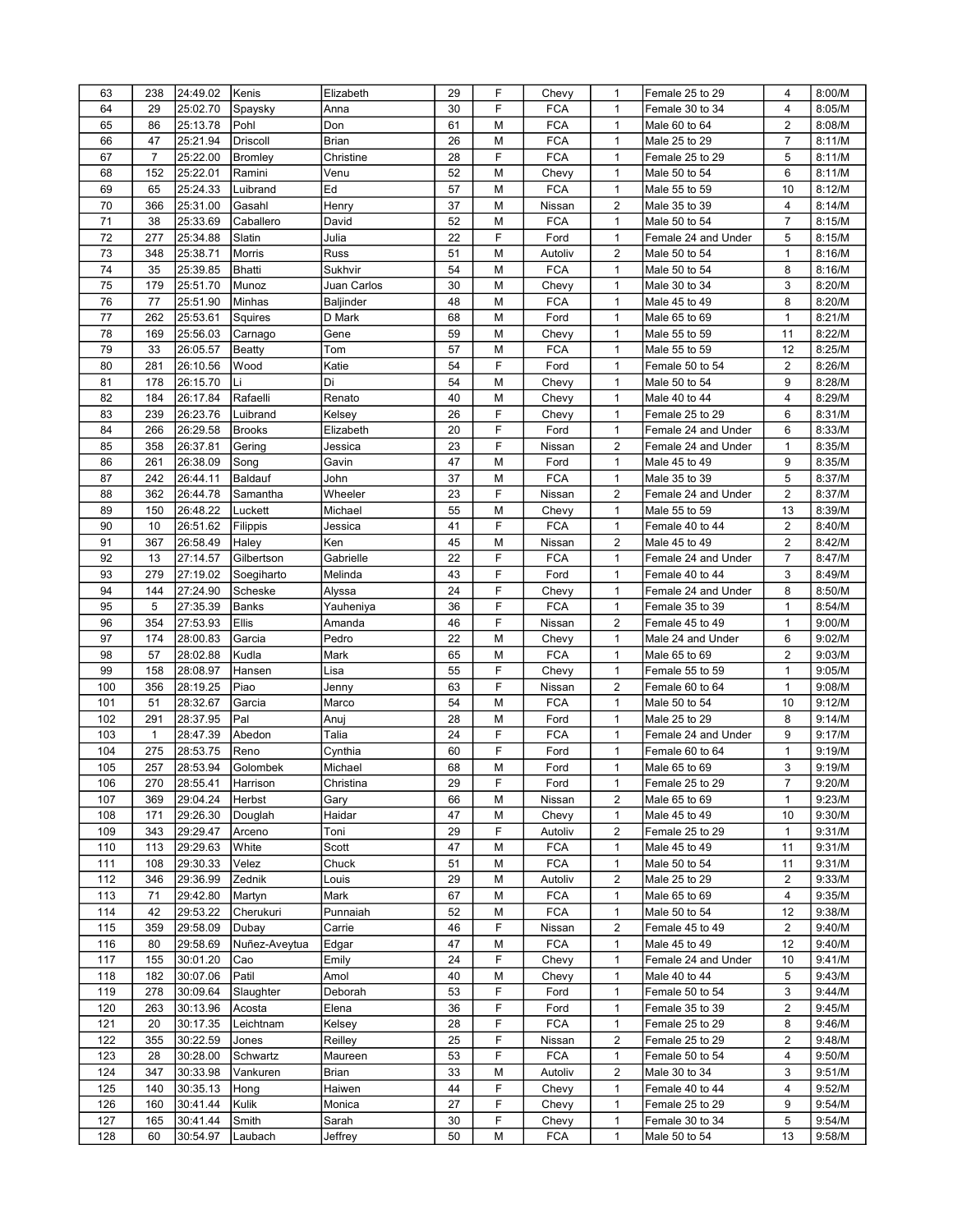| 63  | 238            | 24:49.02 | Kenis         | Elizabeth        | 29 | F | Chevy      | 1                       | Female 25 to 29     | 4              | 8:00/M           |
|-----|----------------|----------|---------------|------------------|----|---|------------|-------------------------|---------------------|----------------|------------------|
| 64  | 29             | 25:02.70 | Spaysky       | Anna             | 30 | F | <b>FCA</b> | $\mathbf{1}$            | Female 30 to 34     | 4              | 8:05/M           |
| 65  | 86             | 25:13.78 | Pohl          | Don              | 61 | М | <b>FCA</b> | 1                       | Male 60 to 64       | 2              | 8:08/M           |
| 66  | 47             | 25:21.94 | Driscoll      | Brian            | 26 | М | <b>FCA</b> | 1                       | Male 25 to 29       | $\overline{7}$ | 8:11/M           |
| 67  | $\overline{7}$ | 25:22.00 | Bromley       | Christine        | 28 | F | <b>FCA</b> | $\mathbf{1}$            | Female 25 to 29     | 5              | 8:11/M           |
| 68  | 152            | 25:22.01 | Ramini        | Venu             | 52 | М | Chevy      | $\mathbf{1}$            | Male 50 to 54       | 6              | 8:11/M           |
| 69  | 65             | 25:24.33 | Luibrand      | Ed               | 57 | М | <b>FCA</b> | $\mathbf{1}$            | Male 55 to 59       | 10             | 8:12/M           |
| 70  | 366            | 25:31.00 | Gasahl        | Henry            | 37 | М | Nissan     | $\overline{2}$          | Male 35 to 39       | 4              | 8:14/M           |
| 71  | 38             | 25:33.69 | Caballero     | David            | 52 | M | <b>FCA</b> | $\mathbf{1}$            | Male 50 to 54       | 7              | 8:15/M           |
| 72  | 277            | 25:34.88 | Slatin        | Julia            | 22 | F | Ford       | $\mathbf{1}$            | Female 24 and Under | 5              | 8:15/M           |
| 73  | 348            | 25:38.71 | Morris        | Russ             | 51 | М | Autoliv    | 2                       | Male 50 to 54       | $\mathbf{1}$   | 8:16/M           |
| 74  | 35             | 25:39.85 | Bhatti        | Sukhvir          | 54 | М | <b>FCA</b> | $\mathbf{1}$            | Male 50 to 54       | 8              | 8:16/M           |
| 75  | 179            | 25:51.70 | Munoz         | Juan Carlos      | 30 | М | Chevy      | $\mathbf{1}$            | Male 30 to 34       | 3              | 8:20/M           |
| 76  | 77             | 25:51.90 | Minhas        | <b>Baljinder</b> | 48 | М | <b>FCA</b> | $\mathbf{1}$            | Male 45 to 49       | 8              | 8:20/M           |
|     |                |          |               |                  | 68 |   | Ford       | $\mathbf{1}$            |                     | $\mathbf{1}$   |                  |
| 77  | 262            | 25:53.61 | Squires       | D Mark           | 59 | М |            |                         | Male 65 to 69       |                | 8:21/M<br>8:22/M |
| 78  | 169            | 25:56.03 | Carnago       | Gene             |    | М | Chevy      | $\mathbf{1}$            | Male 55 to 59       | 11             |                  |
| 79  | 33             | 26:05.57 | Beatty        | Tom              | 57 | М | <b>FCA</b> | $\mathbf{1}$            | Male 55 to 59       | 12             | 8:25/M           |
| 80  | 281            | 26:10.56 | Wood          | Katie            | 54 | F | Ford       | 1                       | Female 50 to 54     | 2              | 8:26/M           |
| 81  | 178            | 26:15.70 | Li            | Di               | 54 | М | Chevy      | $\mathbf{1}$            | Male 50 to 54       | 9              | 8:28/M           |
| 82  | 184            | 26:17.84 | Rafaelli      | Renato           | 40 | М | Chevy      | $\mathbf{1}$            | Male 40 to 44       | 4              | 8:29/M           |
| 83  | 239            | 26:23.76 | Luibrand      | Kelsey           | 26 | F | Chevy      | 1                       | Female 25 to 29     | 6              | 8:31/M           |
| 84  | 266            | 26:29.58 | <b>Brooks</b> | Elizabeth        | 20 | F | Ford       | 1                       | Female 24 and Under | 6              | 8:33/M           |
| 85  | 358            | 26:37.81 | Gering        | Jessica          | 23 | F | Nissan     | $\overline{2}$          | Female 24 and Under | 1              | 8:35/M           |
| 86  | 261            | 26:38.09 | Song          | Gavin            | 47 | М | Ford       | 1                       | Male 45 to 49       | 9              | 8:35/M           |
| 87  | 242            | 26:44.11 | Baldauf       | John             | 37 | М | <b>FCA</b> | 1                       | Male 35 to 39       | 5              | 8:37/M           |
| 88  | 362            | 26:44.78 | Samantha      | Wheeler          | 23 | F | Nissan     | $\overline{2}$          | Female 24 and Under | 2              | 8:37/M           |
| 89  | 150            | 26:48.22 | Luckett       | Michael          | 55 | М | Chevy      | $\mathbf{1}$            | Male 55 to 59       | 13             | 8:39/M           |
| 90  | 10             | 26:51.62 | Filippis      | Jessica          | 41 | F | <b>FCA</b> | 1                       | Female 40 to 44     | 2              | 8:40/M           |
| 91  | 367            | 26:58.49 | Haley         | Ken              | 45 | М | Nissan     | $\overline{\mathbf{c}}$ | Male 45 to 49       | 2              | 8:42/M           |
| 92  | 13             | 27:14.57 | Gilbertson    | Gabrielle        | 22 | F | <b>FCA</b> | $\mathbf{1}$            | Female 24 and Under | $\overline{7}$ | 8:47/M           |
| 93  | 279            | 27:19.02 | Soegiharto    | Melinda          | 43 | F | Ford       | $\mathbf{1}$            | Female 40 to 44     | 3              | 8:49/M           |
| 94  | 144            | 27:24.90 | Scheske       | Alyssa           | 24 | F | Chevy      | $\mathbf{1}$            | Female 24 and Under | 8              | 8:50/M           |
| 95  | 5              | 27:35.39 | Banks         | Yauheniya        | 36 | F | <b>FCA</b> | $\mathbf{1}$            | Female 35 to 39     | 1              | 8:54/M           |
| 96  | 354            | 27:53.93 |               |                  |    |   |            |                         |                     |                |                  |
|     |                |          | Ellis         | Amanda           | 46 | F | Nissan     | $\overline{2}$          | Female 45 to 49     | $\mathbf{1}$   | 9:00/M           |
| 97  | 174            | 28:00.83 | Garcia        | Pedro            | 22 | М | Chevy      | $\mathbf{1}$            | Male 24 and Under   | 6              | 9:02/M           |
| 98  | 57             | 28:02.88 | Kudla         | Mark             | 65 | М | <b>FCA</b> | $\mathbf{1}$            | Male 65 to 69       | 2              | 9:03/M           |
| 99  | 158            | 28:08.97 | Hansen        | Lisa             | 55 | F | Chevy      | $\mathbf{1}$            | Female 55 to 59     | $\mathbf{1}$   | 9:05/M           |
| 100 | 356            | 28:19.25 | Piao          | Jenny            | 63 | F | Nissan     | $\overline{2}$          | Female 60 to 64     | $\mathbf{1}$   | 9:08/M           |
| 101 | 51             | 28:32.67 | Garcia        | Marco            | 54 | М | <b>FCA</b> | $\mathbf{1}$            | Male 50 to 54       | 10             | 9:12/M           |
| 102 | 291            | 28:37.95 | Pal           |                  | 28 | М | Ford       | 1                       | Male 25 to 29       | 8              | 9:14/M           |
| 103 | 1              | 28:47.39 | Abedon        | Anuj<br>Talia    | 24 | F | <b>FCA</b> | $\mathbf{1}$            | Female 24 and Under | 9              | 9:17/M           |
| 104 | 275            |          | Reno          |                  | 60 | F |            | $\mathbf{1}$            |                     | $\mathbf{1}$   |                  |
|     |                | 28:53.75 |               | Cynthia          |    |   | Ford       |                         | Female 60 to 64     |                | 9:19/M           |
| 105 | 257            | 28:53.94 | Golombek      | Michael          | 68 | М | Ford       | $\mathbf{1}$            | Male 65 to 69       | 3              | 9:19/M           |
| 106 | 270            | 28:55.41 | Harrison      | Christina        | 29 | F | Ford       | $\mathbf{1}$            | Female 25 to 29     | $\overline{7}$ | 9:20/M           |
| 107 | 369            | 29:04.24 | Herbst        | Gary             | 66 | М | Nissan     | 2                       | Male 65 to 69       | 1              | 9:23/M           |
| 108 | 171            | 29:26.30 | Douglah       | Haidar           | 47 | М | Chevy      | 1                       | Male 45 to 49       | 10             | 9:30/M           |
| 109 | 343            | 29:29.47 | Arceno        | Toni             | 29 | F | Autoliv    | $\overline{2}$          | Female 25 to 29     | 1              | 9:31/M           |
| 110 | 113            | 29:29.63 | White         | Scott            | 47 | М | <b>FCA</b> | $\mathbf{1}$            | Male 45 to 49       | 11             | 9:31/M           |
| 111 | 108            | 29:30.33 | Velez         | Chuck            | 51 | М | <b>FCA</b> | 1                       | Male 50 to 54       | 11             | 9:31/M           |
| 112 | 346            | 29:36.99 | Zednik        | Louis            | 29 | М | Autoliv    | $\overline{\mathbf{c}}$ | Male 25 to 29       | 2              | 9:33/M           |
| 113 | 71             | 29:42.80 | Martyn        | Mark             | 67 | М | <b>FCA</b> | $\mathbf{1}$            | Male 65 to 69       | 4              | 9:35/M           |
| 114 | 42             | 29:53.22 | Cherukuri     | Punnaiah         | 52 | М | <b>FCA</b> | $\mathbf{1}$            | Male 50 to 54       | 12             | 9:38/M           |
| 115 | 359            | 29:58.09 | Dubay         | Carrie           | 46 | F | Nissan     | $\overline{\mathbf{c}}$ | Female 45 to 49     | 2              | 9:40/M           |
| 116 | 80             | 29:58.69 | Nuñez-Aveytua | Edgar            | 47 | М | <b>FCA</b> | 1                       | Male 45 to 49       | 12             | 9:40/M           |
| 117 | 155            | 30:01.20 | Cao           | Emily            | 24 | F | Chevy      | $\mathbf{1}$            | Female 24 and Under | 10             | 9:41/M           |
| 118 | 182            | 30:07.06 | Patil         | Amol             | 40 | М | Chevy      | $\mathbf{1}$            | Male 40 to 44       | 5              | 9:43/M           |
| 119 | 278            | 30:09.64 | Slaughter     | Deborah          | 53 | F | Ford       | 1                       | Female 50 to 54     | 3              | 9:44/M           |
| 120 | 263            | 30:13.96 | Acosta        | Elena            | 36 | F | Ford       | $\mathbf{1}$            | Female 35 to 39     | 2              | 9:45/M           |
| 121 | 20             | 30:17.35 | Leichtnam     | Kelsey           | 28 | F | <b>FCA</b> | $\mathbf{1}$            | Female 25 to 29     | 8              | 9:46/M           |
| 122 | 355            | 30:22.59 | Jones         | Reilley          | 25 | F | Nissan     | $\overline{\mathbf{c}}$ | Female 25 to 29     | 2              | 9:48/M           |
| 123 | 28             | 30:28.00 | Schwartz      | Maureen          | 53 | F | <b>FCA</b> | $\mathbf{1}$            | Female 50 to 54     | 4              | 9:50/M           |
| 124 | 347            | 30:33.98 | Vankuren      | Brian            | 33 | М | Autoliv    | $\overline{2}$          | Male 30 to 34       | 3              | 9:51/M           |
| 125 | 140            | 30:35.13 | Hong          | Haiwen           | 44 | F | Chevy      | $\mathbf{1}$            | Female 40 to 44     | 4              | 9:52/M           |
| 126 | 160            | 30:41.44 | Kulik         | Monica           | 27 | F | Chevy      | 1                       | Female 25 to 29     | 9              | 9:54/M           |
| 127 | 165            | 30:41.44 | Smith         | Sarah            | 30 | F | Chevy      | $\mathbf{1}$            | Female 30 to 34     | 5              | 9:54/M           |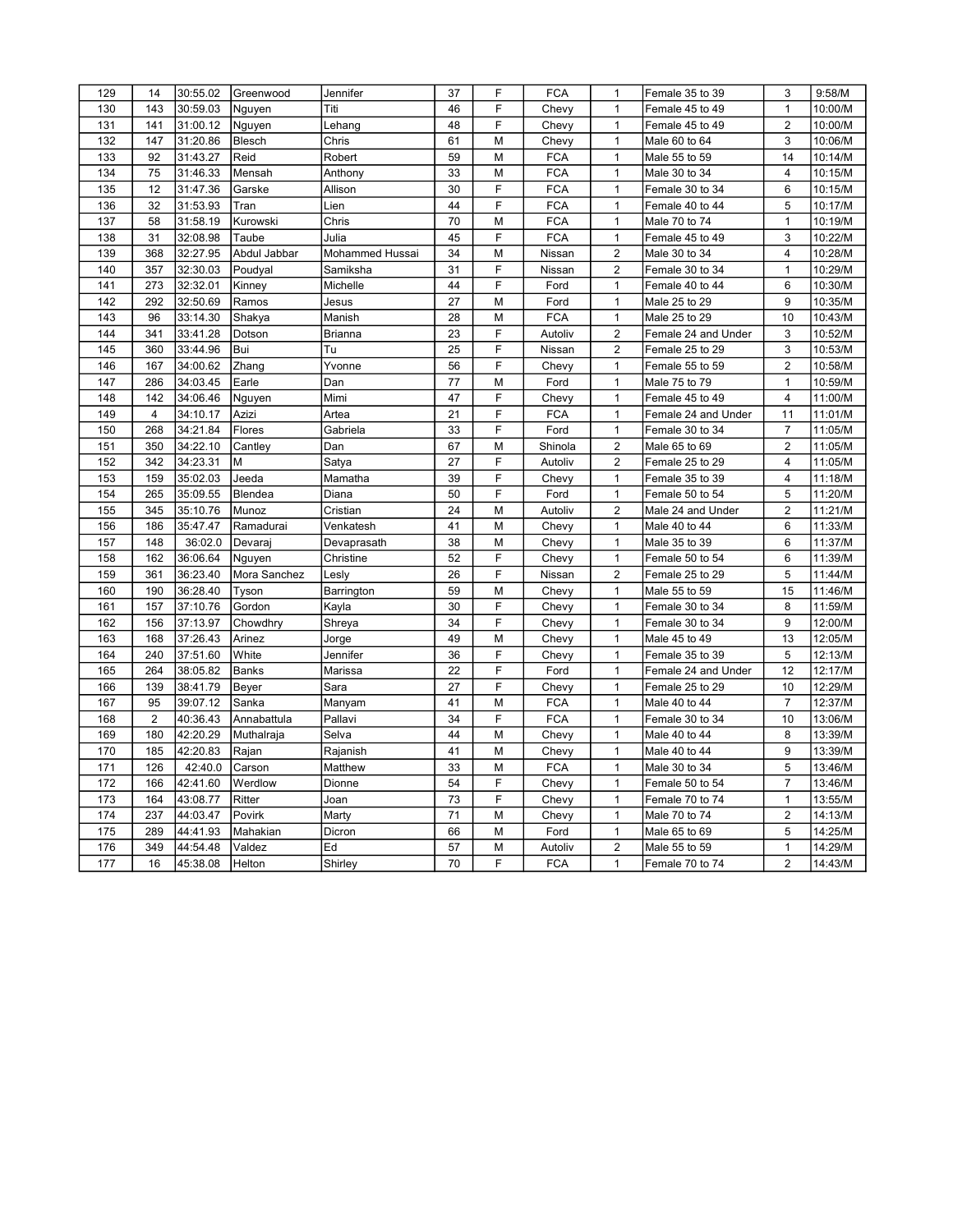| 129 | 14             | 30:55.02 | Greenwood    | Jennifer        | 37 | F | <b>FCA</b> | $\mathbf{1}$   | Female 35 to 39     | 3              | 9:58/M  |
|-----|----------------|----------|--------------|-----------------|----|---|------------|----------------|---------------------|----------------|---------|
| 130 | 143            | 30:59.03 | Nguyen       | Titi            | 46 | F | Chevy      | $\mathbf{1}$   | Female 45 to 49     | $\mathbf{1}$   | 10:00/M |
| 131 | 141            | 31:00.12 | Nguyen       | Lehang          | 48 | F | Chevy      | $\mathbf{1}$   | Female 45 to 49     | $\overline{2}$ | 10:00/M |
| 132 | 147            | 31:20.86 | Blesch       | Chris           | 61 | M | Chevy      | $\mathbf{1}$   | Male 60 to 64       | 3              | 10:06/M |
| 133 | 92             | 31:43.27 | Reid         | Robert          | 59 | M | <b>FCA</b> | $\mathbf{1}$   | Male 55 to 59       | 14             | 10:14/M |
| 134 | 75             | 31:46.33 | Mensah       | Anthony         | 33 | M | <b>FCA</b> | $\mathbf{1}$   | Male 30 to 34       | 4              | 10:15/M |
| 135 | 12             | 31:47.36 | Garske       | Allison         | 30 | F | <b>FCA</b> | $\mathbf{1}$   | Female 30 to 34     | 6              | 10:15/M |
| 136 | 32             | 31:53.93 | Tran         | Lien            | 44 | F | <b>FCA</b> | $\mathbf{1}$   | Female 40 to 44     | 5              | 10:17/M |
| 137 | 58             | 31:58.19 | Kurowski     | Chris           | 70 | M | <b>FCA</b> | $\mathbf{1}$   | Male 70 to 74       | $\mathbf{1}$   | 10:19/M |
| 138 | 31             | 32:08.98 | Taube        | Julia           | 45 | F | <b>FCA</b> | $\mathbf{1}$   | Female 45 to 49     | 3              | 10:22/M |
| 139 | 368            | 32:27.95 | Abdul Jabbar | Mohammed Hussai | 34 | M | Nissan     | $\overline{2}$ | Male 30 to 34       | $\overline{4}$ | 10:28/M |
| 140 | 357            | 32:30.03 | Poudyal      | Samiksha        | 31 | F | Nissan     | $\overline{c}$ | Female 30 to 34     | $\mathbf{1}$   | 10:29/M |
| 141 | 273            | 32:32.01 | Kinney       | Michelle        | 44 | F | Ford       | $\mathbf{1}$   | Female 40 to 44     | 6              | 10:30/M |
| 142 | 292            | 32:50.69 | Ramos        | Jesus           | 27 | M | Ford       | $\mathbf{1}$   | Male 25 to 29       | 9              | 10:35/M |
| 143 | 96             | 33:14.30 | Shakya       | Manish          | 28 | M | <b>FCA</b> | $\mathbf{1}$   | Male 25 to 29       | 10             | 10:43/M |
| 144 | 341            | 33:41.28 | Dotson       | <b>Brianna</b>  | 23 | F | Autoliv    | $\overline{2}$ | Female 24 and Under | 3              | 10:52/M |
| 145 | 360            | 33:44.96 | Bui          | Tu              | 25 | F | Nissan     | $\overline{2}$ | Female 25 to 29     | 3              | 10:53/M |
| 146 | 167            | 34:00.62 | Zhang        | Yvonne          | 56 | F | Chevy      | $\mathbf{1}$   | Female 55 to 59     | 2              | 10:58/M |
| 147 | 286            | 34:03.45 | Earle        | Dan             | 77 | M | Ford       | $\mathbf{1}$   | Male 75 to 79       | 1              | 10:59/M |
| 148 | 142            | 34:06.46 | Nguyen       | Mimi            | 47 | F | Chevy      | $\mathbf{1}$   | Female 45 to 49     | $\overline{4}$ | 11:00/M |
| 149 | $\overline{4}$ | 34:10.17 | Azizi        | Artea           | 21 | F | <b>FCA</b> | $\mathbf{1}$   | Female 24 and Under | 11             | 11:01/M |
| 150 | 268            | 34:21.84 | Flores       | Gabriela        | 33 | F | Ford       | $\mathbf{1}$   | Female 30 to 34     | 7              | 11:05/M |
| 151 | 350            | 34:22.10 | Cantley      | Dan             | 67 | M | Shinola    | $\overline{2}$ | Male 65 to 69       | 2              | 11:05/M |
| 152 | 342            | 34:23.31 | М            | Satya           | 27 | F | Autoliv    | $\overline{2}$ | Female 25 to 29     | $\overline{4}$ | 11:05/M |
| 153 | 159            | 35:02.03 | Jeeda        | Mamatha         | 39 | F | Chevy      | $\mathbf{1}$   | Female 35 to 39     | $\overline{4}$ | 11:18/M |
| 154 | 265            | 35:09.55 | Blendea      | Diana           | 50 | F | Ford       | $\mathbf{1}$   | Female 50 to 54     | 5              | 11:20/M |
| 155 | 345            | 35:10.76 | Munoz        | Cristian        | 24 | M | Autoliv    | $\overline{2}$ | Male 24 and Under   | $\overline{2}$ | 11:21/M |
| 156 | 186            | 35:47.47 | Ramadurai    | Venkatesh       | 41 | M | Chevy      | $\mathbf{1}$   | Male 40 to 44       | 6              | 11:33/M |
| 157 | 148            | 36:02.0  | Devaraj      | Devaprasath     | 38 | M | Chevy      | $\mathbf{1}$   | Male 35 to 39       | 6              | 11:37/M |
| 158 | 162            | 36:06.64 | Nguyen       | Christine       | 52 | F | Chevy      | $\mathbf{1}$   | Female 50 to 54     | 6              | 11:39/M |
| 159 | 361            | 36:23.40 | Mora Sanchez | Lesly           | 26 | F | Nissan     | $\overline{2}$ | Female 25 to 29     | 5              | 11:44/M |
| 160 | 190            | 36:28.40 | Tyson        | Barrington      | 59 | M | Chevy      | $\mathbf{1}$   | Male 55 to 59       | 15             | 11:46/M |
| 161 | 157            | 37:10.76 | Gordon       | Kayla           | 30 | F | Chevy      | $\mathbf{1}$   | Female 30 to 34     | 8              | 11:59/M |
| 162 | 156            | 37:13.97 | Chowdhry     | Shreya          | 34 | F | Chevy      | $\mathbf{1}$   | Female 30 to 34     | 9              | 12:00/M |
| 163 | 168            | 37:26.43 | Arinez       | Jorge           | 49 | M | Chevy      | $\mathbf{1}$   | Male 45 to 49       | 13             | 12:05/M |
| 164 | 240            | 37:51.60 | White        | Jennifer        | 36 | F | Chevy      | $\mathbf{1}$   | Female 35 to 39     | 5              | 12:13/M |
| 165 | 264            | 38:05.82 | <b>Banks</b> | Marissa         | 22 | F | Ford       | $\mathbf{1}$   | Female 24 and Under | 12             | 12:17/M |
| 166 | 139            | 38:41.79 | Beyer        | Sara            | 27 | F | Chevy      | 1              | Female 25 to 29     | 10             | 12:29/M |
| 167 | 95             | 39:07.12 | Sanka        | Manyam          | 41 | M | <b>FCA</b> | $\mathbf{1}$   | Male 40 to 44       | $\overline{7}$ | 12:37/M |
| 168 | $\overline{2}$ | 40:36.43 | Annabattula  | Pallavi         | 34 | F | <b>FCA</b> | $\mathbf{1}$   | Female 30 to 34     | 10             | 13:06/M |
| 169 | 180            | 42:20.29 | Muthalraja   | Selva           | 44 | M | Chevy      | $\mathbf{1}$   | Male 40 to 44       | 8              | 13:39/M |
| 170 | 185            | 42:20.83 | Rajan        | Rajanish        | 41 | M | Chevy      | $\mathbf{1}$   | Male 40 to 44       | 9              | 13:39/M |
| 171 | 126            | 42:40.0  | Carson       | Matthew         | 33 | M | <b>FCA</b> | $\mathbf{1}$   | Male 30 to 34       | 5              | 13:46/M |
| 172 | 166            | 42:41.60 | Werdlow      | Dionne          | 54 | F | Chevy      | $\mathbf{1}$   | Female 50 to 54     | $\overline{7}$ | 13:46/M |
| 173 | 164            | 43:08.77 | Ritter       | Joan            | 73 | F | Chevy      | $\mathbf{1}$   | Female 70 to 74     | $\mathbf{1}$   | 13:55/M |
| 174 | 237            | 44:03.47 | Povirk       | Marty           | 71 | M | Chevy      | $\mathbf{1}$   | Male 70 to 74       | 2              | 14:13/M |
| 175 | 289            | 44:41.93 | Mahakian     | Dicron          | 66 | M | Ford       | $\mathbf{1}$   | Male 65 to 69       | 5              | 14:25/M |
| 176 | 349            | 44:54.48 | Valdez       | Ed              | 57 | M | Autoliv    | $\overline{2}$ | Male 55 to 59       | $\mathbf{1}$   | 14:29/M |
| 177 | 16             | 45:38.08 | Helton       | Shirley         | 70 | F | <b>FCA</b> | $\mathbf{1}$   | Female 70 to 74     | $\overline{2}$ | 14:43/M |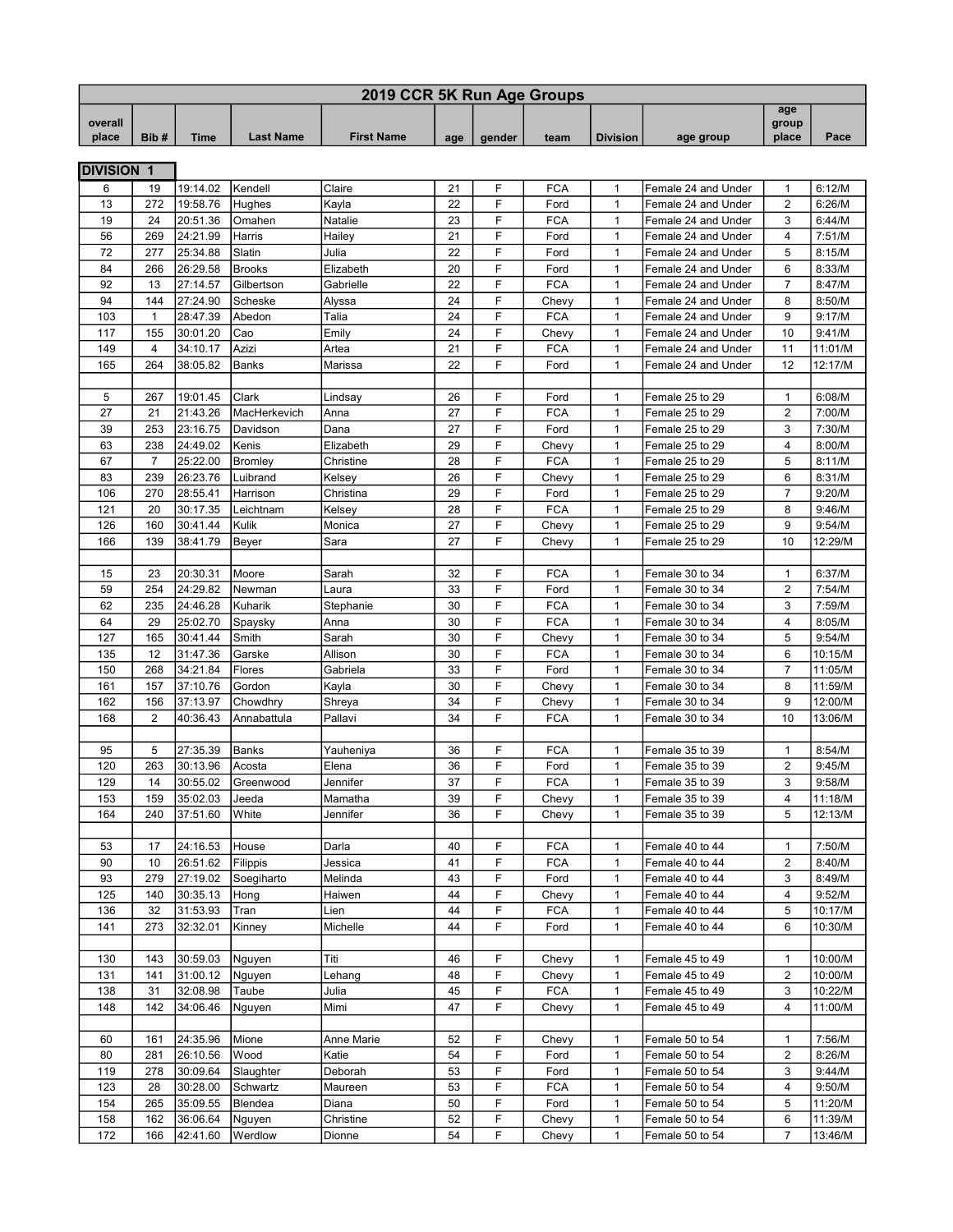|                   |                |                      |                              | 2019 CCR 5K Run Age Groups |                 |        |                     |                 |                                    |                |                  |
|-------------------|----------------|----------------------|------------------------------|----------------------------|-----------------|--------|---------------------|-----------------|------------------------------------|----------------|------------------|
|                   |                |                      |                              |                            |                 |        |                     |                 |                                    | age            |                  |
| overall           |                |                      |                              |                            |                 |        |                     |                 |                                    | group          |                  |
| place             | Bib#           | Time                 | <b>Last Name</b>             | <b>First Name</b>          | age             | gender | team                | <b>Division</b> | age group                          | place          | Pace             |
|                   |                |                      |                              |                            |                 |        |                     |                 |                                    |                |                  |
| <b>DIVISION 1</b> |                |                      |                              |                            |                 |        |                     |                 |                                    |                |                  |
| 6                 | 19             | 19:14.02             | Kendell                      | Claire                     | 21              | F      | <b>FCA</b>          | 1               | Female 24 and Under                | $\mathbf{1}$   | 6:12/M           |
| 13                | 272            | 19:58.76             | Hughes                       | Kayla                      | 22              | F      | Ford                | 1               | Female 24 and Under                | 2              | 6:26/M           |
| 19                | 24             | 20:51.36             | Omahen                       | Natalie                    | 23              | F      | <b>FCA</b>          | 1               | Female 24 and Under                | 3              | 6:44/M           |
| 56                | 269            | 24:21.99             | Harris                       | Hailey                     | 21              | F      | Ford                | 1               | Female 24 and Under                | 4              | 7:51/M           |
| 72                | 277            | 25:34.88             | Slatin                       | Julia                      | 22              | F      | Ford                | 1               | Female 24 and Under                | 5              | 8:15/M           |
| 84                | 266            | 26:29.58             | <b>Brooks</b>                | Elizabeth                  | 20              | F      | Ford                | 1               | Female 24 and Under                | 6              | 8:33/M           |
| 92                | 13             | 27:14.57             | Gilbertson                   | Gabrielle                  | 22              | F      | <b>FCA</b>          | 1               | Female 24 and Under                | $\overline{7}$ | 8:47/M           |
| 94                | 144            | 27:24.90             | Scheske                      | Alyssa                     | 24              | F      | Chevy               | 1               | Female 24 and Under                | 8              | 8:50/M           |
| 103               | $\mathbf{1}$   | 28:47.39             | Abedon                       | Talia                      | 24              | F      | <b>FCA</b>          | 1               | Female 24 and Under                | 9              | 9:17/M           |
| 117               | 155            | 30:01.20             | Cao                          | Emily                      | 24              | F      | Chevy               | 1               | Female 24 and Under                | 10             | 9:41/M           |
| 149               | 4              | 34:10.17             | Azizi                        | Artea                      | 21              | F      | <b>FCA</b>          | 1               | Female 24 and Under                | 11             | 11:01/M          |
| 165               | 264            | 38:05.82             | Banks                        | Marissa                    | 22              | F      | Ford                | 1               | Female 24 and Under                | 12             | 12:17/M          |
|                   |                |                      |                              |                            |                 |        |                     |                 |                                    |                |                  |
| 5                 | 267            | 19:01.45             | Clark                        | Lindsay                    | 26              | F      | Ford                | $\mathbf{1}$    | Female 25 to 29                    | 1              | 6:08/M           |
| 27                | 21             | 21:43.26             | MacHerkevich                 | Anna                       | 27              | F      | <b>FCA</b>          | 1               | Female 25 to 29                    | 2              | 7:00/M           |
| 39                | 253            | 23:16.75             | Davidson                     | Dana                       | 27              | F      | Ford                | 1               | Female 25 to 29                    | 3              | 7:30/M           |
| 63                | 238            | 24:49.02             | Kenis                        | Elizabeth                  | 29              | F      | Chevy               | 1               | Female 25 to 29                    | 4              | 8:00/M           |
| 67                | $\overline{7}$ | 25:22.00             | <b>Bromley</b>               | Christine                  | 28              | F      | <b>FCA</b>          | 1               | Female 25 to 29                    | 5              | 8:11/M           |
| 83                | 239            | 26:23.76             | Luibrand                     | Kelsey                     | 26              | F      | Chevy               | 1               | Female 25 to 29                    | 6              | 8:31/M           |
| 106               | 270            | 28:55.41             | Harrison                     | Christina                  | 29              | F      | Ford                | 1               | Female 25 to 29                    | $\overline{7}$ | 9:20/M           |
| 121               | 20             | 30:17.35             | Leichtnam                    | Kelsey                     | 28              | F      | <b>FCA</b>          | $\mathbf{1}$    | Female 25 to 29                    | 8              | 9:46/M           |
| 126               | 160            | 30:41.44             | Kulik                        | Monica                     | 27              | F      | Chevy               | 1               | Female 25 to 29                    | 9              | 9:54/M           |
| 166               | 139            | 38:41.79             | Beyer                        | Sara                       | 27              | F      | Chevy               | 1               | Female 25 to 29                    | 10             | 12:29/M          |
|                   |                |                      |                              |                            |                 |        |                     |                 |                                    |                |                  |
| 15                | 23             | 20:30.31             | Moore                        | Sarah                      | 32              | F      | <b>FCA</b>          | 1               | Female 30 to 34                    | $\mathbf{1}$   | 6:37/M           |
| 59                | 254            | 24:29.82             | Newman                       | Laura                      | 33              | F      | Ford                | 1               | Female 30 to 34                    | $\overline{2}$ | 7:54/M           |
| 62                | 235            | 24:46.28             | Kuharik                      | Stephanie                  | 30              | F      | <b>FCA</b>          | 1               | Female 30 to 34                    | 3              | 7:59/M           |
| 64                | 29             | 25:02.70             | Spaysky                      | Anna                       | 30              | F      | <b>FCA</b>          | 1               | Female 30 to 34                    | 4              | 8:05/M           |
| 127               | 165            | 30:41.44             | Smith                        | Sarah                      | 30              | F      | Chevy               | 1               | Female 30 to 34                    | 5              | 9:54/M           |
| 135               | 12             | 31:47.36             | Garske                       | Allison                    | 30              | F      | <b>FCA</b>          | 1               | Female 30 to 34                    | 6              | 10:15/M          |
| 150               | 268            | 34:21.84             | Flores                       | Gabriela                   | 33              | F      | Ford                | $\mathbf{1}$    | Female 30 to 34                    | $\overline{7}$ | 11:05/M          |
| 161               | 157            | 37:10.76             | Gordon                       | Kayla                      | 30              | F      | Chevy               | $\mathbf{1}$    | Female 30 to 34                    | 8              | 11:59/M          |
| 162               | 156            | 37:13.97             | Chowdhry                     | Shreya                     | 34              | F      | Chevy               | 1               | Female 30 to 34                    | 9              | 12:00/M          |
| 168               | $\overline{2}$ | 40:36.43             | Annabattula                  | Pallavi                    | 34              | F      | <b>FCA</b>          | 1               | Female 30 to 34                    | 10             | 13:06/M          |
|                   |                |                      |                              |                            |                 |        |                     |                 |                                    |                |                  |
| 95                | 5              | 27:35.39             | <b>Banks</b>                 | Yauheniya                  | 36              | F      | <b>FCA</b>          | 1               | Female 35 to 39                    | 1              | 8:54/M           |
| 120               | 263            | 30:13.96             | Acosta<br>30:55.02 Greenwood | Elena                      | 36              | F      | Ford                | 1               | Female 35 to 39                    | 2              | 9:45/M           |
| 129               | 14             |                      |                              | Jennifer                   | $\overline{37}$ | F      | FCA                 | $\mathbf{1}$    | Female 35 to 39                    | 3              | 9:58/M           |
| 153               | 159            | 35:02.03             | Jeeda                        | Mamatha                    | 39              | F      | Chevy               | $\mathbf{1}$    | Female 35 to 39                    | 4              | 11:18/M          |
| 164               | 240            | 37:51.60             | White                        | Jennifer                   | 36              | F      | Chevy               | 1               | Female 35 to 39                    | 5              | 12:13/M          |
|                   |                |                      |                              |                            |                 |        |                     |                 |                                    |                |                  |
| 53                | 17             | 24:16.53             | House                        | Darla                      | 40              | F      | <b>FCA</b>          | $\mathbf{1}$    | Female 40 to 44                    | $\mathbf{1}$   | 7:50/M           |
| 90                | 10             | 26:51.62             | Filippis                     | Jessica                    | 41<br>43        | F<br>F | <b>FCA</b><br>Ford  | 1               | Female 40 to 44<br>Female 40 to 44 | $\overline{c}$ | 8:40/M           |
| 93<br>125         | 279<br>140     | 27:19.02<br>30:35.13 | Soegiharto                   | Melinda<br>Haiwen          | 44              | F      |                     | 1<br>1          | Female 40 to 44                    | 3<br>4         | 8:49/M<br>9:52/M |
| 136               | 32             | 31:53.93             | Hong<br>Tran                 | Lien                       | 44              | F      | Chevy<br><b>FCA</b> | 1               | Female 40 to 44                    | 5              | 10:17/M          |
| 141               | 273            | 32:32.01             |                              | Michelle                   | 44              | F      | Ford                | 1               | Female 40 to 44                    | 6              | 10:30/M          |
|                   |                |                      | Kinney                       |                            |                 |        |                     |                 |                                    |                |                  |
| 130               | 143            | 30:59.03             | Nguyen                       | Titi                       | 46              | F      | Chevy               | 1               | Female 45 to 49                    | 1              | 10:00/M          |
| 131               | 141            | 31:00.12             | Nguyen                       | Lehang                     | 48              | F      | Chevy               | 1               | Female 45 to 49                    | $\overline{c}$ | 10:00/M          |
| 138               | 31             | 32:08.98             | Taube                        | Julia                      | 45              | F      | <b>FCA</b>          | 1               | Female 45 to 49                    | 3              | 10:22/M          |
| 148               | 142            | 34:06.46             | Nguyen                       | Mimi                       | 47              | F      | Chevy               | 1               | Female 45 to 49                    | 4              | 11:00/M          |
|                   |                |                      |                              |                            |                 |        |                     |                 |                                    |                |                  |
| 60                | 161            | 24:35.96             | Mione                        | Anne Marie                 | 52              | F      | Chevy               | 1               | Female 50 to 54                    | $\mathbf{1}$   | 7:56/M           |
| 80                | 281            | 26:10.56             | Wood                         | Katie                      | 54              | F      | Ford                | 1               | Female 50 to 54                    | $\overline{2}$ | 8:26/M           |
| 119               | 278            | 30:09.64             | Slaughter                    | Deborah                    | 53              | F      | Ford                | 1               | Female 50 to 54                    | 3              | 9:44/M           |
| 123               | 28             | 30:28.00             | Schwartz                     | Maureen                    | 53              | F      | <b>FCA</b>          | 1               | Female 50 to 54                    | 4              | 9:50/M           |
| 154               | 265            | 35:09.55             | Blendea                      | Diana                      | 50              | F      | Ford                | 1               | Female 50 to 54                    | 5              | 11:20/M          |
| 158               | 162            | 36:06.64             | Nguyen                       | Christine                  | 52              | F      | Chevy               | 1               | Female 50 to 54                    | 6              | 11:39/M          |
| 172               | 166            | 42:41.60             | Werdlow                      | Dionne                     | 54              | F      | Chevy               | $\mathbf{1}$    | Female 50 to 54                    | $\overline{7}$ | 13:46/M          |
|                   |                |                      |                              |                            |                 |        |                     |                 |                                    |                |                  |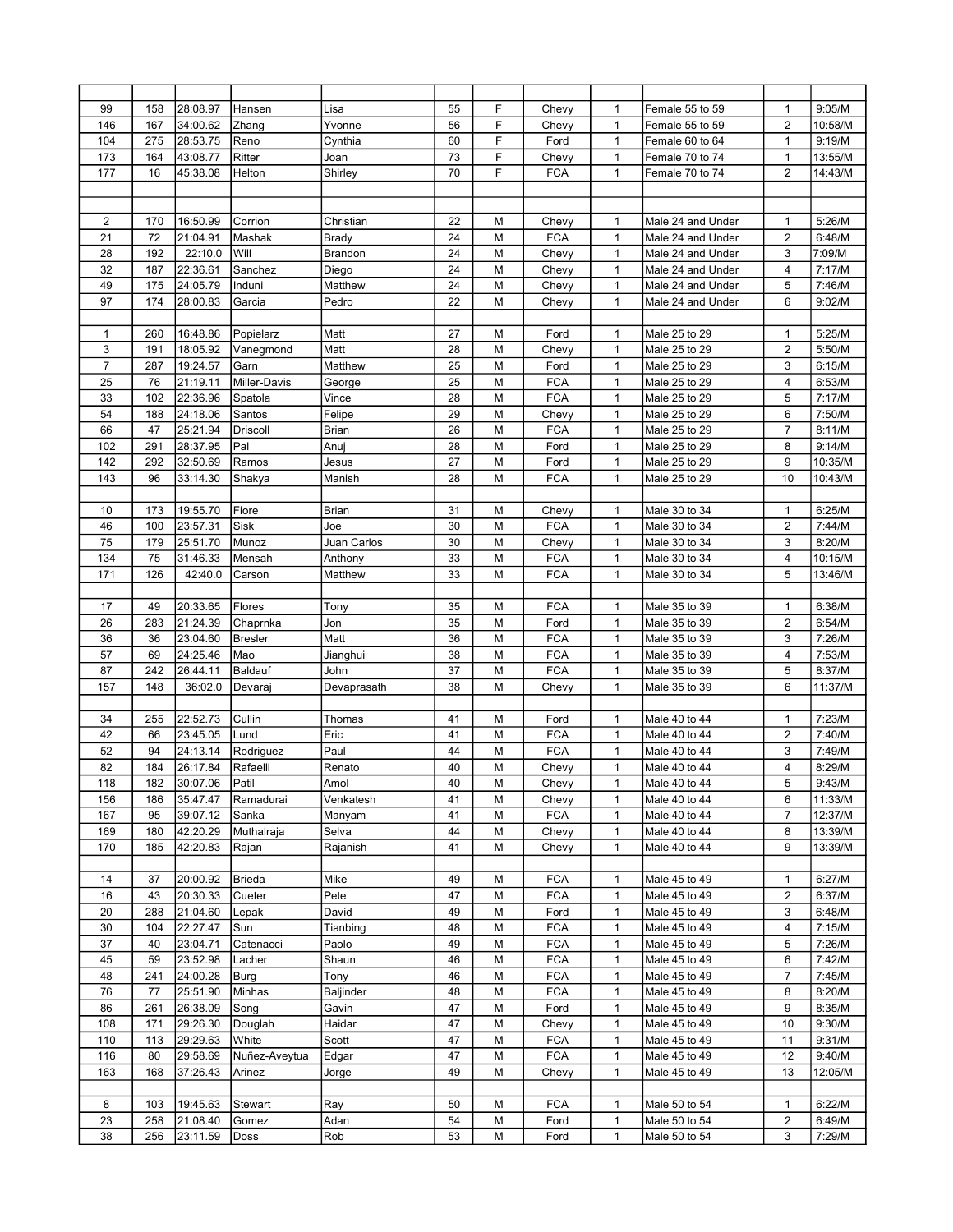| 99             | 158 | 28:08.97 | Hansen         | Lisa           | 55 | F | Chevy      | 1            | Female 55 to 59                | 1              | 9:05/M  |
|----------------|-----|----------|----------------|----------------|----|---|------------|--------------|--------------------------------|----------------|---------|
| 146            | 167 | 34:00.62 | Zhang          | Yvonne         | 56 | F | Chevy      | 1            | Female 55 to 59                | $\overline{2}$ | 10:58/M |
| 104            | 275 | 28:53.75 | Reno           | Cynthia        | 60 | F | Ford       | $\mathbf{1}$ | Female 60 to 64                | $\mathbf{1}$   | 9:19/M  |
| 173            | 164 | 43:08.77 | Ritter         | Joan           | 73 | F | Chevy      | $\mathbf{1}$ | Female 70 to 74                | $\mathbf{1}$   | 13:55/M |
| 177            | 16  | 45:38.08 | Helton         | Shirley        | 70 | F | <b>FCA</b> | $\mathbf{1}$ | Female 70 to 74                | $\overline{2}$ | 14:43/M |
|                |     |          |                |                |    |   |            |              |                                |                |         |
|                |     |          |                |                |    |   |            |              |                                |                |         |
|                |     |          |                |                |    |   |            |              |                                |                |         |
| $\overline{2}$ | 170 | 16:50.99 | Corrion        | Christian      | 22 | M | Chevy      | $\mathbf{1}$ | Male 24 and Under              | $\mathbf{1}$   | 5:26/M  |
| 21             | 72  | 21:04.91 | Mashak         | <b>Brady</b>   | 24 | M | <b>FCA</b> | 1            | Male 24 and Under              | $\overline{2}$ | 6:48/M  |
| 28             | 192 | 22:10.0  | Will           | <b>Brandon</b> | 24 | M | Chevy      | 1            | Male 24 and Under              | 3              | 7:09/M  |
| 32             | 187 | 22:36.61 | Sanchez        | Diego          | 24 | M | Chevy      | $\mathbf{1}$ | Male 24 and Under              | 4              | 7:17/M  |
| 49             | 175 | 24:05.79 | Induni         | Matthew        | 24 | M | Chevy      | $\mathbf{1}$ | Male 24 and Under              | 5              | 7:46/M  |
| 97             | 174 | 28:00.83 | Garcia         | Pedro          | 22 | M | Chevy      | 1            | Male 24 and Under              | 6              | 9:02/M  |
|                |     |          |                |                |    |   |            |              |                                |                |         |
| $\mathbf{1}$   | 260 | 16:48.86 | Popielarz      | Matt           | 27 | М | Ford       | $\mathbf{1}$ | Male 25 to 29                  | $\mathbf{1}$   | 5:25/M  |
| 3              | 191 | 18:05.92 | Vanegmond      | Matt           | 28 | М | Chevy      | 1            | Male 25 to 29                  | $\overline{2}$ | 5:50/M  |
| $\overline{7}$ | 287 | 19:24.57 | Garn           | Matthew        | 25 | M | Ford       | 1            | Male 25 to 29                  | 3              | 6:15/M  |
| 25             | 76  | 21:19.11 | Miller-Davis   | George         | 25 | M | <b>FCA</b> | $\mathbf{1}$ | Male 25 to 29                  | 4              | 6:53/M  |
| 33             | 102 | 22:36.96 | Spatola        | Vince          | 28 | M | <b>FCA</b> | 1            | Male 25 to 29                  | 5              | 7:17/M  |
| 54             | 188 | 24:18.06 | Santos         | Felipe         | 29 | M | Chevy      | 1            | Male 25 to 29                  | 6              | 7:50/M  |
| 66             | 47  | 25:21.94 | Driscoll       | <b>Brian</b>   | 26 | M | <b>FCA</b> | $\mathbf{1}$ | Male 25 to 29                  | $\overline{7}$ | 8:11/M  |
| 102            | 291 | 28:37.95 | Pal            | Anuj           | 28 | M | Ford       | $\mathbf{1}$ | Male 25 to 29                  | 8              | 9:14/M  |
| 142            | 292 | 32:50.69 |                | Jesus          | 27 | M | Ford       | $\mathbf{1}$ | Male 25 to 29                  | 9              | 10:35/M |
|                |     |          | Ramos          |                |    |   |            |              |                                |                |         |
| 143            | 96  | 33:14.30 | Shakya         | Manish         | 28 | M | <b>FCA</b> | 1            | Male 25 to 29                  | 10             | 10:43/M |
|                |     |          |                |                |    |   |            |              |                                |                |         |
| 10             | 173 | 19:55.70 | Fiore          | <b>Brian</b>   | 31 | M | Chevy      | 1            | Male 30 to 34                  | $\mathbf{1}$   | 6:25/M  |
| 46             | 100 | 23:57.31 | Sisk           | Joe            | 30 | M | <b>FCA</b> | 1            | Male 30 to 34                  | $\overline{2}$ | 7:44/M  |
| 75             | 179 | 25:51.70 | Munoz          | Juan Carlos    | 30 | M | Chevy      | 1            | Male 30 to 34                  | 3              | 8:20/M  |
| 134            | 75  | 31:46.33 | Mensah         | Anthony        | 33 | M | <b>FCA</b> | $\mathbf{1}$ | Male 30 to 34                  | 4              | 10:15/M |
| 171            | 126 | 42:40.0  | Carson         | Matthew        | 33 | M | <b>FCA</b> | $\mathbf{1}$ | Male 30 to 34                  | 5              | 13:46/M |
|                |     |          |                |                |    |   |            |              |                                |                |         |
| 17             | 49  | 20:33.65 | Flores         | Tony           | 35 | М | <b>FCA</b> | 1            | Male 35 to 39                  | 1              | 6:38/M  |
| 26             | 283 | 21:24.39 | Chaprnka       | Jon            | 35 | M | Ford       | $\mathbf{1}$ | Male 35 to 39                  | $\overline{2}$ | 6:54/M  |
| 36             | 36  | 23:04.60 | <b>Bresler</b> | Matt           | 36 | M | <b>FCA</b> | 1            | Male 35 to 39                  | 3              | 7:26/M  |
| 57             | 69  | 24:25.46 | Mao            | Jianghui       | 38 | M | <b>FCA</b> | 1            | Male 35 to 39                  | 4              | 7:53/M  |
| 87             | 242 | 26:44.11 | Baldauf        | John           | 37 | M | <b>FCA</b> | $\mathbf{1}$ | Male 35 to 39                  | 5              | 8:37/M  |
| 157            | 148 | 36:02.0  | Devaraj        | Devaprasath    | 38 | М | Chevy      | $\mathbf{1}$ | Male 35 to 39                  | 6              | 11:37/M |
|                |     |          |                |                |    |   |            |              |                                |                |         |
| 34             | 255 | 22:52.73 | Cullin         | Thomas         | 41 | M | Ford       | $\mathbf{1}$ | Male 40 to 44                  | $\mathbf{1}$   | 7:23/M  |
| 42             | 66  | 23:45.05 | Lund           | Eric           | 41 | M | <b>FCA</b> | $\mathbf{1}$ | Male 40 to 44                  | $\overline{2}$ | 7:40/M  |
| 52             | 94  | 24:13.14 | Rodriguez      | Paul           | 44 | М | <b>FCA</b> | 1            | Male 40 to 44                  | 3              | 7:49/M  |
|                |     |          |                |                |    |   |            |              |                                |                |         |
| 82             | 184 | 26:17.84 | Rafaelli       | Renato         | 40 | M | Chevy      | 1            | Male 40 to 44<br>Male 40 to 44 | 4              | 8:29/M  |
| 118            | 182 | 30:07.06 | Patil          | Amol           | 40 | M | Chevy      | $\mathbf{1}$ |                                | 5              | 9:43/M  |
| 156            | 186 | 35:47.47 | Ramadurai      | Venkatesh      | 41 | М | Chevy      | $\mathbf{1}$ | Male 40 to 44                  | 6              | 11:33/M |
| 167            | 95  | 39:07.12 | Sanka          | Manyam         | 41 | М | <b>FCA</b> | 1            | Male 40 to 44                  | 7              | 12:37/M |
| 169            | 180 | 42:20.29 | Muthalraja     | Selva          | 44 | М | Chevy      | 1            | Male 40 to 44                  | 8              | 13:39/M |
| 170            | 185 | 42:20.83 | Rajan          | Rajanish       | 41 | М | Chevy      | $\mathbf{1}$ | Male 40 to 44                  | 9              | 13:39/M |
|                |     |          |                |                |    |   |            |              |                                |                |         |
| 14             | 37  | 20:00.92 | <b>Brieda</b>  | Mike           | 49 | М | <b>FCA</b> | 1            | Male 45 to 49                  | $\mathbf{1}$   | 6:27/M  |
| 16             | 43  | 20:30.33 | Cueter         | Pete           | 47 | М | <b>FCA</b> | 1            | Male 45 to 49                  | 2              | 6:37/M  |
| 20             | 288 | 21:04.60 | Lepak          | David          | 49 | М | Ford       | 1            | Male 45 to 49                  | 3              | 6:48/M  |
| 30             | 104 | 22:27.47 | Sun            | Tianbing       | 48 | М | <b>FCA</b> | 1            | Male 45 to 49                  | 4              | 7:15/M  |
| 37             | 40  | 23:04.71 | Catenacci      | Paolo          | 49 | М | <b>FCA</b> | 1            | Male 45 to 49                  | 5              | 7:26/M  |
| 45             | 59  | 23:52.98 | Lacher         | Shaun          | 46 | М | <b>FCA</b> | $\mathbf{1}$ | Male 45 to 49                  | 6              | 7:42/M  |
| 48             | 241 | 24:00.28 | Burg           | Tony           | 46 | М | <b>FCA</b> | 1            | Male 45 to 49                  | $\overline{7}$ | 7:45/M  |
| 76             | 77  | 25:51.90 | Minhas         | Baljinder      | 48 | М | <b>FCA</b> | $\mathbf{1}$ | Male 45 to 49                  | 8              | 8:20/M  |
| 86             | 261 | 26:38.09 | Song           | Gavin          | 47 | М | Ford       | 1            | Male 45 to 49                  | 9              | 8:35/M  |
| 108            | 171 | 29:26.30 | Douglah        | Haidar         | 47 | М | Chevy      | 1            | Male 45 to 49                  | 10             | 9:30/M  |
| 110            | 113 | 29:29.63 | White          | Scott          | 47 | М | <b>FCA</b> | 1            | Male 45 to 49                  | 11             | 9:31/M  |
|                |     |          |                |                |    |   |            |              |                                |                |         |
| 116            | 80  | 29:58.69 | Nuñez-Aveytua  | Edgar          | 47 | М | <b>FCA</b> | 1            | Male 45 to 49                  | 12             | 9:40/M  |
| 163            | 168 | 37:26.43 | Arinez         | Jorge          | 49 | М | Chevy      | $\mathbf{1}$ | Male 45 to 49                  | 13             | 12:05/M |
|                |     |          |                |                |    |   |            |              |                                |                |         |
| 8              | 103 | 19:45.63 | Stewart        | Ray            | 50 | М | <b>FCA</b> | 1            | Male 50 to 54                  | 1              | 6:22/M  |
| 23             | 258 | 21:08.40 | Gomez          | Adan           | 54 | М | Ford       | 1            | Male 50 to 54                  | 2              | 6:49/M  |
| 38             | 256 | 23:11.59 | Doss           | Rob            | 53 | М | Ford       | $\mathbf{1}$ | Male 50 to 54                  | 3              | 7:29/M  |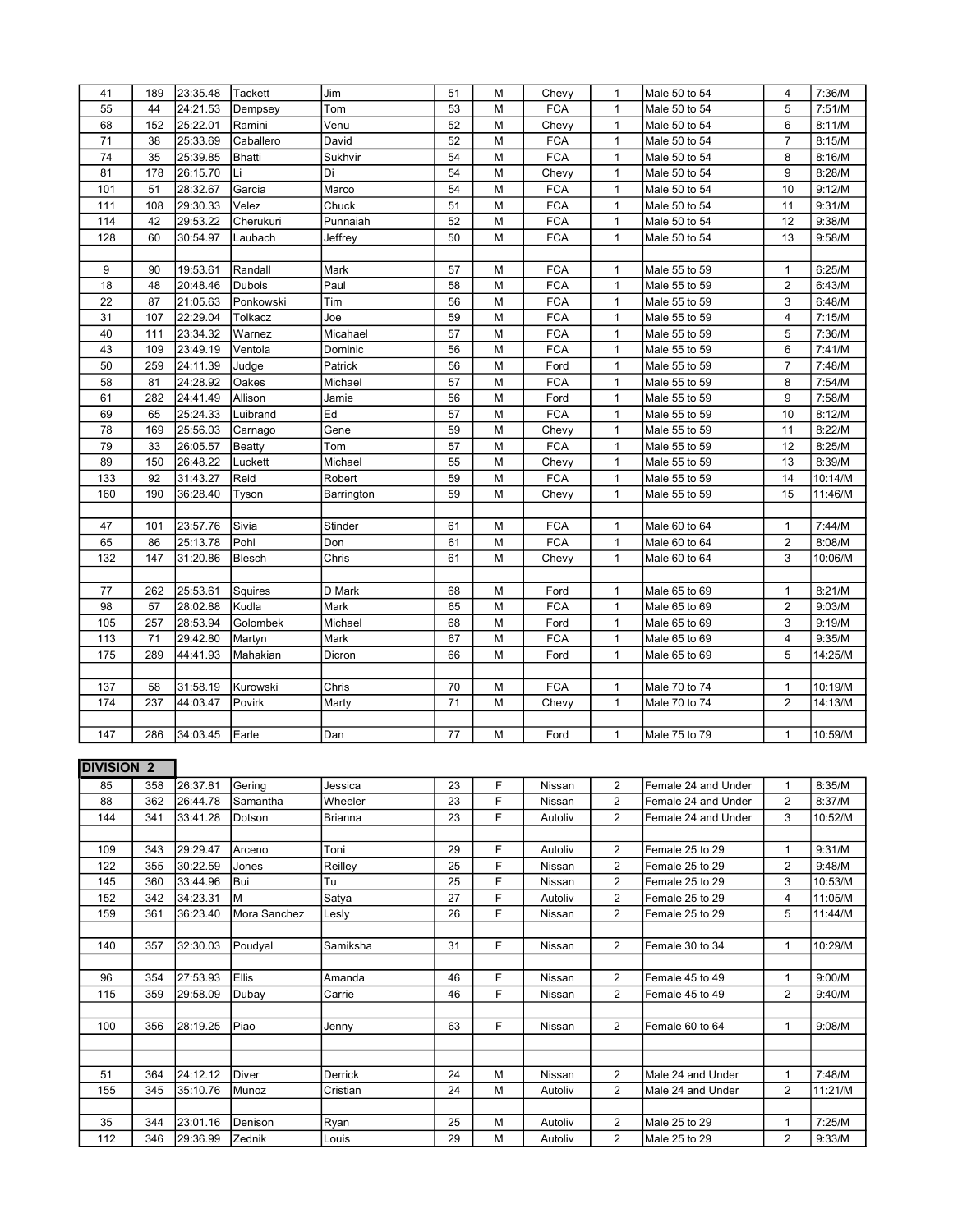| 41        | 189               | 23:35.48             | Tackett           | Jim           | 51       | М      | Chevy              | 1                       | Male 50 to 54                  | 4                 | 7:36/M           |
|-----------|-------------------|----------------------|-------------------|---------------|----------|--------|--------------------|-------------------------|--------------------------------|-------------------|------------------|
| 55        | 44                | 24:21.53             | Dempsey           | Tom           | 53       | М      | <b>FCA</b>         | 1                       | Male 50 to 54                  | 5                 | 7:51/M           |
| 68        | 152               | 25:22.01             | Ramini            | Venu          | 52       | М      | Chevy              | $\mathbf{1}$            | Male 50 to 54                  | 6                 | 8:11/M           |
| 71        | 38                | 25:33.69             | Caballero         | David         | 52       | М      | <b>FCA</b>         | $\mathbf{1}$            | Male 50 to 54                  | $\overline{7}$    | 8:15/M           |
| 74        | 35                | 25:39.85             | Bhatti            | Sukhvir       | 54       | М      | <b>FCA</b>         | $\mathbf{1}$            | Male 50 to 54                  | 8                 | 8:16/M           |
| 81        | 178               | 26:15.70             | Li                | Di            | 54       | М      | Chevy              | 1                       | Male 50 to 54                  | 9                 | 8:28/M           |
| 101       | 51                | 28:32.67             | Garcia            | Marco         | 54       | М      | <b>FCA</b>         | $\mathbf{1}$            | Male 50 to 54                  | 10                | 9:12/M           |
| 111       | 108               | 29:30.33             | Velez             | Chuck         | 51       | М      | <b>FCA</b>         | 1                       | Male 50 to 54                  | 11                | 9:31/M           |
| 114       | 42                | 29:53.22             | Cherukuri         | Punnaiah      | 52       | М      | <b>FCA</b>         | $\mathbf{1}$            | Male 50 to 54                  | 12                | 9:38/M           |
| 128       | 60                | 30:54.97             | Laubach           | Jeffrey       | 50       | М      | <b>FCA</b>         | $\mathbf{1}$            | Male 50 to 54                  | 13                | 9:58/M           |
|           |                   |                      |                   |               |          |        |                    |                         |                                |                   |                  |
| 9         | 90                | 19:53.61             | Randall           | Mark          | 57       | М      | <b>FCA</b>         | 1                       | Male 55 to 59                  | $\mathbf{1}$      | 6:25/M           |
|           |                   |                      |                   |               |          |        |                    |                         |                                |                   |                  |
| 18        | 48                | 20:48.46             | Dubois            | Paul          | 58       | М      | <b>FCA</b>         | $\mathbf{1}$            | Male 55 to 59                  | $\overline{2}$    | 6:43/M           |
| 22        | 87                | 21:05.63             | Ponkowski         | Tim           | 56       | М      | <b>FCA</b>         | $\mathbf{1}$            | Male 55 to 59                  | 3                 | 6:48/M           |
| 31        | 107               | 22:29.04             | Tolkacz           | Joe           | 59       | М      | <b>FCA</b>         | $\mathbf{1}$            | Male 55 to 59                  | 4                 | 7:15/M           |
| 40        | 111               | 23:34.32             | Warnez            | Micahael      | 57       | M      | <b>FCA</b>         | 1                       | Male 55 to 59                  | 5                 | 7:36/M           |
| 43        | 109               | 23:49.19             | Ventola           | Dominic       | 56       | M      | <b>FCA</b>         | 1                       | Male 55 to 59                  | $6\phantom{1}$    | 7:41/M           |
| 50        | 259               | 24:11.39             | Judge             | Patrick       | 56       | М      | Ford               | $\mathbf{1}$            | Male 55 to 59                  | $\overline{7}$    | 7:48/M           |
| 58        | 81                | 24:28.92             | Oakes             | Michael       | 57       | М      | <b>FCA</b>         | 1                       | Male 55 to 59                  | 8                 | 7:54/M           |
| 61        | 282               | 24:41.49             | Allison           | Jamie         | 56       | М      | Ford               | $\mathbf{1}$            | Male 55 to 59                  | 9                 | 7:58/M           |
| 69        | 65                | 25:24.33             | Luibrand          | Ed            | 57       | М      | <b>FCA</b>         | $\mathbf{1}$            | Male 55 to 59                  | 10                | 8:12/M           |
| 78        | 169               | 25:56.03             | Carnago           | Gene          | 59       | М      | Chevy              | $\mathbf{1}$            | Male 55 to 59                  | 11                | 8:22/M           |
| 79        | 33                | 26:05.57             | <b>Beatty</b>     | Tom           | 57       | М      | <b>FCA</b>         | 1                       | Male 55 to 59                  | 12                | 8:25/M           |
| 89        | 150               | 26:48.22             | Luckett           | Michael       | 55       | М      | Chevy              | 1                       | Male 55 to 59                  | 13                | 8:39/M           |
| 133       | 92                | 31:43.27             | Reid              | Robert        | 59       | М      | <b>FCA</b>         | $\mathbf{1}$            | Male 55 to 59                  | 14                | 10:14/M          |
| 160       | 190               | 36:28.40             | Tyson             | Barrington    | 59       | М      | Chevy              | 1                       | Male 55 to 59                  | 15                | 11:46/M          |
|           |                   |                      |                   |               |          |        |                    |                         |                                |                   |                  |
| 47        | 101               | 23:57.76             | Sivia             | Stinder       | 61       | М      | <b>FCA</b>         | $\mathbf{1}$            | Male 60 to 64                  | $\mathbf{1}$      | 7:44/M           |
| 65        | 86                | 25:13.78             | Pohl              | Don           | 61       | М      | <b>FCA</b>         | $\mathbf{1}$            | Male 60 to 64                  | $\overline{c}$    | 8:08/M           |
| 132       | 147               | 31:20.86             | Blesch            | Chris         | 61       | М      | Chevy              | $\mathbf{1}$            | Male 60 to 64                  | 3                 | 10:06/M          |
|           |                   |                      |                   |               |          |        |                    |                         |                                |                   |                  |
| 77        | 262               | 25:53.61             | Squires           | D Mark        | 68       | M      | Ford               | $\mathbf{1}$            | Male 65 to 69                  | $\mathbf{1}$      | 8:21/M           |
| 98        | 57                | 28:02.88             | Kudla             | Mark          | 65       | М      | <b>FCA</b>         | 1                       | Male 65 to 69                  | $\overline{2}$    | 9:03/M           |
| 105       | 257               | 28:53.94             | Golombek          | Michael       | 68       | M      | Ford               | $\mathbf{1}$            | Male 65 to 69                  | 3                 | 9:19/M           |
| 113       | 71                | 29:42.80             |                   | Mark          | 67       | М      | <b>FCA</b>         | $\mathbf{1}$            | Male 65 to 69                  | $\overline{4}$    | 9:35/M           |
|           |                   |                      | Martyn            |               |          |        |                    |                         |                                |                   |                  |
| 175       | 289               | 44:41.93             | Mahakian          | Dicron        | 66       | М      | Ford               | $\mathbf{1}$            | Male 65 to 69                  | 5                 | 14:25/M          |
|           |                   |                      |                   |               |          |        |                    |                         |                                |                   |                  |
| 137       | 58                | 31:58.19             | Kurowski          | Chris         | 70       | Μ      | <b>FCA</b>         | $\mathbf{1}$            | Male 70 to 74                  | $\mathbf{1}$      | 10:19/M          |
| 174       | 237               | 44:03.47             | Povirk            | Marty         | 71       | М      | Chevy              | $\mathbf{1}$            | Male 70 to 74                  | $\overline{2}$    | 14:13/M          |
|           |                   |                      |                   |               |          |        |                    |                         |                                |                   |                  |
| 147       | 286               | 34:03.45             | Earle             | Dan           | 77       |        |                    |                         |                                |                   |                  |
|           |                   |                      |                   |               |          | М      | Ford               | $\mathbf{1}$            | Male 75 to 79                  | $\mathbf{1}$      | 10:59/M          |
|           |                   |                      |                   |               |          |        |                    |                         |                                |                   |                  |
|           | <b>DIVISION 2</b> |                      |                   |               |          |        |                    |                         |                                |                   |                  |
| 85        | 358               | 26:37.81             | Gering            | Jessica       | 23       | F      | Nissan             | 2                       | Female 24 and Under            | $\mathbf{1}$      | 8:35/M           |
| 88        | 362               | 26:44.78             | Samantha          | Wheeler       | 23       | F      | Nissan             | 2                       | Female 24 and Under            | $\overline{2}$    | 8:37/M           |
| 144       | 341               | 33:41.28             | Dotson            | Brianna       | 23       | F      | Autoliv            | 2                       | Female 24 and Under            | 3                 | 10:52/M          |
|           |                   |                      |                   |               |          |        |                    |                         |                                |                   |                  |
| 109       | 343               | 29:29.47             | Arceno            | Toni          | 29       | F      | Autoliv            | 2                       | Female 25 to 29                | $\mathbf{1}$      | 9:31/M           |
| 122       | 355               | 30:22.59             | Jones             | Reilley       | 25       | F      | Nissan             | $\overline{2}$          | Female 25 to 29                | $\overline{2}$    | 9:48/M           |
| 145       | 360               | 33:44.96             | Bui               | Tu            | 25       | F      | Nissan             | $\overline{\mathbf{c}}$ | Female 25 to 29                | 3                 | 10:53/M          |
| 152       | 342               | 34:23.31             | M                 | Satya         | 27       | F      | Autoliv            | 2                       | Female 25 to 29                | 4                 | 11:05/M          |
| 159       | 361               | 36:23.40             | Mora Sanchez      | Lesly         | 26       | F      | Nissan             | 2                       | Female 25 to 29                | 5                 | 11:44/M          |
|           |                   |                      |                   |               |          |        |                    |                         |                                |                   |                  |
|           |                   |                      |                   |               |          |        |                    |                         |                                |                   |                  |
| 140       | 357               | 32:30.03             | Poudyal           | Samiksha      | 31       | F      | Nissan             | 2                       | Female 30 to 34                | $\mathbf{1}$      | 10:29/M          |
|           |                   |                      |                   |               |          |        |                    |                         |                                |                   |                  |
| 96        | 354               | 27:53.93             | <b>Ellis</b>      | Amanda        | 46       | F      | Nissan             | 2                       | Female 45 to 49                | 1                 | 9:00/M           |
| 115       | 359               | 29:58.09             | Dubay             | Carrie        | 46       | F      | Nissan             | $\overline{2}$          | Female 45 to 49                | 2                 | 9:40/M           |
|           |                   |                      |                   |               |          |        |                    |                         |                                |                   |                  |
| 100       | 356               | 28:19.25             | Piao              | Jenny         | 63       | F      | Nissan             | 2                       | Female 60 to 64                | 1                 | 9:08/M           |
|           |                   |                      |                   |               |          |        |                    |                         |                                |                   |                  |
|           |                   |                      |                   |               |          |        |                    |                         |                                |                   |                  |
| 51        | 364               | 24:12.12             | Diver             | Derrick       | 24       | М      | Nissan             | 2                       | Male 24 and Under              | $\mathbf{1}$      | 7:48/M           |
| 155       | 345               | 35:10.76             | Munoz             | Cristian      | 24       | М      | Autoliv            | 2                       | Male 24 and Under              | $\overline{2}$    | 11:21/M          |
|           |                   |                      |                   |               |          |        |                    |                         |                                |                   |                  |
| 35<br>112 | 344<br>346        | 23:01.16<br>29:36.99 | Denison<br>Zednik | Ryan<br>Louis | 25<br>29 | М<br>М | Autoliv<br>Autoliv | 2<br>$\overline{2}$     | Male 25 to 29<br>Male 25 to 29 | $\mathbf{1}$<br>2 | 7:25/M<br>9:33/M |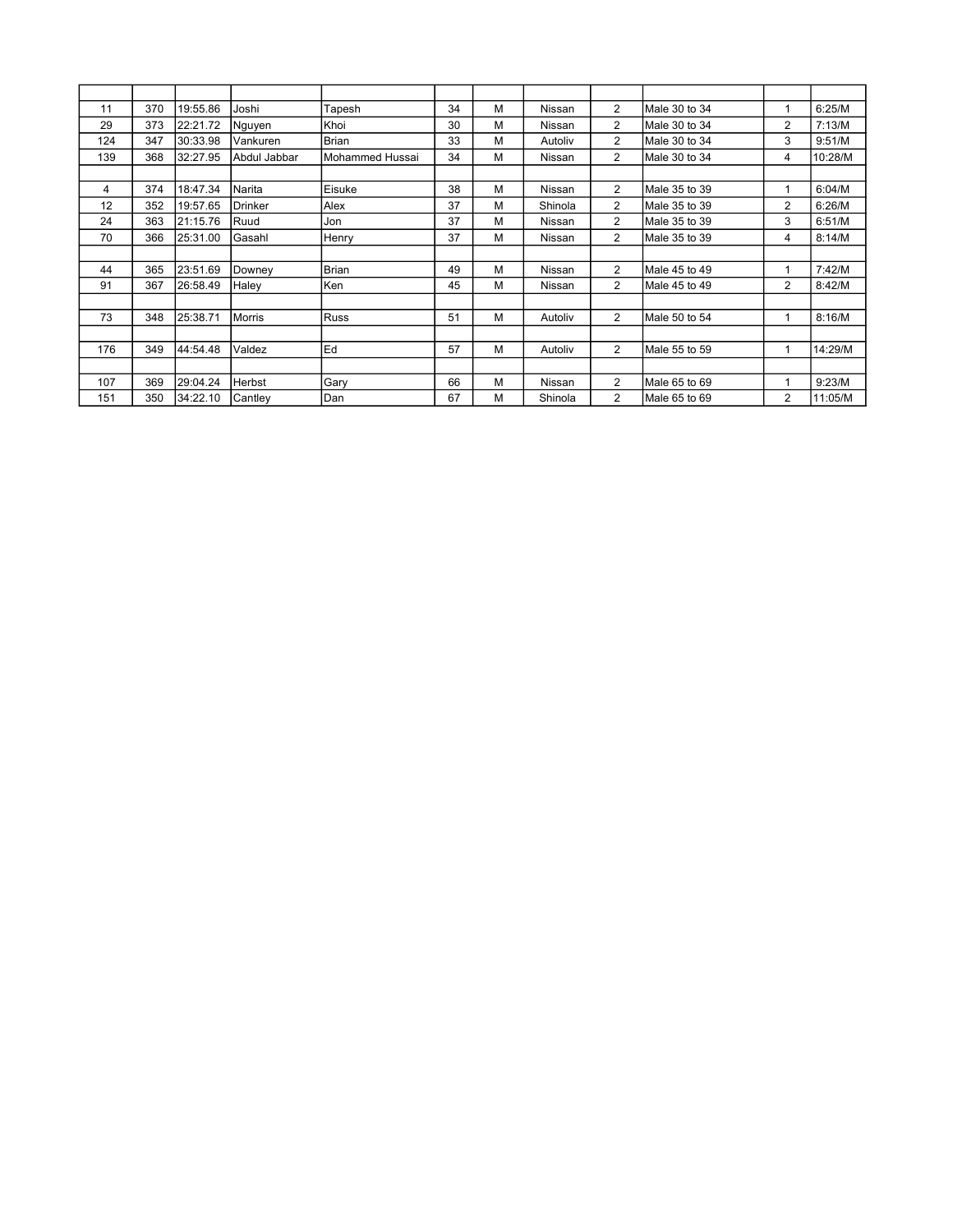| 11  | 370 | 19:55.86 | Joshi        | Tapesh          | 34 | М | Nissan  | $\overline{2}$ | Male 30 to 34 | 1              | 6:25/M  |
|-----|-----|----------|--------------|-----------------|----|---|---------|----------------|---------------|----------------|---------|
| 29  | 373 | 22:21.72 | Nguyen       | Khoi            | 30 | М | Nissan  | $\overline{2}$ | Male 30 to 34 | 2              | 7:13/M  |
| 124 | 347 | 30:33.98 | Vankuren     | <b>Brian</b>    | 33 | М | Autoliv | $\overline{2}$ | Male 30 to 34 | 3              | 9:51/M  |
| 139 | 368 | 32:27.95 | Abdul Jabbar | Mohammed Hussai | 34 | M | Nissan  | $\overline{2}$ | Male 30 to 34 | 4              | 10:28/M |
|     |     |          |              |                 |    |   |         |                |               |                |         |
| 4   | 374 | 18:47.34 | Narita       | Eisuke          | 38 | М | Nissan  | $\overline{2}$ | Male 35 to 39 | 1              | 6:04/M  |
| 12  | 352 | 19:57.65 | Drinker      | Alex            | 37 | М | Shinola | 2              | Male 35 to 39 | 2              | 6:26/M  |
| 24  | 363 | 21:15.76 | Ruud         | Jon             | 37 | М | Nissan  | 2              | Male 35 to 39 | 3              | 6:51/M  |
| 70  | 366 | 25:31.00 | Gasahl       | Henry           | 37 | М | Nissan  | $\overline{2}$ | Male 35 to 39 | 4              | 8:14/M  |
|     |     |          |              |                 |    |   |         |                |               |                |         |
| 44  | 365 | 23:51.69 | Downey       | <b>Brian</b>    | 49 | M | Nissan  | $\overline{2}$ | Male 45 to 49 | ٢              | 7:42/M  |
| 91  | 367 | 26:58.49 | Haley        | Ken             | 45 | М | Nissan  | $\overline{2}$ | Male 45 to 49 | $\overline{2}$ | 8:42/M  |
|     |     |          |              |                 |    |   |         |                |               |                |         |
| 73  | 348 | 25:38.71 | Morris       | <b>Russ</b>     | 51 | М | Autoliv | 2              | Male 50 to 54 | 1              | 8:16/M  |
|     |     |          |              |                 |    |   |         |                |               |                |         |
| 176 | 349 | 44:54.48 | Valdez       | Ed              | 57 | M | Autoliv | $\overline{2}$ | Male 55 to 59 | 1              | 14:29/M |
|     |     |          |              |                 |    |   |         |                |               |                |         |
| 107 | 369 | 29:04.24 | Herbst       | Gary            | 66 | М | Nissan  | $\overline{2}$ | Male 65 to 69 | ٠              | 9:23/M  |
| 151 | 350 | 34:22.10 | Cantley      | Dan             | 67 | М | Shinola | $\overline{2}$ | Male 65 to 69 | $\overline{2}$ | 11:05/M |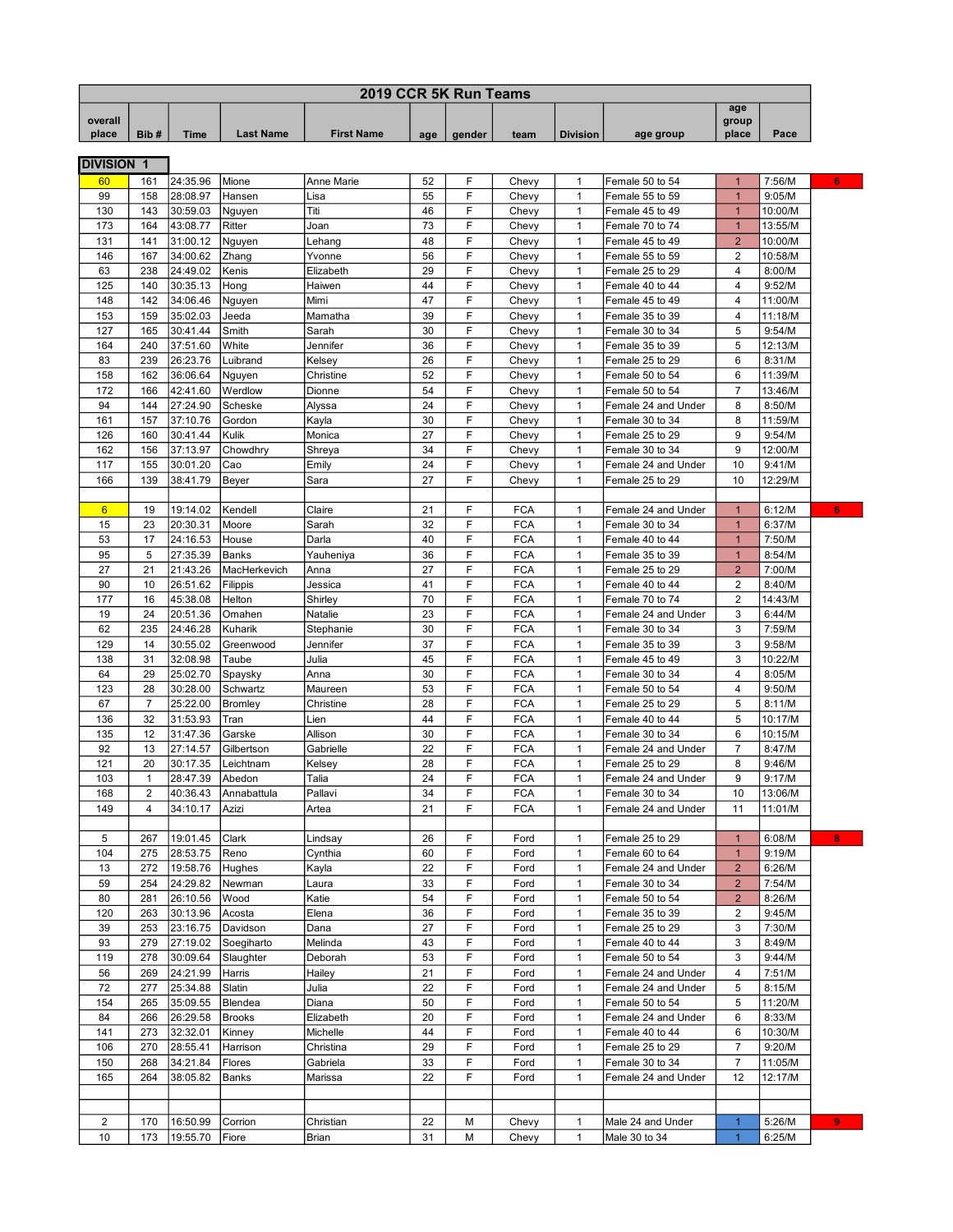|                   |                |                      |                  |                       |          | 2019 CCR 5K Run Teams |                          |                              |                                        |                              |                    |
|-------------------|----------------|----------------------|------------------|-----------------------|----------|-----------------------|--------------------------|------------------------------|----------------------------------------|------------------------------|--------------------|
| overall<br>place  | Bib#           | Time                 | <b>Last Name</b> | <b>First Name</b>     | age      | gender                | team                     | <b>Division</b>              | age group                              | age<br>group<br>place        | Pace               |
|                   |                |                      |                  |                       |          |                       |                          |                              |                                        |                              |                    |
| <b>DIVISION 1</b> |                |                      |                  |                       |          |                       |                          |                              |                                        |                              |                    |
| 60                | 161            | 24:35.96             | Mione            | Anne Marie            | 52       | F                     | Chevy                    | 1                            | Female 50 to 54                        | $\mathbf{1}$                 | 7:56/M             |
| 99                | 158            | 28:08.97             | Hansen           | Lisa                  | 55       | F                     | Chevy                    | 1                            | Female 55 to 59                        | $\mathbf{1}$                 | 9:05/M             |
| 130<br>173        | 143            | 30:59.03             | Nguyen           | Titi                  | 46<br>73 | F<br>F                | Chevy                    | $\mathbf{1}$<br>$\mathbf{1}$ | Female 45 to 49                        | $\mathbf{1}$<br>$\mathbf{1}$ | 10:00/M            |
| 131               | 164<br>141     | 43:08.77<br>31:00.12 | Ritter           | Joan                  | 48       | F                     | Chevy<br>Chevy           | $\mathbf{1}$                 | Female 70 to 74<br>Female 45 to 49     | $\overline{c}$               | 13:55/M<br>10:00/M |
| 146               | 167            | 34:00.62             | Nguyen<br>Zhang  | Lehang<br>Yvonne      | 56       | F                     | Chevy                    | 1                            | Female 55 to 59                        | $\overline{\mathbf{c}}$      | 10:58/M            |
| 63                | 238            | 24:49.02             | Kenis            | Elizabeth             | 29       | F                     | Chevy                    | $\mathbf{1}$                 | Female 25 to 29                        | 4                            | 8:00/M             |
| 125               | 140            | 30:35.13             | Hong             | Haiwen                | 44       | F                     | Chevy                    | $\mathbf{1}$                 | Female 40 to 44                        | $\overline{4}$               | 9:52/M             |
| 148               | 142            | 34:06.46             | Nguyen           | Mimi                  | 47       | F                     | Chevy                    | $\mathbf{1}$                 | Female 45 to 49                        | 4                            | 11:00/M            |
| 153               | 159            | 35:02.03             | Jeeda            | Mamatha               | 39       | F                     | Chevy                    | $\mathbf{1}$                 | Female 35 to 39                        | 4                            | 11:18/M            |
| 127               | 165            | 30:41.44             | Smith            | Sarah                 | 30       | F                     | Chevy                    | $\mathbf{1}$                 | Female 30 to 34                        | 5                            | 9:54/M             |
| 164               | 240            | 37:51.60             | White            | Jennifer              | 36       | F                     | Chevy                    | $\mathbf{1}$                 | Female 35 to 39                        | 5                            | 12:13/M            |
| 83                | 239            | 26:23.76             | Luibrand         | Kelsey                | 26       | F                     | Chevy                    | $\mathbf{1}$                 | Female 25 to 29                        | 6                            | 8:31/M             |
| 158               | 162            | 36:06.64             | Nguyen           | Christine             | 52       | F                     | Chevy                    | $\mathbf{1}$                 | Female 50 to 54                        | 6                            | 11:39/M            |
| 172               | 166            | 42:41.60             | Werdlow          | Dionne                | 54       | F                     | Chevy                    | $\mathbf{1}$                 | Female 50 to 54                        | $\overline{7}$               | 13:46/M            |
| 94                | 144            | 27:24.90             | Scheske          | Alyssa                | 24       | F                     | Chevy                    | 1                            | Female 24 and Under                    | 8                            | 8:50/M             |
| 161               | 157            | 37:10.76             | Gordon           | Kayla                 | 30       | F                     | Chevy                    | $\mathbf{1}$                 | Female 30 to 34                        | 8                            | 11:59/M            |
| 126               | 160            | 30:41.44             | Kulik            | Monica                | 27       | F                     | Chevy                    | $\mathbf{1}$                 | Female 25 to 29                        | 9                            | 9:54/M             |
| 162               | 156            | 37:13.97             | Chowdhry         | Shreya                | 34       | F                     | Chevy                    | $\mathbf{1}$                 | Female 30 to 34                        | 9                            | 12:00/M            |
| 117               | 155            | 30:01.20             | Cao              | Emily                 | 24       | F                     | Chevy                    | $\mathbf{1}$                 | Female 24 and Under                    | 10                           | 9:41/M             |
| 166               | 139            | 38:41.79             | Beyer            | Sara                  | 27       | F                     | Chevy                    | 1                            | Female 25 to 29                        | 10                           | 12:29/M            |
|                   |                |                      |                  |                       |          |                       |                          |                              |                                        |                              |                    |
| 6                 | 19             | 19:14.02             | Kendell          | Claire                | 21       | F                     | <b>FCA</b>               | $\mathbf{1}$                 | Female 24 and Under                    | $\overline{1}$               | 6:12/M             |
| 15                | 23             | 20:30.31             | Moore            | Sarah                 | 32       | F                     | <b>FCA</b>               | 1                            | Female 30 to 34                        | $\mathbf{1}$                 | 6:37/M             |
| 53                | 17             | 24:16.53             | House            | Darla                 | 40       | F                     | <b>FCA</b>               | $\mathbf{1}$                 | Female 40 to 44                        | $\mathbf{1}$                 | 7:50/M             |
| 95                | 5              | 27:35.39             | Banks            | Yauheniya             | 36       | F                     | <b>FCA</b>               | 1                            | Female 35 to 39                        | $\mathbf{1}$                 | 8:54/M             |
| 27                | 21             | 21:43.26             | MacHerkevich     | Anna                  | 27       | F                     | <b>FCA</b>               | $\mathbf{1}$                 | Female 25 to 29                        | $\overline{2}$               | 7:00/M             |
| 90                | 10             | 26:51.62             | Filippis         | Jessica               | 41       | F                     | <b>FCA</b>               | $\mathbf{1}$                 | Female 40 to 44                        | $\overline{2}$               | 8:40/M             |
| 177<br>19         | 16<br>24       | 45:38.08<br>20:51.36 | Helton<br>Omahen | Shirley<br>Natalie    | 70<br>23 | F<br>F                | <b>FCA</b><br><b>FCA</b> | 1<br>1                       | Female 70 to 74<br>Female 24 and Under | 2<br>3                       | 14:43/M<br>6:44/M  |
| 62                | 235            | 24:46.28             | Kuharik          | Stephanie             | 30       | F                     | <b>FCA</b>               | 1                            | Female 30 to 34                        | 3                            | 7:59/M             |
| 129               | 14             | 30:55.02             | Greenwood        | Jennifer              | 37       | F                     | <b>FCA</b>               | $\mathbf{1}$                 | Female 35 to 39                        | 3                            | 9:58/M             |
| 138               | 31             | 32:08.98             | Taube            | Julia                 | 45       | F                     | <b>FCA</b>               | $\mathbf{1}$                 | Female 45 to 49                        | 3                            | 10:22/M            |
| 64                | 29             | 25:02.70             | Spaysky          | Anna                  | 30       | F                     | <b>FCA</b>               | $\mathbf{1}$                 | Female 30 to 34                        | 4                            | 8:05/M             |
| 123               | 28             | 30:28.00             | Schwartz         | Maureen               | 53       | F                     | <b>FCA</b>               | $\mathbf{1}$                 | Female 50 to 54                        | 4                            | 9:50/M             |
| 67                | $\overline{7}$ | 25:22.00             | <b>Bromley</b>   | Christine             | 28       | F                     | <b>FCA</b>               | 1                            | Female 25 to 29                        | 5                            | 8:11/M             |
| 136               | 32             | 31:53.93             | Tran             | Lien                  | 44       | F                     | <b>FCA</b>               | 1                            | Female 40 to 44                        | 5                            | 10:17/M            |
| 135               | 12             | 31:47.36             | Garske           | Allison               | 30       | F                     | <b>FCA</b>               | $\mathbf{1}$                 | Female 30 to 34                        | 6                            | 10:15/M            |
| 92                | 13             | 27:14.57             | Gilbertson       | Gabrielle             | 22       | F                     | <b>FCA</b>               | $\mathbf{1}$                 | Female 24 and Under                    | $\overline{7}$               | 8:47/M             |
| 121               | 20             | 30:17.35             | Leichtnam        | Kelsey                | 28       | F                     | <b>FCA</b>               | 1                            | Female 25 to 29                        | 8                            | 9:46/M             |
| 103               | $\mathbf{1}$   | 28:47.39             | Abedon           | Talia                 | 24       | F                     | <b>FCA</b>               | $\mathbf{1}$                 | Female 24 and Under                    | 9                            | 9:17/M             |
| 168               | 2              | 40:36.43             | Annabattula      | Pallavi               | 34       | F                     | <b>FCA</b>               | $\mathbf{1}$                 | Female 30 to 34                        | 10                           | 13:06/M            |
| 149               | 4              | 34:10.17             | Azizi            | Artea                 | 21       | F                     | <b>FCA</b>               | $\mathbf{1}$                 | Female 24 and Under                    | 11                           | 11:01/M            |
|                   |                |                      |                  |                       |          |                       |                          |                              |                                        |                              |                    |
| 5                 | 267            | 19:01.45             | Clark            | Lindsay               | 26       | F                     | Ford                     | $\mathbf{1}$                 | Female 25 to 29                        | $\mathbf{1}$                 | 6:08/M             |
| 104               | 275            | 28:53.75             | Reno             | Cynthia               | 60       | F                     | Ford                     | $\mathbf{1}$                 | Female 60 to 64                        | $\mathbf{1}$                 | 9:19/M             |
| 13                | 272            | 19:58.76             | Hughes           | Kayla                 | 22       | F                     | Ford                     | $\mathbf{1}$                 | Female 24 and Under                    | $\overline{c}$               | 6:26/M             |
| 59                | 254            | 24:29.82             | Newman           | Laura                 | 33       | F                     | Ford                     | $\mathbf{1}$                 | Female 30 to 34                        | $\overline{2}$               | 7:54/M             |
| 80                | 281            | 26:10.56             | Wood             | Katie                 | 54       | F                     | Ford                     | 1                            | Female 50 to 54                        | $\overline{c}$               | 8:26/M             |
| 120               | 263            | 30:13.96             | Acosta           | Elena                 | 36       | F                     | Ford                     | $\mathbf{1}$                 | Female 35 to 39                        | $\boldsymbol{2}$             | 9:45/M             |
| 39                | 253            | 23:16.75             | Davidson         | Dana                  | 27       | F                     | Ford                     | 1                            | Female 25 to 29                        | 3                            | 7:30/M             |
| 93                | 279            | 27:19.02             | Soegiharto       | Melinda               | 43       | F                     | Ford                     | $\mathbf{1}$                 | Female 40 to 44                        | 3                            | 8:49/M             |
| 119               | 278            | 30:09.64             | Slaughter        | Deborah               | 53       | F                     | Ford                     | $\mathbf{1}$                 | Female 50 to 54                        | 3                            | 9:44/M             |
| 56                | 269            | 24:21.99             | Harris           | Hailey                | 21       | F                     | Ford                     | $\mathbf{1}$                 | Female 24 and Under                    | 4                            | 7:51/M             |
| 72                | 277            | 25:34.88             | Slatin           | Julia                 | 22       | F                     | Ford                     | $\mathbf{1}$                 | Female 24 and Under                    | 5                            | 8:15/M             |
| 154               | 265            | 35:09.55             | Blendea          | Diana                 | 50       | F                     | Ford                     | $\mathbf{1}$                 | Female 50 to 54                        | 5                            | 11:20/M            |
| 84                | 266            | 26:29.58             | Brooks           | Elizabeth             | 20       | F                     | Ford                     | $\mathbf{1}$                 | Female 24 and Under                    | 6                            | 8:33/M             |
| 141               | 273            | 32:32.01             | Kinney           | Michelle              | 44<br>29 | F                     | Ford                     | $\mathbf{1}$                 | Female 40 to 44                        | 6<br>$\boldsymbol{7}$        | 10:30/M            |
| 106<br>150        | 270<br>268     | 28:55.41<br>34:21.84 | Harrison         | Christina<br>Gabriela | 33       | F<br>F                | Ford                     | $\mathbf{1}$<br>$\mathbf{1}$ | Female 25 to 29<br>Female 30 to 34     | $\overline{7}$               | 9:20/M<br>11:05/M  |
| 165               | 264            | 38:05.82             | Flores<br>Banks  | Marissa               | 22       | F                     | Ford<br>Ford             | 1                            | Female 24 and Under                    | 12                           | 12:17/M            |
|                   |                |                      |                  |                       |          |                       |                          |                              |                                        |                              |                    |
|                   |                |                      |                  |                       |          |                       |                          |                              |                                        |                              |                    |
| 2                 | 170            | 16:50.99             | Corrion          | Christian             | 22       | М                     | Chevy                    | $\mathbf{1}$                 | Male 24 and Under                      | 1                            | 5:26/M             |
| 10                | 173            | 19:55.70             | Fiore            | Brian                 | 31       | М                     | Chevy                    | $\mathbf{1}$                 | Male 30 to 34                          | $\overline{1}$               | 6:25/M             |
|                   |                |                      |                  |                       |          |                       |                          |                              |                                        |                              |                    |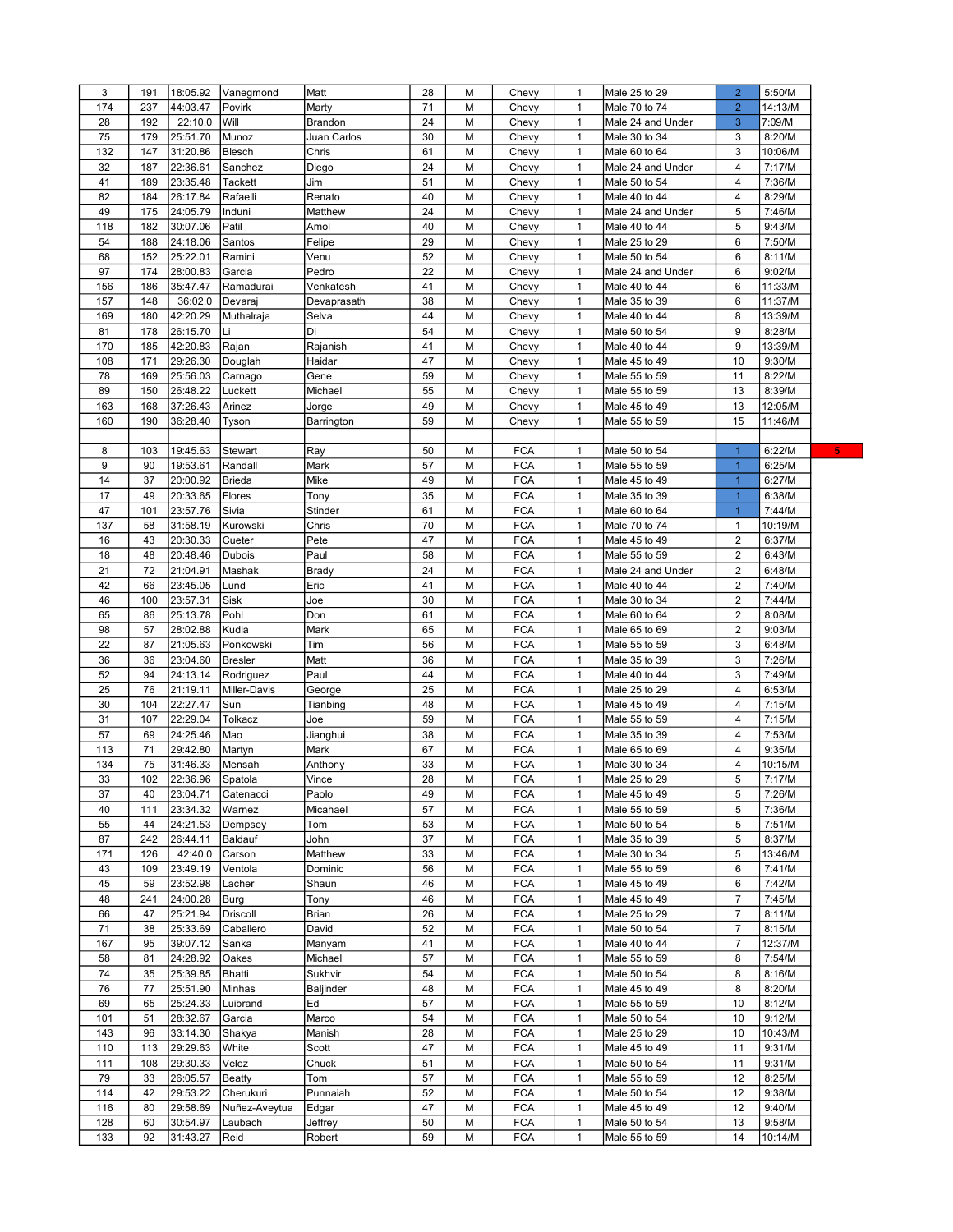| 3   | 191 | 18:05.92         | Vanegmond      | Matt         | 28 | М | Chevy      | 1            | Male 25 to 29     | $\overline{2}$   | 5:50/M  |   |
|-----|-----|------------------|----------------|--------------|----|---|------------|--------------|-------------------|------------------|---------|---|
| 174 | 237 | 44:03.47         | Povirk         | Marty        | 71 | M | Chevy      | 1            | Male 70 to 74     | $\overline{c}$   | 14:13/M |   |
| 28  | 192 | 22:10.0          | Will           | Brandon      | 24 | M | Chevy      | 1            | Male 24 and Under | 3                | 7:09/M  |   |
| 75  | 179 | 25:51.70         | Munoz          | Juan Carlos  | 30 | M | Chevy      | 1            | Male 30 to 34     | 3                | 8:20/M  |   |
| 132 | 147 | 31:20.86         | Blesch         | Chris        | 61 | М |            | $\mathbf{1}$ | Male 60 to 64     | 3                | 10:06/M |   |
| 32  |     | 22:36.61         |                |              | 24 | М | Chevy      |              |                   | 4                | 7:17/M  |   |
|     | 187 |                  | Sanchez        | Diego        |    |   | Chevy      | 1            | Male 24 and Under |                  |         |   |
| 41  | 189 | 23:35.48         | <b>Tackett</b> | Jim          | 51 | M | Chevy      | 1            | Male 50 to 54     | $\overline{4}$   | 7:36/M  |   |
| 82  | 184 | 26:17.84         | Rafaelli       | Renato       | 40 | M | Chevy      | 1            | Male 40 to 44     | $\overline{4}$   | 8:29/M  |   |
| 49  | 175 | 24:05.79         | Induni         | Matthew      | 24 | M | Chevy      | 1            | Male 24 and Under | 5                | 7:46/M  |   |
| 118 | 182 | 30:07.06         | Patil          | Amol         | 40 | М | Chevy      | $\mathbf{1}$ | Male 40 to 44     | 5                | 9:43/M  |   |
| 54  | 188 | 24:18.06         | Santos         | Felipe       | 29 | М | Chevy      | 1            | Male 25 to 29     | 6                | 7:50/M  |   |
| 68  | 152 | 25:22.01         | Ramini         | Venu         | 52 | M | Chevy      | 1            | Male 50 to 54     | 6                | 8:11/M  |   |
| 97  | 174 | 28:00.83         | Garcia         | Pedro        | 22 | M | Chevy      | 1            | Male 24 and Under | 6                | 9:02/M  |   |
| 156 | 186 | 35:47.47         | Ramadurai      | Venkatesh    | 41 | M | Chevy      | 1            | Male 40 to 44     | 6                | 11:33/M |   |
| 157 | 148 | 36:02.0          | Devaraj        | Devaprasath  | 38 | M | Chevy      | $\mathbf{1}$ | Male 35 to 39     | 6                | 11:37/M |   |
|     |     |                  |                |              | 44 |   |            |              |                   | 8                |         |   |
| 169 | 180 | 42:20.29         | Muthalraja     | Selva        |    | M | Chevy      | 1            | Male 40 to 44     |                  | 13:39/M |   |
| 81  | 178 | 26:15.70         | Li             | Di           | 54 | M | Chevy      | $\mathbf{1}$ | Male 50 to 54     | 9                | 8:28/M  |   |
| 170 | 185 | 42:20.83         | Rajan          | Rajanish     | 41 | M | Chevy      | 1            | Male 40 to 44     | 9                | 13:39/M |   |
| 108 | 171 | 29:26.30         | Douglah        | Haidar       | 47 | M | Chevy      | 1            | Male 45 to 49     | 10               | 9:30/M  |   |
| 78  | 169 | 25:56.03         | Carnago        | Gene         | 59 | M | Chevy      | 1            | Male 55 to 59     | 11               | 8:22/M  |   |
| 89  | 150 | 26:48.22         | Luckett        | Michael      | 55 | M | Chevy      | $\mathbf{1}$ | Male 55 to 59     | 13               | 8:39/M  |   |
| 163 | 168 | 37:26.43         | Arinez         | Jorge        | 49 | M | Chevy      | $\mathbf{1}$ | Male 45 to 49     | 13               | 12:05/M |   |
| 160 | 190 | 36:28.40         | Tyson          | Barrington   | 59 | M | Chevy      | 1            | Male 55 to 59     | 15               | 11:46/M |   |
|     |     |                  |                |              |    |   |            |              |                   |                  |         |   |
|     |     |                  | Stewart        |              | 50 | M |            |              | Male 50 to 54     |                  | 6:22/M  | 5 |
| 8   | 103 | 19:45.63         |                | Ray          |    |   | <b>FCA</b> | 1            |                   | $\mathbf{1}$     |         |   |
| 9   | 90  | 19:53.61         | Randall        | Mark         | 57 | М | <b>FCA</b> | $\mathbf{1}$ | Male 55 to 59     | $\overline{1}$   | 6:25/M  |   |
| 14  | 37  | 20:00.92         | Brieda         | Mike         | 49 | M | <b>FCA</b> | 1            | Male 45 to 49     | $\overline{1}$   | 6:27/M  |   |
| 17  | 49  | 20:33.65         | Flores         | Tony         | 35 | M | <b>FCA</b> | 1            | Male 35 to 39     | $\overline{1}$   | 6:38/M  |   |
| 47  | 101 | 23:57.76         | Sivia          | Stinder      | 61 | M | <b>FCA</b> | 1            | Male 60 to 64     | $\mathbf{1}$     | 7:44/M  |   |
| 137 | 58  | 31:58.19         | Kurowski       | Chris        | 70 | M | <b>FCA</b> | $\mathbf{1}$ | Male 70 to 74     | 1                | 10:19/M |   |
| 16  | 43  | 20:30.33         | Cueter         | Pete         | 47 | M | <b>FCA</b> | $\mathbf{1}$ | Male 45 to 49     | $\overline{c}$   | 6:37/M  |   |
| 18  | 48  | 20:48.46         | Dubois         | Paul         | 58 | M | <b>FCA</b> | 1            | Male 55 to 59     | $\overline{c}$   | 6:43/M  |   |
| 21  | 72  | 21:04.91         | Mashak         | <b>Brady</b> | 24 | M | <b>FCA</b> | 1            | Male 24 and Under | $\overline{2}$   | 6:48/M  |   |
| 42  | 66  | 23:45.05         | Lund           | Eric         | 41 | M | <b>FCA</b> | $\mathbf{1}$ | Male 40 to 44     | $\overline{2}$   | 7:40/M  |   |
|     |     |                  |                |              |    |   |            |              |                   |                  |         |   |
| 46  | 100 | 23:57.31         | Sisk           | Joe          | 30 | M | <b>FCA</b> | $\mathbf{1}$ | Male 30 to 34     | $\overline{2}$   | 7:44/M  |   |
| 65  | 86  | 25:13.78         | Pohl           | Don          | 61 | M | <b>FCA</b> | $\mathbf{1}$ | Male 60 to 64     | $\overline{c}$   | 8:08/M  |   |
| 98  | 57  | 28:02.88         | Kudla          | Mark         | 65 | M | <b>FCA</b> | $\mathbf{1}$ | Male 65 to 69     | $\overline{c}$   | 9:03/M  |   |
| 22  | 87  | 21:05.63         | Ponkowski      | Tim          | 56 | M | <b>FCA</b> | 1            | Male 55 to 59     | 3                | 6:48/M  |   |
| 36  | 36  | 23:04.60         | <b>Bresler</b> | Matt         | 36 | M | <b>FCA</b> | 1            | Male 35 to 39     | 3                | 7:26/M  |   |
| 52  | 94  | 24:13.14         | Rodriguez      | Paul         | 44 | M | <b>FCA</b> | 1            | Male 40 to 44     | 3                | 7:49/M  |   |
| 25  | 76  | 21:19.11         | Miller-Davis   | George       | 25 | М | <b>FCA</b> | $\mathbf{1}$ | Male 25 to 29     | 4                | 6:53/M  |   |
| 30  | 104 | 22:27.47         | Sun            | Tianbing     | 48 | M | <b>FCA</b> | 1            | Male 45 to 49     | $\overline{4}$   | 7:15/M  |   |
| 31  | 107 | 22:29.04         | Tolkacz        | Joe          | 59 | M | <b>FCA</b> | 1            | Male 55 to 59     | $\overline{4}$   | 7:15/M  |   |
| 57  | 69  | 24:25.46         | Mao            | Jianghui     | 38 | M | <b>FCA</b> | 1            | Male 35 to 39     | 4                | 7:53/M  |   |
|     |     |                  |                |              |    |   |            |              |                   |                  |         |   |
| 113 | 71  | 29:42.80         | Martyn         | Mark         | 67 | M | <b>FCA</b> | $\mathbf{1}$ | Male 65 to 69     | 4                | 9:35/M  |   |
| 134 | 75  | 31:46.33         | Mensah         | Anthony      | 33 | М | <b>FCA</b> | $\mathbf{1}$ | Male 30 to 34     | 4                | 10:15/M |   |
| 33  | 102 | 22:36.96 Spatola |                | Vince        | 28 | M | <b>FCA</b> | 1            | Male 25 to 29     | 5                | 7:17/M  |   |
| 37  | 40  | 23:04.71         | Catenacci      | Paolo        | 49 | М | <b>FCA</b> | 1            | Male 45 to 49     | 5                | 7:26/M  |   |
| 40  | 111 | 23:34.32         | Warnez         | Micahael     | 57 | M | <b>FCA</b> | 1            | Male 55 to 59     | 5                | 7:36/M  |   |
| 55  | 44  | 24:21.53         | Dempsey        | Tom          | 53 | M | <b>FCA</b> | 1            | Male 50 to 54     | 5                | 7:51/M  |   |
| 87  | 242 | 26:44.11         | Baldauf        | John         | 37 | M | <b>FCA</b> | 1            | Male 35 to 39     | 5                | 8:37/M  |   |
| 171 | 126 | 42:40.0          | Carson         | Matthew      | 33 | М | <b>FCA</b> | 1            | Male 30 to 34     | 5                | 13:46/M |   |
| 43  | 109 | 23:49.19         | Ventola        | Dominic      | 56 | М | <b>FCA</b> | 1            | Male 55 to 59     | 6                | 7:41/M  |   |
| 45  | 59  | 23:52.98         | Lacher         | Shaun        | 46 | M | <b>FCA</b> | 1            | Male 45 to 49     | 6                | 7:42/M  |   |
|     |     |                  |                |              |    |   |            |              |                   |                  |         |   |
| 48  | 241 | 24:00.28         | Burg           | Tony         | 46 | M | <b>FCA</b> | $\mathbf{1}$ | Male 45 to 49     | $\overline{7}$   | 7:45/M  |   |
| 66  | 47  | 25:21.94         | Driscoll       | Brian        | 26 | M | <b>FCA</b> | 1            | Male 25 to 29     | $\boldsymbol{7}$ | 8:11/M  |   |
| 71  | 38  | 25:33.69         | Caballero      | David        | 52 | М | <b>FCA</b> | 1            | Male 50 to 54     | $\overline{7}$   | 8:15/M  |   |
| 167 | 95  | 39:07.12         | Sanka          | Manyam       | 41 | М | <b>FCA</b> | 1            | Male 40 to 44     | $\boldsymbol{7}$ | 12:37/M |   |
| 58  | 81  | 24:28.92         | Oakes          | Michael      | 57 | M | <b>FCA</b> | 1            | Male 55 to 59     | 8                | 7:54/M  |   |
| 74  | 35  | 25:39.85         | Bhatti         | Sukhvir      | 54 | M | <b>FCA</b> | 1            | Male 50 to 54     | 8                | 8:16/M  |   |
| 76  | 77  | 25:51.90         | Minhas         | Baljinder    | 48 | M | <b>FCA</b> | 1            | Male 45 to 49     | 8                | 8:20/M  |   |
| 69  | 65  | 25:24.33         | Luibrand       | Ed           | 57 | М | <b>FCA</b> | 1            | Male 55 to 59     | 10               | 8:12/M  |   |
| 101 | 51  | 28:32.67         | Garcia         | Marco        | 54 | М | <b>FCA</b> | 1            | Male 50 to 54     | 10               | 9:12/M  |   |
|     |     |                  |                | Manish       |    |   |            |              |                   |                  |         |   |
| 143 | 96  | 33:14.30         | Shakya         |              | 28 | M | <b>FCA</b> | 1            | Male 25 to 29     | 10               | 10:43/M |   |
| 110 | 113 | 29:29.63         | White          | Scott        | 47 | M | <b>FCA</b> | $\mathbf{1}$ | Male 45 to 49     | 11               | 9:31/M  |   |
| 111 | 108 | 29:30.33         | Velez          | Chuck        | 51 | M | <b>FCA</b> | 1            | Male 50 to 54     | 11               | 9:31/M  |   |
| 79  | 33  | 26:05.57         | Beatty         | Tom          | 57 | М | <b>FCA</b> | 1            | Male 55 to 59     | 12               | 8:25/M  |   |
| 114 | 42  | 29:53.22         | Cherukuri      | Punnaiah     | 52 | М | FCA        | 1            | Male 50 to 54     | 12               | 9:38/M  |   |
| 116 | 80  | 29:58.69         | Nuñez-Aveytua  | Edgar        | 47 | M | <b>FCA</b> | 1            | Male 45 to 49     | 12               | 9:40/M  |   |
| 128 | 60  | 30:54.97         | Laubach        | Jeffrey      | 50 | M | <b>FCA</b> | $\mathbf{1}$ | Male 50 to 54     | 13               | 9:58/M  |   |
| 133 | 92  | 31:43.27         | Reid           | Robert       | 59 | М | FCA        | 1            | Male 55 to 59     | 14               | 10:14/M |   |
|     |     |                  |                |              |    |   |            |              |                   |                  |         |   |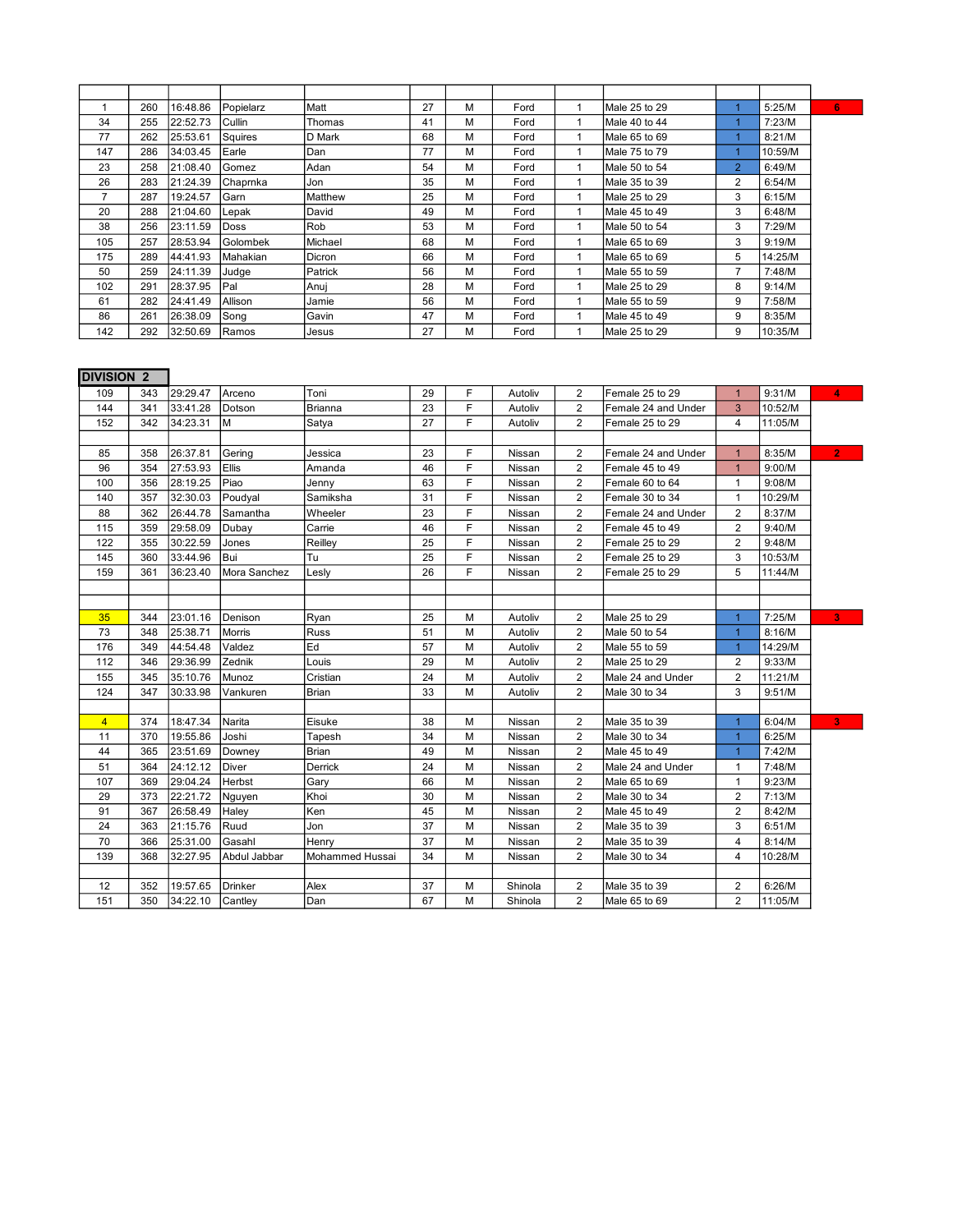|     | 260 | 16:48.86 | Popielarz     | Matt    | 27 | м | Ford | Male 25 to 29 |   | 5:25/M  | 6 <sub>1</sub> |
|-----|-----|----------|---------------|---------|----|---|------|---------------|---|---------|----------------|
| 34  | 255 | 22:52.73 | <b>Cullin</b> | Thomas  | 41 | м | Ford | Male 40 to 44 |   | 7:23/M  |                |
| 77  | 262 | 25:53.61 | Sauires       | D Mark  | 68 | M | Ford | Male 65 to 69 |   | 8:21/M  |                |
| 147 | 286 | 34:03.45 | Earle         | Dan     | 77 | M | Ford | Male 75 to 79 |   | 10:59/M |                |
| 23  | 258 | 21:08.40 | <b>Gomez</b>  | Adan    | 54 | M | Ford | Male 50 to 54 | 2 | 6:49/M  |                |
| 26  | 283 | 21:24.39 | Chaprnka      | Jon     | 35 | м | Ford | Male 35 to 39 | 2 | 6:54/M  |                |
| 7   | 287 | 19:24.57 | Garn          | Matthew | 25 | M | Ford | Male 25 to 29 | 3 | 6:15/M  |                |
| 20  | 288 | 21:04.60 | Lepak         | David   | 49 | м | Ford | Male 45 to 49 | 3 | 6:48/M  |                |
| 38  | 256 | 23:11.59 | Doss          | Rob     | 53 | M | Ford | Male 50 to 54 | 3 | 7:29/M  |                |
| 105 | 257 | 28:53.94 | Golombek      | Michael | 68 | м | Ford | Male 65 to 69 | 3 | 9:19/M  |                |
| 175 | 289 | 44:41.93 | Mahakian      | Dicron  | 66 | м | Ford | Male 65 to 69 | 5 | 14:25/M |                |
| 50  | 259 | 24:11.39 | Judge         | Patrick | 56 | M | Ford | Male 55 to 59 | 7 | 7:48/M  |                |
| 102 | 291 | 28:37.95 | lPal          | Anui    | 28 | м | Ford | Male 25 to 29 | 8 | 9:14/M  |                |
| 61  | 282 | 24:41.49 | Allison       | Jamie   | 56 | M | Ford | Male 55 to 59 | 9 | 7:58/M  |                |
| 86  | 261 | 26:38.09 | Song          | Gavin   | 47 | M | Ford | Male 45 to 49 | 9 | 8:35/M  |                |
| 142 | 292 | 32:50.69 | Ramos         | Jesus   | 27 | м | Ford | Male 25 to 29 | 9 | 10:35/M |                |

| <b>DIVISION 2</b> |     |          |              |                 |    |   |         |                |                     |                |         |                |
|-------------------|-----|----------|--------------|-----------------|----|---|---------|----------------|---------------------|----------------|---------|----------------|
| 109               | 343 | 29:29.47 | Arceno       | Toni            | 29 | F | Autoliv | 2              | Female 25 to 29     | 1              | 9:31/M  | 4              |
| 144               | 341 | 33:41.28 | Dotson       | <b>Brianna</b>  | 23 | F | Autoliv | $\overline{2}$ | Female 24 and Under | 3              | 10:52/M |                |
| 152               | 342 | 34:23.31 | lм           | Satya           | 27 | F | Autoliv | 2              | Female 25 to 29     | 4              | 11:05/M |                |
|                   |     |          |              |                 |    |   |         |                |                     |                |         |                |
| 85                | 358 | 26:37.81 | Gering       | Jessica         | 23 | F | Nissan  | 2              | Female 24 and Under | $\mathbf{1}$   | 8:35/M  | 2 <sup>1</sup> |
| 96                | 354 | 27:53.93 | Ellis        | Amanda          | 46 | F | Nissan  | $\overline{2}$ | Female 45 to 49     | $\mathbf{1}$   | 9:00/M  |                |
| 100               | 356 | 28:19.25 | Piao         | Jenny           | 63 | F | Nissan  | $\overline{2}$ | Female 60 to 64     | 1              | 9:08/M  |                |
| 140               | 357 | 32:30.03 | Poudyal      | Samiksha        | 31 | F | Nissan  | 2              | Female 30 to 34     | 1              | 10:29/M |                |
| 88                | 362 | 26:44.78 | Samantha     | Wheeler         | 23 | F | Nissan  | 2              | Female 24 and Under | $\overline{2}$ | 8:37/M  |                |
| 115               | 359 | 29:58.09 | Dubay        | Carrie          | 46 | F | Nissan  | 2              | Female 45 to 49     | $\overline{2}$ | 9:40/M  |                |
| 122               | 355 | 30:22.59 | Jones        | Reilley         | 25 | F | Nissan  | $\overline{2}$ | Female 25 to 29     | $\overline{2}$ | 9:48/M  |                |
| 145               | 360 | 33:44.96 | Bui          | Tu              | 25 | F | Nissan  | $\overline{2}$ | Female 25 to 29     | 3              | 10:53/M |                |
| 159               | 361 | 36:23.40 | Mora Sanchez | Lesly           | 26 | F | Nissan  | $\overline{2}$ | Female 25 to 29     | 5              | 11:44/M |                |
|                   |     |          |              |                 |    |   |         |                |                     |                |         |                |
|                   |     |          |              |                 |    |   |         |                |                     |                |         |                |
| 35                | 344 | 23:01.16 | Denison      | Ryan            | 25 | М | Autoliv | 2              | Male 25 to 29       | 1              | 7:25/M  | 3 <sup>1</sup> |
| 73                | 348 | 25:38.71 | Morris       | <b>Russ</b>     | 51 | M | Autoliv | $\overline{2}$ | Male 50 to 54       | 1              | 8:16/M  |                |
| 176               | 349 | 44:54.48 | Valdez       | Ed              | 57 | M | Autoliv | $\overline{2}$ | Male 55 to 59       | $\mathbf{1}$   | 14:29/M |                |
| 112               | 346 | 29:36.99 | Zednik       | Louis           | 29 | M | Autoliv | 2              | Male 25 to 29       | 2              | 9:33/M  |                |
| 155               | 345 | 35:10.76 | Munoz        | Cristian        | 24 | M | Autoliv | 2              | Male 24 and Under   | $\overline{2}$ | 11:21/M |                |
| 124               | 347 | 30:33.98 | Vankuren     | <b>Brian</b>    | 33 | M | Autoliv | 2              | Male 30 to 34       | 3              | 9:51/M  |                |
|                   |     |          |              |                 |    |   |         |                |                     |                |         |                |
| $\overline{4}$    | 374 | 18:47.34 | Narita       | Eisuke          | 38 | М | Nissan  | $\overline{2}$ | Male 35 to 39       | 1              | 6:04/M  | $\overline{3}$ |
| 11                | 370 | 19:55.86 | Joshi        | Tapesh          | 34 | M | Nissan  | $\overline{2}$ | Male 30 to 34       | 1              | 6:25/M  |                |
| 44                | 365 | 23:51.69 | Downey       | <b>Brian</b>    | 49 | M | Nissan  | $\overline{2}$ | Male 45 to 49       | 1              | 7:42/M  |                |
| 51                | 364 | 24:12.12 | <b>Diver</b> | Derrick         | 24 | M | Nissan  | 2              | Male 24 and Under   | 1              | 7:48/M  |                |
| 107               | 369 | 29:04.24 | Herbst       | Gary            | 66 | M | Nissan  | $\overline{2}$ | Male 65 to 69       | 1              | 9:23/M  |                |
| 29                | 373 | 22:21.72 | Nguyen       | Khoi            | 30 | M | Nissan  | 2              | Male 30 to 34       | $\overline{2}$ | 7:13/M  |                |
| 91                | 367 | 26:58.49 | Haley        | Ken             | 45 | М | Nissan  | 2              | Male 45 to 49       | 2              | 8:42/M  |                |
| 24                | 363 | 21:15.76 | Ruud         | Jon             | 37 | M | Nissan  | 2              | Male 35 to 39       | 3              | 6:51/M  |                |
| 70                | 366 | 25:31.00 | Gasahl       | Henry           | 37 | M | Nissan  | 2              | Male 35 to 39       | 4              | 8:14/M  |                |
| 139               | 368 | 32:27.95 | Abdul Jabbar | Mohammed Hussai | 34 | М | Nissan  | $\overline{2}$ | Male 30 to 34       | 4              | 10:28/M |                |
|                   |     |          |              |                 |    |   |         |                |                     |                |         |                |
| 12                | 352 | 19:57.65 | Drinker      | Alex            | 37 | M | Shinola | 2              | Male 35 to 39       | $\overline{2}$ | 6:26/M  |                |
| 151               | 350 | 34:22.10 | Cantley      | Dan             | 67 | M | Shinola | $\overline{2}$ | Male 65 to 69       | $\overline{2}$ | 11:05/M |                |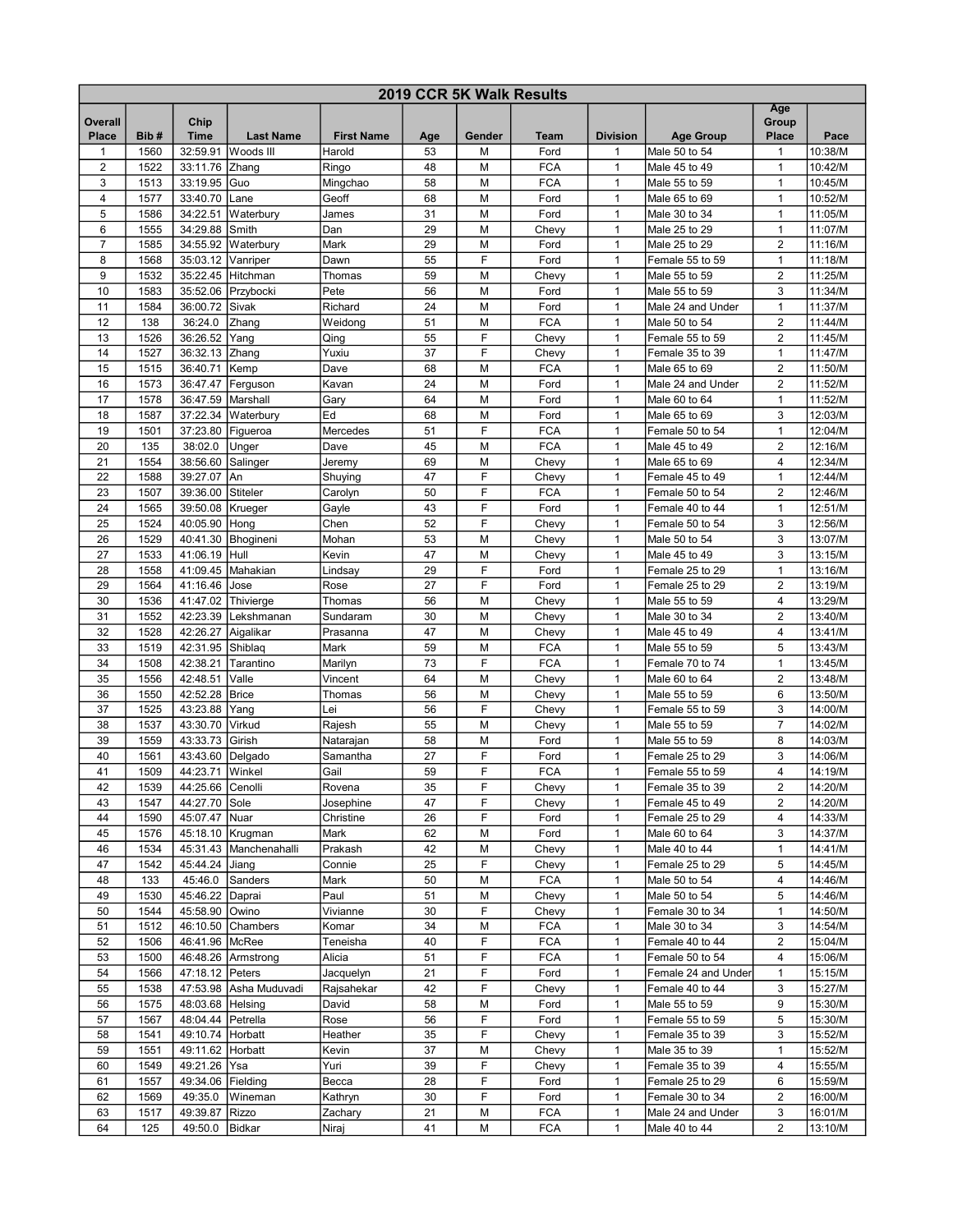|                         | 2019 CCR 5K Walk Results |                                         |                          |                   |          |        |                    |                              |                                    |                              |                    |  |  |  |
|-------------------------|--------------------------|-----------------------------------------|--------------------------|-------------------|----------|--------|--------------------|------------------------------|------------------------------------|------------------------------|--------------------|--|--|--|
| Overall<br>Place        | Bib#                     | Chip<br><b>Time</b>                     | <b>Last Name</b>         | <b>First Name</b> | Age      | Gender | Team               | <b>Division</b>              | <b>Age Group</b>                   | Age<br>Group<br><b>Place</b> | Pace               |  |  |  |
| 1                       | 1560                     | 32:59.91                                | Woods III                | Harold            | 53       | M      | Ford               | 1                            | Male 50 to 54                      | 1                            | 10:38/M            |  |  |  |
| $\overline{\mathbf{c}}$ | 1522                     | 33:11.76                                | Zhang                    | Ringo             | 48       | M      | <b>FCA</b>         | $\mathbf{1}$                 | Male 45 to 49                      | 1                            | 10:42/M            |  |  |  |
| 3                       | 1513                     | 33:19.95                                | Guo                      | Mingchao          | 58       | М      | <b>FCA</b>         | $\mathbf{1}$                 | Male 55 to 59                      | $\mathbf{1}$                 | 10:45/M            |  |  |  |
| 4                       | 1577                     | 33:40.70                                | Lane                     | Geoff             | 68       | M      | Ford               | $\mathbf{1}$                 | Male 65 to 69                      | 1                            | 10:52/M            |  |  |  |
| 5                       | 1586                     | 34:22.51                                | Waterbury                | James             | 31       | M      | Ford               | $\mathbf{1}$                 | Male 30 to 34                      | $\mathbf{1}$                 | 11:05/M            |  |  |  |
| 6                       | 1555                     | 34:29.88                                | Smith                    | Dan               | 29       | М      | Chevy              | $\mathbf{1}$                 | Male 25 to 29                      | 1                            | 11:07/M            |  |  |  |
| $\overline{7}$          | 1585                     | 34:55.92                                | Waterbury                | Mark              | 29       | M      | Ford               | $\mathbf{1}$                 | Male 25 to 29                      | $\overline{2}$               | 11:16/M            |  |  |  |
| 8                       | 1568                     | 35:03.12                                | Vanriper                 | Dawn              | 55       | F      | Ford               | $\mathbf{1}$                 | Female 55 to 59                    | $\mathbf{1}$                 | 11:18/M            |  |  |  |
| 9<br>10                 | 1532                     | 35:22.45                                | Hitchman                 | Thomas<br>Pete    | 59       | M      | Chevy              | 1                            | Male 55 to 59                      | $\overline{c}$<br>3          | 11:25/M            |  |  |  |
| 11                      | 1583<br>1584             | 35:52.06<br>36:00.72                    | Przybocki<br>Sivak       | Richard           | 56<br>24 | M<br>M | Ford<br>Ford       | 1<br>$\mathbf{1}$            | Male 55 to 59<br>Male 24 and Under | $\mathbf{1}$                 | 11:34/M<br>11:37/M |  |  |  |
| 12                      | 138                      | 36:24.0                                 | Zhang                    | Weidong           | 51       | М      | <b>FCA</b>         | $\mathbf{1}$                 | Male 50 to 54                      | $\overline{c}$               | 11:44/M            |  |  |  |
| 13                      | 1526                     | 36:26.52                                | Yang                     | Qing              | 55       | F      | Chevy              | 1                            | Female 55 to 59                    | $\overline{\mathbf{c}}$      | 11:45/M            |  |  |  |
| 14                      | 1527                     | 36:32.13                                | Zhang                    | Yuxiu             | 37       | F      | Chevy              | $\mathbf{1}$                 | Female 35 to 39                    | $\mathbf{1}$                 | 11:47/M            |  |  |  |
| 15                      | 1515                     | 36:40.71                                | Kemp                     | Dave              | 68       | М      | <b>FCA</b>         | $\mathbf{1}$                 | Male 65 to 69                      | $\overline{c}$               | 11:50/M            |  |  |  |
| 16                      | 1573                     | 36:47.47                                | Ferguson                 | Kavan             | 24       | М      | Ford               | 1                            | Male 24 and Under                  | $\overline{\mathbf{c}}$      | 11:52/M            |  |  |  |
| 17                      | 1578                     | 36:47.59                                | İMarshall                | Gary              | 64       | М      | Ford               | $\mathbf{1}$                 | Male 60 to 64                      | $\mathbf{1}$                 | 11:52/M            |  |  |  |
| 18                      | 1587                     | 37:22.34                                | Waterbury                | Ed                | 68       | M      | Ford               | $\mathbf{1}$                 | Male 65 to 69                      | 3                            | 12:03/M            |  |  |  |
| 19                      | 1501                     | 37:23.80                                | Figueroa                 | Mercedes          | 51       | F      | <b>FCA</b>         | $\mathbf{1}$                 | Female 50 to 54                    | $\mathbf{1}$                 | 12:04/M            |  |  |  |
| 20                      | 135                      | 38:02.0                                 | Unger                    | Dave              | 45       | M      | <b>FCA</b>         | $\mathbf{1}$                 | Male 45 to 49                      | $\overline{2}$               | 12:16/M            |  |  |  |
| 21                      | 1554                     | 38:56.60                                | Salinger                 | Jeremy            | 69       | М      | Chevy              | $\mathbf{1}$                 | Male 65 to 69                      | 4                            | 12:34/M            |  |  |  |
| 22                      | 1588                     | 39:27.07 An                             |                          | Shuying           | 47       | F      | Chevy              | $\mathbf{1}$                 | Female 45 to 49                    | $\mathbf{1}$                 | 12:44/M            |  |  |  |
| 23                      | 1507                     | 39:36.00                                | <b>Stiteler</b>          | Carolyn           | 50       | F      | <b>FCA</b>         | 1                            | Female 50 to 54                    | $\overline{2}$               | 12:46/M            |  |  |  |
| 24                      | 1565                     | 39:50.08                                | Krueger                  | Gayle             | 43       | F      | Ford               | $\mathbf{1}$                 | Female 40 to 44                    | $\mathbf{1}$                 | 12:51/M            |  |  |  |
| 25<br>26                | 1524<br>1529             | 40:05.90<br>40:41.30                    | Hong                     | Chen<br>Mohan     | 52<br>53 | F<br>M | Chevy              | $\mathbf{1}$<br>$\mathbf{1}$ | Female 50 to 54<br>Male 50 to 54   | 3<br>3                       | 12:56/M<br>13:07/M |  |  |  |
| 27                      | 1533                     | 41:06.19                                | Bhogineni<br>Hull        | Kevin             | 47       | M      | Chevy<br>Chevy     | $\mathbf{1}$                 | Male 45 to 49                      | 3                            | 13:15/M            |  |  |  |
| 28                      | 1558                     | 41:09.45                                | Mahakian                 | Lindsay           | 29       | F      | Ford               | $\mathbf{1}$                 | Female 25 to 29                    | 1                            | 13:16/M            |  |  |  |
| 29                      | 1564                     | 41:16.46                                | Jose                     | Rose              | 27       | F      | Ford               | $\mathbf{1}$                 | Female 25 to 29                    | $\overline{2}$               | 13:19/M            |  |  |  |
| 30                      | 1536                     | 41:47.02                                | Thivierge                | Thomas            | 56       | M      | Chevy              | $\mathbf{1}$                 | Male 55 to 59                      | 4                            | 13:29/M            |  |  |  |
| 31                      | 1552                     | 42:23.39                                | Lekshmanan               | Sundaram          | 30       | М      | Chevy              | $\mathbf{1}$                 | Male 30 to 34                      | $\overline{2}$               | 13:40/M            |  |  |  |
| 32                      | 1528                     | 42:26.27                                | Aigalikar                | Prasanna          | 47       | M      | Chevy              | $\mathbf{1}$                 | Male 45 to 49                      | 4                            | 13:41/M            |  |  |  |
| 33                      | 1519                     | 42:31.95                                | Shiblag                  | Mark              | 59       | M      | <b>FCA</b>         | $\mathbf{1}$                 | Male 55 to 59                      | 5                            | 13:43/M            |  |  |  |
| 34                      | 1508                     | 42:38.21                                | Tarantino                | Marilyn           | 73       | F      | <b>FCA</b>         | $\mathbf{1}$                 | Female 70 to 74                    | 1                            | 13:45/M            |  |  |  |
| 35                      | 1556                     | 42:48.51                                | Valle                    | Vincent           | 64       | М      | Chevy              | $\mathbf{1}$                 | Male 60 to 64                      | $\overline{2}$               | 13:48/M            |  |  |  |
| 36                      | 1550                     | 42:52.28                                | <b>Brice</b>             | Thomas            | 56       | M      | Chevy              | $\mathbf{1}$                 | Male 55 to 59                      | 6                            | 13:50/M            |  |  |  |
| 37                      | 1525                     | 43:23.88                                | Yang                     | Lei               | 56       | F      | Chevy              | 1                            | Female 55 to 59                    | 3                            | 14:00/M            |  |  |  |
| 38                      | 1537                     | 43:30.70                                | Virkud                   | Rajesh            | 55       | M      | Chevy              | $\mathbf{1}$                 | Male 55 to 59                      | $\overline{7}$               | 14:02/M            |  |  |  |
| 39                      | 1559                     | 43:33.73                                | Girish                   | Natarajan         | 58<br>27 | M      | Ford               | $\mathbf{1}$                 | Male 55 to 59                      | 8                            | 14:03/M            |  |  |  |
| 40<br>41                | 1561<br>1509             | 43:43.60<br>44:23.71                    | Delgado<br>Winkel        | Samantha<br>Gail  | 59       | F<br>F | Ford<br><b>FCA</b> | $\mathbf{1}$<br>$\mathbf{1}$ | Female 25 to 29                    | 3<br>$\overline{\mathbf{4}}$ | 14:06/M<br>14:19/M |  |  |  |
| 42                      | 1539                     | 44:25.66 Cenolli                        |                          | Rovena            | 35       | F      | Chevy              | $\mathbf{1}$                 | Female 55 to 59<br>Female 35 to 39 | 2                            | 14:20/M            |  |  |  |
| 43                      | 1547                     | 44:27.70 Sole                           |                          | Josephine         | 47       | F      | Chevy              | 1                            | Female 45 to 49                    | $\overline{2}$               | 14:20/M            |  |  |  |
| 44                      | 1590                     | 45:07.47 Nuar                           |                          | Christine         | 26       | F      | Ford               | $\mathbf{1}$                 | Female 25 to 29                    | 4                            | 14:33/M            |  |  |  |
| 45                      | 1576                     |                                         | 45:18.10   Krugman       | Mark              | 62       | М      | Ford               | 1                            | Male 60 to 64                      | 3                            | 14:37/M            |  |  |  |
| 46                      | 1534                     |                                         | 45:31.43   Manchenahalli | Prakash           | 42       | М      | Chevy              | $\mathbf{1}$                 | Male 40 to 44                      | $\mathbf{1}$                 | 14:41/M            |  |  |  |
| 47                      | 1542                     | 45:44.24                                | Jiang                    | Connie            | 25       | F      | Chevy              | $\mathbf{1}$                 | Female 25 to 29                    | 5                            | 14:45/M            |  |  |  |
| 48                      | 133                      | 45:46.0                                 | Sanders                  | Mark              | 50       | М      | <b>FCA</b>         | 1                            | Male 50 to 54                      | 4                            | 14:46/M            |  |  |  |
| 49                      | 1530                     | 45:46.22                                | Daprai                   | Paul              | 51       | М      | Chevy              | 1                            | Male 50 to 54                      | 5                            | 14:46/M            |  |  |  |
| 50                      | 1544                     | 45:58.90 Owino                          |                          | Vivianne          | 30       | F      | Chevy              | $\mathbf{1}$                 | Female 30 to 34                    | $\mathbf{1}$                 | 14:50/M            |  |  |  |
| 51                      | 1512                     | 46:10.50                                | Chambers                 | Komar             | 34       | М      | <b>FCA</b>         | $\mathbf{1}$                 | Male 30 to 34                      | 3                            | 14:54/M            |  |  |  |
| 52                      | 1506                     | 46:41.96 McRee                          |                          | Teneisha          | 40       | F      | <b>FCA</b>         | $\mathbf{1}$                 | Female 40 to 44                    | $\overline{c}$               | 15:04/M            |  |  |  |
| 53                      | 1500                     |                                         | 46:48.26 Armstrong       | Alicia            | 51       | F      | <b>FCA</b>         | $\mathbf{1}$                 | Female 50 to 54                    | 4                            | 15:06/M            |  |  |  |
| 54                      | 1566                     | 47:18.12 Peters                         |                          | Jacquelyn         | 21       | F      | Ford               | $\mathbf{1}$                 | Female 24 and Under                | 1                            | 15:15/M            |  |  |  |
| 55                      | 1538                     |                                         | 47:53.98 Asha Muduvadi   | Rajsahekar        | 42       | F      | Chevy              | $\mathbf{1}$                 | Female 40 to 44                    | 3                            | 15:27/M            |  |  |  |
| 56                      | 1575                     | 48:03.68 Helsing                        |                          | David             | 58       | М<br>F | Ford               | $\mathbf{1}$                 | Male 55 to 59                      | 9                            | 15:30/M            |  |  |  |
| 57<br>58                | 1567<br>1541             | 48:04.44   Petrella<br>49:10.74 Horbatt |                          | Rose<br>Heather   | 56<br>35 | F      | Ford<br>Chevy      | $\mathbf{1}$<br>$\mathbf{1}$ | Female 55 to 59<br>Female 35 to 39 | 5<br>3                       | 15:30/M<br>15:52/M |  |  |  |
| 59                      | 1551                     | 49:11.62 Horbatt                        |                          | Kevin             | 37       | М      | Chevy              | $\mathbf{1}$                 | Male 35 to 39                      | 1                            | 15:52/M            |  |  |  |
| 60                      | 1549                     | 49:21.26 Ysa                            |                          | Yuri              | 39       | F      | Chevy              | $\mathbf{1}$                 | Female 35 to 39                    | 4                            | 15:55/M            |  |  |  |
| 61                      | 1557                     | 49:34.06 Fielding                       |                          | Becca             | 28       | F      | Ford               | $\mathbf{1}$                 | Female 25 to 29                    | 6                            | 15:59/M            |  |  |  |
| 62                      | 1569                     | 49:35.0                                 | Wineman                  | Kathryn           | 30       | F      | Ford               | $\mathbf{1}$                 | Female 30 to 34                    | $\overline{\mathbf{c}}$      | 16:00/M            |  |  |  |
| 63                      | 1517                     | 49:39.87                                | Rizzo                    | Zachary           | 21       | м      | <b>FCA</b>         | $\mathbf{1}$                 | Male 24 and Under                  | 3                            | 16:01/M            |  |  |  |
| 64                      | 125                      | 49:50.0                                 | Bidkar                   | Niraj             | 41       | М      | <b>FCA</b>         | $\mathbf{1}$                 | Male 40 to 44                      | $\overline{2}$               | 13:10/M            |  |  |  |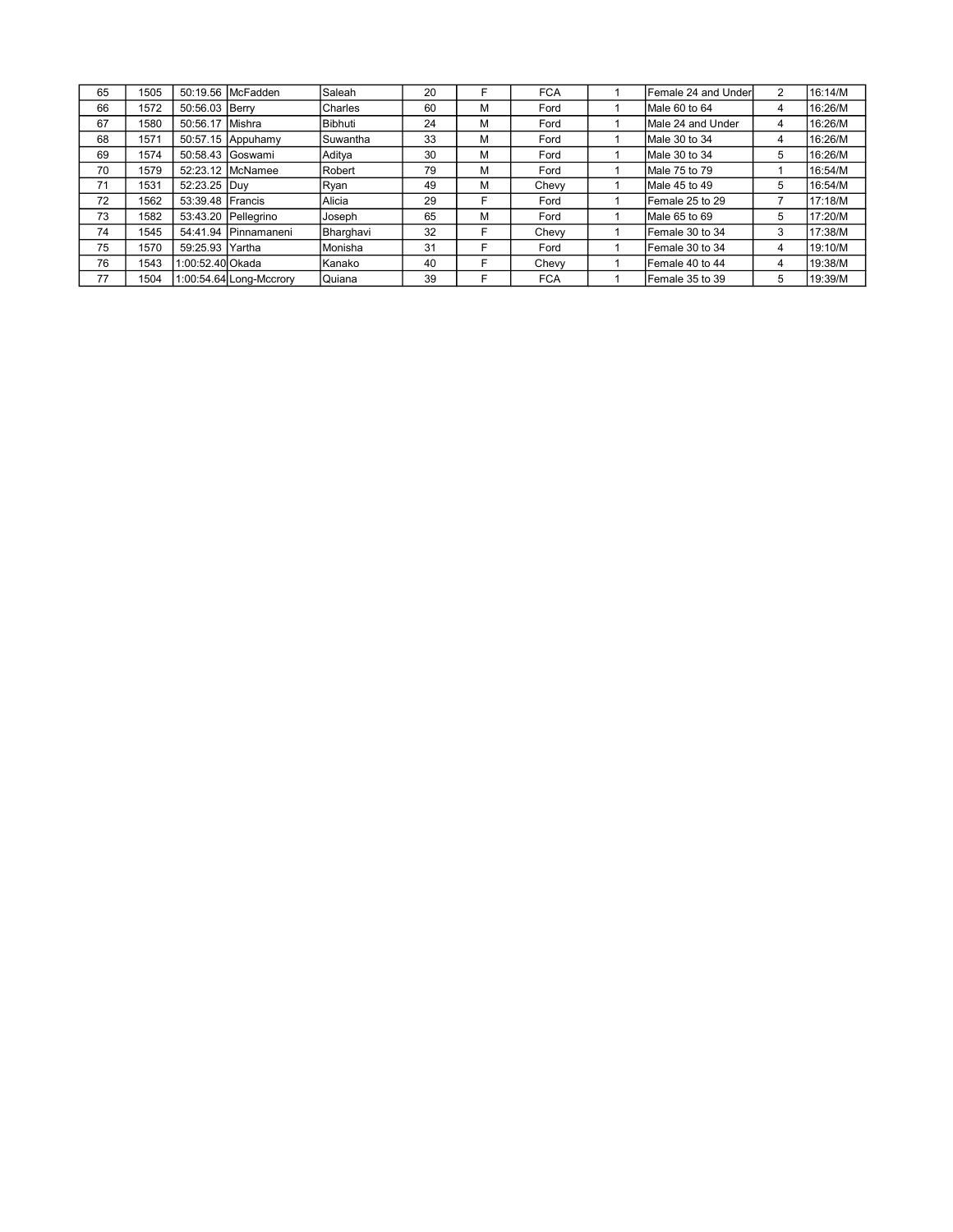| 65 | 1505 |                  | 50:19.56 McFadden       | <b>Saleah</b>   | 20 | F | <b>FCA</b> | lFemale 24 and Under <b>l</b> | 2 | 16:14/M |
|----|------|------------------|-------------------------|-----------------|----|---|------------|-------------------------------|---|---------|
| 66 | 1572 | 50:56.03 Berry   |                         | Charles         | 60 | M | Ford       | Male 60 to 64                 | 4 | 16:26/M |
| 67 | 1580 | 50:56.17 Mishra  |                         | Bibhuti         | 24 | M | Ford       | Male 24 and Under             | 4 | 16:26/M |
| 68 | 1571 |                  | $50:57.15$ Appuhamy     | <b>Suwantha</b> | 33 | M | Ford       | Male 30 to 34                 | 4 | 16:26/M |
| 69 | 1574 |                  | 50:58.43 Goswami        | Aditya          | 30 | M | Ford       | Male 30 to 34                 | 5 | 16:26/M |
| 70 | 1579 |                  | 52:23.12 McNamee        | Robert          | 79 | M | Ford       | Male 75 to 79                 |   | 16:54/M |
| 71 | 1531 | 52:23.25 Duv     |                         | Ryan            | 49 | M | Chevy      | Male 45 to 49                 | 5 | 16:54/M |
| 72 | 1562 | 53:39.48 Francis |                         | Alicia          | 29 | F | Ford       | Female 25 to 29               |   | 17:18/M |
| 73 | 1582 |                  | 53:43.20 Pellegrino     | Joseph          | 65 | M | Ford       | Male 65 to 69                 | 5 | 17:20/M |
| 74 | 1545 |                  | 54:41.94 Pinnamaneni    | Bharghavi       | 32 | F | Chevy      | Female 30 to 34               | 3 | 17:38/M |
| 75 | 1570 | 59:25.93 Yartha  |                         | Monisha         | 31 | F | Ford       | Female 30 to 34               | 4 | 19:10/M |
| 76 | 1543 | 1:00:52.40 Okada |                         | Kanako          | 40 | F | Chevy      | Female 40 to 44               | 4 | 19:38/M |
| 77 | 1504 |                  | 1:00:54.64 Long-Mccrory | Quiana          | 39 | F | <b>FCA</b> | lFemale 35 to 39              | 5 | 19:39/M |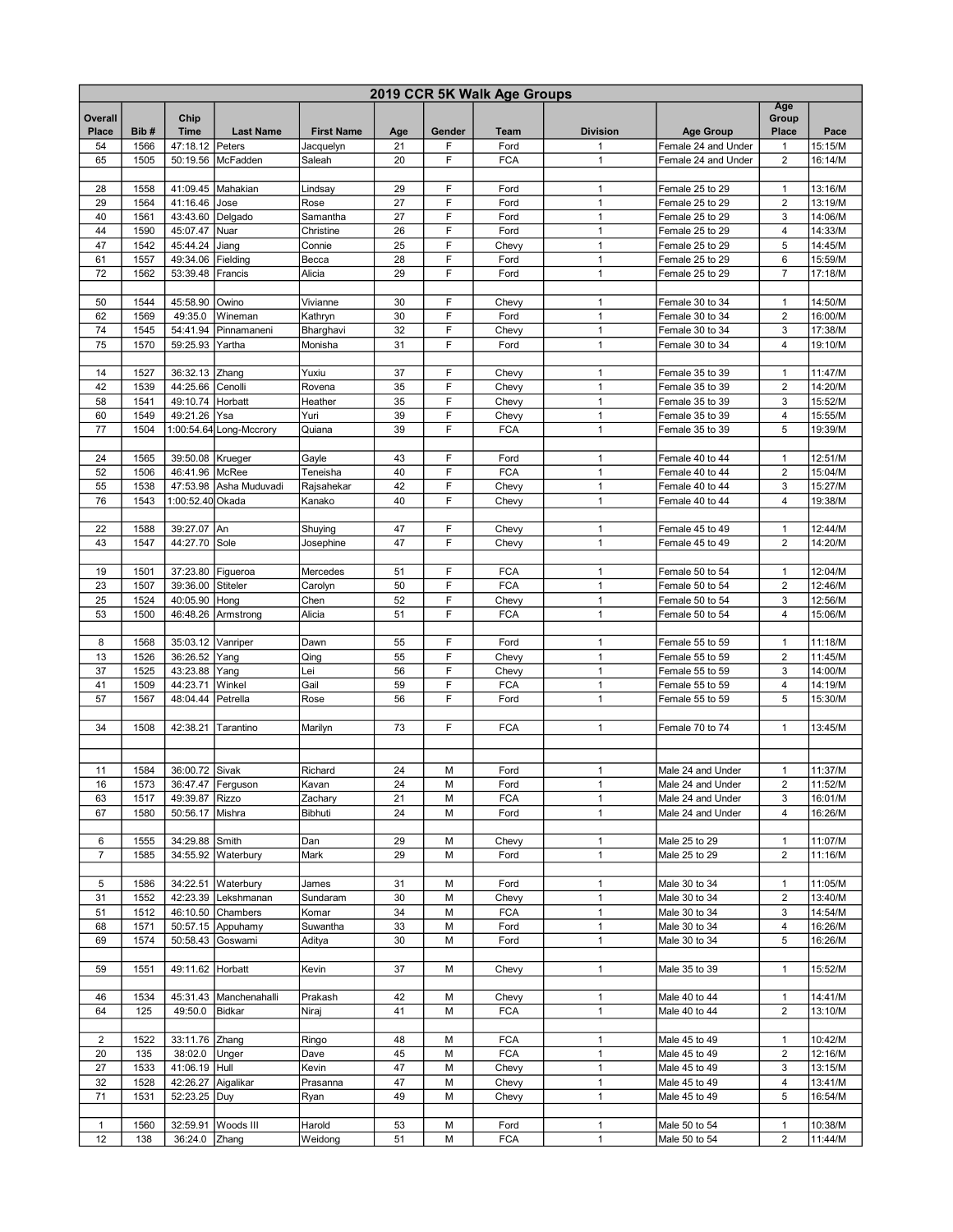|                  | 2019 CCR 5K Walk Age Groups |                          |                          |                      |          |        |                          |                              |                                    |                                |                    |
|------------------|-----------------------------|--------------------------|--------------------------|----------------------|----------|--------|--------------------------|------------------------------|------------------------------------|--------------------------------|--------------------|
| Overall<br>Place | Bib#                        | Chip<br><b>Time</b>      | <b>Last Name</b>         | <b>First Name</b>    | Age      | Gender | <b>Team</b>              | <b>Division</b>              | <b>Age Group</b>                   | Age<br>Group<br>Place          | Pace               |
| 54               | 1566                        | 47:18.12 Peters          |                          | Jacquelyn            | 21       | F      | Ford                     | $\mathbf{1}$                 | Female 24 and Under                | $\mathbf{1}$                   | 15:15/M            |
| 65               | 1505                        | 50:19.56                 | McFadden                 | Saleah               | 20       | F      | <b>FCA</b>               | $\mathbf{1}$                 | Female 24 and Under                | 2                              | 16:14/M            |
| 28               | 1558                        | 41:09.45                 | Mahakian                 | Lindsay              | 29       | F      | Ford                     | $\mathbf{1}$                 | Female 25 to 29                    | 1                              | 13:16/M            |
| 29               | 1564                        | 41:16.46                 | Jose                     | Rose                 | 27       | F      | Ford                     | $\mathbf{1}$                 | Female 25 to 29                    | $\overline{2}$                 | 13:19/M            |
| 40               | 1561                        | 43:43.60                 | Delgado                  | Samantha             | 27       | F      | Ford                     | $\mathbf{1}$                 | Female 25 to 29                    | 3                              | 14:06/M            |
| 44               | 1590                        | 45:07.47                 | Nuar                     | Christine            | 26       | F      | Ford                     | $\mathbf{1}$                 | Female 25 to 29                    | $\overline{4}$                 | 14:33/M            |
| 47               | 1542                        | 45:44.24                 | Jiang                    | Connie               | 25       | F      | Chevy                    | $\mathbf{1}$                 | Female 25 to 29                    | 5                              | 14:45/M            |
| 61               | 1557                        | 49:34.06                 | Fielding                 | Becca                | 28       | F      | Ford                     | $\mathbf{1}$                 | Female 25 to 29                    | 6                              | 15:59/M            |
| 72               | 1562                        | 53:39.48                 | Francis                  | Alicia               | 29       | F      | Ford                     | $\mathbf{1}$                 | Female 25 to 29                    | $\overline{7}$                 | 17:18/M            |
|                  |                             |                          |                          |                      |          |        |                          |                              |                                    |                                |                    |
| 50               | 1544                        | 45:58.90                 | Owino                    | Vivianne             | 30       | F<br>F | Chevy                    | $\mathbf{1}$<br>$\mathbf{1}$ | Female 30 to 34                    | $\mathbf{1}$<br>$\overline{2}$ | 14:50/M<br>16:00/M |
| 62<br>74         | 1569<br>1545                | 49:35.0<br>54:41.94      | Wineman<br>Pinnamaneni   | Kathryn<br>Bharghavi | 30<br>32 | F      | Ford<br>Chevy            | $\mathbf{1}$                 | Female 30 to 34<br>Female 30 to 34 | 3                              | 17:38/M            |
| 75               | 1570                        | 59:25.93                 | Yartha                   | Monisha              | 31       | F      | Ford                     | $\mathbf{1}$                 | Female 30 to 34                    | 4                              | 19:10/M            |
|                  |                             |                          |                          |                      |          |        |                          |                              |                                    |                                |                    |
| 14               | 1527                        | 36:32.13 Zhang           |                          | Yuxiu                | 37       | F      | Chevy                    | $\mathbf{1}$                 | Female 35 to 39                    | 1                              | 11:47/M            |
| 42               | 1539                        | 44:25.66 Cenolli         |                          | Rovena               | 35       | F      | Chevy                    | $\mathbf{1}$                 | Female 35 to 39                    | $\overline{2}$                 | 14:20/M            |
| 58               | 1541                        | 49:10.74 Horbatt         |                          | Heather              | 35       | F      | Chevy                    | $\mathbf{1}$                 | Female 35 to 39                    | 3                              | 15:52/M            |
| 60               | 1549                        | 49:21.26                 | Ysa                      | Yuri                 | 39       | F      | Chevy                    | $\mathbf{1}$                 | Female 35 to 39                    | 4                              | 15:55/M            |
| 77               | 1504                        |                          | 1:00:54.64 Long-Mccrory  | Quiana               | 39       | F      | <b>FCA</b>               | $\mathbf{1}$                 | Female 35 to 39                    | 5                              | 19:39/M            |
|                  |                             |                          |                          |                      |          |        |                          |                              |                                    |                                |                    |
| 24               | 1565                        | 39:50.08   Krueger       |                          | Gayle                | 43       | F      | Ford                     | $\mathbf{1}$                 | Female 40 to 44                    | 1                              | 12:51/M            |
| 52               | 1506                        | 46:41.96                 | McRee                    | Teneisha             | 40       | F      | <b>FCA</b>               | $\mathbf{1}$                 | Female 40 to 44                    | $\overline{2}$                 | 15:04/M            |
| 55               | 1538                        | 47:53.98                 | Asha Muduvadi            | Rajsahekar           | 42       | F      | Chevy                    | $\mathbf{1}$                 | Female 40 to 44                    | 3                              | 15:27/M            |
| 76               | 1543                        | 1:00:52.40 Okada         |                          | Kanako               | 40       | F      | Chevy                    | $\mathbf{1}$                 | Female 40 to 44                    | $\overline{4}$                 | 19:38/M            |
| 22               | 1588                        | 39:27.07 An              |                          | Shuying              | 47       | F      | Chevy                    | $\mathbf{1}$                 | Female 45 to 49                    | $\mathbf{1}$                   | 12:44/M            |
| 43               | 1547                        | 44:27.70                 | Sole                     | Josephine            | 47       | F      | Chevy                    | $\mathbf{1}$                 | Female 45 to 49                    | $\overline{2}$                 | 14:20/M            |
|                  |                             |                          |                          |                      |          |        |                          |                              |                                    |                                |                    |
| 19               | 1501                        | 37:23.80                 | Figueroa                 | Mercedes             | 51       | F      | <b>FCA</b>               | $\mathbf{1}$                 | Female 50 to 54                    | $\mathbf{1}$                   | 12:04/M            |
| 23               | 1507                        | 39:36.00                 | Stiteler                 | Carolyn              | 50       | F      | <b>FCA</b>               | $\mathbf{1}$                 | Female 50 to 54                    | $\overline{2}$                 | 12:46/M            |
| 25               | 1524                        | 40:05.90                 | Hong                     | Chen                 | 52       | F      | Chevy                    | $\mathbf{1}$                 | Female 50 to 54                    | 3                              | 12:56/M            |
| 53               | 1500                        | 46:48.26                 | Armstrong                | Alicia               | 51       | F      | <b>FCA</b>               | $\mathbf{1}$                 | Female 50 to 54                    | 4                              | 15:06/M            |
|                  |                             |                          |                          |                      |          |        |                          |                              |                                    |                                |                    |
| 8                | 1568                        | 35:03.12                 | Vanriper                 | Dawn                 | 55       | F      | Ford                     | $\mathbf{1}$                 | Female 55 to 59                    | $\mathbf{1}$                   | 11:18/M            |
| 13               | 1526                        | 36:26.52                 | Yang                     | Qing                 | 55       | F      | Chevy                    | $\mathbf{1}$                 | Female 55 to 59                    | $\overline{2}$                 | 11:45/M            |
| 37               | 1525                        | 43:23.88                 | Yang                     | Lei                  | 56       | F      | Chevy                    | $\mathbf{1}$                 | Female 55 to 59                    | 3                              | 14:00/M            |
| 41               | 1509                        | 44:23.71                 | Winkel                   | Gail                 | 59       | F      | <b>FCA</b>               | $\mathbf{1}$                 | Female 55 to 59                    | 4                              | 14:19/M            |
| 57               | 1567                        | 48:04.44                 | Petrella                 | Rose                 | 56       | F      | Ford                     | $\mathbf{1}$                 | Female 55 to 59                    | 5                              | 15:30/M            |
| 34               | 1508                        | 42:38.21                 | Tarantino                | Marilyn              | 73       | F      | <b>FCA</b>               | $\mathbf{1}$                 | Female 70 to 74                    | 1                              | 13:45/M            |
|                  |                             |                          |                          |                      |          |        |                          |                              |                                    |                                |                    |
|                  |                             |                          |                          |                      |          |        |                          |                              |                                    |                                |                    |
| 11               | 1584                        | 36:00.72 Sivak           |                          | Richard              | 24       | М      | Ford                     | 1                            | Male 24 and Under                  | $\mathbf{1}$                   | 11:37/M            |
| 16               | 1573                        |                          | 36:47.47 Ferguson        | Kavan                | 24       | м      | Ford                     |                              | Male 24 and Under                  |                                | 11:52/M            |
| 63               | 1517                        | 49:39.87 Rizzo           |                          | Zachary              | 21       | М      | <b>FCA</b>               | $\mathbf{1}$                 | Male 24 and Under                  | 3                              | 16:01/M            |
| 67               | 1580                        | 50:56.17 Mishra          |                          | Bibhuti              | 24       | М      | Ford                     | $\mathbf{1}$                 | Male 24 and Under                  | 4                              | 16:26/M            |
|                  |                             |                          |                          |                      |          |        |                          |                              |                                    |                                |                    |
| 6                | 1555                        | 34:29.88 Smith           |                          | Dan                  | 29       | М      | Chevy                    | $\mathbf{1}$                 | Male 25 to 29                      | $\mathbf{1}$                   | 11:07/M            |
| $\overline{7}$   | 1585                        |                          | 34:55.92 Waterbury       | Mark                 | 29       | М      | Ford                     | $\mathbf{1}$                 | Male 25 to 29                      | $\overline{2}$                 | 11:16/M            |
| 5                | 1586                        | 34:22.51                 | Waterbury                | James                | 31       | М      | Ford                     | $\mathbf{1}$                 | Male 30 to 34                      | $\mathbf{1}$                   | 11:05/M            |
| 31               | 1552                        |                          | 42:23.39   Lekshmanan    | Sundaram             | 30       | М      | Chevy                    | $\mathbf{1}$                 | Male 30 to 34                      | 2                              | 13:40/M            |
| 51               | 1512                        |                          | 46:10.50 Chambers        | Komar                | 34       | М      | <b>FCA</b>               | $\mathbf{1}$                 | Male 30 to 34                      | 3                              | 14:54/M            |
| 68               | 1571                        |                          | 50:57.15 Appuhamy        | Suwantha             | 33       | М      | Ford                     | $\mathbf{1}$                 | Male 30 to 34                      | 4                              | 16:26/M            |
| 69               | 1574                        |                          | 50:58.43 Goswami         | Aditya               | 30       | М      | Ford                     | $\mathbf{1}$                 | Male 30 to 34                      | 5                              | 16:26/M            |
|                  |                             |                          |                          |                      |          |        |                          |                              |                                    |                                |                    |
| 59               | 1551                        | 49:11.62 Horbatt         |                          | Kevin                | 37       | М      | Chevy                    | $\mathbf{1}$                 | Male 35 to 39                      | $\mathbf{1}$                   | 15:52/M            |
|                  |                             |                          |                          |                      |          |        |                          |                              |                                    |                                |                    |
| 46               | 1534                        |                          | 45:31.43   Manchenahalli | Prakash              | 42       | М      | Chevy                    | $\mathbf{1}$                 | Male 40 to 44                      | $\mathbf{1}$                   | 14:41/M            |
| 64               | 125                         | 49:50.0                  | Bidkar                   | Niraj                | 41       | М      | <b>FCA</b>               | $\mathbf{1}$                 | Male 40 to 44                      | $\overline{\mathbf{c}}$        | 13:10/M            |
|                  |                             |                          |                          |                      |          |        |                          |                              |                                    |                                |                    |
| $\overline{2}$   | 1522                        | 33:11.76 Zhang           |                          | Ringo                | 48       | М      | <b>FCA</b><br><b>FCA</b> | $\mathbf{1}$                 | Male 45 to 49                      | $\mathbf{1}$                   | 10:42/M            |
| 20<br>27         | 135<br>1533                 | 38:02.0<br>41:06.19 Hull | Unger                    | Dave<br>Kevin        | 45<br>47 | М<br>М | Chevy                    | $\mathbf{1}$<br>$\mathbf{1}$ | Male 45 to 49<br>Male 45 to 49     | $\overline{c}$<br>3            | 12:16/M<br>13:15/M |
| 32               | 1528                        | 42:26.27 Aigalikar       |                          | Prasanna             | 47       | М      | Chevy                    | $\mathbf{1}$                 | Male 45 to 49                      | 4                              | 13:41/M            |
| $\bf 71$         | 1531                        | 52:23.25 Duy             |                          | Ryan                 | 49       | М      | Chevy                    | $\mathbf{1}$                 | Male 45 to 49                      | 5                              | 16:54/M            |
|                  |                             |                          |                          |                      |          |        |                          |                              |                                    |                                |                    |
| $\mathbf{1}$     | 1560                        | 32:59.91                 | Woods III                | Harold               | 53       | М      | Ford                     | $\mathbf{1}$                 | Male 50 to 54                      | $\mathbf{1}$                   | 10:38/M            |
| 12               | 138                         | 36:24.0 Zhang            |                          | Weidong              | 51       | М      | <b>FCA</b>               | $\mathbf{1}$                 | Male 50 to 54                      | $\overline{2}$                 | 11:44/M            |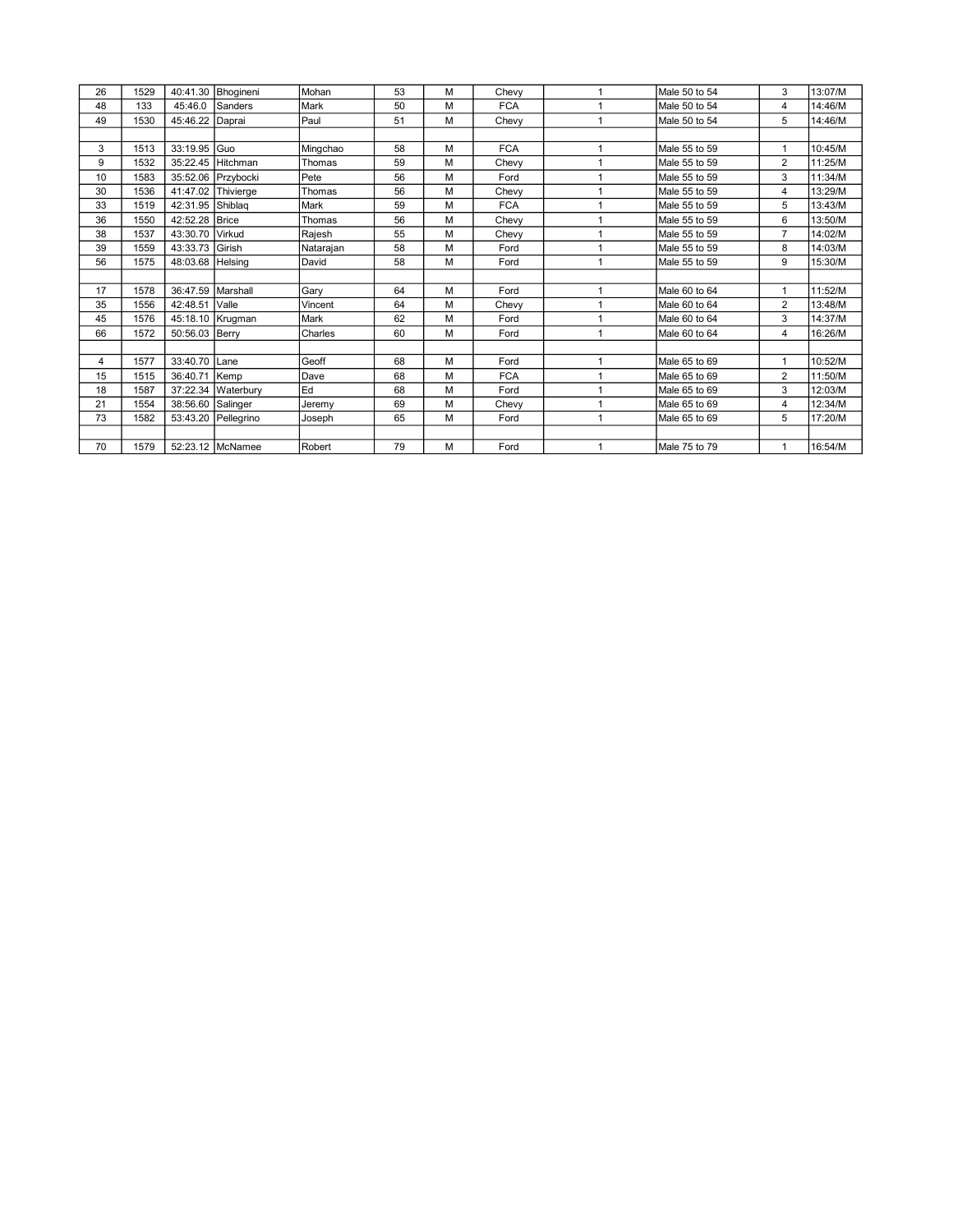| 26 | 1529 | 40:41.30     | Bhogineni          | Mohan     | 53 | M | Chevy      | Male 50 to 54 | 3              | 13:07/M |
|----|------|--------------|--------------------|-----------|----|---|------------|---------------|----------------|---------|
| 48 | 133  | 45:46.0      | Sanders            | Mark      | 50 | M | <b>FCA</b> | Male 50 to 54 | 4              | 14:46/M |
| 49 | 1530 | 45:46.22     | Daprai             | Paul      | 51 | M | Chevy      | Male 50 to 54 | 5              | 14:46/M |
|    |      |              |                    |           |    |   |            |               |                |         |
| 3  | 1513 | 33:19.95 Guo |                    | Mingchao  | 58 | M | <b>FCA</b> | Male 55 to 59 |                | 10:45/M |
| 9  | 1532 | 35:22.45     | Hitchman           | Thomas    | 59 | M | Chevy      | Male 55 to 59 | $\overline{2}$ | 11:25/M |
| 10 | 1583 | 35:52.06     | <b>Przybocki</b>   | Pete      | 56 | M | Ford       | Male 55 to 59 | 3              | 11:34/M |
| 30 | 1536 | 41:47.02     | Thivierge          | Thomas    | 56 | M | Chevy      | Male 55 to 59 | $\overline{4}$ | 13:29/M |
| 33 | 1519 | 42:31.95     | Shiblag            | Mark      | 59 | M | <b>FCA</b> | Male 55 to 59 | 5              | 13:43/M |
| 36 | 1550 | 42:52.28     | <b>Brice</b>       | Thomas    | 56 | M | Chevy      | Male 55 to 59 | 6              | 13:50/M |
| 38 | 1537 | 43:30.70     | Virkud             | Rajesh    | 55 | M | Chevy      | Male 55 to 59 | $\overline{7}$ | 14:02/M |
| 39 | 1559 | 43:33.73     | Girish             | Natarajan | 58 | M | Ford       | Male 55 to 59 | 8              | 14:03/M |
| 56 | 1575 | 48:03.68     | Helsing            | David     | 58 | M | Ford       | Male 55 to 59 | 9              | 15:30/M |
|    |      |              |                    |           |    |   |            |               |                |         |
| 17 | 1578 | 36:47.59     | Marshall           | Gary      | 64 | M | Ford       | Male 60 to 64 | 1              | 11:52/M |
| 35 | 1556 | 42:48.51     | Valle              | Vincent   | 64 | M | Chevy      | Male 60 to 64 | $\overline{2}$ | 13:48/M |
| 45 | 1576 | 45:18.10     | Krugman            | Mark      | 62 | M | Ford       | Male 60 to 64 | 3              | 14:37/M |
| 66 | 1572 | 50:56.03     | <b>Berrv</b>       | Charles   | 60 | M | Ford       | Male 60 to 64 | 4              | 16:26/M |
|    |      |              |                    |           |    |   |            |               |                |         |
| 4  | 1577 | 33:40.70     | Lane               | Geoff     | 68 | M | Ford       | Male 65 to 69 | 1              | 10:52/M |
| 15 | 1515 | 36:40.71     | Kemp               | Dave      | 68 | M | <b>FCA</b> | Male 65 to 69 | $\overline{2}$ | 11:50/M |
| 18 | 1587 | 37:22.34     | Waterbury          | Ed        | 68 | M | Ford       | Male 65 to 69 | 3              | 12:03/M |
| 21 | 1554 | 38:56.60     | Salinger           | Jeremy    | 69 | M | Chevy      | Male 65 to 69 | 4              | 12:34/M |
| 73 | 1582 | 53:43.20     | Pellegrino         | Joseph    | 65 | M | Ford       | Male 65 to 69 | 5              | 17:20/M |
|    |      |              |                    |           |    |   |            |               |                |         |
| 70 | 1579 |              | 52:23.12   McNamee | Robert    | 79 | M | Ford       | Male 75 to 79 |                | 16:54/M |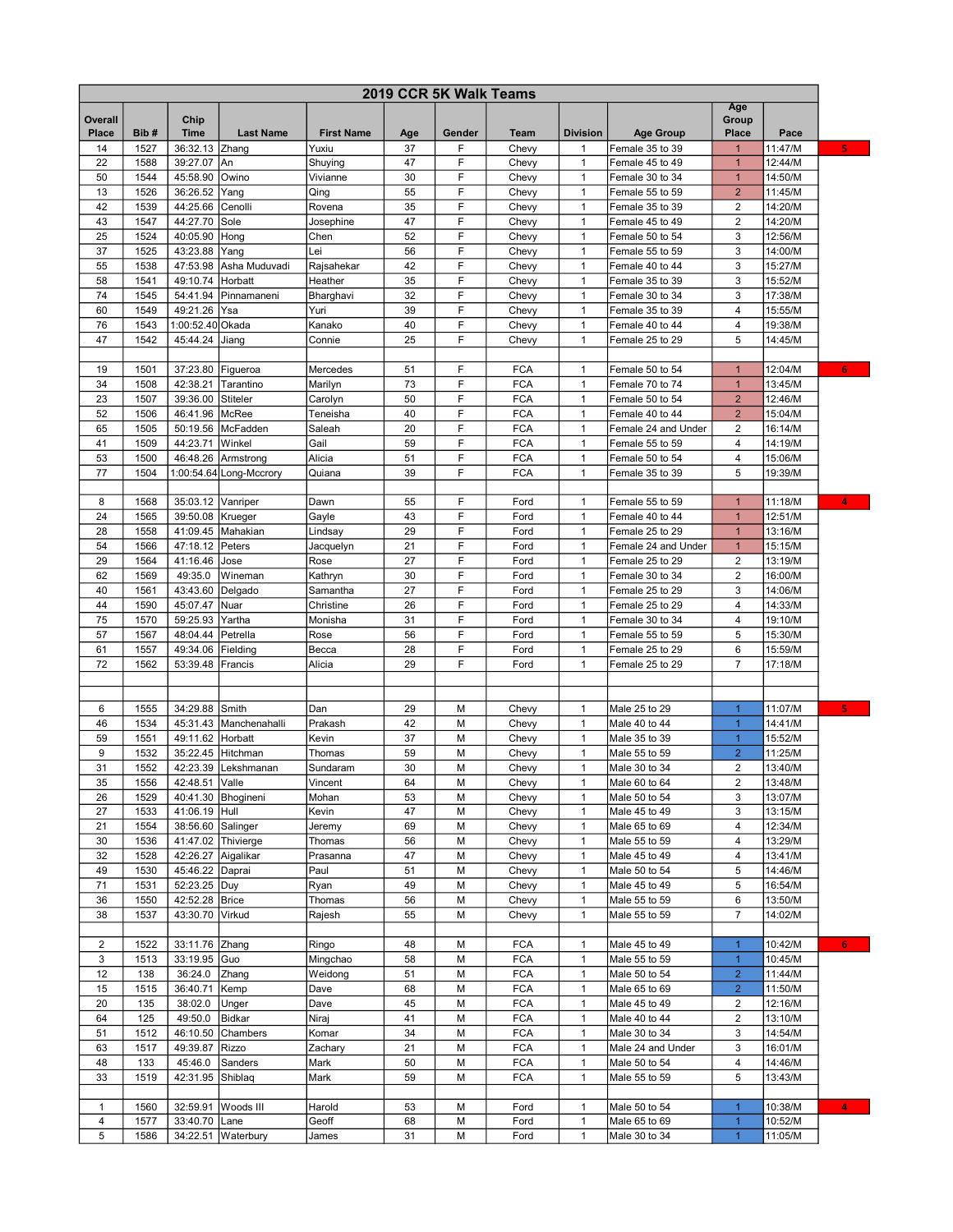|                   |              |                           |                          |                       |          | 2019 CCR 5K Walk Teams |                |                              |                                        |                              |                    |                |
|-------------------|--------------|---------------------------|--------------------------|-----------------------|----------|------------------------|----------------|------------------------------|----------------------------------------|------------------------------|--------------------|----------------|
| Overall           |              | Chip                      |                          |                       |          |                        |                |                              |                                        | Age<br>Group                 |                    |                |
| <b>Place</b>      | Bib#         | <b>Time</b>               | <b>Last Name</b>         | <b>First Name</b>     | Age      | Gender                 | Team           | <b>Division</b>              | <b>Age Group</b>                       | <b>Place</b>                 | Pace               |                |
| 14                | 1527         | 36:32.13                  | Zhang                    | Yuxiu                 | 37       | F                      | Chevy          | 1                            | Female 35 to 39                        | $\mathbf 1$                  | 11:47/M            | 5.             |
| 22                | 1588         | 39:27.07                  | An                       | Shuying               | 47       | F                      | Chevy          | $\mathbf{1}$                 | Female 45 to 49                        | $\mathbf{1}$                 | 12:44/M            |                |
| 50                | 1544         | 45:58.90                  | Owino                    | Vivianne              | 30       | F                      | Chevy          | 1                            | Female 30 to 34                        | $\mathbf{1}$                 | 14:50/M            |                |
| 13                | 1526         | 36:26.52                  | Yang                     | Qing                  | 55       | F                      | Chevy          | $\mathbf{1}$                 | Female 55 to 59                        | $\overline{2}$               | 11:45/M            |                |
| 42                | 1539         | 44:25.66                  | Cenolli                  | Rovena                | 35       | F                      | Chevy          | $\mathbf{1}$                 | Female 35 to 39                        | $\overline{\mathbf{c}}$      | 14:20/M            |                |
| 43                | 1547         | 44:27.70                  | Sole                     | Josephine             | 47       | F                      | Chevy          | 1                            | Female 45 to 49                        | $\overline{\mathbf{c}}$      | 14:20/M            |                |
| 25                | 1524         | 40:05.90                  | Hong                     | Chen                  | 52       | F                      | Chevy          | $\mathbf{1}$                 | Female 50 to 54                        | 3                            | 12:56/M            |                |
| 37                | 1525         | 43:23.88                  | Yang                     | Lei                   | 56<br>42 | F<br>F                 | Chevy          | 1<br>$\mathbf{1}$            | Female 55 to 59                        | 3<br>3                       | 14:00/M            |                |
| 55<br>58          | 1538<br>1541 | 47:53.98<br>49:10.74      | Asha Muduvadi<br>Horbatt | Rajsahekar<br>Heather | 35       | F                      | Chevy<br>Chevy | 1                            | Female 40 to 44<br>Female 35 to 39     | 3                            | 15:27/M<br>15:52/M |                |
| 74                | 1545         | 54:41.94                  | Pinnamaneni              | Bharghavi             | 32       | F                      | Chevy          | 1                            | Female 30 to 34                        | 3                            | 17:38/M            |                |
| 60                | 1549         | 49:21.26                  | Ysa                      | Yuri                  | 39       | F                      | Chevy          | $\mathbf{1}$                 | Female 35 to 39                        | 4                            | 15:55/M            |                |
| 76                | 1543         | 1:00:52.40 Okada          |                          | Kanako                | 40       | F                      | Chevy          | 1                            | Female 40 to 44                        | 4                            | 19:38/M            |                |
| 47                | 1542         | 45:44.24                  | Jiang                    | Connie                | 25       | F                      | Chevy          | $\mathbf{1}$                 | Female 25 to 29                        | 5                            | 14:45/M            |                |
|                   |              |                           |                          |                       |          |                        |                |                              |                                        |                              |                    |                |
| 19                | 1501         | 37:23.80                  | Figueroa                 | Mercedes              | 51       | F                      | <b>FCA</b>     | $\mathbf{1}$                 | Female 50 to 54                        | $\mathbf{1}$                 | 12:04/M            | 6 <sup>1</sup> |
| 34                | 1508         | 42:38.21                  | Tarantino                | Marilyn               | 73       | F                      | <b>FCA</b>     | 1                            | Female 70 to 74                        | $\mathbf{1}$                 | 13:45/M            |                |
| 23                | 1507         | 39:36.00                  | <b>Stiteler</b>          | Carolyn               | 50       | F                      | <b>FCA</b>     | $\mathbf{1}$                 | Female 50 to 54                        | $\overline{2}$               | 12:46/M            |                |
| 52                | 1506         | 46:41.96                  | McRee                    | Teneisha              | 40       | F                      | <b>FCA</b>     | 1                            | Female 40 to 44                        | $\overline{2}$               | 15:04/M            |                |
| 65                | 1505         | 50:19.56                  | McFadden                 | Saleah                | 20       | F                      | <b>FCA</b>     | 1                            | Female 24 and Under                    | 2                            | 16:14/M            |                |
| 41                | 1509         | 44:23.71                  | Winkel                   | Gail                  | 59       | F                      | <b>FCA</b>     | $\mathbf{1}$                 | Female 55 to 59                        | 4                            | 14:19/M            |                |
| 53                | 1500         | 46:48.26                  | Armstrong                | Alicia                | 51       | F                      | <b>FCA</b>     | 1                            | Female 50 to 54                        | 4                            | 15:06/M            |                |
| 77                | 1504         |                           | 1:00:54.64 Long-Mccrory  | Quiana                | 39       | F                      | <b>FCA</b>     | 1                            | Female 35 to 39                        | 5                            | 19:39/M            |                |
|                   |              |                           |                          |                       |          |                        |                |                              |                                        |                              |                    |                |
| 8                 | 1568         | 35:03.12 Vanriper         |                          | Dawn                  | 55       | F                      | Ford           | 1                            | Female 55 to 59                        | $\mathbf{1}$                 | 11:18/M            | 4              |
| 24                | 1565         | 39:50.08                  | Krueger                  | Gayle                 | 43       | F                      | Ford           | 1                            | Female 40 to 44                        | $\mathbf{1}$                 | 12:51/M            |                |
| 28<br>54          | 1558<br>1566 | 41:09.45<br>47:18.12      | Mahakian                 | Lindsay               | 29<br>21 | F<br>F                 | Ford<br>Ford   | 1<br>$\mathbf{1}$            | Female 25 to 29                        | $\mathbf{1}$<br>$\mathbf{1}$ | 13:16/M<br>15:15/M |                |
| 29                | 1564         | 41:16.46                  | Peters<br>Jose           | Jacquelyn<br>Rose     | 27       | F                      | Ford           | 1                            | Female 24 and Under<br>Female 25 to 29 | 2                            | 13:19/M            |                |
| 62                | 1569         | 49:35.0                   | Wineman                  | Kathryn               | 30       | F                      | Ford           | $\mathbf{1}$                 | Female 30 to 34                        | $\overline{\mathbf{c}}$      | 16:00/M            |                |
| 40                | 1561         | 43:43.60                  | Delgado                  | Samantha              | 27       | F                      | Ford           | $\mathbf{1}$                 | Female 25 to 29                        | 3                            | 14:06/M            |                |
| 44                | 1590         | 45:07.47                  | Nuar                     | Christine             | 26       | F                      | Ford           | 1                            | Female 25 to 29                        | 4                            | 14:33/M            |                |
| 75                | 1570         | 59:25.93                  | Yartha                   | Monisha               | 31       | F                      | Ford           | $\mathbf{1}$                 | Female 30 to 34                        | 4                            | 19:10/M            |                |
| 57                | 1567         | 48:04.44                  | Petrella                 | Rose                  | 56       | F                      | Ford           | 1                            | Female 55 to 59                        | 5                            | 15:30/M            |                |
| 61                | 1557         | 49:34.06                  | Fielding                 | Becca                 | 28       | F                      | Ford           | 1                            | Female 25 to 29                        | 6                            | 15:59/M            |                |
| 72                | 1562         | 53:39.48                  | Francis                  | Alicia                | 29       | F                      | Ford           | 1                            | Female 25 to 29                        | 7                            | 17:18/M            |                |
|                   |              |                           |                          |                       |          |                        |                |                              |                                        |                              |                    |                |
|                   |              |                           |                          |                       |          |                        |                |                              |                                        |                              |                    |                |
| 6                 | 1555         | 34:29.88                  | Smith                    | Dan                   | 29       | М                      | Chevy          | 1                            | Male 25 to 29                          | $\mathbf{1}$                 | 11:07/M            | 5.             |
| 46                | 1534         | 45:31.43                  | Manchenahalli            | Prakash               | 42       | М                      | Chevy          | $\mathbf{1}$                 | Male 40 to 44                          | $\mathbf{1}$                 | 14:41/M            |                |
| 59                | 1551         | 49:11.62                  | Horbatt                  | Kevin                 | 37       | М                      | Chevy          | $\mathbf{1}$                 | Male 35 to 39                          | $\mathbf{1}$                 | 15:52/M            |                |
| 9                 | 1532         | 35:22.45                  | Hitchman                 | Thomas                | 59       | М                      | Chevy          | 1                            | Male 55 to 59                          | $\overline{2}$               | 11:25/M            |                |
| 31                | 1552         | 42:23.39                  | Lekshmanan               | Sundaram              | 30       | М                      | Chevy          | $\mathbf{1}$                 | Male 30 to 34                          | $\overline{2}$               | 13:40/M            |                |
| 35                | 1556         | 42:48.51 Valle            |                          | Vincent               | 64       | М                      | Chevy          |                              | Male 60 to 64                          | $\overline{c}$               | 13:48/M            |                |
| 26                | 1529         |                           | 40:41.30   Bhogineni     | Mohan                 | 53       | М                      | Chevy          | $\mathbf{1}$                 | Male 50 to 54                          | 3                            | 13:07/M            |                |
| 27<br>21          | 1533<br>1554 | 41:06.19 Hull             |                          | Kevin<br>Jeremy       | 47<br>69 | М<br>М                 | Chevy<br>Chevy | 1                            | Male 45 to 49<br>Male 65 to 69         | 3<br>4                       | 13:15/M<br>12:34/M |                |
| 30                | 1536         | 38:56.60 Salinger         | 41:47.02 Thivierge       | Thomas                | 56       | М                      | Chevy          | 1<br>1                       | Male 55 to 59                          | 4                            | 13:29/M            |                |
| 32                | 1528         | 42:26.27                  | Aigalikar                | Prasanna              | 47       | М                      | Chevy          | 1                            | Male 45 to 49                          | 4                            | 13:41/M            |                |
| 49                | 1530         | 45:46.22 Daprai           |                          | Paul                  | 51       | М                      | Chevy          | $\mathbf{1}$                 | Male 50 to 54                          | 5                            | 14:46/M            |                |
| 71                | 1531         | 52:23.25                  | Duy                      | Ryan                  | 49       | М                      | Chevy          | 1                            | Male 45 to 49                          | 5                            | 16:54/M            |                |
| 36                | 1550         | 42:52.28 Brice            |                          | Thomas                | 56       | М                      | Chevy          | $\mathbf{1}$                 | Male 55 to 59                          | 6                            | 13:50/M            |                |
| 38                | 1537         | 43:30.70                  | Virkud                   | Rajesh                | 55       | М                      | Chevy          | 1                            | Male 55 to 59                          | $\overline{7}$               | 14:02/M            |                |
|                   |              |                           |                          |                       |          |                        |                |                              |                                        |                              |                    |                |
| 2                 | 1522         | 33:11.76                  | Zhang                    | Ringo                 | 48       | М                      | <b>FCA</b>     | 1                            | Male 45 to 49                          | $\mathbf{1}$                 | 10:42/M            | 6 <sub>1</sub> |
| 3                 | 1513         | 33:19.95                  | Guo                      | Mingchao              | 58       | М                      | <b>FCA</b>     | 1                            | Male 55 to 59                          | $\mathbf{1}$                 | 10:45/M            |                |
| 12                | 138          | 36:24.0                   | Zhang                    | Weidong               | 51       | М                      | <b>FCA</b>     | $\mathbf{1}$                 | Male 50 to 54                          | $\overline{2}$               | 11:44/M            |                |
| 15                | 1515         | 36:40.71                  | Kemp                     | Dave                  | 68       | М                      | <b>FCA</b>     | 1                            | Male 65 to 69                          | $\overline{2}$               | 11:50/M            |                |
| 20                | 135          | 38:02.0                   | Unger                    | Dave                  | 45       | М                      | <b>FCA</b>     | $\mathbf{1}$                 | Male 45 to 49                          | 2                            | 12:16/M            |                |
| 64                | 125          | 49:50.0                   | Bidkar                   | Niraj                 | 41       | М                      | <b>FCA</b>     | 1                            | Male 40 to 44                          | 2                            | 13:10/M            |                |
| 51                | 1512         | 46:10.50                  | Chambers                 | Komar                 | 34       | М                      | <b>FCA</b>     | 1                            | Male 30 to 34                          | 3                            | 14:54/M            |                |
| 63                | 1517         | 49:39.87                  | Rizzo                    | Zachary               | 21       | М                      | <b>FCA</b>     | $\mathbf{1}$                 | Male 24 and Under                      | 3                            | 16:01/M            |                |
| 48                | 133          | 45:46.0                   | Sanders                  | Mark                  | 50       | м                      | <b>FCA</b>     | $\mathbf{1}$                 | Male 50 to 54                          | 4                            | 14:46/M            |                |
| 33                | 1519         | 42:31.95                  | Shiblaq                  | Mark                  | 59       | М                      | <b>FCA</b>     | $\mathbf{1}$                 | Male 55 to 59                          | 5                            | 13:43/M            |                |
|                   |              |                           |                          |                       |          |                        |                |                              |                                        |                              |                    | 4              |
| $\mathbf{1}$<br>4 | 1560<br>1577 | 32:59.91<br>33:40.70 Lane | Woods III                | Harold<br>Geoff       | 53<br>68 | М<br>М                 | Ford<br>Ford   | $\mathbf{1}$<br>$\mathbf{1}$ | Male 50 to 54<br>Male 65 to 69         | $\mathbf{1}$<br>$\mathbf{1}$ | 10:38/M<br>10:52/M |                |
| 5                 | 1586         |                           | 34:22.51 Waterbury       | James                 | 31       | М                      | Ford           | $\mathbf{1}$                 | Male 30 to 34                          | $\mathbf{1}$                 | 11:05/M            |                |
|                   |              |                           |                          |                       |          |                        |                |                              |                                        |                              |                    |                |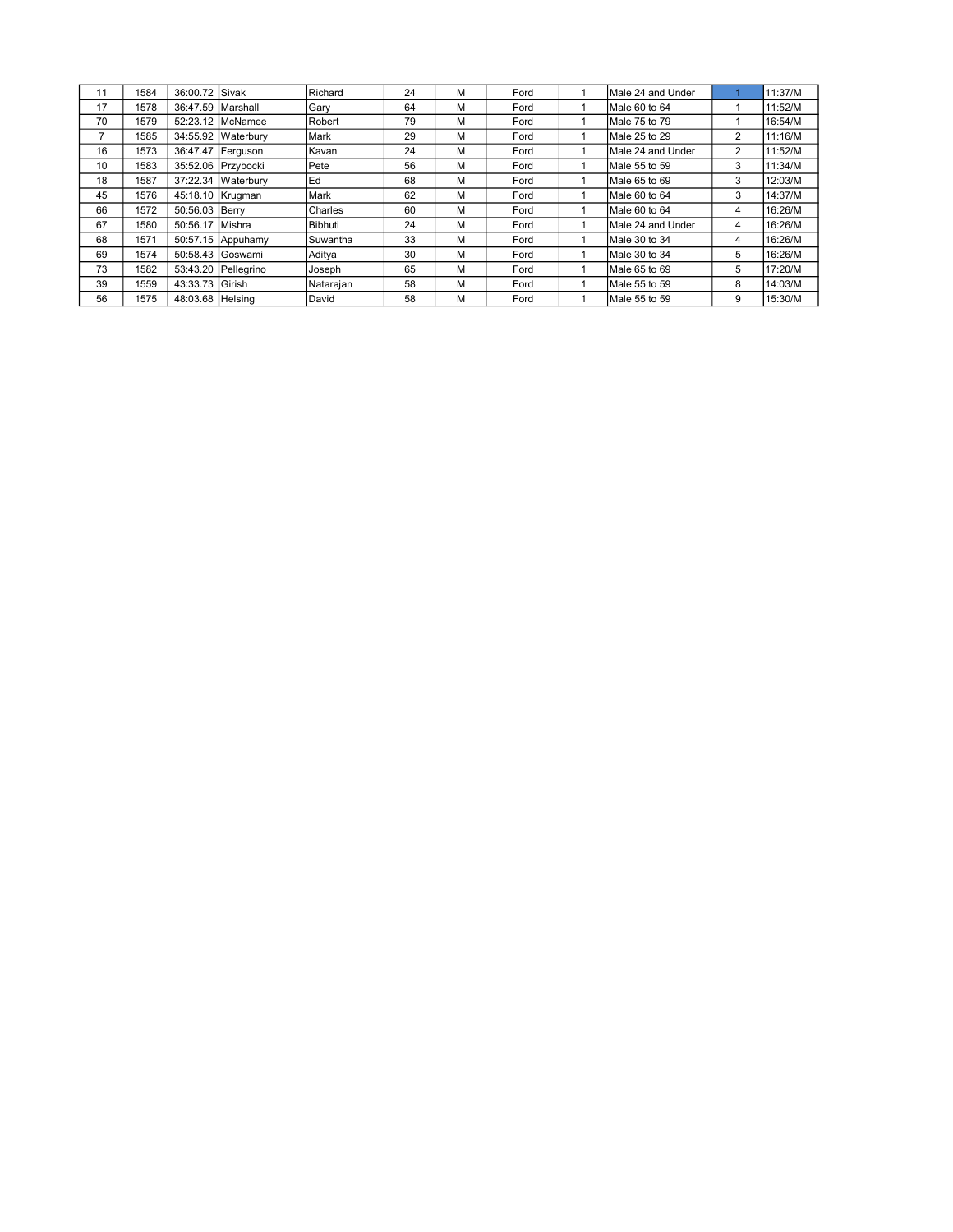| 11 | 1584 | 36:00.72          | <b>Sivak</b>       | Richard       | 24 | M | Ford | Male 24 and Under |   | 11:37/M |
|----|------|-------------------|--------------------|---------------|----|---|------|-------------------|---|---------|
| 17 | 1578 | 36:47.59 Marshall |                    | Gary          | 64 | м | Ford | Male 60 to 64     |   | 11:52/M |
| 70 | 1579 |                   | 52:23.12 McNamee   | <b>Robert</b> | 79 | M | Ford | Male 75 to 79     |   | 16:54/M |
|    | 1585 |                   | 34:55.92 Waterbury | <b>Mark</b>   | 29 | M | Ford | Male 25 to 29     | 2 | 11:16/M |
| 16 | 1573 |                   | 36:47.47 Ferguson  | lKavan        | 24 | M | Ford | Male 24 and Under | 2 | 11:52/M |
| 10 | 1583 |                   | 35:52.06 Przybocki | lPete         | 56 | M | Ford | Male 55 to 59     | 3 | 11:34/M |
| 18 | 1587 |                   | 37:22.34 Waterbury | lEd           | 68 | M | Ford | Male 65 to 69     | 3 | 12:03/M |
| 45 | 1576 |                   | 45:18.10 Krugman   | lMark         | 62 | M | Ford | Male 60 to 64     | 3 | 14:37/M |
| 66 | 1572 | 50:56.03 Berry    |                    | Charles       | 60 | M | Ford | Male 60 to 64     | 4 | 16:26/M |
| 67 | 1580 | 50:56.17 Mishra   |                    | l Bibhuti     | 24 | M | Ford | Male 24 and Under | 4 | 16:26/M |
| 68 | 1571 |                   | 50:57.15 Appuhamy  | Suwantha      | 33 | M | Ford | Male 30 to 34     | 4 | 16:26/M |
| 69 | 1574 |                   | 50:58.43 Goswami   | Aditya        | 30 | M | Ford | Male 30 to 34     | 5 | 16:26/M |
| 73 | 1582 | 53:43.20          | Pellegrino         | Joseph        | 65 | M | Ford | Male 65 to 69     | 5 | 17:20/M |
| 39 | 1559 | 43:33.73 Girish   |                    | Natarajan     | 58 | M | Ford | Male 55 to 59     | 8 | 14:03/M |
| 56 | 1575 | 48:03.68 Helsing  |                    | David         | 58 | M | Ford | Male 55 to 59     | 9 | 15:30/M |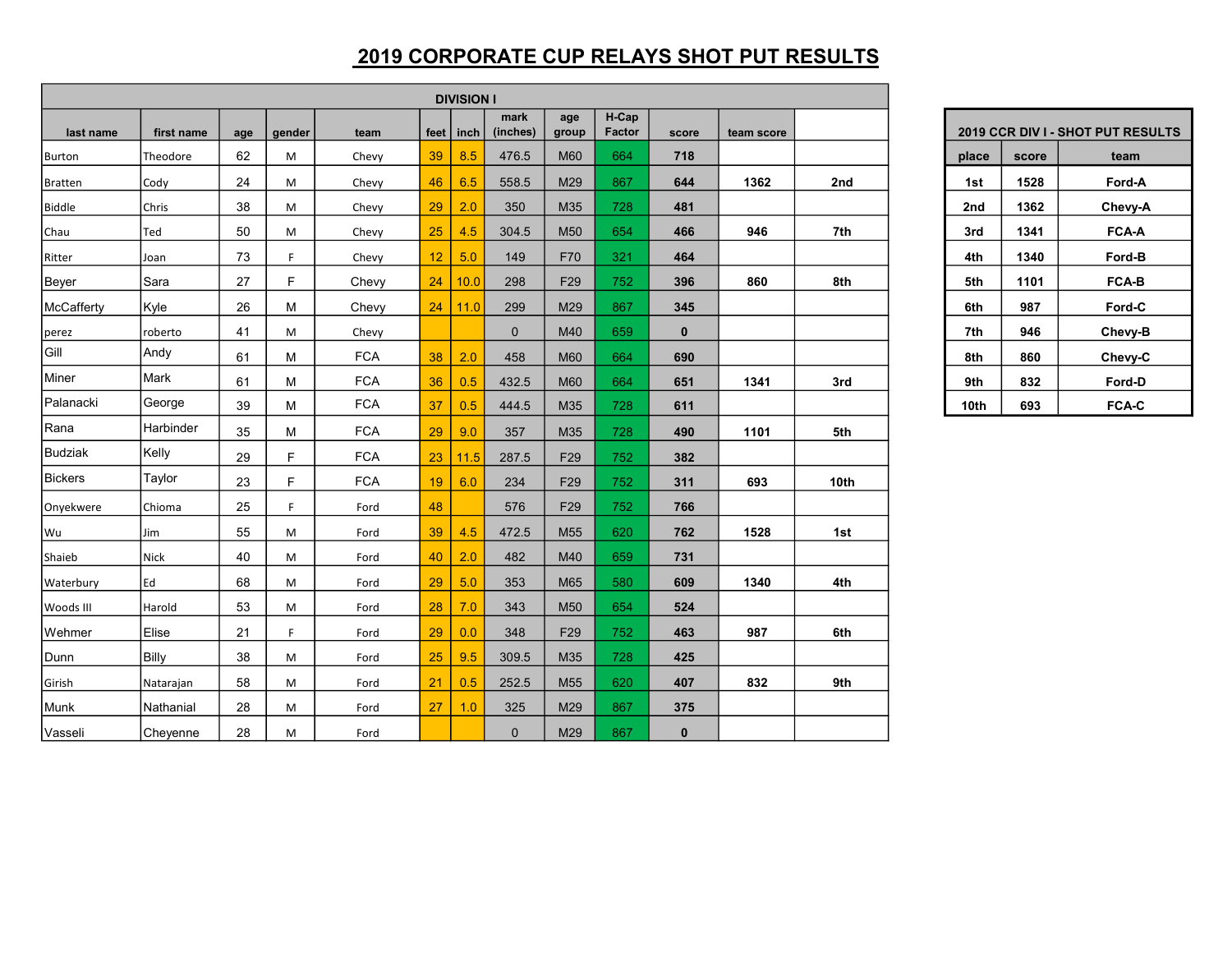### 2019 CORPORATE CUP RELAYS SHOT PUT RESULTS

|                  |              |     |        |            |      | <b>DIVISION I</b> |                  |                 |                 |              |            |                  |       |       |                                |
|------------------|--------------|-----|--------|------------|------|-------------------|------------------|-----------------|-----------------|--------------|------------|------------------|-------|-------|--------------------------------|
| last name        | first name   | age | gender | team       | feet | inch              | mark<br>(inches) | age<br>group    | H-Cap<br>Factor | score        | team score |                  |       |       | 2019 CCR DIV I - SHOT PUT RESU |
| Burton           | Theodore     | 62  | M      | Chevy      | 39   | 8.5               | 476.5            | M60             | 664             | 718          |            |                  | place | score | team                           |
| Bratten          | Cody         | 24  | M      | Chevy      | 46   | 6.5               | 558.5            | M29             | 867             | 644          | 1362       | 2nd              | 1st   | 1528  | Ford-A                         |
| <b>Biddle</b>    | Chris        | 38  | M      | Chevy      | 29   | 2.0               | 350              | M35             | 728             | 481          |            |                  | 2nd   | 1362  | Chevy-A                        |
| Chau             | Ted          | 50  | M      | Chevy      | 25   | 4.5               | 304.5            | M <sub>50</sub> | 654             | 466          | 946        | 7th              | 3rd   | 1341  | FCA-A                          |
| Ritter           | Joan         | 73  | F.     | Chevy      | 12   | 5.0               | 149              | F70             | 321             | 464          |            |                  | 4th   | 1340  | Ford-B                         |
| Beyer            | Sara         | 27  | F.     | Chevy      | 24   | 10.0              | 298              | F <sub>29</sub> | 752             | 396          | 860        | 8th              | 5th   | 1101  | FCA-B                          |
| McCafferty       | Kyle         | 26  | м      | Chevy      | 24   | 11.0              | 299              | M29             | 867             | 345          |            |                  | 6th   | 987   | Ford-C                         |
| perez            | roberto      | 41  | M      | Chevy      |      |                   | $\mathbf{0}$     | M40             | 659             | $\mathbf{0}$ |            |                  | 7th   | 946   | Chevy-B                        |
| Gill             | Andy         | 61  | м      | <b>FCA</b> | 38   | 2.0               | 458              | <b>M60</b>      | 664             | 690          |            |                  | 8th   | 860   | Chevy-C                        |
| Miner            | Mark         | 61  | М      | <b>FCA</b> | 36   | 0.5               | 432.5            | M60             | 664             | 651          | 1341       | 3rd              | 9th   | 832   | Ford-D                         |
| Palanacki        | George       | 39  | м      | <b>FCA</b> | 37   | 0.5               | 444.5            | M35             | 728             | 611          |            |                  | 10th  | 693   | FCA-C                          |
| Rana             | Harbinder    | 35  | м      | <b>FCA</b> | 29   | 9.0               | 357              | M35             | 728             | 490          | 1101       | 5th              |       |       |                                |
| <b>Budziak</b>   | Kelly        | 29  | F.     | <b>FCA</b> | 23   | 11.5              | 287.5            | F29             | 752             | 382          |            |                  |       |       |                                |
| <b>Bickers</b>   | Taylor       | 23  | F.     | <b>FCA</b> | 19   | 6.0               | 234              | F <sub>29</sub> | 752             | 311          | 693        | 10 <sub>th</sub> |       |       |                                |
| Onyekwere        | Chioma       | 25  | F.     | Ford       | 48   |                   | 576              | F29             | 752             | 766          |            |                  |       |       |                                |
| Wu               | Jim          | 55  | M      | Ford       | 39   | 4.5               | 472.5            | M <sub>55</sub> | 620             | 762          | 1528       | 1st              |       |       |                                |
| Shaieb           | Nick         | 40  | M      | Ford       | 40   | 2.0               | 482              | M40             | 659             | 731          |            |                  |       |       |                                |
| <b>Waterbury</b> | Ed           | 68  | M      | Ford       | 29   | 5.0               | 353              | M65             | 580             | 609          | 1340       | 4th              |       |       |                                |
| Woods III        | Harold       | 53  | M      | Ford       | 28   | 7.0               | 343              | M50             | 654             | 524          |            |                  |       |       |                                |
| Wehmer           | Elise        | 21  | F.     | Ford       | 29   | 0.0               | 348              | F <sub>29</sub> | 752             | 463          | 987        | 6th              |       |       |                                |
| Dunn             | <b>Billy</b> | 38  | M      | Ford       | 25   | 9.5               | 309.5            | M35             | 728             | 425          |            |                  |       |       |                                |
| Girish           | Natarajan    | 58  | M      | Ford       | 21   | 0.5               | 252.5            | M <sub>55</sub> | 620             | 407          | 832        | 9th              |       |       |                                |
| Munk             | Nathanial    | 28  | M      | Ford       | 27   | 1.0               | 325              | M29             | 867             | 375          |            |                  |       |       |                                |
| Vasseli          | Cheyenne     | 28  | M      | Ford       |      |                   | $\mathbf{0}$     | M29             | 867             | $\mathbf{0}$ |            |                  |       |       |                                |

| <b>2019 CCR DIV I - SHOT PUT RESULTS</b> |       |              |  |  |  |  |  |
|------------------------------------------|-------|--------------|--|--|--|--|--|
| place                                    | score | team         |  |  |  |  |  |
| 1st                                      | 1528  | Ford-A       |  |  |  |  |  |
| 2nd                                      | 1362  | Chevy-A      |  |  |  |  |  |
| 3rd                                      | 1341  | <b>FCA-A</b> |  |  |  |  |  |
| 4th                                      | 1340  | Ford-B       |  |  |  |  |  |
| 5th                                      | 1101  | <b>FCA-B</b> |  |  |  |  |  |
| 6th                                      | 987   | Ford-C       |  |  |  |  |  |
| 7th                                      | 946   | Chevy-B      |  |  |  |  |  |
| 8th                                      | 860   | Chevy-C      |  |  |  |  |  |
| 9th                                      | 832   | Ford-D       |  |  |  |  |  |
| 10th                                     | 693   | FCA-C        |  |  |  |  |  |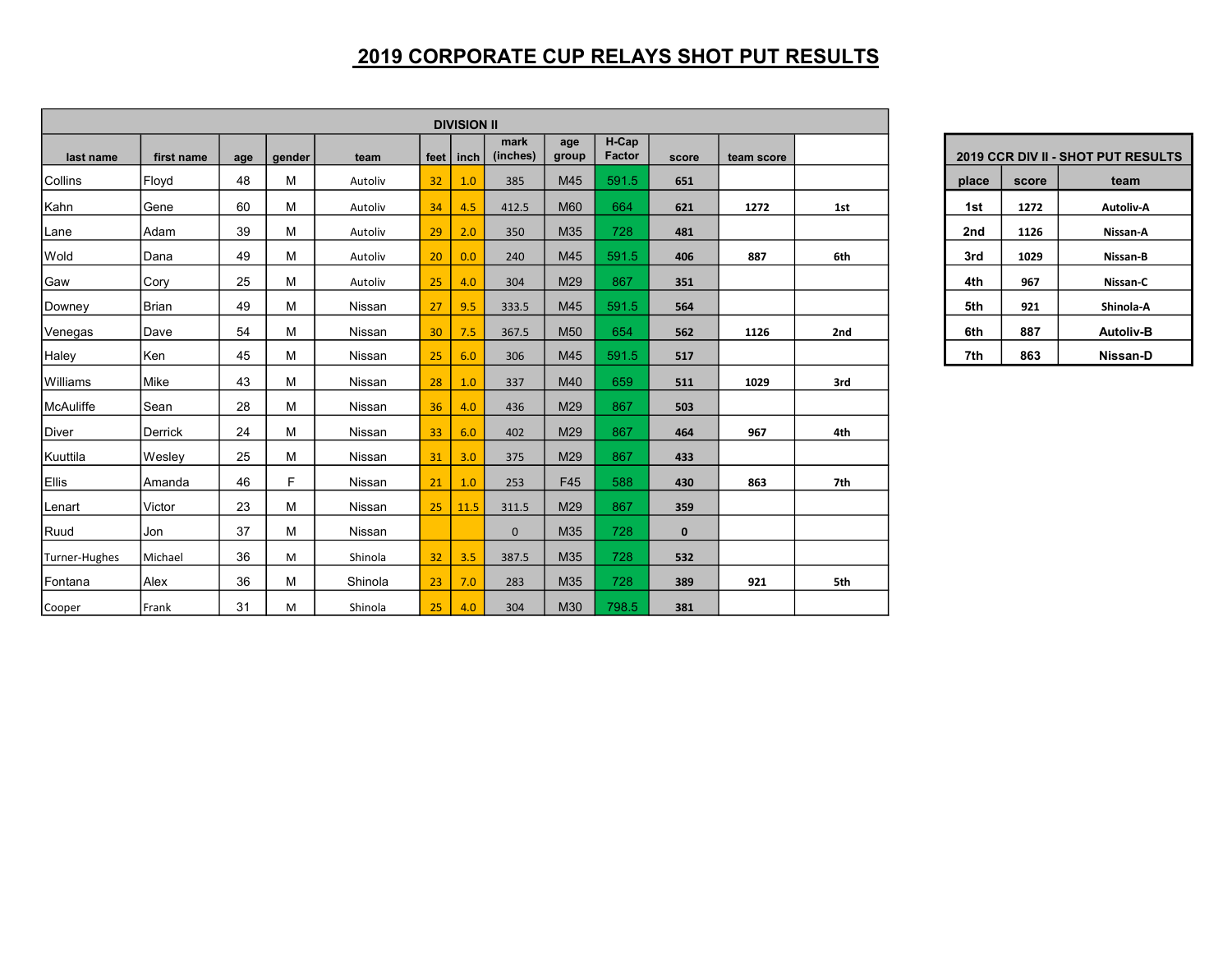### 2019 CORPORATE CUP RELAYS SHOT PUT RESULTS

|                 |               |     |        |         |                 | <b>DIVISION II</b> |                  |              |                 |              |            |     |       |       |                                 |
|-----------------|---------------|-----|--------|---------|-----------------|--------------------|------------------|--------------|-----------------|--------------|------------|-----|-------|-------|---------------------------------|
| last name       | first name    | age | gender | team    | feet            | inch               | mark<br>(inches) | age<br>group | H-Cap<br>Factor | score        | team score |     |       |       | 2019 CCR DIV II - SHOT PUT RESU |
| Collins         | Floyd         | 48  | м      | Autoliv | 32              | 1.0                | 385              | M45          | 591.5           | 651          |            |     | place | score | team                            |
| Kahn            | Gene          | 60  | м      | Autoliv | 34              | 4.5                | 412.5            | <b>M60</b>   | 664             | 621          | 1272       | 1st | 1st   | 1272  | <b>Autoliv-A</b>                |
| Lane            | Adam          | 39  | М      | Autoliv | 29              | 2.0                | 350              | M35          | 728             | 481          |            |     | 2nd   | 1126  | Nissan-A                        |
| Wold            | Dana          | 49  | м      | Autoliv | 20              | 0.0                | 240              | M45          | 591.5           | 406          | 887        | 6th | 3rd   | 1029  | Nissan-B                        |
| <b>Gaw</b>      | Cory          | 25  | М      | Autoliv | 25              | 4.0                | 304              | M29          | 867             | 351          |            |     | 4th   | 967   | Nissan-C                        |
| Downey          | <b>B</b> rian | 49  | М      | Nissan  | 27              | 9.5                | 333.5            | M45          | 591.5           | 564          |            |     | 5th   | 921   | Shinola-A                       |
| Venegas         | lDave         | 54  | М      | Nissan  | 30 <sub>o</sub> | 7.5                | 367.5            | M50          | 654             | 562          | 1126       | 2nd | 6th   | 887   | <b>Autoliv-B</b>                |
| Haley           | lKen.         | 45  | м      | Nissan  | 25              | 6.0                | 306              | M45          | 591.5           | 517          |            |     | 7th   | 863   | Nissan-D                        |
| <b>Williams</b> | Mike          | 43  | М      | Nissan  | 28              | 1.0                | 337              | M40          | 659             | 511          | 1029       | 3rd |       |       |                                 |
| McAuliffe       | lSean         | 28  | М      | Nissan  | 36              | 4.0                | 436              | M29          | 867             | 503          |            |     |       |       |                                 |
| Diver           | Derrick       | 24  | м      | Nissan  | 33              | 6.0                | 402              | M29          | 867             | 464          | 967        | 4th |       |       |                                 |
| Kuuttila        | Wesley        | 25  | М      | Nissan  | 31              | 3.0                | 375              | M29          | 867             | 433          |            |     |       |       |                                 |
| <b>Ellis</b>    | Amanda        | 46  | F.     | Nissan  | 21              | 1.0                | 253              | F45          | 588             | 430          | 863        | 7th |       |       |                                 |
| Lenart          | Victor        | 23  | М      | Nissan  | 25              | 11.5               | 311.5            | M29          | 867             | 359          |            |     |       |       |                                 |
| Ruud            | Jon           | 37  | М      | Nissan  |                 |                    | $\mathbf{0}$     | M35          | 728             | $\mathbf{0}$ |            |     |       |       |                                 |
| Turner-Hughes   | Michael       | 36  | М      | Shinola | 32              | 3.5                | 387.5            | M35          | 728             | 532          |            |     |       |       |                                 |
| Fontana         | Alex          | 36  | м      | Shinola | 23              | 7.0                | 283              | M35          | 728             | 389          | 921        | 5th |       |       |                                 |
| Cooper          | Frank         | 31  | М      | Shinola | 25              | 4.0                | 304              | M30          | 798.5           | 381          |            |     |       |       |                                 |

| <b>2019 CCR DIV II - SHOT PUT RESULTS</b> |       |                  |  |  |  |  |  |
|-------------------------------------------|-------|------------------|--|--|--|--|--|
| place                                     | score | team             |  |  |  |  |  |
| 1st                                       | 1272  | <b>Autoliv A</b> |  |  |  |  |  |
| 2nd                                       | 1126  | Nissan-A         |  |  |  |  |  |
| 3rd                                       | 1029  | Nissan-B         |  |  |  |  |  |
| 4th                                       | 967   | Nissan-C         |  |  |  |  |  |
| 5th                                       | 921   | Shinola-A        |  |  |  |  |  |
| 6th                                       | 887   | <b>Autoliv-B</b> |  |  |  |  |  |
| 7th                                       | 863   | Nissan-D         |  |  |  |  |  |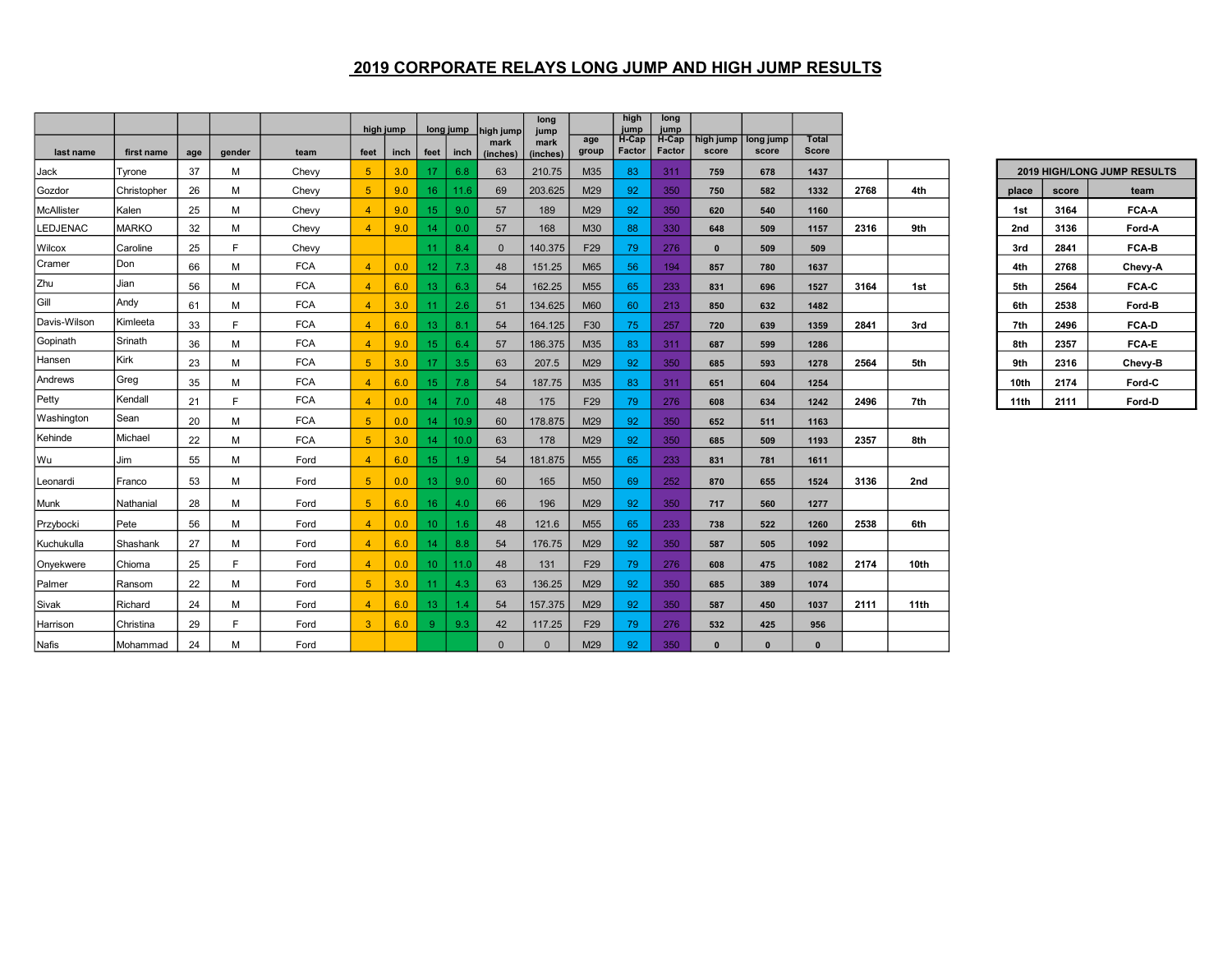#### 2019 CORPORATE RELAYS LONG JUMP AND HIGH JUMP RESULTS

|                   |              |     |        |            |                | high jump |                  | long jump   | high jump        | long<br>jump     |                 | high<br>jump    | long<br>jump    |                    |                    |                              |      |      |       |       |                           |
|-------------------|--------------|-----|--------|------------|----------------|-----------|------------------|-------------|------------------|------------------|-----------------|-----------------|-----------------|--------------------|--------------------|------------------------------|------|------|-------|-------|---------------------------|
| last name         | first name   | age | gender | team       | feet           | inch      |                  | $feet$ inch | mark<br>(inches) | mark<br>(inches) | age<br>group    | H-Cap<br>Factor | H-Cap<br>Factor | high jump<br>score | long jump<br>score | <b>Total</b><br><b>Score</b> |      |      |       |       |                           |
| Jack              | Tvrone       | 37  | м      | Chevy      | 5 <sup>5</sup> | 3.0       | 17               | 6.8         | 63               | 210.75           | M35             | 83              | 311             | 759                | 678                | 1437                         |      |      |       |       | 2019 HIGH/LONG JUMP RESUL |
| Gozdor            | Christopher  | 26  | м      | Chevy      | 5 <sub>5</sub> | 9.0       | 16               | 11.6        | 69               | 203.625          | M29             | 92              | 350             | 750                | 582                | 1332                         | 2768 | 4th  | place | score | team                      |
| <b>McAllister</b> | Kalen        | 25  | м      | Chevy      | $\overline{4}$ | 9.0       | 15               | 9.0         | 57               | 189              | M29             | 92              | 350             | 620                | 540                | 1160                         |      |      | 1st   | 3164  | FCA-A                     |
| LEDJENAC          | <b>MARKO</b> | 32  | м      | Chevy      | $\overline{4}$ | 9.0       | 14               | 0.0         | 57               | 168              | M30             | 88              | 330             | 648                | 509                | 1157                         | 2316 | 9th  | 2nd   | 3136  | Ford-A                    |
| Wilcox            | Caroline     | 25  | F      | Chevy      |                |           | 11               | 8.4         | $\mathbf{0}$     | 140.375          | F <sub>29</sub> | 79              | 276             | $\mathbf{0}$       | 509                | 509                          |      |      | 3rd   | 2841  | FCA-B                     |
| Cramer            | Don          | 66  | м      | <b>FCA</b> | $\overline{4}$ | 0.0       | 12 <sub>1</sub>  | 7.3         | 48               | 151.25           | M65             | 56              | 194             | 857                | 780                | 1637                         |      |      | 4th   | 2768  | Chevy-A                   |
| Zhu               | Jian         | 56  | м      | <b>FCA</b> | $\overline{4}$ | 6.0       | 13 <sup>°</sup>  | 6.3         | 54               | 162.25           | M <sub>55</sub> | 65              | 233             | 831                | 696                | 1527                         | 3164 | 1st  | 5th   | 2564  | FCA-C                     |
| Gill              | Andy         | 61  | м      | <b>FCA</b> | $\overline{4}$ | 3.0       | 11               | 2.6         | 51               | 134.625          | <b>M60</b>      | 60              | 213             | 850                | 632                | 1482                         |      |      | 6th   | 2538  | Ford-B                    |
| Davis-Wilson      | Kimleeta     | 33  | E      | <b>FCA</b> | $\overline{4}$ | 6.0       | 13 <sub>1</sub>  | 8.1         | 54               | 164.125          | F30             | 75              | 257             | 720                | 639                | 1359                         | 2841 | 3rd  | 7th   | 2496  | FCA-D                     |
| Gopinath          | Srinath      | 36  | м      | <b>FCA</b> | $\overline{4}$ | 9.0       | 15 <sub>15</sub> | 6.4         | 57               | 186.375          | M35             | 83              | 311             | 687                | 599                | 1286                         |      |      | 8th   | 2357  | FCA-E                     |
| Hansen            | Kirk         | 23  | м      | <b>FCA</b> | 5 <sup>5</sup> | 3.0       | 17               | 3.5         | 63               | 207.5            | M29             | 92              | 350             | 685                | 593                | 1278                         | 2564 | 5th  | 9th   | 2316  | Chevy-B                   |
| Andrews           | Greg         | 35  | м      | <b>FCA</b> | $\overline{4}$ | 6.0       | 15 <sub>1</sub>  | 7.8         | 54               | 187.75           | M35             | 83              | 311             | 651                | 604                | 1254                         |      |      | 10th  | 2174  | Ford-C                    |
| Petty             | Kendall      | 21  | E      | <b>FCA</b> | $\overline{4}$ | 0.0       | 14               | 7.0         | 48               | 175              | F <sub>29</sub> | 79              | 276             | 608                | 634                | 1242                         | 2496 | 7th  | 11th  | 2111  | Ford-D                    |
| Washington        | Sean         | 20  | м      | <b>FCA</b> | 5 <sup>5</sup> | 0.0       | 14               | 10.9        | 60               | 178.875          | M29             | 92              | 350             | 652                | 511                | 1163                         |      |      |       |       |                           |
| Kehinde           | Michael      | 22  | м      | <b>FCA</b> | 5 <sup>5</sup> | 3.0       | 14               | 10.0        | 63               | 178              | M29             | 92              | 350             | 685                | 509                | 1193                         | 2357 | 8th  |       |       |                           |
| Wu                | Jim          | 55  | м      | Ford       | $\overline{4}$ | 6.0       | 15               | 1.9         | 54               | 181.875          | M <sub>55</sub> | 65              | 233             | 831                | 781                | 1611                         |      |      |       |       |                           |
| Leonardi          | Franco       | 53  | м      | Ford       | 5 <sub>5</sub> | 0.0       | 13               | 9.0         | 60               | 165              | M50             | 69              | 252             | 870                | 655                | 1524                         | 3136 | 2nd  |       |       |                           |
| Munk              | Nathanial    | 28  | M      | Ford       | 5 <sup>5</sup> | 6.0       | 16               | 4.0         | 66               | 196              | M29             | 92              | 350             | 717                | 560                | 1277                         |      |      |       |       |                           |
| Przybocki         | Pete         | 56  | м      | Ford       | $\overline{4}$ | 0.0       | 10 <sup>°</sup>  | 1.6         | 48               | 121.6            | M <sub>55</sub> | 65              | 233             | 738                | 522                | 1260                         | 2538 | 6th  |       |       |                           |
| Kuchukulla        | Shashank     | 27  | м      | Ford       | $\overline{4}$ | 6.0       | 14               | 8.8         | 54               | 176.75           | M29             | 92              | 350             | 587                | 505                | 1092                         |      |      |       |       |                           |
| Onyekwere         | Chioma       | 25  | F      | Ford       | $\overline{4}$ | 0.0       | 10 <sup>°</sup>  | 11.0        | 48               | 131              | F <sub>29</sub> | 79              | 276             | 608                | 475                | 1082                         | 2174 | 10th |       |       |                           |
| Palmer            | Ransom       | 22  | м      | Ford       | 5 <sup>1</sup> | 3.0       | 11               | 4.3         | 63               | 136.25           | M29             | 92              | 350             | 685                | 389                | 1074                         |      |      |       |       |                           |
| Sivak             | Richard      | 24  | M      | Ford       | $\overline{4}$ | 6.0       | 13 <sup>°</sup>  | 1.4         | 54               | 157.375          | M29             | 92              | 350             | 587                | 450                | 1037                         | 2111 | 11th |       |       |                           |
| Harrison          | Christina    | 29  | E      | Ford       | 3 <sup>1</sup> | 6.0       | -9               | 9.3         | 42               | 117.25           | F29             | 79              | 276             | 532                | 425                | 956                          |      |      |       |       |                           |
| Nafis             | Mohammad     | 24  | м      | Ford       |                |           |                  |             | $\overline{0}$   | $\mathbf{0}$     | M29             | 92              | 350             | $\mathbf{0}$       | $\mathbf{0}$       | $\bf{0}$                     |      |      |       |       |                           |

|       | <b>2019 HIGH/LONG JUMP RESULTS</b> |              |  |  |  |  |  |  |  |
|-------|------------------------------------|--------------|--|--|--|--|--|--|--|
| place | score                              | team         |  |  |  |  |  |  |  |
| 1st   | 3164                               | FCA-A        |  |  |  |  |  |  |  |
| 2nd   | 3136                               | Ford-A       |  |  |  |  |  |  |  |
| 3rd   | 2841                               | FCA-B        |  |  |  |  |  |  |  |
| 4th   | 2768                               | Chevy-A      |  |  |  |  |  |  |  |
| 5th   | 2564                               | FCA-C        |  |  |  |  |  |  |  |
| 6th   | 2538                               | Ford-B       |  |  |  |  |  |  |  |
| 7th   | 2496                               | <b>FCA-D</b> |  |  |  |  |  |  |  |
| 8th   | 2357                               | FCA-E        |  |  |  |  |  |  |  |
| 9th   | 2316                               | Chevy-B      |  |  |  |  |  |  |  |
| 10th  | 2174                               | Ford-C       |  |  |  |  |  |  |  |
| 11th  | 2111                               | Ford-D       |  |  |  |  |  |  |  |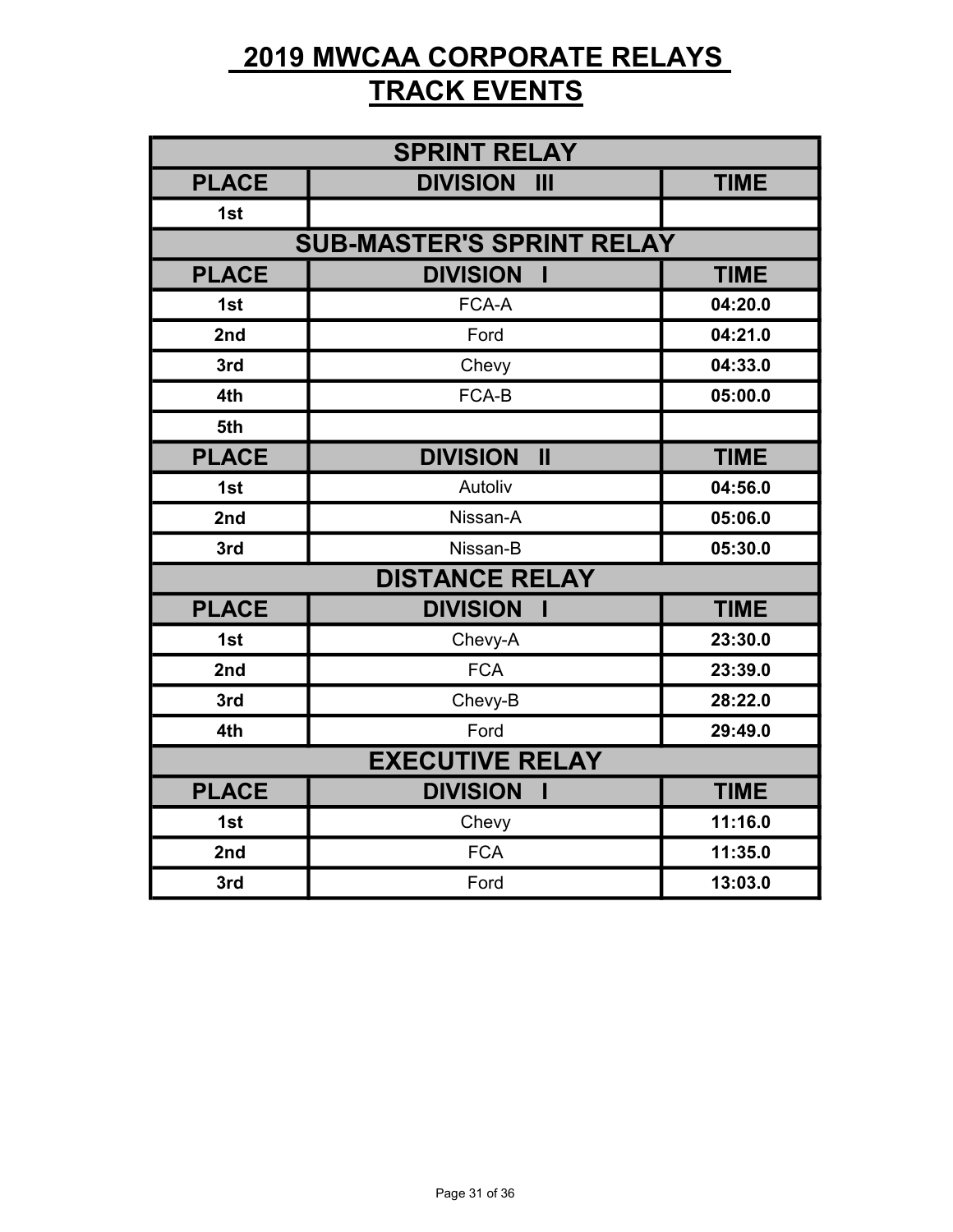|                                  | <b>SPRINT RELAY</b>             |             |  |  |  |  |  |  |
|----------------------------------|---------------------------------|-------------|--|--|--|--|--|--|
| <b>PLACE</b>                     | <b>DIVISION</b><br>III          | <b>TIME</b> |  |  |  |  |  |  |
| 1st                              |                                 |             |  |  |  |  |  |  |
| <b>SUB-MASTER'S SPRINT RELAY</b> |                                 |             |  |  |  |  |  |  |
| <b>PLACE</b>                     | <b>DIVISION</b>                 | <b>TIME</b> |  |  |  |  |  |  |
| 1st                              | FCA-A                           | 04:20.0     |  |  |  |  |  |  |
| 2nd                              | Ford                            | 04:21.0     |  |  |  |  |  |  |
| 3rd                              | Chevy                           | 04:33.0     |  |  |  |  |  |  |
| 4th                              | FCA-B                           | 05:00.0     |  |  |  |  |  |  |
| 5th                              |                                 |             |  |  |  |  |  |  |
| <b>PLACE</b>                     | <b>DIVISION</b><br>$\mathbf{I}$ | <b>TIME</b> |  |  |  |  |  |  |
| 1st                              | Autoliv                         | 04:56.0     |  |  |  |  |  |  |
| 2nd                              | Nissan-A                        | 05:06.0     |  |  |  |  |  |  |
| 3rd                              | Nissan-B                        | 05:30.0     |  |  |  |  |  |  |
|                                  | <b>DISTANCE RELAY</b>           |             |  |  |  |  |  |  |
| <b>PLACE</b>                     | <b>DIVISION</b>                 | <b>TIME</b> |  |  |  |  |  |  |
| 1st                              | Chevy-A                         | 23:30.0     |  |  |  |  |  |  |
| 2nd                              | <b>FCA</b>                      | 23:39.0     |  |  |  |  |  |  |
| 3rd                              | Chevy-B                         | 28:22.0     |  |  |  |  |  |  |
| 4th                              | Ford                            | 29:49.0     |  |  |  |  |  |  |
|                                  | <b>EXECUTIVE RELAY</b>          |             |  |  |  |  |  |  |
| <b>PLACE</b>                     | <b>DIVISION</b>                 | <b>TIME</b> |  |  |  |  |  |  |
| 1st                              | Chevy                           | 11:16.0     |  |  |  |  |  |  |
| 2nd                              | <b>FCA</b>                      | 11:35.0     |  |  |  |  |  |  |
| 3rd                              | Ford                            | 13:03.0     |  |  |  |  |  |  |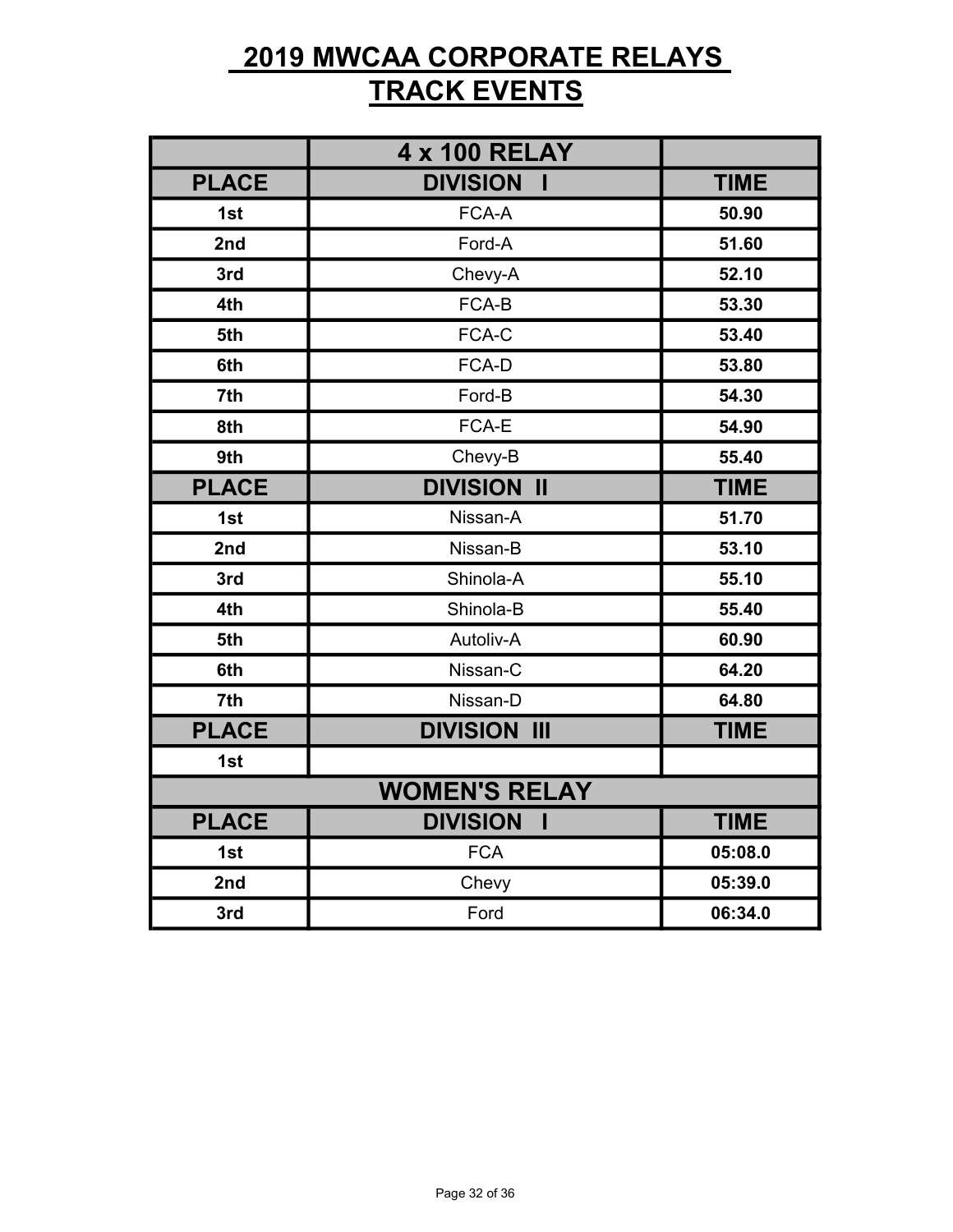|              | <b>4 x 100 RELAY</b> |             |
|--------------|----------------------|-------------|
| <b>PLACE</b> | <b>DIVISION</b>      | <b>TIME</b> |
| 1st          | FCA-A                | 50.90       |
| 2nd          | Ford-A               | 51.60       |
| 3rd          | Chevy-A              | 52.10       |
| 4th          | FCA-B                | 53.30       |
| 5th          | FCA-C                | 53.40       |
| 6th          | FCA-D                | 53.80       |
| 7th          | Ford-B               | 54.30       |
| 8th          | FCA-E                | 54.90       |
| 9th          | Chevy-B              | 55.40       |
| <b>PLACE</b> | <b>DIVISION II</b>   | <b>TIME</b> |
| 1st          | Nissan-A             | 51.70       |
| 2nd          | Nissan-B             | 53.10       |
| 3rd          | Shinola-A            | 55.10       |
| 4th          | Shinola-B            | 55.40       |
| 5th          | Autoliv-A            | 60.90       |
| 6th          | Nissan-C             | 64.20       |
| 7th          | Nissan-D             | 64.80       |
| <b>PLACE</b> | <b>DIVISION III</b>  | <b>TIME</b> |
| 1st          |                      |             |
|              | <b>WOMEN'S RELAY</b> |             |
| <b>PLACE</b> | <b>DIVISION</b>      | <b>TIME</b> |
| 1st          | <b>FCA</b>           | 05:08.0     |
| 2nd          | Chevy                | 05:39.0     |
| 3rd          | Ford                 | 06:34.0     |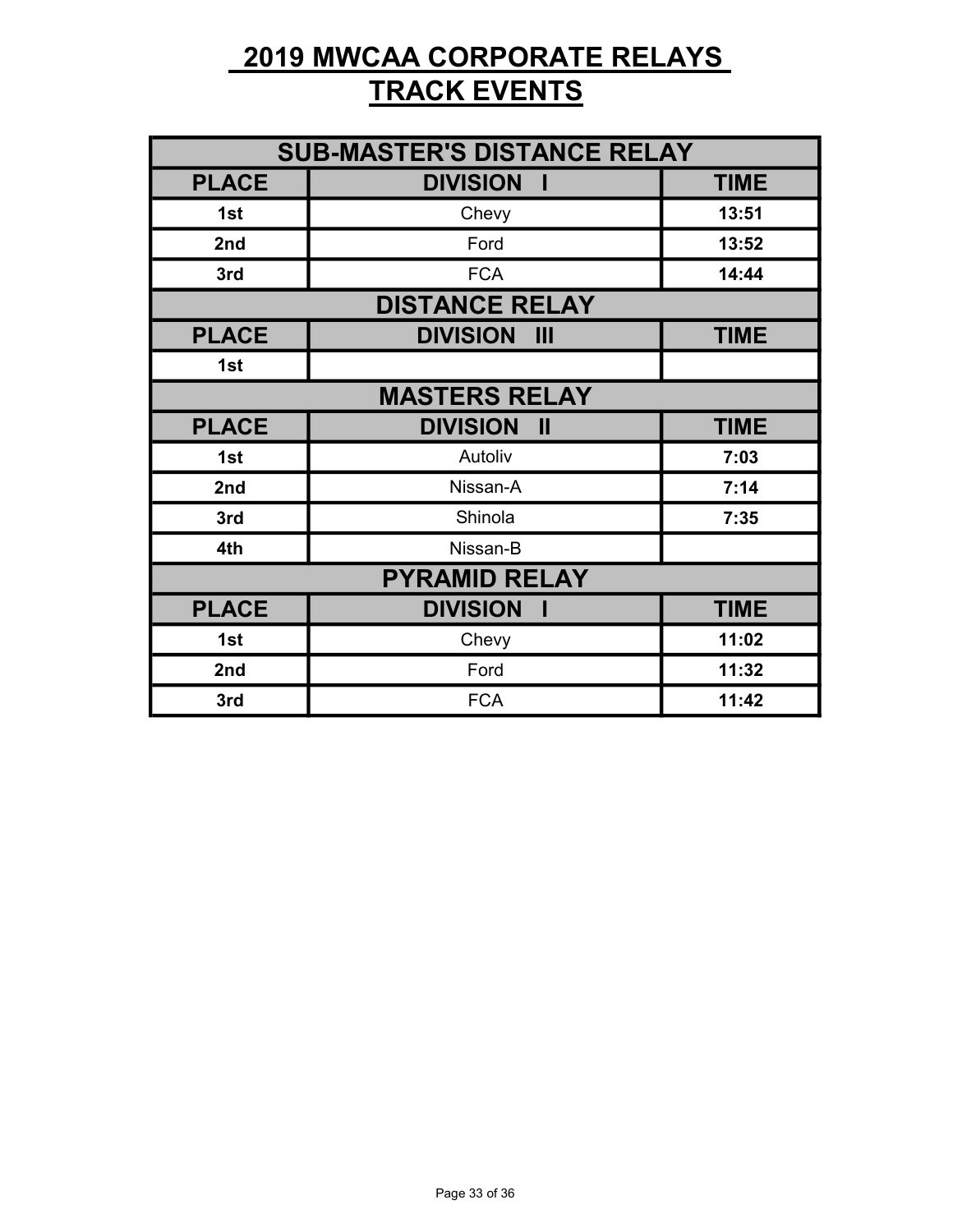| <b>SUB-MASTER'S DISTANCE RELAY</b> |                       |             |  |  |  |  |  |  |  |
|------------------------------------|-----------------------|-------------|--|--|--|--|--|--|--|
| <b>PLACE</b>                       | <b>DIVISION I</b>     |             |  |  |  |  |  |  |  |
| 1st                                | Chevy                 | 13:51       |  |  |  |  |  |  |  |
| 2nd                                | Ford                  | 13:52       |  |  |  |  |  |  |  |
| 3rd                                | <b>FCA</b>            | 14:44       |  |  |  |  |  |  |  |
|                                    | <b>DISTANCE RELAY</b> |             |  |  |  |  |  |  |  |
| <b>PLACE</b>                       | <b>DIVISION III</b>   | <b>TIME</b> |  |  |  |  |  |  |  |
| 1st                                |                       |             |  |  |  |  |  |  |  |
| <b>MASTERS RELAY</b>               |                       |             |  |  |  |  |  |  |  |
| <b>PLACE</b>                       | <b>DIVISION</b><br>Ш  | <b>TIME</b> |  |  |  |  |  |  |  |
| 1st                                | Autoliv               | 7:03        |  |  |  |  |  |  |  |
| 2nd                                | Nissan-A              | 7:14        |  |  |  |  |  |  |  |
| 3rd                                | Shinola               | 7:35        |  |  |  |  |  |  |  |
| 4th                                | Nissan-B              |             |  |  |  |  |  |  |  |
|                                    | <b>PYRAMID RELAY</b>  |             |  |  |  |  |  |  |  |
| <b>PLACE</b>                       | <b>DIVISION</b>       | <b>TIME</b> |  |  |  |  |  |  |  |
| 1st                                | Chevy                 | 11:02       |  |  |  |  |  |  |  |
| 2nd                                | Ford                  | 11:32       |  |  |  |  |  |  |  |
| 3rd                                | <b>FCA</b>            | 11:42       |  |  |  |  |  |  |  |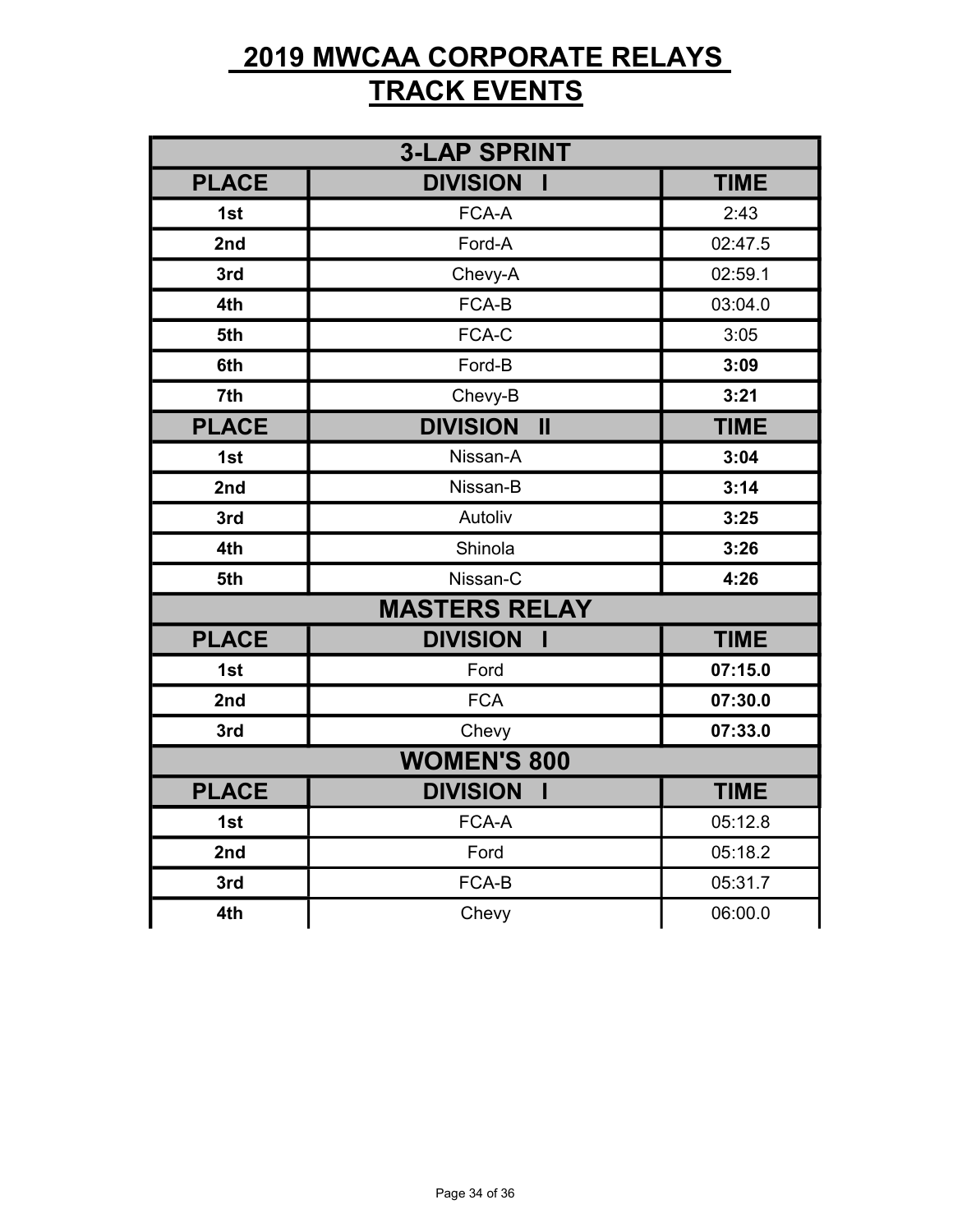|              | <b>3-LAP SPRINT</b>             |             |
|--------------|---------------------------------|-------------|
| <b>PLACE</b> | <b>DIVISION</b>                 | <b>TIME</b> |
| 1st          | FCA-A                           | 2:43        |
| 2nd          | Ford-A                          | 02:47.5     |
| 3rd          | Chevy-A                         | 02:59.1     |
| 4th          | FCA-B                           | 03:04.0     |
| 5th          | FCA-C                           | 3:05        |
| 6th          | Ford-B                          | 3:09        |
| 7th          | Chevy-B                         | 3:21        |
| <b>PLACE</b> | <b>DIVISION</b><br>$\mathbf{I}$ | <b>TIME</b> |
| 1st          | Nissan-A                        | 3:04        |
| 2nd          | Nissan-B                        | 3:14        |
| 3rd          | Autoliv                         | 3:25        |
| 4th          | Shinola                         | 3:26        |
| 5th          | Nissan-C                        | 4:26        |
|              | <b>MASTERS RELAY</b>            |             |
| <b>PLACE</b> | <b>DIVISION</b><br>ı            | <b>TIME</b> |
| 1st          | Ford                            | 07:15.0     |
| 2nd          | <b>FCA</b>                      | 07:30.0     |
| 3rd          | Chevy                           | 07:33.0     |
|              | <b>WOMEN'S 800</b>              |             |
| <b>PLACE</b> | <b>DIVISION</b><br>ı            | <b>TIME</b> |
| 1st          | FCA-A                           | 05:12.8     |
| 2nd          | Ford                            | 05:18.2     |
| 3rd          | FCA-B                           | 05:31.7     |
| 4th          | Chevy                           | 06:00.0     |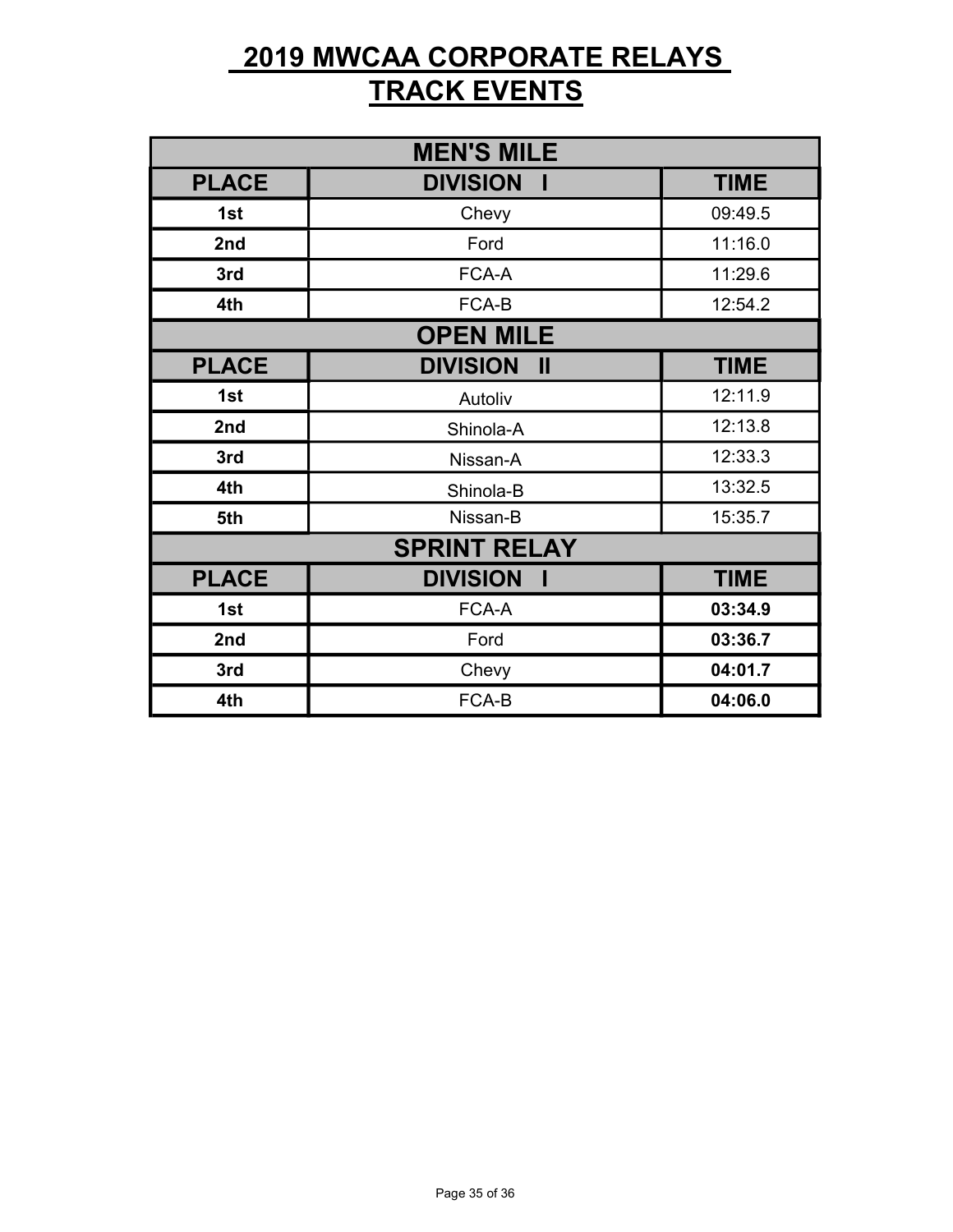|              | <b>MEN'S MILE</b>               |             |  |  |  |  |  |  |
|--------------|---------------------------------|-------------|--|--|--|--|--|--|
| <b>PLACE</b> | <b>DIVISION</b>                 | <b>TIME</b> |  |  |  |  |  |  |
| 1st          | Chevy                           | 09:49.5     |  |  |  |  |  |  |
| 2nd          | Ford                            | 11:16.0     |  |  |  |  |  |  |
| 3rd          | FCA-A                           | 11:29.6     |  |  |  |  |  |  |
| 4th          | FCA-B                           | 12:54.2     |  |  |  |  |  |  |
|              | <b>OPEN MILE</b>                |             |  |  |  |  |  |  |
| <b>PLACE</b> | <b>DIVISION</b><br>$\mathbf{I}$ | <b>TIME</b> |  |  |  |  |  |  |
| 1st          | Autoliv                         | 12:11.9     |  |  |  |  |  |  |
| 2nd          | Shinola-A                       | 12:13.8     |  |  |  |  |  |  |
| 3rd          | Nissan-A                        | 12:33.3     |  |  |  |  |  |  |
| 4th          | Shinola-B                       | 13:32.5     |  |  |  |  |  |  |
| 5th          | Nissan-B                        | 15:35.7     |  |  |  |  |  |  |
|              | <b>SPRINT RELAY</b>             |             |  |  |  |  |  |  |
| <b>PLACE</b> | <b>DIVISION</b>                 | <b>TIME</b> |  |  |  |  |  |  |
| 1st          | FCA-A                           | 03:34.9     |  |  |  |  |  |  |
| 2nd          | Ford                            | 03:36.7     |  |  |  |  |  |  |
| 3rd          | Chevy                           | 04:01.7     |  |  |  |  |  |  |
| 4th          | FCA-B                           | 04:06.0     |  |  |  |  |  |  |